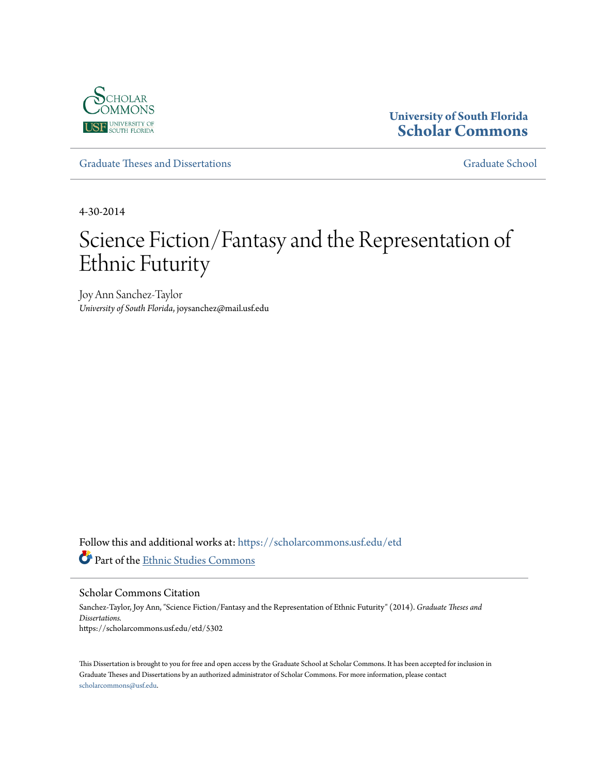

# **University of South Florida [Scholar Commons](https://scholarcommons.usf.edu?utm_source=scholarcommons.usf.edu%2Fetd%2F5302&utm_medium=PDF&utm_campaign=PDFCoverPages)**

[Graduate Theses and Dissertations](https://scholarcommons.usf.edu/etd?utm_source=scholarcommons.usf.edu%2Fetd%2F5302&utm_medium=PDF&utm_campaign=PDFCoverPages) [Graduate School](https://scholarcommons.usf.edu/grad?utm_source=scholarcommons.usf.edu%2Fetd%2F5302&utm_medium=PDF&utm_campaign=PDFCoverPages) Craduate School

4-30-2014

# Science Fiction/Fantasy and the Representation of Ethnic Futurity

Joy Ann Sanchez-Taylor *University of South Florida*, joysanchez@mail.usf.edu

Follow this and additional works at: [https://scholarcommons.usf.edu/etd](https://scholarcommons.usf.edu/etd?utm_source=scholarcommons.usf.edu%2Fetd%2F5302&utm_medium=PDF&utm_campaign=PDFCoverPages) Part of the [Ethnic Studies Commons](http://network.bepress.com/hgg/discipline/570?utm_source=scholarcommons.usf.edu%2Fetd%2F5302&utm_medium=PDF&utm_campaign=PDFCoverPages)

Scholar Commons Citation

Sanchez-Taylor, Joy Ann, "Science Fiction/Fantasy and the Representation of Ethnic Futurity" (2014). *Graduate Theses and Dissertations.* https://scholarcommons.usf.edu/etd/5302

This Dissertation is brought to you for free and open access by the Graduate School at Scholar Commons. It has been accepted for inclusion in Graduate Theses and Dissertations by an authorized administrator of Scholar Commons. For more information, please contact [scholarcommons@usf.edu](mailto:scholarcommons@usf.edu).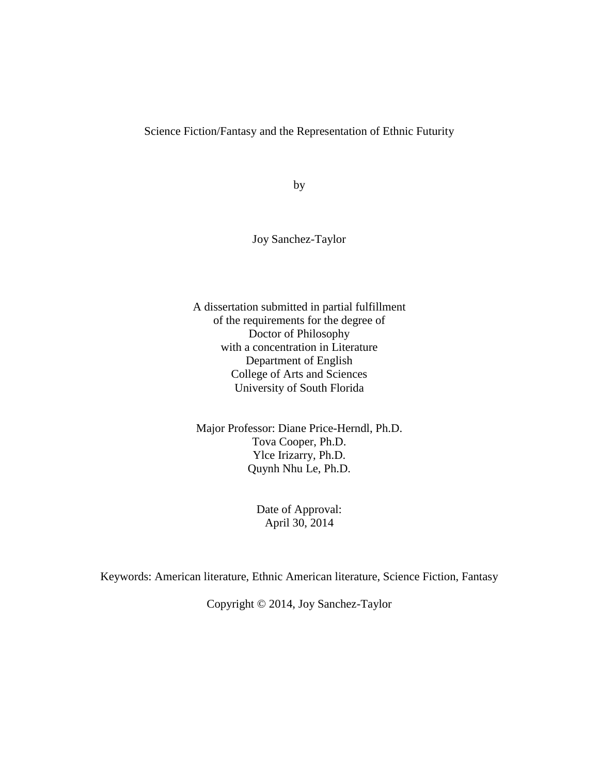Science Fiction/Fantasy and the Representation of Ethnic Futurity

by

Joy Sanchez-Taylor

A dissertation submitted in partial fulfillment of the requirements for the degree of Doctor of Philosophy with a concentration in Literature Department of English College of Arts and Sciences University of South Florida

Major Professor: Diane Price-Herndl, Ph.D. Tova Cooper, Ph.D. Ylce Irizarry, Ph.D. Quynh Nhu Le, Ph.D.

> Date of Approval: April 30, 2014

Keywords: American literature, Ethnic American literature, Science Fiction, Fantasy

Copyright © 2014, Joy Sanchez-Taylor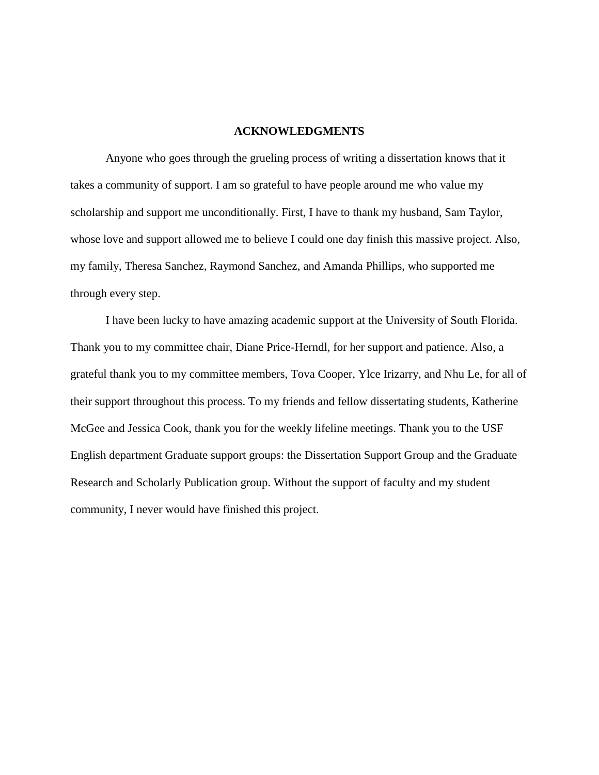# **ACKNOWLEDGMENTS**

Anyone who goes through the grueling process of writing a dissertation knows that it takes a community of support. I am so grateful to have people around me who value my scholarship and support me unconditionally. First, I have to thank my husband, Sam Taylor, whose love and support allowed me to believe I could one day finish this massive project. Also, my family, Theresa Sanchez, Raymond Sanchez, and Amanda Phillips, who supported me through every step.

I have been lucky to have amazing academic support at the University of South Florida. Thank you to my committee chair, Diane Price-Herndl, for her support and patience. Also, a grateful thank you to my committee members, Tova Cooper, Ylce Irizarry, and Nhu Le, for all of their support throughout this process. To my friends and fellow dissertating students, Katherine McGee and Jessica Cook, thank you for the weekly lifeline meetings. Thank you to the USF English department Graduate support groups: the Dissertation Support Group and the Graduate Research and Scholarly Publication group. Without the support of faculty and my student community, I never would have finished this project.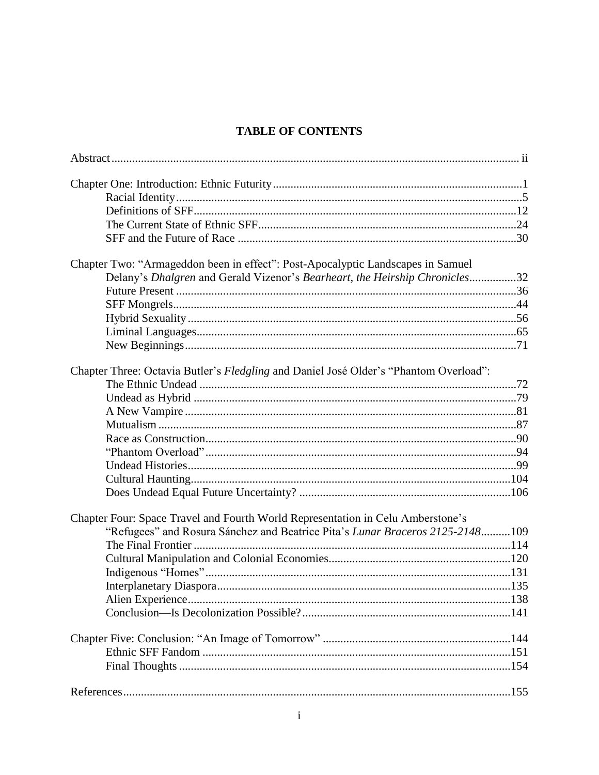# **TABLE OF CONTENTS**

| Chapter Two: "Armageddon been in effect": Post-Apocalyptic Landscapes in Samuel       |  |
|---------------------------------------------------------------------------------------|--|
| Delany's Dhalgren and Gerald Vizenor's Bearheart, the Heirship Chronicles32           |  |
|                                                                                       |  |
|                                                                                       |  |
|                                                                                       |  |
|                                                                                       |  |
|                                                                                       |  |
| Chapter Three: Octavia Butler's Fledgling and Daniel José Older's "Phantom Overload": |  |
|                                                                                       |  |
|                                                                                       |  |
|                                                                                       |  |
|                                                                                       |  |
|                                                                                       |  |
|                                                                                       |  |
|                                                                                       |  |
|                                                                                       |  |
|                                                                                       |  |
| Chapter Four: Space Travel and Fourth World Representation in Celu Amberstone's       |  |
| "Refugees" and Rosura Sánchez and Beatrice Pita's Lunar Braceros 2125-2148109         |  |
|                                                                                       |  |
|                                                                                       |  |
|                                                                                       |  |
|                                                                                       |  |
|                                                                                       |  |
|                                                                                       |  |
|                                                                                       |  |
|                                                                                       |  |
|                                                                                       |  |
|                                                                                       |  |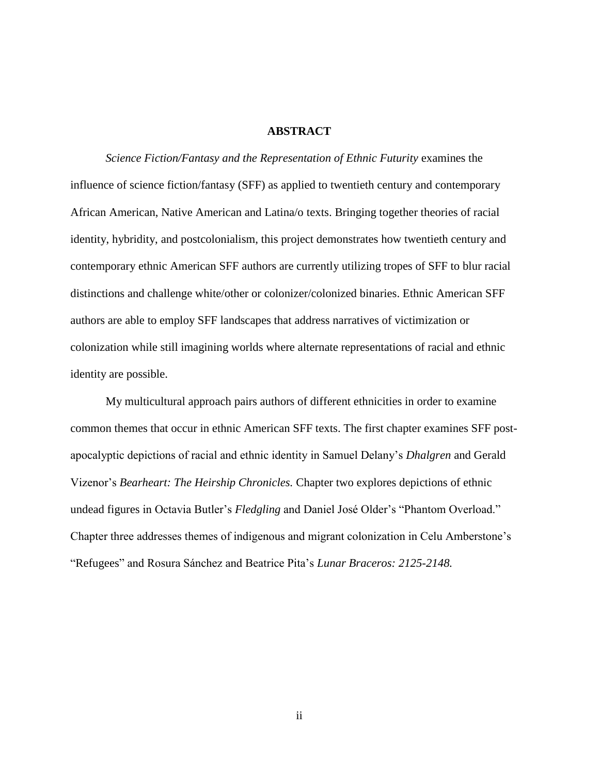# **ABSTRACT**

*Science Fiction/Fantasy and the Representation of Ethnic Futurity* examines the influence of science fiction/fantasy (SFF) as applied to twentieth century and contemporary African American, Native American and Latina/o texts. Bringing together theories of racial identity, hybridity, and postcolonialism, this project demonstrates how twentieth century and contemporary ethnic American SFF authors are currently utilizing tropes of SFF to blur racial distinctions and challenge white/other or colonizer/colonized binaries. Ethnic American SFF authors are able to employ SFF landscapes that address narratives of victimization or colonization while still imagining worlds where alternate representations of racial and ethnic identity are possible.

My multicultural approach pairs authors of different ethnicities in order to examine common themes that occur in ethnic American SFF texts. The first chapter examines SFF postapocalyptic depictions of racial and ethnic identity in Samuel Delany's *Dhalgren* and Gerald Vizenor's *Bearheart: The Heirship Chronicles.* Chapter two explores depictions of ethnic undead figures in Octavia Butler's *Fledgling* and Daniel José Older's "Phantom Overload." Chapter three addresses themes of indigenous and migrant colonization in Celu Amberstone's "Refugees" and Rosura Sánchez and Beatrice Pita's *Lunar Braceros: 2125-2148.*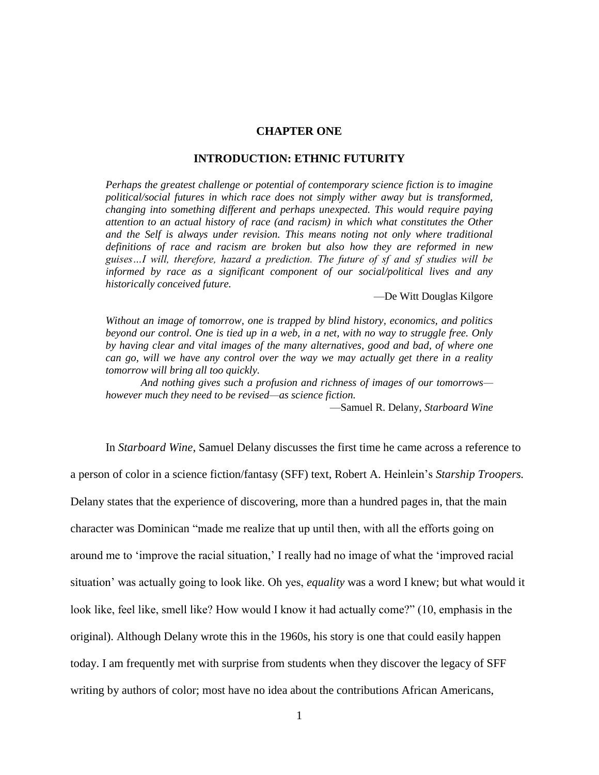## **CHAPTER ONE**

#### **INTRODUCTION: ETHNIC FUTURITY**

*Perhaps the greatest challenge or potential of contemporary science fiction is to imagine political/social futures in which race does not simply wither away but is transformed, changing into something different and perhaps unexpected. This would require paying attention to an actual history of race (and racism) in which what constitutes the Other*  and the Self is always under revision. This means noting not only where traditional *definitions of race and racism are broken but also how they are reformed in new guises…I will, therefore, hazard a prediction. The future of sf and sf studies will be informed by race as a significant component of our social/political lives and any historically conceived future.*

—De Witt Douglas Kilgore

*Without an image of tomorrow, one is trapped by blind history, economics, and politics beyond our control. One is tied up in a web, in a net, with no way to struggle free. Only by having clear and vital images of the many alternatives, good and bad, of where one can go, will we have any control over the way we may actually get there in a reality tomorrow will bring all too quickly.*

*And nothing gives such a profusion and richness of images of our tomorrows however much they need to be revised—as science fiction.*

—Samuel R. Delany, *Starboard Wine*

In *Starboard Wine*, Samuel Delany discusses the first time he came across a reference to a person of color in a science fiction/fantasy (SFF) text, Robert A. Heinlein's *Starship Troopers.* Delany states that the experience of discovering, more than a hundred pages in, that the main character was Dominican "made me realize that up until then, with all the efforts going on around me to 'improve the racial situation,' I really had no image of what the 'improved racial situation' was actually going to look like. Oh yes, *equality* was a word I knew; but what would it look like, feel like, smell like? How would I know it had actually come?" (10, emphasis in the original). Although Delany wrote this in the 1960s, his story is one that could easily happen today. I am frequently met with surprise from students when they discover the legacy of SFF writing by authors of color; most have no idea about the contributions African Americans,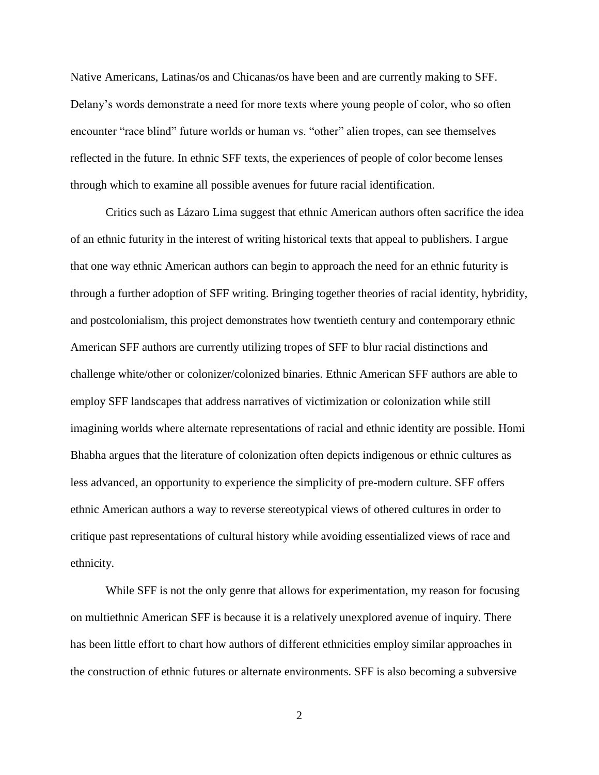Native Americans, Latinas/os and Chicanas/os have been and are currently making to SFF. Delany's words demonstrate a need for more texts where young people of color, who so often encounter "race blind" future worlds or human vs. "other" alien tropes, can see themselves reflected in the future. In ethnic SFF texts, the experiences of people of color become lenses through which to examine all possible avenues for future racial identification.

Critics such as Lázaro Lima suggest that ethnic American authors often sacrifice the idea of an ethnic futurity in the interest of writing historical texts that appeal to publishers. I argue that one way ethnic American authors can begin to approach the need for an ethnic futurity is through a further adoption of SFF writing. Bringing together theories of racial identity, hybridity, and postcolonialism, this project demonstrates how twentieth century and contemporary ethnic American SFF authors are currently utilizing tropes of SFF to blur racial distinctions and challenge white/other or colonizer/colonized binaries. Ethnic American SFF authors are able to employ SFF landscapes that address narratives of victimization or colonization while still imagining worlds where alternate representations of racial and ethnic identity are possible. Homi Bhabha argues that the literature of colonization often depicts indigenous or ethnic cultures as less advanced, an opportunity to experience the simplicity of pre-modern culture. SFF offers ethnic American authors a way to reverse stereotypical views of othered cultures in order to critique past representations of cultural history while avoiding essentialized views of race and ethnicity.

While SFF is not the only genre that allows for experimentation, my reason for focusing on multiethnic American SFF is because it is a relatively unexplored avenue of inquiry. There has been little effort to chart how authors of different ethnicities employ similar approaches in the construction of ethnic futures or alternate environments. SFF is also becoming a subversive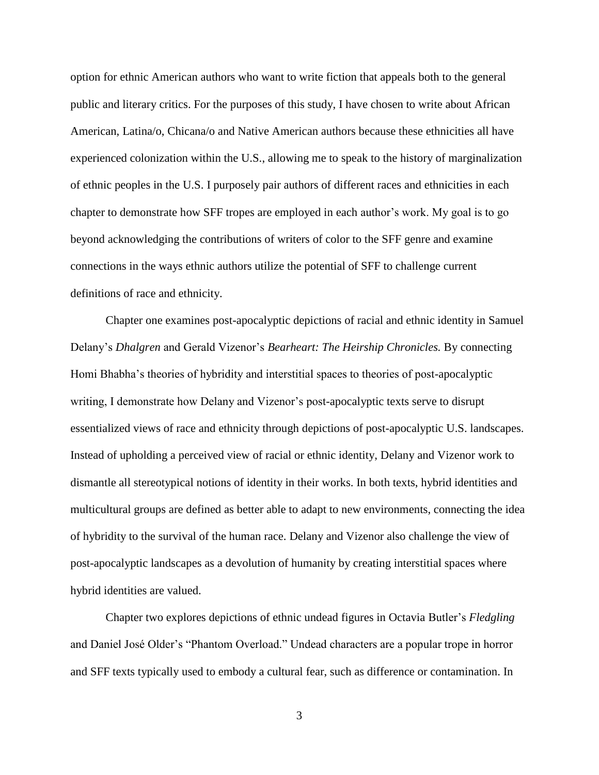option for ethnic American authors who want to write fiction that appeals both to the general public and literary critics. For the purposes of this study, I have chosen to write about African American, Latina/o, Chicana/o and Native American authors because these ethnicities all have experienced colonization within the U.S., allowing me to speak to the history of marginalization of ethnic peoples in the U.S. I purposely pair authors of different races and ethnicities in each chapter to demonstrate how SFF tropes are employed in each author's work. My goal is to go beyond acknowledging the contributions of writers of color to the SFF genre and examine connections in the ways ethnic authors utilize the potential of SFF to challenge current definitions of race and ethnicity.

Chapter one examines post-apocalyptic depictions of racial and ethnic identity in Samuel Delany's *Dhalgren* and Gerald Vizenor's *Bearheart: The Heirship Chronicles.* By connecting Homi Bhabha's theories of hybridity and interstitial spaces to theories of post-apocalyptic writing, I demonstrate how Delany and Vizenor's post-apocalyptic texts serve to disrupt essentialized views of race and ethnicity through depictions of post-apocalyptic U.S. landscapes. Instead of upholding a perceived view of racial or ethnic identity, Delany and Vizenor work to dismantle all stereotypical notions of identity in their works. In both texts, hybrid identities and multicultural groups are defined as better able to adapt to new environments, connecting the idea of hybridity to the survival of the human race. Delany and Vizenor also challenge the view of post-apocalyptic landscapes as a devolution of humanity by creating interstitial spaces where hybrid identities are valued.

Chapter two explores depictions of ethnic undead figures in Octavia Butler's *Fledgling*  and Daniel José Older's "Phantom Overload." Undead characters are a popular trope in horror and SFF texts typically used to embody a cultural fear, such as difference or contamination. In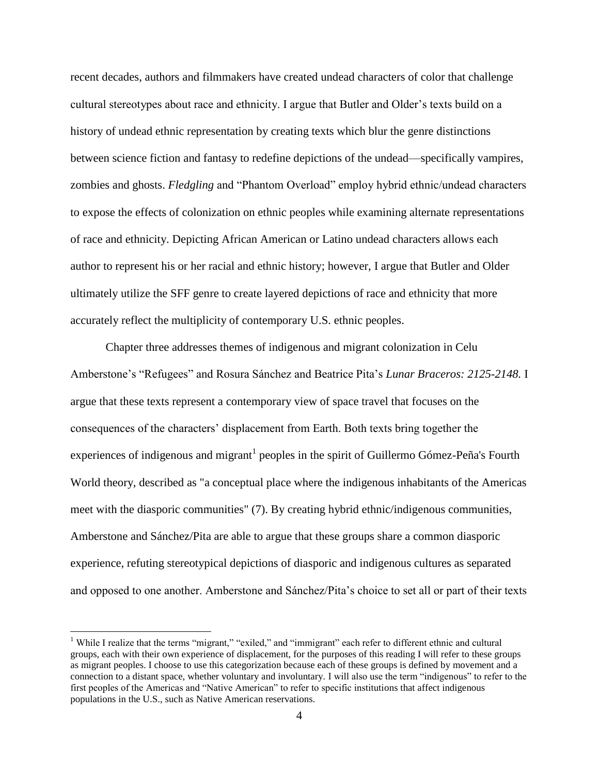recent decades, authors and filmmakers have created undead characters of color that challenge cultural stereotypes about race and ethnicity. I argue that Butler and Older's texts build on a history of undead ethnic representation by creating texts which blur the genre distinctions between science fiction and fantasy to redefine depictions of the undead—specifically vampires, zombies and ghosts. *Fledgling* and "Phantom Overload" employ hybrid ethnic/undead characters to expose the effects of colonization on ethnic peoples while examining alternate representations of race and ethnicity. Depicting African American or Latino undead characters allows each author to represent his or her racial and ethnic history; however, I argue that Butler and Older ultimately utilize the SFF genre to create layered depictions of race and ethnicity that more accurately reflect the multiplicity of contemporary U.S. ethnic peoples.

Chapter three addresses themes of indigenous and migrant colonization in Celu Amberstone's "Refugees" and Rosura Sánchez and Beatrice Pita's *Lunar Braceros: 2125-2148.* I argue that these texts represent a contemporary view of space travel that focuses on the consequences of the characters' displacement from Earth. Both texts bring together the experiences of indigenous and migrant<sup>1</sup> peoples in the spirit of Guillermo Gómez-Peña's Fourth World theory, described as "a conceptual place where the indigenous inhabitants of the Americas meet with the diasporic communities" (7). By creating hybrid ethnic/indigenous communities, Amberstone and Sánchez/Pita are able to argue that these groups share a common diasporic experience, refuting stereotypical depictions of diasporic and indigenous cultures as separated and opposed to one another. Amberstone and Sánchez/Pita's choice to set all or part of their texts

l

<sup>&</sup>lt;sup>1</sup> While I realize that the terms "migrant," "exiled," and "immigrant" each refer to different ethnic and cultural groups, each with their own experience of displacement, for the purposes of this reading I will refer to these groups as migrant peoples. I choose to use this categorization because each of these groups is defined by movement and a connection to a distant space, whether voluntary and involuntary. I will also use the term "indigenous" to refer to the first peoples of the Americas and "Native American" to refer to specific institutions that affect indigenous populations in the U.S., such as Native American reservations.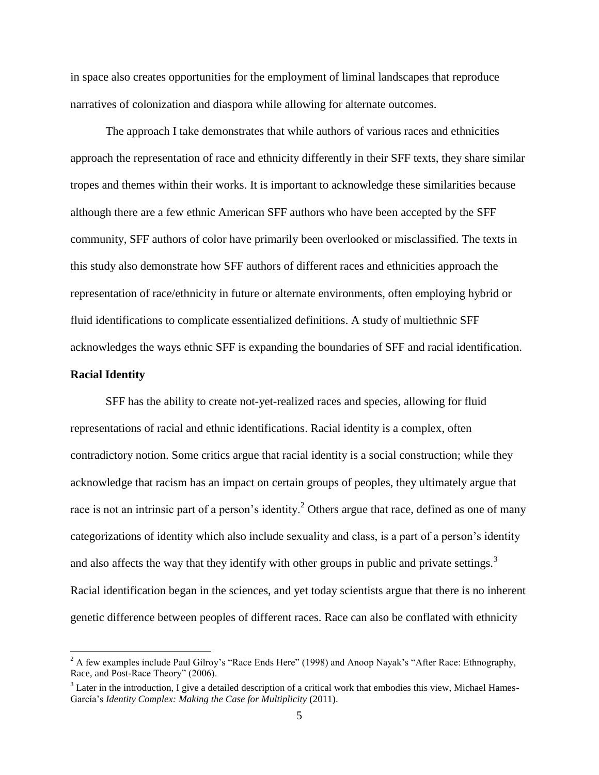in space also creates opportunities for the employment of liminal landscapes that reproduce narratives of colonization and diaspora while allowing for alternate outcomes.

The approach I take demonstrates that while authors of various races and ethnicities approach the representation of race and ethnicity differently in their SFF texts, they share similar tropes and themes within their works. It is important to acknowledge these similarities because although there are a few ethnic American SFF authors who have been accepted by the SFF community, SFF authors of color have primarily been overlooked or misclassified. The texts in this study also demonstrate how SFF authors of different races and ethnicities approach the representation of race/ethnicity in future or alternate environments, often employing hybrid or fluid identifications to complicate essentialized definitions. A study of multiethnic SFF acknowledges the ways ethnic SFF is expanding the boundaries of SFF and racial identification.

# **Racial Identity**

 $\overline{\phantom{a}}$ 

SFF has the ability to create not-yet-realized races and species, allowing for fluid representations of racial and ethnic identifications. Racial identity is a complex, often contradictory notion. Some critics argue that racial identity is a social construction; while they acknowledge that racism has an impact on certain groups of peoples, they ultimately argue that race is not an intrinsic part of a person's identity.<sup>2</sup> Others argue that race, defined as one of many categorizations of identity which also include sexuality and class, is a part of a person's identity and also affects the way that they identify with other groups in public and private settings.<sup>3</sup> Racial identification began in the sciences, and yet today scientists argue that there is no inherent genetic difference between peoples of different races. Race can also be conflated with ethnicity

<sup>&</sup>lt;sup>2</sup> A few examples include Paul Gilroy's "Race Ends Here" (1998) and Anoop Nayak's "After Race: Ethnography, Race, and Post-Race Theory" (2006).

 $3$  Later in the introduction, I give a detailed description of a critical work that embodies this view, Michael Hames-García's *Identity Complex: Making the Case for Multiplicity* (2011).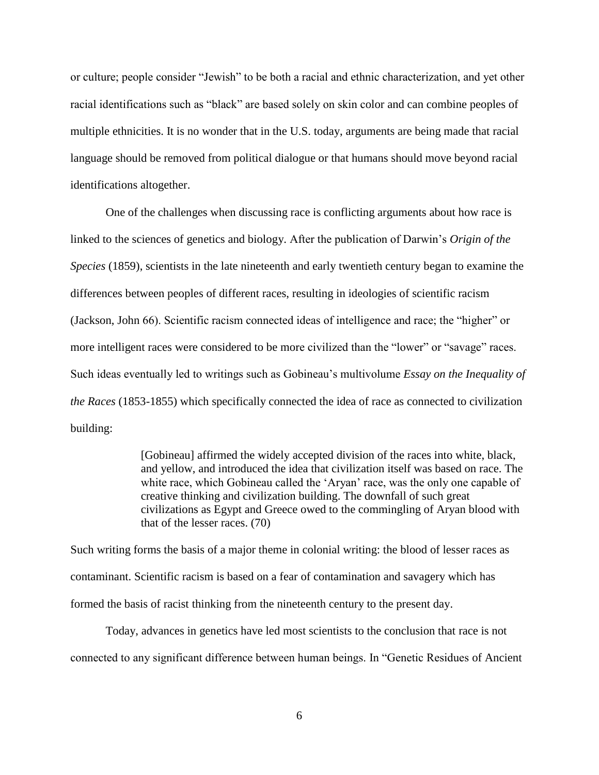or culture; people consider "Jewish" to be both a racial and ethnic characterization, and yet other racial identifications such as "black" are based solely on skin color and can combine peoples of multiple ethnicities. It is no wonder that in the U.S. today, arguments are being made that racial language should be removed from political dialogue or that humans should move beyond racial identifications altogether.

One of the challenges when discussing race is conflicting arguments about how race is linked to the sciences of genetics and biology. After the publication of Darwin's *Origin of the Species* (1859), scientists in the late nineteenth and early twentieth century began to examine the differences between peoples of different races, resulting in ideologies of scientific racism (Jackson, John 66). Scientific racism connected ideas of intelligence and race; the "higher" or more intelligent races were considered to be more civilized than the "lower" or "savage" races. Such ideas eventually led to writings such as Gobineau's multivolume *Essay on the Inequality of the Races* (1853-1855) which specifically connected the idea of race as connected to civilization building:

> [Gobineau] affirmed the widely accepted division of the races into white, black, and yellow, and introduced the idea that civilization itself was based on race. The white race, which Gobineau called the 'Aryan' race, was the only one capable of creative thinking and civilization building. The downfall of such great civilizations as Egypt and Greece owed to the commingling of Aryan blood with that of the lesser races. (70)

Such writing forms the basis of a major theme in colonial writing: the blood of lesser races as contaminant. Scientific racism is based on a fear of contamination and savagery which has formed the basis of racist thinking from the nineteenth century to the present day.

Today, advances in genetics have led most scientists to the conclusion that race is not connected to any significant difference between human beings. In "Genetic Residues of Ancient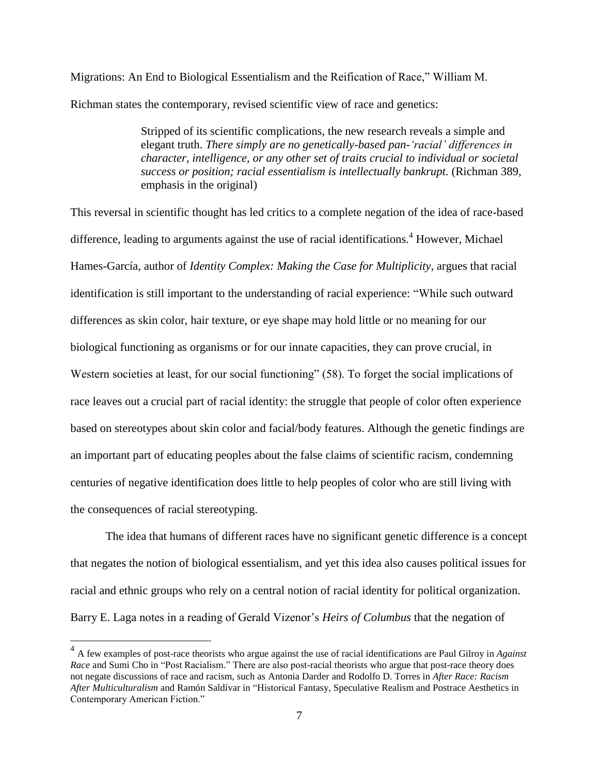Migrations: An End to Biological Essentialism and the Reification of Race," William M. Richman states the contemporary, revised scientific view of race and genetics:

> Stripped of its scientific complications, the new research reveals a simple and elegant truth. *There simply are no genetically-based pan-'racial' differences in character, intelligence, or any other set of traits crucial to individual or societal success or position; racial essentialism is intellectually bankrupt.* (Richman 389, emphasis in the original)

This reversal in scientific thought has led critics to a complete negation of the idea of race-based difference, leading to arguments against the use of racial identifications.<sup>4</sup> However, Michael Hames-García, author of *Identity Complex: Making the Case for Multiplicity*, argues that racial identification is still important to the understanding of racial experience: "While such outward differences as skin color, hair texture, or eye shape may hold little or no meaning for our biological functioning as organisms or for our innate capacities, they can prove crucial, in Western societies at least, for our social functioning" (58). To forget the social implications of race leaves out a crucial part of racial identity: the struggle that people of color often experience based on stereotypes about skin color and facial/body features. Although the genetic findings are an important part of educating peoples about the false claims of scientific racism, condemning centuries of negative identification does little to help peoples of color who are still living with the consequences of racial stereotyping.

The idea that humans of different races have no significant genetic difference is a concept that negates the notion of biological essentialism, and yet this idea also causes political issues for racial and ethnic groups who rely on a central notion of racial identity for political organization. Barry E. Laga notes in a reading of Gerald Vizenor's *Heirs of Columbus* that the negation of

 4 A few examples of post-race theorists who argue against the use of racial identifications are Paul Gilroy in *Against Race* and Sumi Cho in "Post Racialism." There are also post-racial theorists who argue that post-race theory does not negate discussions of race and racism, such as Antonia Darder and Rodolfo D. Torres in *After Race: Racism After Multiculturalism* and Ramón Saldívar in "Historical Fantasy, Speculative Realism and Postrace Aesthetics in Contemporary American Fiction."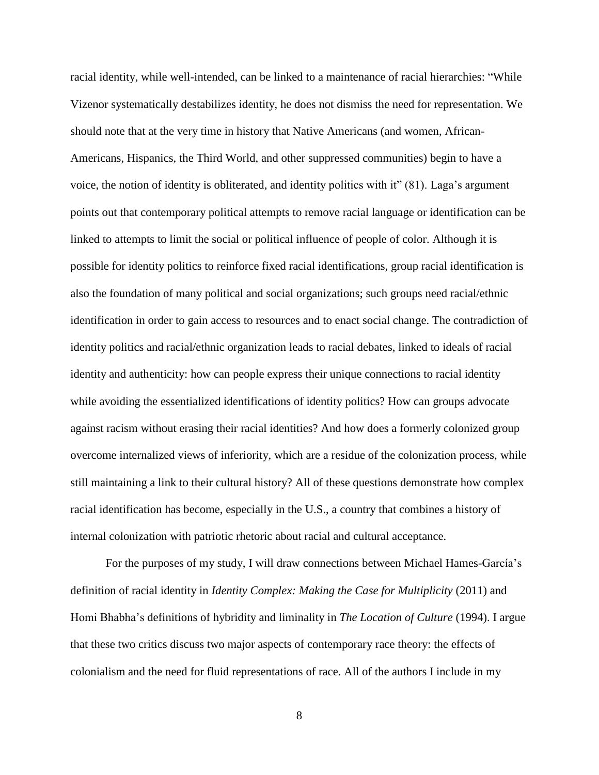racial identity, while well-intended, can be linked to a maintenance of racial hierarchies: "While Vizenor systematically destabilizes identity, he does not dismiss the need for representation. We should note that at the very time in history that Native Americans (and women, African-Americans, Hispanics, the Third World, and other suppressed communities) begin to have a voice, the notion of identity is obliterated, and identity politics with it" (81). Laga's argument points out that contemporary political attempts to remove racial language or identification can be linked to attempts to limit the social or political influence of people of color. Although it is possible for identity politics to reinforce fixed racial identifications, group racial identification is also the foundation of many political and social organizations; such groups need racial/ethnic identification in order to gain access to resources and to enact social change. The contradiction of identity politics and racial/ethnic organization leads to racial debates, linked to ideals of racial identity and authenticity: how can people express their unique connections to racial identity while avoiding the essentialized identifications of identity politics? How can groups advocate against racism without erasing their racial identities? And how does a formerly colonized group overcome internalized views of inferiority, which are a residue of the colonization process, while still maintaining a link to their cultural history? All of these questions demonstrate how complex racial identification has become, especially in the U.S., a country that combines a history of internal colonization with patriotic rhetoric about racial and cultural acceptance.

For the purposes of my study, I will draw connections between Michael Hames-García's definition of racial identity in *Identity Complex: Making the Case for Multiplicity* (2011) and Homi Bhabha's definitions of hybridity and liminality in *The Location of Culture* (1994). I argue that these two critics discuss two major aspects of contemporary race theory: the effects of colonialism and the need for fluid representations of race. All of the authors I include in my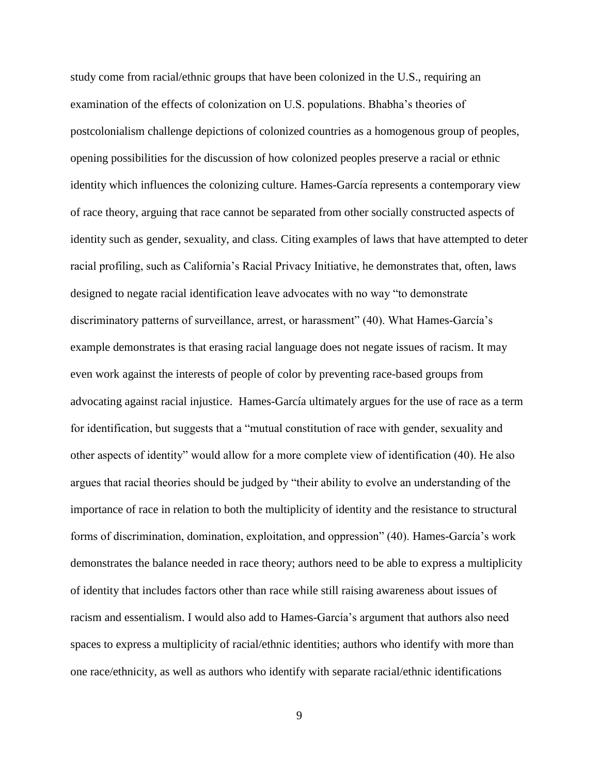study come from racial/ethnic groups that have been colonized in the U.S., requiring an examination of the effects of colonization on U.S. populations. Bhabha's theories of postcolonialism challenge depictions of colonized countries as a homogenous group of peoples, opening possibilities for the discussion of how colonized peoples preserve a racial or ethnic identity which influences the colonizing culture. Hames-García represents a contemporary view of race theory, arguing that race cannot be separated from other socially constructed aspects of identity such as gender, sexuality, and class. Citing examples of laws that have attempted to deter racial profiling, such as California's Racial Privacy Initiative, he demonstrates that, often, laws designed to negate racial identification leave advocates with no way "to demonstrate discriminatory patterns of surveillance, arrest, or harassment" (40). What Hames-García's example demonstrates is that erasing racial language does not negate issues of racism. It may even work against the interests of people of color by preventing race-based groups from advocating against racial injustice. Hames-García ultimately argues for the use of race as a term for identification, but suggests that a "mutual constitution of race with gender, sexuality and other aspects of identity" would allow for a more complete view of identification (40). He also argues that racial theories should be judged by "their ability to evolve an understanding of the importance of race in relation to both the multiplicity of identity and the resistance to structural forms of discrimination, domination, exploitation, and oppression" (40). Hames-García's work demonstrates the balance needed in race theory; authors need to be able to express a multiplicity of identity that includes factors other than race while still raising awareness about issues of racism and essentialism. I would also add to Hames-García's argument that authors also need spaces to express a multiplicity of racial/ethnic identities; authors who identify with more than one race/ethnicity, as well as authors who identify with separate racial/ethnic identifications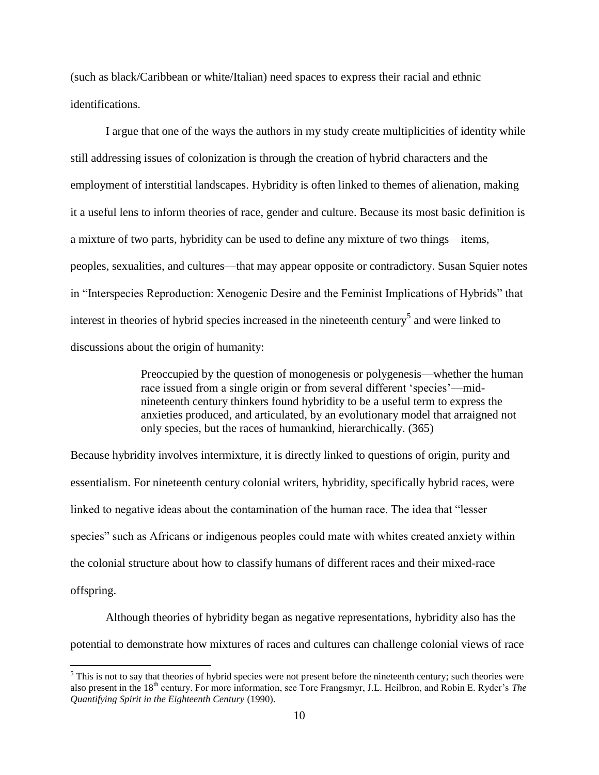(such as black/Caribbean or white/Italian) need spaces to express their racial and ethnic identifications.

I argue that one of the ways the authors in my study create multiplicities of identity while still addressing issues of colonization is through the creation of hybrid characters and the employment of interstitial landscapes. Hybridity is often linked to themes of alienation, making it a useful lens to inform theories of race, gender and culture. Because its most basic definition is a mixture of two parts, hybridity can be used to define any mixture of two things—items, peoples, sexualities, and cultures—that may appear opposite or contradictory. Susan Squier notes in "Interspecies Reproduction: Xenogenic Desire and the Feminist Implications of Hybrids" that interest in theories of hybrid species increased in the nineteenth century<sup>5</sup> and were linked to discussions about the origin of humanity:

> Preoccupied by the question of monogenesis or polygenesis—whether the human race issued from a single origin or from several different 'species'—midnineteenth century thinkers found hybridity to be a useful term to express the anxieties produced, and articulated, by an evolutionary model that arraigned not only species, but the races of humankind, hierarchically. (365)

Because hybridity involves intermixture, it is directly linked to questions of origin, purity and essentialism. For nineteenth century colonial writers, hybridity, specifically hybrid races, were linked to negative ideas about the contamination of the human race. The idea that "lesser species" such as Africans or indigenous peoples could mate with whites created anxiety within the colonial structure about how to classify humans of different races and their mixed-race offspring.

Although theories of hybridity began as negative representations, hybridity also has the potential to demonstrate how mixtures of races and cultures can challenge colonial views of race

 $\overline{\phantom{a}}$ 

 $<sup>5</sup>$  This is not to say that theories of hybrid species were not present before the nineteenth century; such theories were</sup> also present in the 18th century. For more information, see Tore Frangsmyr, J.L. Heilbron, and Robin E. Ryder's *The Quantifying Spirit in the Eighteenth Century* (1990).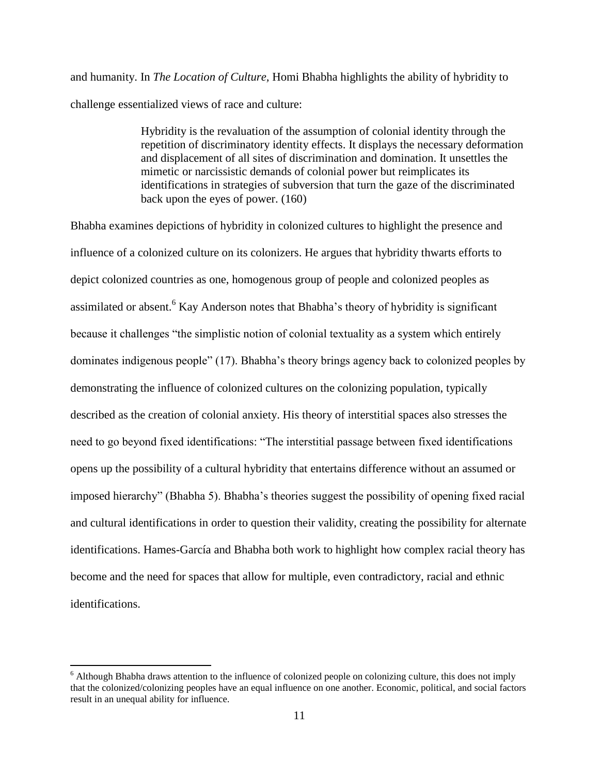and humanity. In *The Location of Culture,* Homi Bhabha highlights the ability of hybridity to challenge essentialized views of race and culture:

> Hybridity is the revaluation of the assumption of colonial identity through the repetition of discriminatory identity effects. It displays the necessary deformation and displacement of all sites of discrimination and domination. It unsettles the mimetic or narcissistic demands of colonial power but reimplicates its identifications in strategies of subversion that turn the gaze of the discriminated back upon the eyes of power. (160)

Bhabha examines depictions of hybridity in colonized cultures to highlight the presence and influence of a colonized culture on its colonizers. He argues that hybridity thwarts efforts to depict colonized countries as one, homogenous group of people and colonized peoples as assimilated or absent.<sup>6</sup> Kay Anderson notes that Bhabha's theory of hybridity is significant because it challenges "the simplistic notion of colonial textuality as a system which entirely dominates indigenous people" (17). Bhabha's theory brings agency back to colonized peoples by demonstrating the influence of colonized cultures on the colonizing population, typically described as the creation of colonial anxiety. His theory of interstitial spaces also stresses the need to go beyond fixed identifications: "The interstitial passage between fixed identifications opens up the possibility of a cultural hybridity that entertains difference without an assumed or imposed hierarchy" (Bhabha 5). Bhabha's theories suggest the possibility of opening fixed racial and cultural identifications in order to question their validity, creating the possibility for alternate identifications. Hames-García and Bhabha both work to highlight how complex racial theory has become and the need for spaces that allow for multiple, even contradictory, racial and ethnic identifications.

 $\overline{\phantom{a}}$ 

<sup>&</sup>lt;sup>6</sup> Although Bhabha draws attention to the influence of colonized people on colonizing culture, this does not imply that the colonized/colonizing peoples have an equal influence on one another. Economic, political, and social factors result in an unequal ability for influence.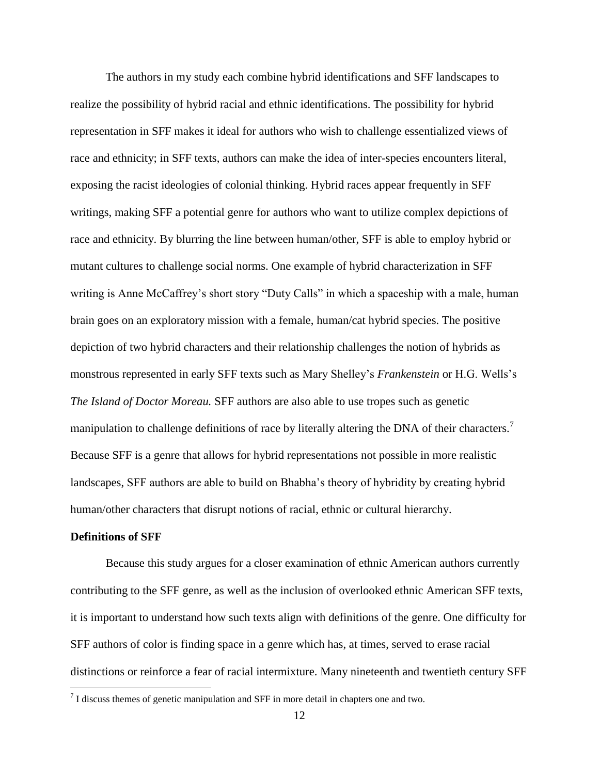The authors in my study each combine hybrid identifications and SFF landscapes to realize the possibility of hybrid racial and ethnic identifications. The possibility for hybrid representation in SFF makes it ideal for authors who wish to challenge essentialized views of race and ethnicity; in SFF texts, authors can make the idea of inter-species encounters literal, exposing the racist ideologies of colonial thinking. Hybrid races appear frequently in SFF writings, making SFF a potential genre for authors who want to utilize complex depictions of race and ethnicity. By blurring the line between human/other, SFF is able to employ hybrid or mutant cultures to challenge social norms. One example of hybrid characterization in SFF writing is Anne McCaffrey's short story "Duty Calls" in which a spaceship with a male, human brain goes on an exploratory mission with a female, human/cat hybrid species. The positive depiction of two hybrid characters and their relationship challenges the notion of hybrids as monstrous represented in early SFF texts such as Mary Shelley's *Frankenstein* or H.G. Wells's *The Island of Doctor Moreau.* SFF authors are also able to use tropes such as genetic manipulation to challenge definitions of race by literally altering the DNA of their characters.<sup>7</sup> Because SFF is a genre that allows for hybrid representations not possible in more realistic landscapes, SFF authors are able to build on Bhabha's theory of hybridity by creating hybrid human/other characters that disrupt notions of racial, ethnic or cultural hierarchy.

#### **Definitions of SFF**

 $\overline{\phantom{a}}$ 

Because this study argues for a closer examination of ethnic American authors currently contributing to the SFF genre, as well as the inclusion of overlooked ethnic American SFF texts, it is important to understand how such texts align with definitions of the genre. One difficulty for SFF authors of color is finding space in a genre which has, at times, served to erase racial distinctions or reinforce a fear of racial intermixture. Many nineteenth and twentieth century SFF

 $<sup>7</sup>$  I discuss themes of genetic manipulation and SFF in more detail in chapters one and two.</sup>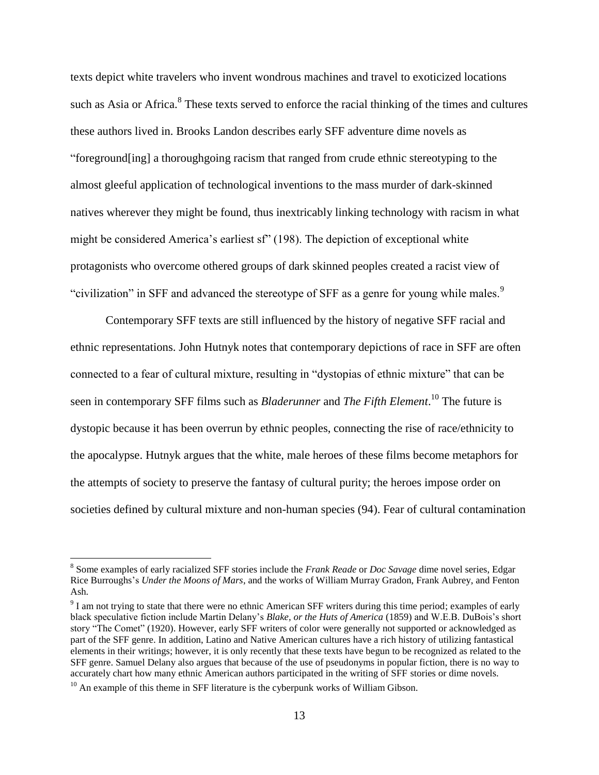texts depict white travelers who invent wondrous machines and travel to exoticized locations such as Asia or Africa.<sup>8</sup> These texts served to enforce the racial thinking of the times and cultures these authors lived in. Brooks Landon describes early SFF adventure dime novels as "foreground[ing] a thoroughgoing racism that ranged from crude ethnic stereotyping to the almost gleeful application of technological inventions to the mass murder of dark-skinned natives wherever they might be found, thus inextricably linking technology with racism in what might be considered America's earliest sf" (198). The depiction of exceptional white protagonists who overcome othered groups of dark skinned peoples created a racist view of "civilization" in SFF and advanced the stereotype of SFF as a genre for young while males.<sup>9</sup>

Contemporary SFF texts are still influenced by the history of negative SFF racial and ethnic representations. John Hutnyk notes that contemporary depictions of race in SFF are often connected to a fear of cultural mixture, resulting in "dystopias of ethnic mixture" that can be seen in contemporary SFF films such as *Bladerunner* and *The Fifth Element*. <sup>10</sup> The future is dystopic because it has been overrun by ethnic peoples, connecting the rise of race/ethnicity to the apocalypse. Hutnyk argues that the white, male heroes of these films become metaphors for the attempts of society to preserve the fantasy of cultural purity; the heroes impose order on societies defined by cultural mixture and non-human species (94). Fear of cultural contamination

 $\overline{a}$ 

<sup>8</sup> Some examples of early racialized SFF stories include the *Frank Reade* or *Doc Savage* dime novel series, Edgar Rice Burroughs's *Under the Moons of Mars*, and the works of William Murray Gradon, Frank Aubrey, and Fenton Ash.

 $9<sup>9</sup>$  I am not trying to state that there were no ethnic American SFF writers during this time period; examples of early black speculative fiction include Martin Delany's *Blake, or the Huts of America* (1859) and W.E.B. DuBois's short story "The Comet" (1920). However, early SFF writers of color were generally not supported or acknowledged as part of the SFF genre. In addition, Latino and Native American cultures have a rich history of utilizing fantastical elements in their writings; however, it is only recently that these texts have begun to be recognized as related to the SFF genre. Samuel Delany also argues that because of the use of pseudonyms in popular fiction, there is no way to accurately chart how many ethnic American authors participated in the writing of SFF stories or dime novels.

 $10$  An example of this theme in SFF literature is the cyberpunk works of William Gibson.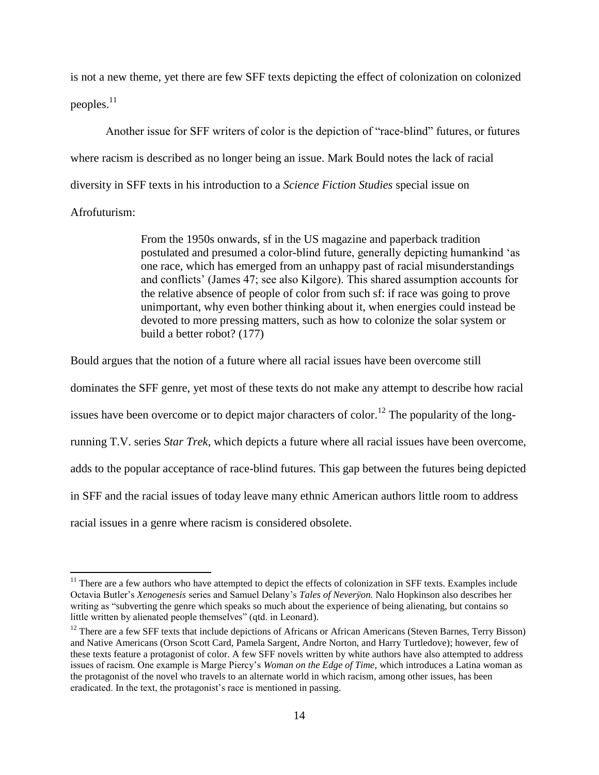is not a new theme, yet there are few SFF texts depicting the effect of colonization on colonized peoples. $11$ 

Another issue for SFF writers of color is the depiction of "race-blind" futures, or futures where racism is described as no longer being an issue. Mark Bould notes the lack of racial diversity in SFF texts in his introduction to a *Science Fiction Studies* special issue on Afrofuturism:

> From the 1950s onwards, sf in the US magazine and paperback tradition postulated and presumed a color-blind future, generally depicting humankind 'as one race, which has emerged from an unhappy past of racial misunderstandings and conflicts' (James 47; see also Kilgore). This shared assumption accounts for the relative absence of people of color from such sf: if race was going to prove unimportant, why even bother thinking about it, when energies could instead be devoted to more pressing matters, such as how to colonize the solar system or build a better robot? (177)

Bould argues that the notion of a future where all racial issues have been overcome still dominates the SFF genre, yet most of these texts do not make any attempt to describe how racial issues have been overcome or to depict major characters of color.<sup>12</sup> The popularity of the longrunning T.V. series *Star Trek*, which depicts a future where all racial issues have been overcome, adds to the popular acceptance of race-blind futures. This gap between the futures being depicted in SFF and the racial issues of today leave many ethnic American authors little room to address racial issues in a genre where racism is considered obsolete.

 $\overline{\phantom{a}}$ 

 $11$  There are a few authors who have attempted to depict the effects of colonization in SFF texts. Examples include Octavia Butler's *Xenogenesis* series and Samuel Delany's *Tales of Neverÿon.* Nalo Hopkinson also describes her writing as "subverting the genre which speaks so much about the experience of being alienating, but contains so little written by alienated people themselves" (qtd. in Leonard).

<sup>&</sup>lt;sup>12</sup> There are a few SFF texts that include depictions of Africans or African Americans (Steven Barnes, Terry Bisson) and Native Americans (Orson Scott Card, Pamela Sargent, Andre Norton, and Harry Turtledove); however, few of these texts feature a protagonist of color. A few SFF novels written by white authors have also attempted to address issues of racism. One example is Marge Piercy's *Woman on the Edge of Time*, which introduces a Latina woman as the protagonist of the novel who travels to an alternate world in which racism, among other issues, has been eradicated. In the text, the protagonist's race is mentioned in passing.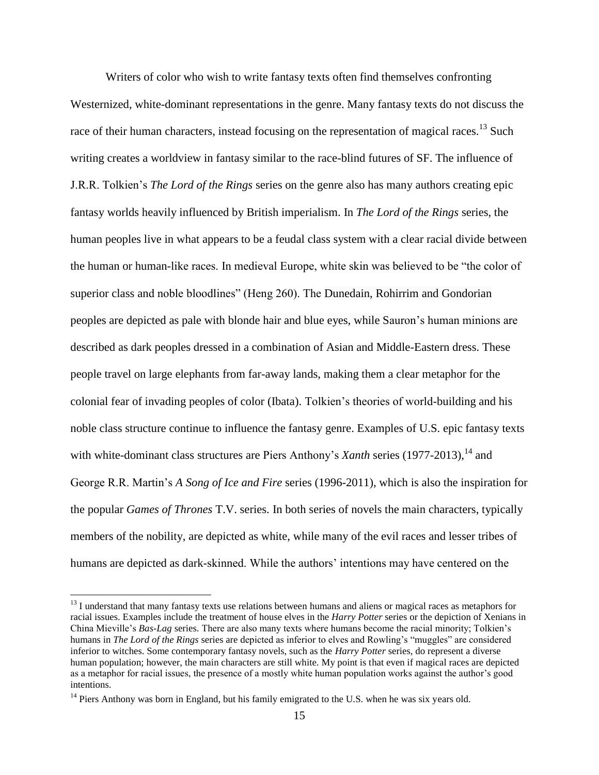Writers of color who wish to write fantasy texts often find themselves confronting Westernized, white-dominant representations in the genre. Many fantasy texts do not discuss the race of their human characters, instead focusing on the representation of magical races.<sup>13</sup> Such writing creates a worldview in fantasy similar to the race-blind futures of SF. The influence of J.R.R. Tolkien's *The Lord of the Rings* series on the genre also has many authors creating epic fantasy worlds heavily influenced by British imperialism. In *The Lord of the Rings* series, the human peoples live in what appears to be a feudal class system with a clear racial divide between the human or human-like races. In medieval Europe, white skin was believed to be "the color of superior class and noble bloodlines" (Heng 260). The Dunedain, Rohirrim and Gondorian peoples are depicted as pale with blonde hair and blue eyes, while Sauron's human minions are described as dark peoples dressed in a combination of Asian and Middle-Eastern dress. These people travel on large elephants from far-away lands, making them a clear metaphor for the colonial fear of invading peoples of color (Ibata). Tolkien's theories of world-building and his noble class structure continue to influence the fantasy genre. Examples of U.S. epic fantasy texts with white-dominant class structures are Piers Anthony's *Xanth* series (1977-2013),<sup>14</sup> and George R.R. Martin's *A Song of Ice and Fire* series (1996-2011), which is also the inspiration for the popular *Games of Thrones* T.V. series. In both series of novels the main characters, typically members of the nobility, are depicted as white, while many of the evil races and lesser tribes of humans are depicted as dark-skinned. While the authors' intentions may have centered on the

 $\overline{\phantom{a}}$ 

<sup>&</sup>lt;sup>13</sup> I understand that many fantasy texts use relations between humans and aliens or magical races as metaphors for racial issues. Examples include the treatment of house elves in the *Harry Potter* series or the depiction of Xenians in China Mieville's *Bas-Lag* series. There are also many texts where humans become the racial minority; Tolkien's humans in *The Lord of the Rings* series are depicted as inferior to elves and Rowling's "muggles" are considered inferior to witches. Some contemporary fantasy novels, such as the *Harry Potter* series, do represent a diverse human population; however, the main characters are still white. My point is that even if magical races are depicted as a metaphor for racial issues, the presence of a mostly white human population works against the author's good intentions.

<sup>&</sup>lt;sup>14</sup> Piers Anthony was born in England, but his family emigrated to the U.S. when he was six years old.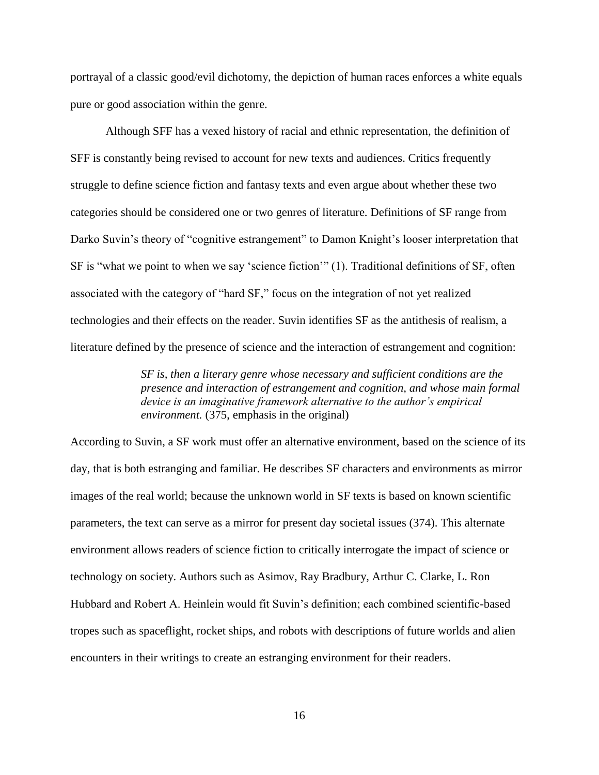portrayal of a classic good/evil dichotomy, the depiction of human races enforces a white equals pure or good association within the genre.

Although SFF has a vexed history of racial and ethnic representation, the definition of SFF is constantly being revised to account for new texts and audiences. Critics frequently struggle to define science fiction and fantasy texts and even argue about whether these two categories should be considered one or two genres of literature. Definitions of SF range from Darko Suvin's theory of "cognitive estrangement" to Damon Knight's looser interpretation that SF is "what we point to when we say 'science fiction'" (1). Traditional definitions of SF, often associated with the category of "hard SF," focus on the integration of not yet realized technologies and their effects on the reader. Suvin identifies SF as the antithesis of realism, a literature defined by the presence of science and the interaction of estrangement and cognition:

> *SF is, then a literary genre whose necessary and sufficient conditions are the presence and interaction of estrangement and cognition, and whose main formal device is an imaginative framework alternative to the author's empirical environment.* (375, emphasis in the original)

According to Suvin, a SF work must offer an alternative environment, based on the science of its day, that is both estranging and familiar. He describes SF characters and environments as mirror images of the real world; because the unknown world in SF texts is based on known scientific parameters, the text can serve as a mirror for present day societal issues (374). This alternate environment allows readers of science fiction to critically interrogate the impact of science or technology on society. Authors such as Asimov, Ray Bradbury, Arthur C. Clarke, L. Ron Hubbard and Robert A. Heinlein would fit Suvin's definition; each combined scientific-based tropes such as spaceflight, rocket ships, and robots with descriptions of future worlds and alien encounters in their writings to create an estranging environment for their readers.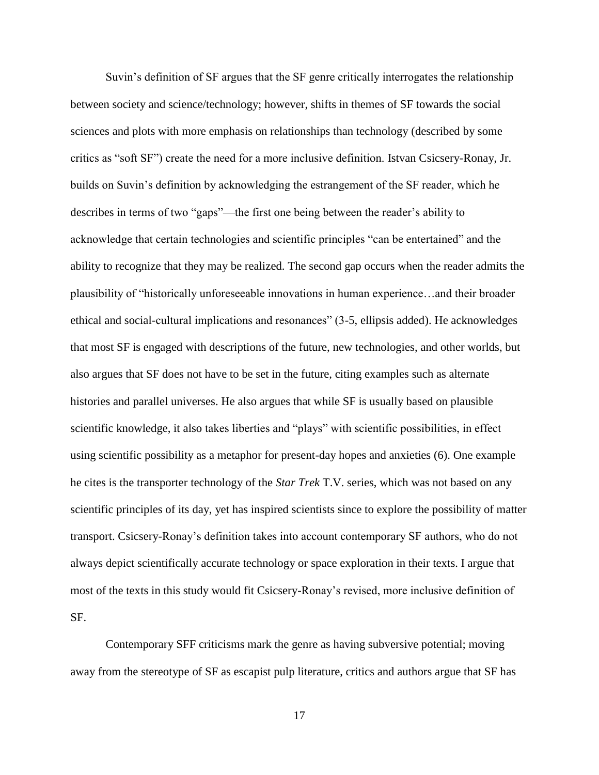Suvin's definition of SF argues that the SF genre critically interrogates the relationship between society and science/technology; however, shifts in themes of SF towards the social sciences and plots with more emphasis on relationships than technology (described by some critics as "soft SF") create the need for a more inclusive definition. Istvan Csicsery-Ronay, Jr. builds on Suvin's definition by acknowledging the estrangement of the SF reader, which he describes in terms of two "gaps"—the first one being between the reader's ability to acknowledge that certain technologies and scientific principles "can be entertained" and the ability to recognize that they may be realized. The second gap occurs when the reader admits the plausibility of "historically unforeseeable innovations in human experience…and their broader ethical and social-cultural implications and resonances" (3-5, ellipsis added). He acknowledges that most SF is engaged with descriptions of the future, new technologies, and other worlds, but also argues that SF does not have to be set in the future, citing examples such as alternate histories and parallel universes. He also argues that while SF is usually based on plausible scientific knowledge, it also takes liberties and "plays" with scientific possibilities, in effect using scientific possibility as a metaphor for present-day hopes and anxieties (6). One example he cites is the transporter technology of the *Star Trek* T.V. series, which was not based on any scientific principles of its day, yet has inspired scientists since to explore the possibility of matter transport. Csicsery-Ronay's definition takes into account contemporary SF authors, who do not always depict scientifically accurate technology or space exploration in their texts. I argue that most of the texts in this study would fit Csicsery-Ronay's revised, more inclusive definition of SF.

Contemporary SFF criticisms mark the genre as having subversive potential; moving away from the stereotype of SF as escapist pulp literature, critics and authors argue that SF has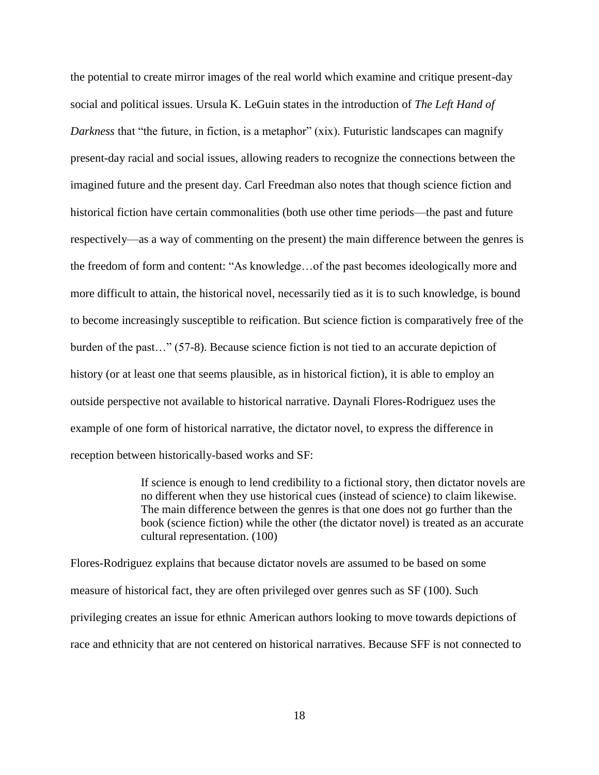the potential to create mirror images of the real world which examine and critique present-day social and political issues. Ursula K. LeGuin states in the introduction of *The Left Hand of Darkness* that "the future, in fiction, is a metaphor" (xix). Futuristic landscapes can magnify present-day racial and social issues, allowing readers to recognize the connections between the imagined future and the present day. Carl Freedman also notes that though science fiction and historical fiction have certain commonalities (both use other time periods—the past and future respectively—as a way of commenting on the present) the main difference between the genres is the freedom of form and content: "As knowledge…of the past becomes ideologically more and more difficult to attain, the historical novel, necessarily tied as it is to such knowledge, is bound to become increasingly susceptible to reification. But science fiction is comparatively free of the burden of the past…" (57-8). Because science fiction is not tied to an accurate depiction of history (or at least one that seems plausible, as in historical fiction), it is able to employ an outside perspective not available to historical narrative. Daynali Flores-Rodriguez uses the example of one form of historical narrative, the dictator novel, to express the difference in reception between historically-based works and SF:

> If science is enough to lend credibility to a fictional story, then dictator novels are no different when they use historical cues (instead of science) to claim likewise. The main difference between the genres is that one does not go further than the book (science fiction) while the other (the dictator novel) is treated as an accurate cultural representation. (100)

Flores-Rodriguez explains that because dictator novels are assumed to be based on some measure of historical fact, they are often privileged over genres such as SF (100). Such privileging creates an issue for ethnic American authors looking to move towards depictions of race and ethnicity that are not centered on historical narratives. Because SFF is not connected to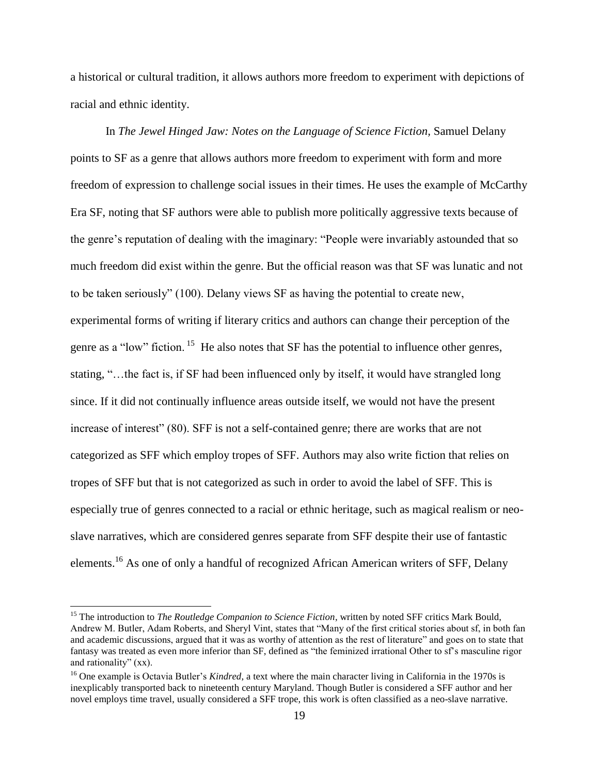a historical or cultural tradition, it allows authors more freedom to experiment with depictions of racial and ethnic identity.

In *The Jewel Hinged Jaw: Notes on the Language of Science Fiction*, Samuel Delany points to SF as a genre that allows authors more freedom to experiment with form and more freedom of expression to challenge social issues in their times. He uses the example of McCarthy Era SF, noting that SF authors were able to publish more politically aggressive texts because of the genre's reputation of dealing with the imaginary: "People were invariably astounded that so much freedom did exist within the genre. But the official reason was that SF was lunatic and not to be taken seriously" (100). Delany views SF as having the potential to create new, experimental forms of writing if literary critics and authors can change their perception of the genre as a "low" fiction.<sup>15</sup> He also notes that SF has the potential to influence other genres, stating, "…the fact is, if SF had been influenced only by itself, it would have strangled long since. If it did not continually influence areas outside itself, we would not have the present increase of interest" (80). SFF is not a self-contained genre; there are works that are not categorized as SFF which employ tropes of SFF. Authors may also write fiction that relies on tropes of SFF but that is not categorized as such in order to avoid the label of SFF. This is especially true of genres connected to a racial or ethnic heritage, such as magical realism or neoslave narratives, which are considered genres separate from SFF despite their use of fantastic elements.<sup>16</sup> As one of only a handful of recognized African American writers of SFF, Delany

 $\overline{a}$ 

<sup>&</sup>lt;sup>15</sup> The introduction to *The Routledge Companion to Science Fiction*, written by noted SFF critics Mark Bould, Andrew M. Butler, Adam Roberts, and Sheryl Vint, states that "Many of the first critical stories about sf, in both fan and academic discussions, argued that it was as worthy of attention as the rest of literature" and goes on to state that fantasy was treated as even more inferior than SF, defined as "the feminized irrational Other to sf's masculine rigor and rationality" (xx).

<sup>&</sup>lt;sup>16</sup> One example is Octavia Butler's *Kindred*, a text where the main character living in California in the 1970s is inexplicably transported back to nineteenth century Maryland. Though Butler is considered a SFF author and her novel employs time travel, usually considered a SFF trope, this work is often classified as a neo-slave narrative.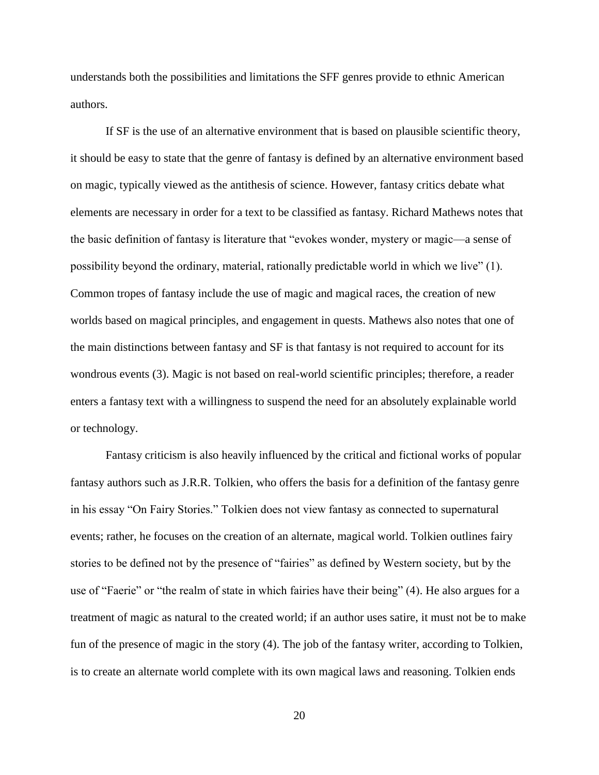understands both the possibilities and limitations the SFF genres provide to ethnic American authors.

If SF is the use of an alternative environment that is based on plausible scientific theory, it should be easy to state that the genre of fantasy is defined by an alternative environment based on magic, typically viewed as the antithesis of science. However, fantasy critics debate what elements are necessary in order for a text to be classified as fantasy. Richard Mathews notes that the basic definition of fantasy is literature that "evokes wonder, mystery or magic—a sense of possibility beyond the ordinary, material, rationally predictable world in which we live" (1). Common tropes of fantasy include the use of magic and magical races, the creation of new worlds based on magical principles, and engagement in quests. Mathews also notes that one of the main distinctions between fantasy and SF is that fantasy is not required to account for its wondrous events (3). Magic is not based on real-world scientific principles; therefore, a reader enters a fantasy text with a willingness to suspend the need for an absolutely explainable world or technology.

Fantasy criticism is also heavily influenced by the critical and fictional works of popular fantasy authors such as J.R.R. Tolkien, who offers the basis for a definition of the fantasy genre in his essay "On Fairy Stories." Tolkien does not view fantasy as connected to supernatural events; rather, he focuses on the creation of an alternate, magical world. Tolkien outlines fairy stories to be defined not by the presence of "fairies" as defined by Western society, but by the use of "Faerie" or "the realm of state in which fairies have their being" (4). He also argues for a treatment of magic as natural to the created world; if an author uses satire, it must not be to make fun of the presence of magic in the story (4). The job of the fantasy writer, according to Tolkien, is to create an alternate world complete with its own magical laws and reasoning. Tolkien ends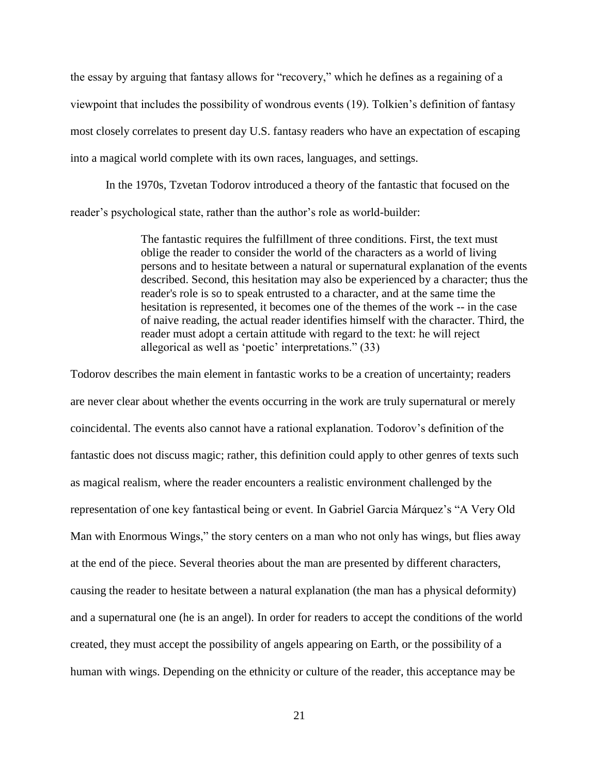the essay by arguing that fantasy allows for "recovery," which he defines as a regaining of a viewpoint that includes the possibility of wondrous events (19). Tolkien's definition of fantasy most closely correlates to present day U.S. fantasy readers who have an expectation of escaping into a magical world complete with its own races, languages, and settings.

In the 1970s, Tzvetan Todorov introduced a theory of the fantastic that focused on the reader's psychological state, rather than the author's role as world-builder:

> The fantastic requires the fulfillment of three conditions. First, the text must oblige the reader to consider the world of the characters as a world of living persons and to hesitate between a natural or supernatural explanation of the events described. Second, this hesitation may also be experienced by a character; thus the reader's role is so to speak entrusted to a character, and at the same time the hesitation is represented, it becomes one of the themes of the work -- in the case of naive reading, the actual reader identifies himself with the character. Third, the reader must adopt a certain attitude with regard to the text: he will reject allegorical as well as 'poetic' interpretations." (33)

Todorov describes the main element in fantastic works to be a creation of uncertainty; readers are never clear about whether the events occurring in the work are truly supernatural or merely coincidental. The events also cannot have a rational explanation. Todorov's definition of the fantastic does not discuss magic; rather, this definition could apply to other genres of texts such as magical realism, where the reader encounters a realistic environment challenged by the representation of one key fantastical being or event. In Gabriel Garcia Márquez's "A Very Old Man with Enormous Wings," the story centers on a man who not only has wings, but flies away at the end of the piece. Several theories about the man are presented by different characters, causing the reader to hesitate between a natural explanation (the man has a physical deformity) and a supernatural one (he is an angel). In order for readers to accept the conditions of the world created, they must accept the possibility of angels appearing on Earth, or the possibility of a human with wings. Depending on the ethnicity or culture of the reader, this acceptance may be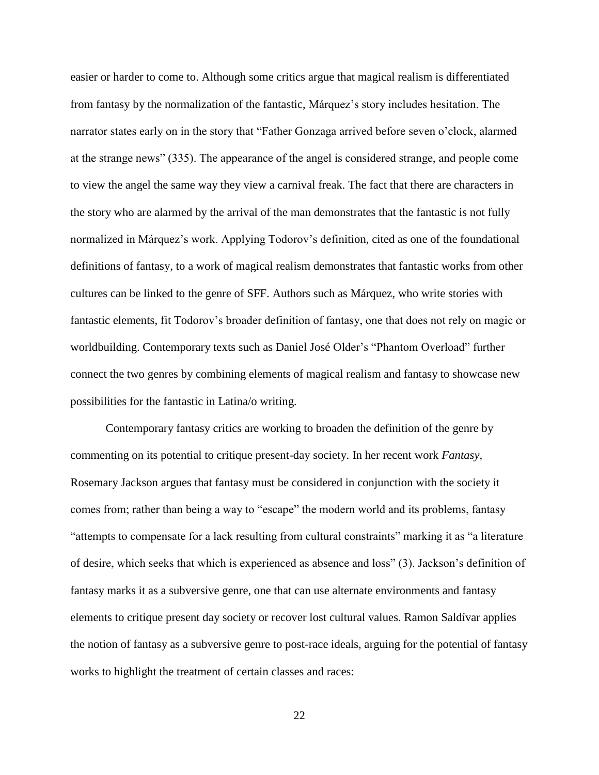easier or harder to come to. Although some critics argue that magical realism is differentiated from fantasy by the normalization of the fantastic, Márquez's story includes hesitation. The narrator states early on in the story that "Father Gonzaga arrived before seven o'clock, alarmed at the strange news" (335). The appearance of the angel is considered strange, and people come to view the angel the same way they view a carnival freak. The fact that there are characters in the story who are alarmed by the arrival of the man demonstrates that the fantastic is not fully normalized in Márquez's work. Applying Todorov's definition, cited as one of the foundational definitions of fantasy, to a work of magical realism demonstrates that fantastic works from other cultures can be linked to the genre of SFF. Authors such as Márquez, who write stories with fantastic elements, fit Todorov's broader definition of fantasy, one that does not rely on magic or worldbuilding. Contemporary texts such as Daniel José Older's "Phantom Overload" further connect the two genres by combining elements of magical realism and fantasy to showcase new possibilities for the fantastic in Latina/o writing.

Contemporary fantasy critics are working to broaden the definition of the genre by commenting on its potential to critique present-day society. In her recent work *Fantasy,* Rosemary Jackson argues that fantasy must be considered in conjunction with the society it comes from; rather than being a way to "escape" the modern world and its problems, fantasy "attempts to compensate for a lack resulting from cultural constraints" marking it as "a literature of desire, which seeks that which is experienced as absence and loss" (3). Jackson's definition of fantasy marks it as a subversive genre, one that can use alternate environments and fantasy elements to critique present day society or recover lost cultural values. Ramon Saldívar applies the notion of fantasy as a subversive genre to post-race ideals, arguing for the potential of fantasy works to highlight the treatment of certain classes and races: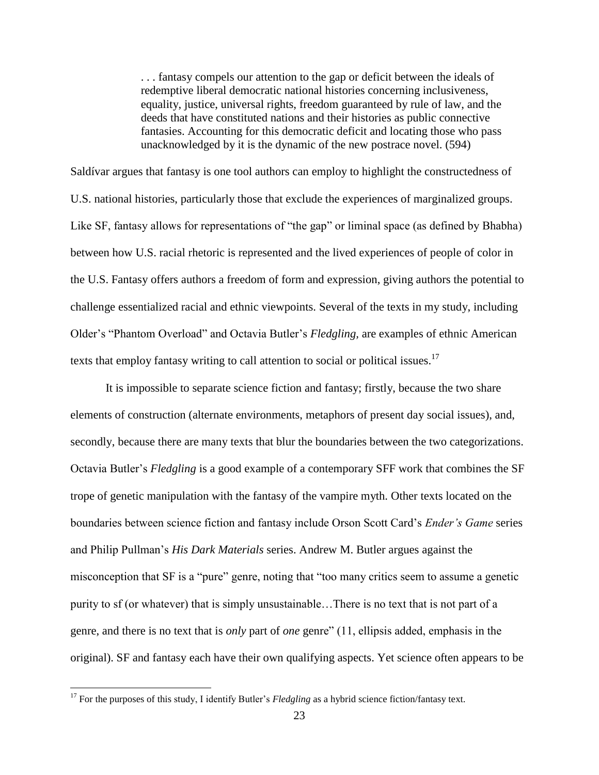. . . fantasy compels our attention to the gap or deficit between the ideals of redemptive liberal democratic national histories concerning inclusiveness, equality, justice, universal rights, freedom guaranteed by rule of law, and the deeds that have constituted nations and their histories as public connective fantasies. Accounting for this democratic deficit and locating those who pass unacknowledged by it is the dynamic of the new postrace novel. (594)

Saldívar argues that fantasy is one tool authors can employ to highlight the constructedness of U.S. national histories, particularly those that exclude the experiences of marginalized groups. Like SF, fantasy allows for representations of "the gap" or liminal space (as defined by Bhabha) between how U.S. racial rhetoric is represented and the lived experiences of people of color in the U.S. Fantasy offers authors a freedom of form and expression, giving authors the potential to challenge essentialized racial and ethnic viewpoints. Several of the texts in my study, including Older's "Phantom Overload" and Octavia Butler's *Fledgling,* are examples of ethnic American texts that employ fantasy writing to call attention to social or political issues. $17$ 

It is impossible to separate science fiction and fantasy; firstly, because the two share elements of construction (alternate environments, metaphors of present day social issues), and, secondly, because there are many texts that blur the boundaries between the two categorizations. Octavia Butler's *Fledgling* is a good example of a contemporary SFF work that combines the SF trope of genetic manipulation with the fantasy of the vampire myth. Other texts located on the boundaries between science fiction and fantasy include Orson Scott Card's *Ender's Game* series and Philip Pullman's *His Dark Materials* series. Andrew M. Butler argues against the misconception that SF is a "pure" genre, noting that "too many critics seem to assume a genetic purity to sf (or whatever) that is simply unsustainable…There is no text that is not part of a genre, and there is no text that is *only* part of *one* genre" (11, ellipsis added, emphasis in the original). SF and fantasy each have their own qualifying aspects. Yet science often appears to be

 $\overline{\phantom{a}}$ 

<sup>&</sup>lt;sup>17</sup> For the purposes of this study, I identify Butler's *Fledgling* as a hybrid science fiction/fantasy text.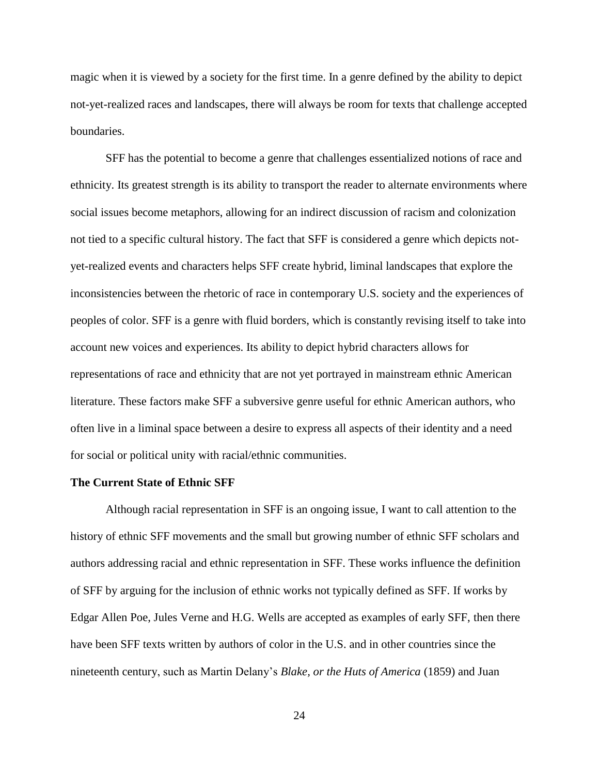magic when it is viewed by a society for the first time. In a genre defined by the ability to depict not-yet-realized races and landscapes, there will always be room for texts that challenge accepted boundaries.

SFF has the potential to become a genre that challenges essentialized notions of race and ethnicity. Its greatest strength is its ability to transport the reader to alternate environments where social issues become metaphors, allowing for an indirect discussion of racism and colonization not tied to a specific cultural history. The fact that SFF is considered a genre which depicts notyet-realized events and characters helps SFF create hybrid, liminal landscapes that explore the inconsistencies between the rhetoric of race in contemporary U.S. society and the experiences of peoples of color. SFF is a genre with fluid borders, which is constantly revising itself to take into account new voices and experiences. Its ability to depict hybrid characters allows for representations of race and ethnicity that are not yet portrayed in mainstream ethnic American literature. These factors make SFF a subversive genre useful for ethnic American authors, who often live in a liminal space between a desire to express all aspects of their identity and a need for social or political unity with racial/ethnic communities.

## **The Current State of Ethnic SFF**

Although racial representation in SFF is an ongoing issue, I want to call attention to the history of ethnic SFF movements and the small but growing number of ethnic SFF scholars and authors addressing racial and ethnic representation in SFF. These works influence the definition of SFF by arguing for the inclusion of ethnic works not typically defined as SFF. If works by Edgar Allen Poe, Jules Verne and H.G. Wells are accepted as examples of early SFF, then there have been SFF texts written by authors of color in the U.S. and in other countries since the nineteenth century, such as Martin Delany's *Blake, or the Huts of America* (1859) and Juan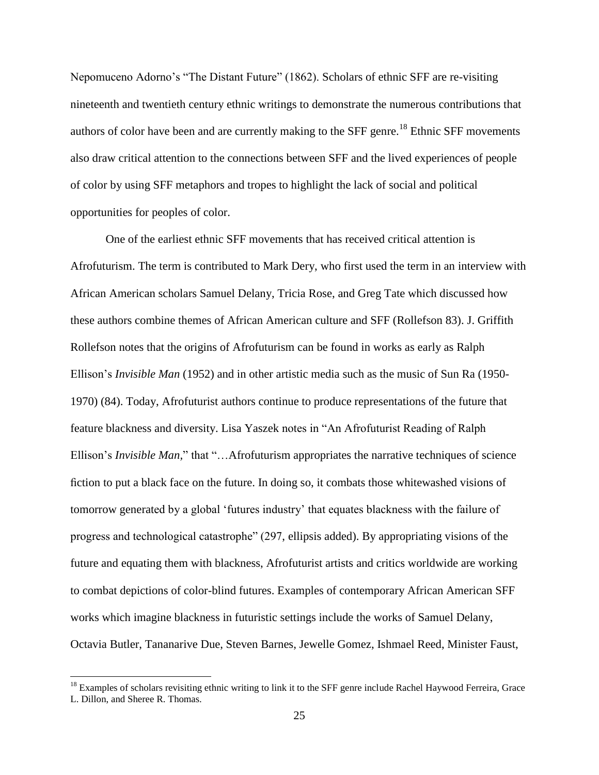Nepomuceno Adorno's "The Distant Future" (1862). Scholars of ethnic SFF are re-visiting nineteenth and twentieth century ethnic writings to demonstrate the numerous contributions that authors of color have been and are currently making to the SFF genre.<sup>18</sup> Ethnic SFF movements also draw critical attention to the connections between SFF and the lived experiences of people of color by using SFF metaphors and tropes to highlight the lack of social and political opportunities for peoples of color.

One of the earliest ethnic SFF movements that has received critical attention is Afrofuturism. The term is contributed to Mark Dery, who first used the term in an interview with African American scholars Samuel Delany, Tricia Rose, and Greg Tate which discussed how these authors combine themes of African American culture and SFF (Rollefson 83). J. Griffith Rollefson notes that the origins of Afrofuturism can be found in works as early as Ralph Ellison's *Invisible Man* (1952) and in other artistic media such as the music of Sun Ra (1950- 1970) (84). Today, Afrofuturist authors continue to produce representations of the future that feature blackness and diversity. Lisa Yaszek notes in "An Afrofuturist Reading of Ralph Ellison's *Invisible Man,*" that "…Afrofuturism appropriates the narrative techniques of science fiction to put a black face on the future. In doing so, it combats those whitewashed visions of tomorrow generated by a global 'futures industry' that equates blackness with the failure of progress and technological catastrophe" (297, ellipsis added). By appropriating visions of the future and equating them with blackness, Afrofuturist artists and critics worldwide are working to combat depictions of color-blind futures. Examples of contemporary African American SFF works which imagine blackness in futuristic settings include the works of Samuel Delany, Octavia Butler, Tananarive Due, Steven Barnes, Jewelle Gomez, Ishmael Reed, Minister Faust,

 $\overline{\phantom{a}}$ 

 $18$  Examples of scholars revisiting ethnic writing to link it to the SFF genre include Rachel Haywood Ferreira, Grace L. Dillon, and Sheree R. Thomas.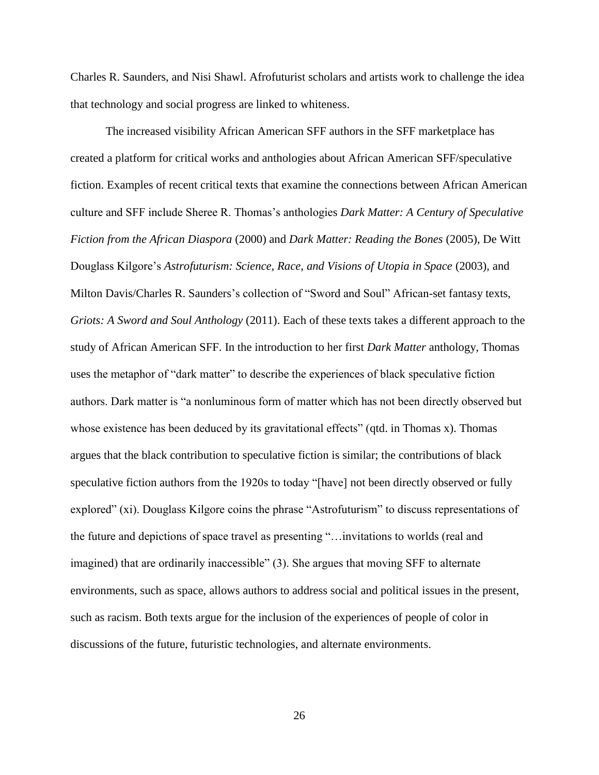Charles R. Saunders, and Nisi Shawl. Afrofuturist scholars and artists work to challenge the idea that technology and social progress are linked to whiteness.

The increased visibility African American SFF authors in the SFF marketplace has created a platform for critical works and anthologies about African American SFF/speculative fiction. Examples of recent critical texts that examine the connections between African American culture and SFF include Sheree R. Thomas's anthologies *Dark Matter: A Century of Speculative Fiction from the African Diaspora* (2000) and *Dark Matter: Reading the Bones* (2005), De Witt Douglass Kilgore's *Astrofuturism: Science, Race, and Visions of Utopia in Space* (2003)*,* and Milton Davis/Charles R. Saunders's collection of "Sword and Soul" African-set fantasy texts, *Griots: A Sword and Soul Anthology* (2011). Each of these texts takes a different approach to the study of African American SFF. In the introduction to her first *Dark Matter* anthology*,* Thomas uses the metaphor of "dark matter" to describe the experiences of black speculative fiction authors. Dark matter is "a nonluminous form of matter which has not been directly observed but whose existence has been deduced by its gravitational effects" (qtd. in Thomas x). Thomas argues that the black contribution to speculative fiction is similar; the contributions of black speculative fiction authors from the 1920s to today "[have] not been directly observed or fully explored" (xi). Douglass Kilgore coins the phrase "Astrofuturism" to discuss representations of the future and depictions of space travel as presenting "…invitations to worlds (real and imagined) that are ordinarily inaccessible" (3). She argues that moving SFF to alternate environments, such as space, allows authors to address social and political issues in the present, such as racism. Both texts argue for the inclusion of the experiences of people of color in discussions of the future, futuristic technologies, and alternate environments.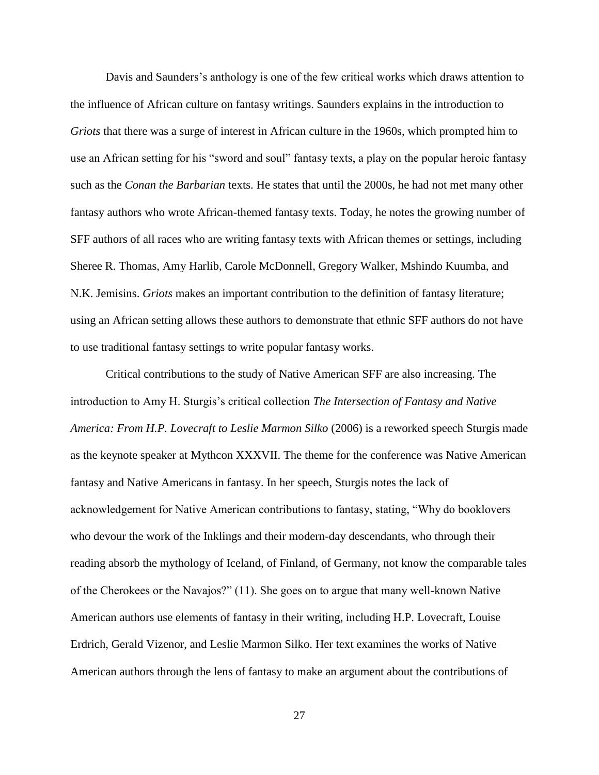Davis and Saunders's anthology is one of the few critical works which draws attention to the influence of African culture on fantasy writings. Saunders explains in the introduction to *Griots* that there was a surge of interest in African culture in the 1960s, which prompted him to use an African setting for his "sword and soul" fantasy texts, a play on the popular heroic fantasy such as the *Conan the Barbarian* texts. He states that until the 2000s, he had not met many other fantasy authors who wrote African-themed fantasy texts. Today, he notes the growing number of SFF authors of all races who are writing fantasy texts with African themes or settings, including Sheree R. Thomas, Amy Harlib, Carole McDonnell, Gregory Walker, Mshindo Kuumba, and N.K. Jemisins. *Griots* makes an important contribution to the definition of fantasy literature; using an African setting allows these authors to demonstrate that ethnic SFF authors do not have to use traditional fantasy settings to write popular fantasy works.

Critical contributions to the study of Native American SFF are also increasing. The introduction to Amy H. Sturgis's critical collection *The Intersection of Fantasy and Native America: From H.P. Lovecraft to Leslie Marmon Silko* (2006) is a reworked speech Sturgis made as the keynote speaker at Mythcon XXXVII. The theme for the conference was Native American fantasy and Native Americans in fantasy. In her speech, Sturgis notes the lack of acknowledgement for Native American contributions to fantasy, stating, "Why do booklovers who devour the work of the Inklings and their modern-day descendants, who through their reading absorb the mythology of Iceland, of Finland, of Germany, not know the comparable tales of the Cherokees or the Navajos?" (11). She goes on to argue that many well-known Native American authors use elements of fantasy in their writing, including H.P. Lovecraft, Louise Erdrich, Gerald Vizenor, and Leslie Marmon Silko. Her text examines the works of Native American authors through the lens of fantasy to make an argument about the contributions of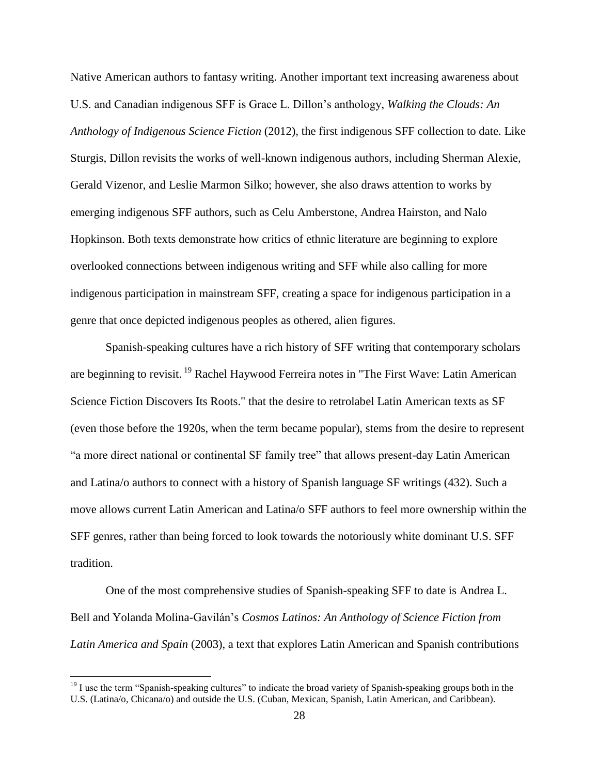Native American authors to fantasy writing. Another important text increasing awareness about U.S. and Canadian indigenous SFF is Grace L. Dillon's anthology, *Walking the Clouds: An Anthology of Indigenous Science Fiction* (2012)*,* the first indigenous SFF collection to date. Like Sturgis, Dillon revisits the works of well-known indigenous authors, including Sherman Alexie, Gerald Vizenor, and Leslie Marmon Silko; however, she also draws attention to works by emerging indigenous SFF authors, such as Celu Amberstone, Andrea Hairston, and Nalo Hopkinson. Both texts demonstrate how critics of ethnic literature are beginning to explore overlooked connections between indigenous writing and SFF while also calling for more indigenous participation in mainstream SFF, creating a space for indigenous participation in a genre that once depicted indigenous peoples as othered, alien figures.

Spanish-speaking cultures have a rich history of SFF writing that contemporary scholars are beginning to revisit.<sup>19</sup> Rachel Haywood Ferreira notes in "The First Wave: Latin American Science Fiction Discovers Its Roots." that the desire to retrolabel Latin American texts as SF (even those before the 1920s, when the term became popular), stems from the desire to represent "a more direct national or continental SF family tree" that allows present-day Latin American and Latina/o authors to connect with a history of Spanish language SF writings (432). Such a move allows current Latin American and Latina/o SFF authors to feel more ownership within the SFF genres, rather than being forced to look towards the notoriously white dominant U.S. SFF tradition.

One of the most comprehensive studies of Spanish-speaking SFF to date is Andrea L. Bell and Yolanda Molina-Gavilán's *Cosmos Latinos: An Anthology of Science Fiction from Latin America and Spain* (2003), a text that explores Latin American and Spanish contributions

 $\overline{\phantom{a}}$ 

 $19$  I use the term "Spanish-speaking cultures" to indicate the broad variety of Spanish-speaking groups both in the U.S. (Latina/o, Chicana/o) and outside the U.S. (Cuban, Mexican, Spanish, Latin American, and Caribbean).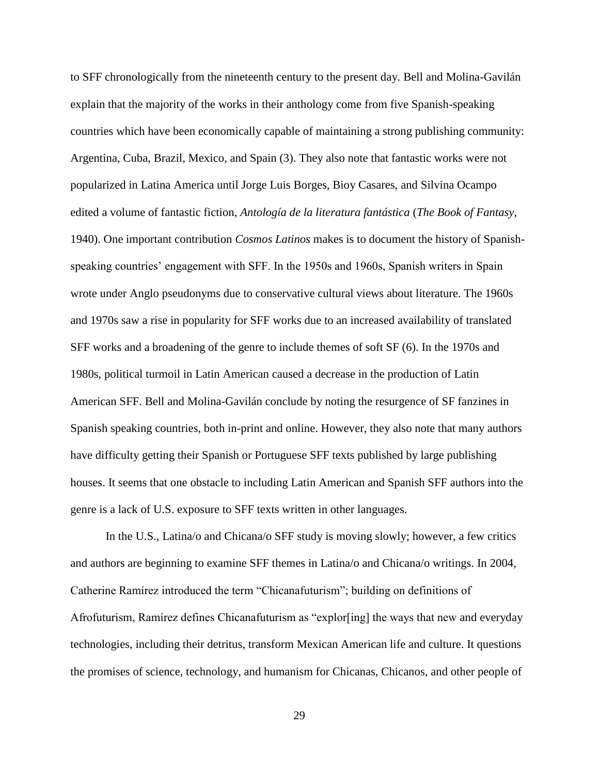to SFF chronologically from the nineteenth century to the present day. Bell and Molina-Gavilán explain that the majority of the works in their anthology come from five Spanish-speaking countries which have been economically capable of maintaining a strong publishing community: Argentina, Cuba, Brazil, Mexico, and Spain (3). They also note that fantastic works were not popularized in Latina America until Jorge Luis Borges, Bioy Casares, and Silvina Ocampo edited a volume of fantastic fiction, *Antología de la literatura fantástica* (*The Book of Fantasy*, 1940). One important contribution *Cosmos Latinos* makes is to document the history of Spanishspeaking countries' engagement with SFF. In the 1950s and 1960s, Spanish writers in Spain wrote under Anglo pseudonyms due to conservative cultural views about literature. The 1960s and 1970s saw a rise in popularity for SFF works due to an increased availability of translated SFF works and a broadening of the genre to include themes of soft SF (6). In the 1970s and 1980s, political turmoil in Latin American caused a decrease in the production of Latin American SFF. Bell and Molina-Gavilán conclude by noting the resurgence of SF fanzines in Spanish speaking countries, both in-print and online. However, they also note that many authors have difficulty getting their Spanish or Portuguese SFF texts published by large publishing houses. It seems that one obstacle to including Latin American and Spanish SFF authors into the genre is a lack of U.S. exposure to SFF texts written in other languages.

In the U.S., Latina/o and Chicana/o SFF study is moving slowly; however, a few critics and authors are beginning to examine SFF themes in Latina/o and Chicana/o writings. In 2004, Catherine Ramírez introduced the term "Chicanafuturism"; building on definitions of Afrofuturism, Ramírez defines Chicanafuturism as "explor[ing] the ways that new and everyday technologies, including their detritus, transform Mexican American life and culture. It questions the promises of science, technology, and humanism for Chicanas, Chicanos, and other people of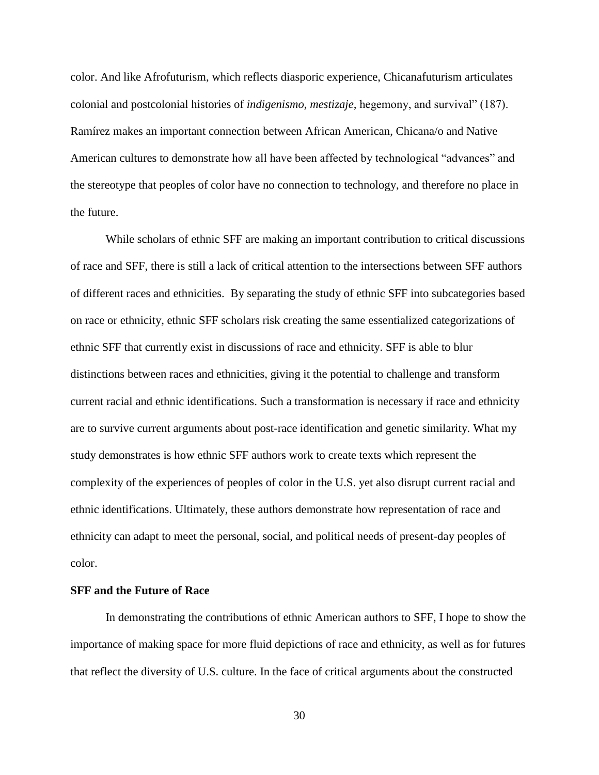color. And like Afrofuturism, which reflects diasporic experience, Chicanafuturism articulates colonial and postcolonial histories of *indigenismo, mestizaje,* hegemony, and survival" (187). Ramírez makes an important connection between African American, Chicana/o and Native American cultures to demonstrate how all have been affected by technological "advances" and the stereotype that peoples of color have no connection to technology, and therefore no place in the future.

While scholars of ethnic SFF are making an important contribution to critical discussions of race and SFF, there is still a lack of critical attention to the intersections between SFF authors of different races and ethnicities. By separating the study of ethnic SFF into subcategories based on race or ethnicity, ethnic SFF scholars risk creating the same essentialized categorizations of ethnic SFF that currently exist in discussions of race and ethnicity. SFF is able to blur distinctions between races and ethnicities, giving it the potential to challenge and transform current racial and ethnic identifications. Such a transformation is necessary if race and ethnicity are to survive current arguments about post-race identification and genetic similarity. What my study demonstrates is how ethnic SFF authors work to create texts which represent the complexity of the experiences of peoples of color in the U.S. yet also disrupt current racial and ethnic identifications. Ultimately, these authors demonstrate how representation of race and ethnicity can adapt to meet the personal, social, and political needs of present-day peoples of color.

#### **SFF and the Future of Race**

In demonstrating the contributions of ethnic American authors to SFF, I hope to show the importance of making space for more fluid depictions of race and ethnicity, as well as for futures that reflect the diversity of U.S. culture. In the face of critical arguments about the constructed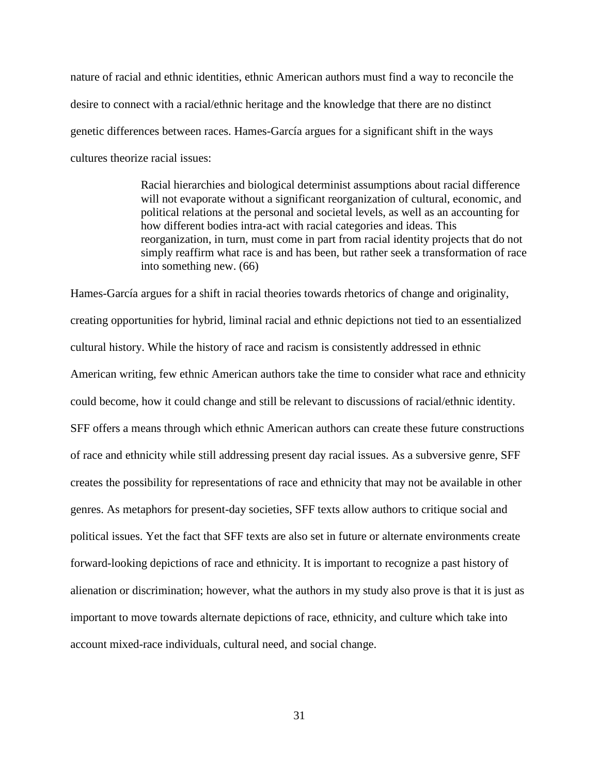nature of racial and ethnic identities, ethnic American authors must find a way to reconcile the desire to connect with a racial/ethnic heritage and the knowledge that there are no distinct genetic differences between races. Hames-García argues for a significant shift in the ways cultures theorize racial issues:

> Racial hierarchies and biological determinist assumptions about racial difference will not evaporate without a significant reorganization of cultural, economic, and political relations at the personal and societal levels, as well as an accounting for how different bodies intra-act with racial categories and ideas. This reorganization, in turn, must come in part from racial identity projects that do not simply reaffirm what race is and has been, but rather seek a transformation of race into something new. (66)

Hames-García argues for a shift in racial theories towards rhetorics of change and originality, creating opportunities for hybrid, liminal racial and ethnic depictions not tied to an essentialized cultural history. While the history of race and racism is consistently addressed in ethnic American writing, few ethnic American authors take the time to consider what race and ethnicity could become, how it could change and still be relevant to discussions of racial/ethnic identity. SFF offers a means through which ethnic American authors can create these future constructions of race and ethnicity while still addressing present day racial issues. As a subversive genre, SFF creates the possibility for representations of race and ethnicity that may not be available in other genres. As metaphors for present-day societies, SFF texts allow authors to critique social and political issues. Yet the fact that SFF texts are also set in future or alternate environments create forward-looking depictions of race and ethnicity. It is important to recognize a past history of alienation or discrimination; however, what the authors in my study also prove is that it is just as important to move towards alternate depictions of race, ethnicity, and culture which take into account mixed-race individuals, cultural need, and social change.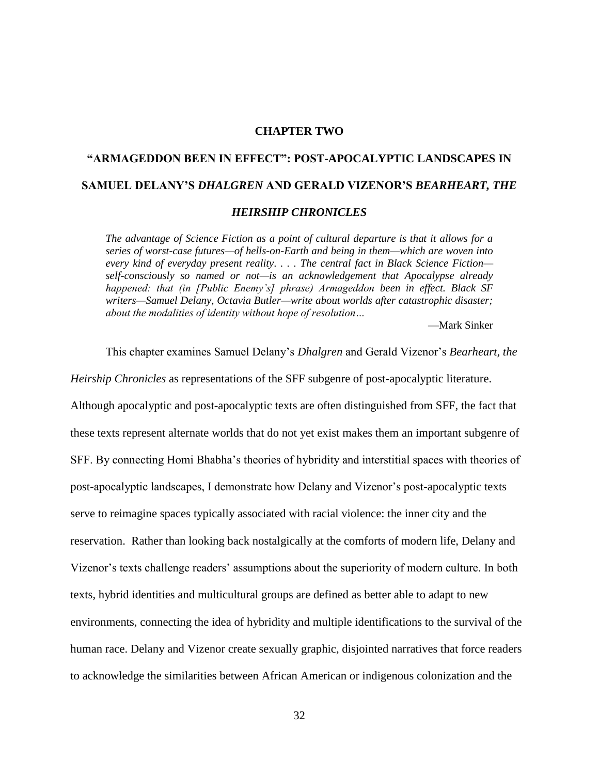## **CHAPTER TWO**

# **"ARMAGEDDON BEEN IN EFFECT": POST-APOCALYPTIC LANDSCAPES IN SAMUEL DELANY'S** *DHALGREN* **AND GERALD VIZENOR'S** *BEARHEART, THE*

## *HEIRSHIP CHRONICLES*

*The advantage of Science Fiction as a point of cultural departure is that it allows for a series of worst-case futures—of hells-on-Earth and being in them—which are woven into every kind of everyday present reality. . . . The central fact in Black Science Fiction self-consciously so named or not—is an acknowledgement that Apocalypse already happened: that (in [Public Enemy's] phrase) Armageddon been in effect. Black SF writers—Samuel Delany, Octavia Butler—write about worlds after catastrophic disaster; about the modalities of identity without hope of resolution…*

This chapter examines Samuel Delany's *Dhalgren* and Gerald Vizenor's *Bearheart, the* 

—Mark Sinker

*Heirship Chronicles* as representations of the SFF subgenre of post-apocalyptic literature. Although apocalyptic and post-apocalyptic texts are often distinguished from SFF, the fact that these texts represent alternate worlds that do not yet exist makes them an important subgenre of SFF. By connecting Homi Bhabha's theories of hybridity and interstitial spaces with theories of post-apocalyptic landscapes, I demonstrate how Delany and Vizenor's post-apocalyptic texts serve to reimagine spaces typically associated with racial violence: the inner city and the reservation. Rather than looking back nostalgically at the comforts of modern life, Delany and Vizenor's texts challenge readers' assumptions about the superiority of modern culture. In both texts, hybrid identities and multicultural groups are defined as better able to adapt to new environments, connecting the idea of hybridity and multiple identifications to the survival of the human race. Delany and Vizenor create sexually graphic, disjointed narratives that force readers to acknowledge the similarities between African American or indigenous colonization and the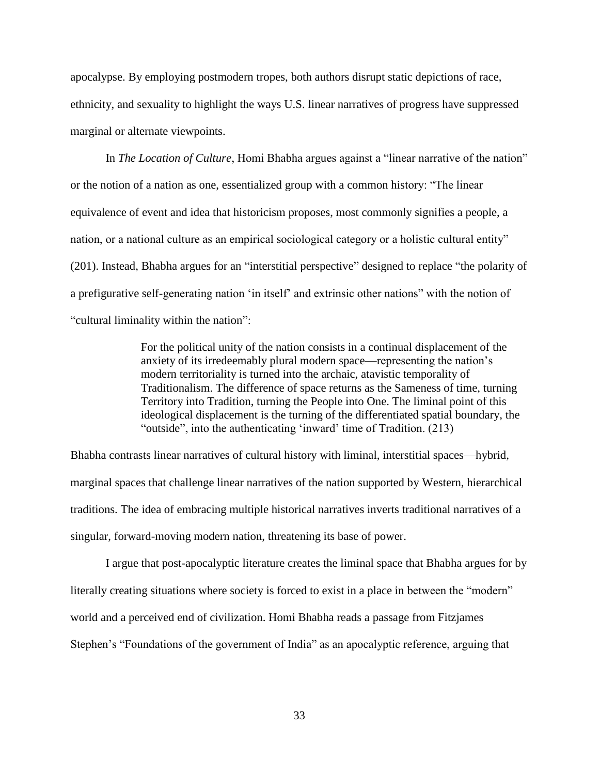apocalypse. By employing postmodern tropes, both authors disrupt static depictions of race, ethnicity, and sexuality to highlight the ways U.S. linear narratives of progress have suppressed marginal or alternate viewpoints.

In *The Location of Culture*, Homi Bhabha argues against a "linear narrative of the nation" or the notion of a nation as one, essentialized group with a common history: "The linear equivalence of event and idea that historicism proposes, most commonly signifies a people, a nation, or a national culture as an empirical sociological category or a holistic cultural entity" (201). Instead, Bhabha argues for an "interstitial perspective" designed to replace "the polarity of a prefigurative self-generating nation 'in itself' and extrinsic other nations" with the notion of "cultural liminality within the nation":

> For the political unity of the nation consists in a continual displacement of the anxiety of its irredeemably plural modern space—representing the nation's modern territoriality is turned into the archaic, atavistic temporality of Traditionalism. The difference of space returns as the Sameness of time, turning Territory into Tradition, turning the People into One. The liminal point of this ideological displacement is the turning of the differentiated spatial boundary, the "outside", into the authenticating 'inward' time of Tradition. (213)

Bhabha contrasts linear narratives of cultural history with liminal, interstitial spaces—hybrid, marginal spaces that challenge linear narratives of the nation supported by Western, hierarchical traditions. The idea of embracing multiple historical narratives inverts traditional narratives of a singular, forward-moving modern nation, threatening its base of power.

I argue that post-apocalyptic literature creates the liminal space that Bhabha argues for by literally creating situations where society is forced to exist in a place in between the "modern" world and a perceived end of civilization. Homi Bhabha reads a passage from Fitzjames Stephen's "Foundations of the government of India" as an apocalyptic reference, arguing that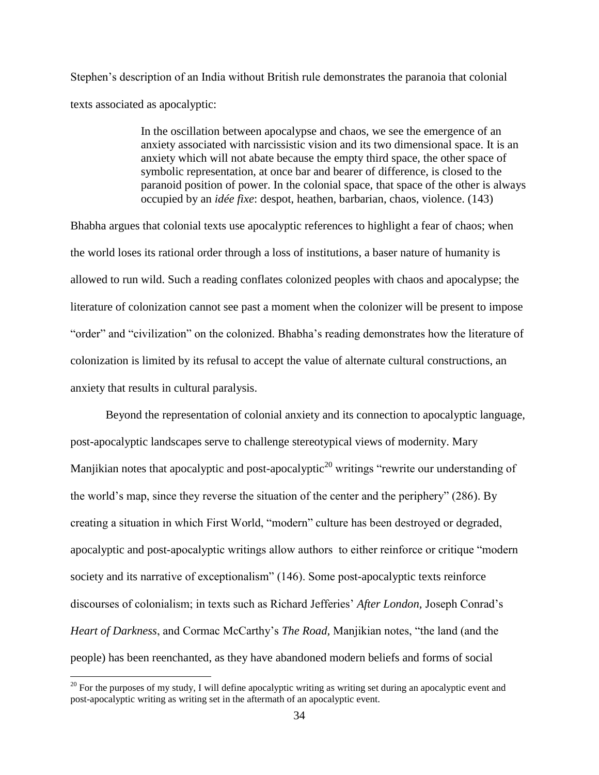Stephen's description of an India without British rule demonstrates the paranoia that colonial texts associated as apocalyptic:

> In the oscillation between apocalypse and chaos, we see the emergence of an anxiety associated with narcissistic vision and its two dimensional space. It is an anxiety which will not abate because the empty third space, the other space of symbolic representation, at once bar and bearer of difference, is closed to the paranoid position of power. In the colonial space, that space of the other is always occupied by an *idée fixe*: despot, heathen, barbarian, chaos, violence. (143)

Bhabha argues that colonial texts use apocalyptic references to highlight a fear of chaos; when the world loses its rational order through a loss of institutions, a baser nature of humanity is allowed to run wild. Such a reading conflates colonized peoples with chaos and apocalypse; the literature of colonization cannot see past a moment when the colonizer will be present to impose "order" and "civilization" on the colonized. Bhabha's reading demonstrates how the literature of colonization is limited by its refusal to accept the value of alternate cultural constructions, an anxiety that results in cultural paralysis.

Beyond the representation of colonial anxiety and its connection to apocalyptic language, post-apocalyptic landscapes serve to challenge stereotypical views of modernity. Mary Manjikian notes that apocalyptic and post-apocalyptic<sup>20</sup> writings "rewrite our understanding of the world's map, since they reverse the situation of the center and the periphery" (286). By creating a situation in which First World, "modern" culture has been destroyed or degraded, apocalyptic and post-apocalyptic writings allow authors to either reinforce or critique "modern society and its narrative of exceptionalism" (146). Some post-apocalyptic texts reinforce discourses of colonialism; in texts such as Richard Jefferies' *After London,* Joseph Conrad's *Heart of Darkness*, and Cormac McCarthy's *The Road,* Manjikian notes, "the land (and the people) has been reenchanted, as they have abandoned modern beliefs and forms of social

 $20$  For the purposes of my study, I will define apocalyptic writing as writing set during an apocalyptic event and post-apocalyptic writing as writing set in the aftermath of an apocalyptic event.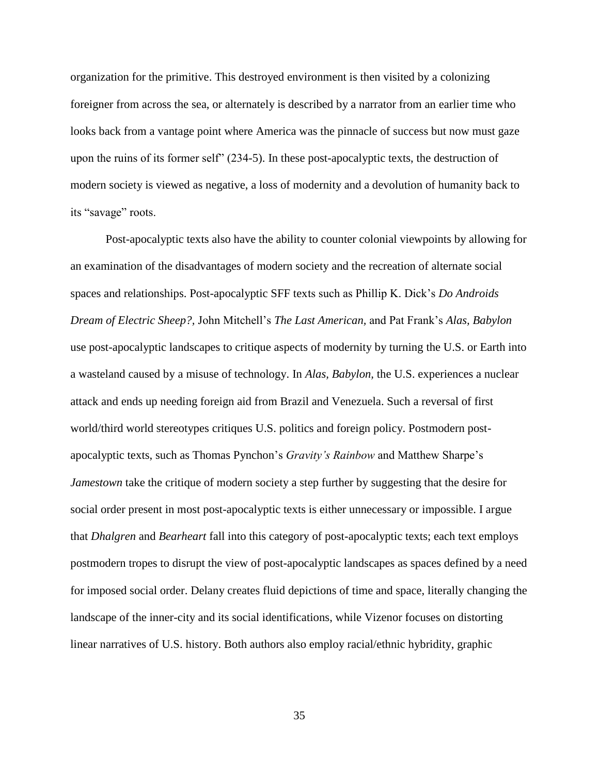organization for the primitive. This destroyed environment is then visited by a colonizing foreigner from across the sea, or alternately is described by a narrator from an earlier time who looks back from a vantage point where America was the pinnacle of success but now must gaze upon the ruins of its former self" (234-5). In these post-apocalyptic texts, the destruction of modern society is viewed as negative, a loss of modernity and a devolution of humanity back to its "savage" roots.

Post-apocalyptic texts also have the ability to counter colonial viewpoints by allowing for an examination of the disadvantages of modern society and the recreation of alternate social spaces and relationships. Post-apocalyptic SFF texts such as Phillip K. Dick's *Do Androids Dream of Electric Sheep?,* John Mitchell's *The Last American,* and Pat Frank's *Alas, Babylon*  use post-apocalyptic landscapes to critique aspects of modernity by turning the U.S. or Earth into a wasteland caused by a misuse of technology. In *Alas, Babylon,* the U.S. experiences a nuclear attack and ends up needing foreign aid from Brazil and Venezuela. Such a reversal of first world/third world stereotypes critiques U.S. politics and foreign policy. Postmodern postapocalyptic texts, such as Thomas Pynchon's *Gravity's Rainbow* and Matthew Sharpe's *Jamestown* take the critique of modern society a step further by suggesting that the desire for social order present in most post-apocalyptic texts is either unnecessary or impossible. I argue that *Dhalgren* and *Bearheart* fall into this category of post-apocalyptic texts; each text employs postmodern tropes to disrupt the view of post-apocalyptic landscapes as spaces defined by a need for imposed social order. Delany creates fluid depictions of time and space, literally changing the landscape of the inner-city and its social identifications, while Vizenor focuses on distorting linear narratives of U.S. history. Both authors also employ racial/ethnic hybridity, graphic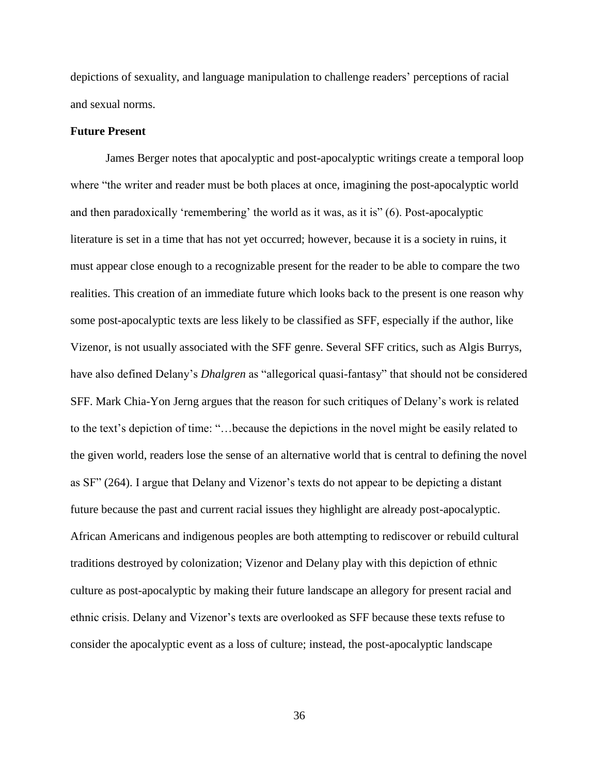depictions of sexuality, and language manipulation to challenge readers' perceptions of racial and sexual norms.

# **Future Present**

James Berger notes that apocalyptic and post-apocalyptic writings create a temporal loop where "the writer and reader must be both places at once, imagining the post-apocalyptic world and then paradoxically 'remembering' the world as it was, as it is" (6). Post-apocalyptic literature is set in a time that has not yet occurred; however, because it is a society in ruins, it must appear close enough to a recognizable present for the reader to be able to compare the two realities. This creation of an immediate future which looks back to the present is one reason why some post-apocalyptic texts are less likely to be classified as SFF, especially if the author, like Vizenor, is not usually associated with the SFF genre. Several SFF critics, such as Algis Burrys, have also defined Delany's *Dhalgren* as "allegorical quasi-fantasy" that should not be considered SFF. Mark Chia-Yon Jerng argues that the reason for such critiques of Delany's work is related to the text's depiction of time: "…because the depictions in the novel might be easily related to the given world, readers lose the sense of an alternative world that is central to defining the novel as SF" (264). I argue that Delany and Vizenor's texts do not appear to be depicting a distant future because the past and current racial issues they highlight are already post-apocalyptic. African Americans and indigenous peoples are both attempting to rediscover or rebuild cultural traditions destroyed by colonization; Vizenor and Delany play with this depiction of ethnic culture as post-apocalyptic by making their future landscape an allegory for present racial and ethnic crisis. Delany and Vizenor's texts are overlooked as SFF because these texts refuse to consider the apocalyptic event as a loss of culture; instead, the post-apocalyptic landscape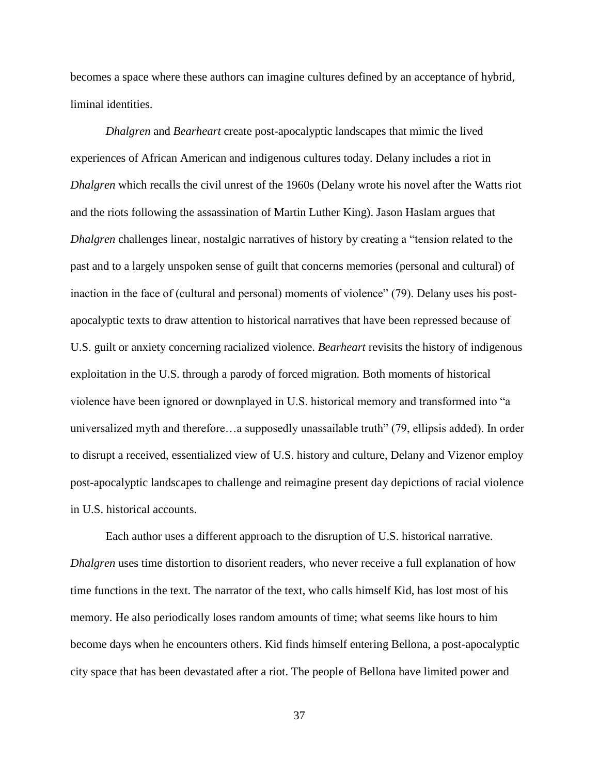becomes a space where these authors can imagine cultures defined by an acceptance of hybrid, liminal identities.

*Dhalgren* and *Bearheart* create post-apocalyptic landscapes that mimic the lived experiences of African American and indigenous cultures today. Delany includes a riot in *Dhalgren* which recalls the civil unrest of the 1960s (Delany wrote his novel after the Watts riot and the riots following the assassination of Martin Luther King). Jason Haslam argues that *Dhalgren* challenges linear, nostalgic narratives of history by creating a "tension related to the past and to a largely unspoken sense of guilt that concerns memories (personal and cultural) of inaction in the face of (cultural and personal) moments of violence" (79). Delany uses his postapocalyptic texts to draw attention to historical narratives that have been repressed because of U.S. guilt or anxiety concerning racialized violence. *Bearheart* revisits the history of indigenous exploitation in the U.S. through a parody of forced migration. Both moments of historical violence have been ignored or downplayed in U.S. historical memory and transformed into "a universalized myth and therefore…a supposedly unassailable truth" (79, ellipsis added). In order to disrupt a received, essentialized view of U.S. history and culture, Delany and Vizenor employ post-apocalyptic landscapes to challenge and reimagine present day depictions of racial violence in U.S. historical accounts.

Each author uses a different approach to the disruption of U.S. historical narrative. *Dhalgren* uses time distortion to disorient readers, who never receive a full explanation of how time functions in the text. The narrator of the text, who calls himself Kid, has lost most of his memory. He also periodically loses random amounts of time; what seems like hours to him become days when he encounters others. Kid finds himself entering Bellona, a post-apocalyptic city space that has been devastated after a riot. The people of Bellona have limited power and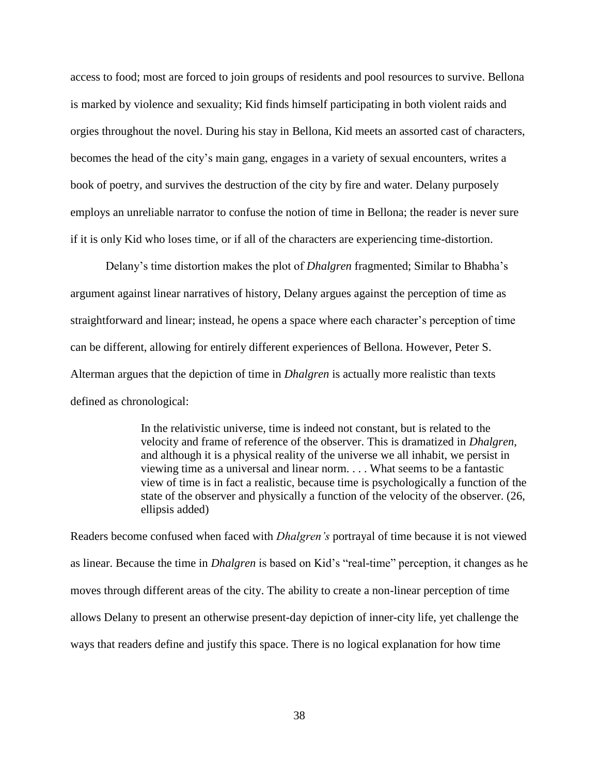access to food; most are forced to join groups of residents and pool resources to survive. Bellona is marked by violence and sexuality; Kid finds himself participating in both violent raids and orgies throughout the novel. During his stay in Bellona, Kid meets an assorted cast of characters, becomes the head of the city's main gang, engages in a variety of sexual encounters, writes a book of poetry, and survives the destruction of the city by fire and water. Delany purposely employs an unreliable narrator to confuse the notion of time in Bellona; the reader is never sure if it is only Kid who loses time, or if all of the characters are experiencing time-distortion.

Delany's time distortion makes the plot of *Dhalgren* fragmented; Similar to Bhabha's argument against linear narratives of history, Delany argues against the perception of time as straightforward and linear; instead, he opens a space where each character's perception of time can be different, allowing for entirely different experiences of Bellona. However, Peter S. Alterman argues that the depiction of time in *Dhalgren* is actually more realistic than texts defined as chronological:

> In the relativistic universe, time is indeed not constant, but is related to the velocity and frame of reference of the observer. This is dramatized in *Dhalgren*, and although it is a physical reality of the universe we all inhabit, we persist in viewing time as a universal and linear norm. . . . What seems to be a fantastic view of time is in fact a realistic, because time is psychologically a function of the state of the observer and physically a function of the velocity of the observer. (26, ellipsis added)

Readers become confused when faced with *Dhalgren's* portrayal of time because it is not viewed as linear. Because the time in *Dhalgren* is based on Kid's "real-time" perception, it changes as he moves through different areas of the city. The ability to create a non-linear perception of time allows Delany to present an otherwise present-day depiction of inner-city life, yet challenge the ways that readers define and justify this space. There is no logical explanation for how time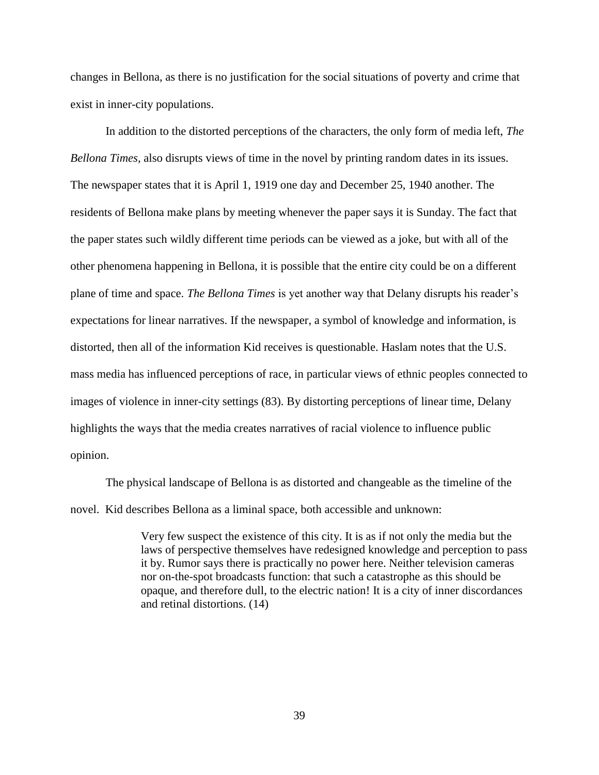changes in Bellona, as there is no justification for the social situations of poverty and crime that exist in inner-city populations.

In addition to the distorted perceptions of the characters, the only form of media left, *The Bellona Times,* also disrupts views of time in the novel by printing random dates in its issues. The newspaper states that it is April 1, 1919 one day and December 25, 1940 another. The residents of Bellona make plans by meeting whenever the paper says it is Sunday. The fact that the paper states such wildly different time periods can be viewed as a joke, but with all of the other phenomena happening in Bellona, it is possible that the entire city could be on a different plane of time and space. *The Bellona Times* is yet another way that Delany disrupts his reader's expectations for linear narratives. If the newspaper, a symbol of knowledge and information, is distorted, then all of the information Kid receives is questionable. Haslam notes that the U.S. mass media has influenced perceptions of race, in particular views of ethnic peoples connected to images of violence in inner-city settings (83). By distorting perceptions of linear time, Delany highlights the ways that the media creates narratives of racial violence to influence public opinion.

The physical landscape of Bellona is as distorted and changeable as the timeline of the novel. Kid describes Bellona as a liminal space, both accessible and unknown:

> Very few suspect the existence of this city. It is as if not only the media but the laws of perspective themselves have redesigned knowledge and perception to pass it by. Rumor says there is practically no power here. Neither television cameras nor on-the-spot broadcasts function: that such a catastrophe as this should be opaque, and therefore dull, to the electric nation! It is a city of inner discordances and retinal distortions. (14)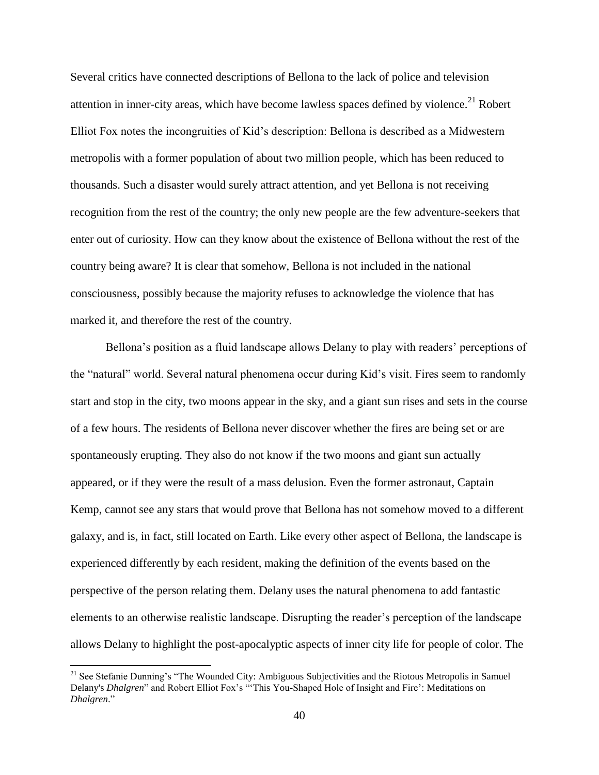Several critics have connected descriptions of Bellona to the lack of police and television attention in inner-city areas, which have become lawless spaces defined by violence.<sup>21</sup> Robert Elliot Fox notes the incongruities of Kid's description: Bellona is described as a Midwestern metropolis with a former population of about two million people, which has been reduced to thousands. Such a disaster would surely attract attention, and yet Bellona is not receiving recognition from the rest of the country; the only new people are the few adventure-seekers that enter out of curiosity. How can they know about the existence of Bellona without the rest of the country being aware? It is clear that somehow, Bellona is not included in the national consciousness, possibly because the majority refuses to acknowledge the violence that has marked it, and therefore the rest of the country.

Bellona's position as a fluid landscape allows Delany to play with readers' perceptions of the "natural" world. Several natural phenomena occur during Kid's visit. Fires seem to randomly start and stop in the city, two moons appear in the sky, and a giant sun rises and sets in the course of a few hours. The residents of Bellona never discover whether the fires are being set or are spontaneously erupting. They also do not know if the two moons and giant sun actually appeared, or if they were the result of a mass delusion. Even the former astronaut, Captain Kemp, cannot see any stars that would prove that Bellona has not somehow moved to a different galaxy, and is, in fact, still located on Earth. Like every other aspect of Bellona, the landscape is experienced differently by each resident, making the definition of the events based on the perspective of the person relating them. Delany uses the natural phenomena to add fantastic elements to an otherwise realistic landscape. Disrupting the reader's perception of the landscape allows Delany to highlight the post-apocalyptic aspects of inner city life for people of color. The

<sup>&</sup>lt;sup>21</sup> See Stefanie Dunning's "The Wounded City: Ambiguous Subjectivities and the Riotous Metropolis in Samuel Delany's *Dhalgren*" and Robert Elliot Fox's "'This You-Shaped Hole of Insight and Fire': Meditations on *Dhalgren*."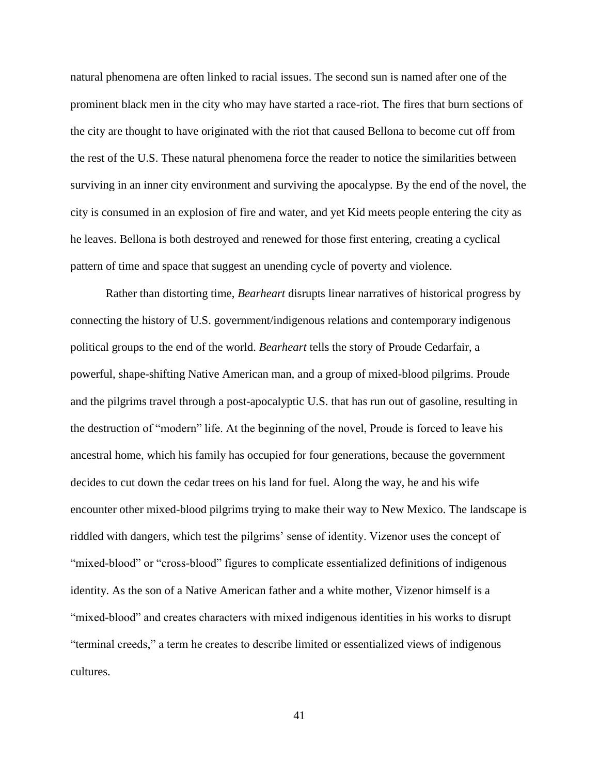natural phenomena are often linked to racial issues. The second sun is named after one of the prominent black men in the city who may have started a race-riot. The fires that burn sections of the city are thought to have originated with the riot that caused Bellona to become cut off from the rest of the U.S. These natural phenomena force the reader to notice the similarities between surviving in an inner city environment and surviving the apocalypse. By the end of the novel, the city is consumed in an explosion of fire and water, and yet Kid meets people entering the city as he leaves. Bellona is both destroyed and renewed for those first entering, creating a cyclical pattern of time and space that suggest an unending cycle of poverty and violence.

Rather than distorting time, *Bearheart* disrupts linear narratives of historical progress by connecting the history of U.S. government/indigenous relations and contemporary indigenous political groups to the end of the world. *Bearheart* tells the story of Proude Cedarfair, a powerful, shape-shifting Native American man, and a group of mixed-blood pilgrims. Proude and the pilgrims travel through a post-apocalyptic U.S. that has run out of gasoline, resulting in the destruction of "modern" life. At the beginning of the novel, Proude is forced to leave his ancestral home, which his family has occupied for four generations, because the government decides to cut down the cedar trees on his land for fuel. Along the way, he and his wife encounter other mixed-blood pilgrims trying to make their way to New Mexico. The landscape is riddled with dangers, which test the pilgrims' sense of identity. Vizenor uses the concept of "mixed-blood" or "cross-blood" figures to complicate essentialized definitions of indigenous identity. As the son of a Native American father and a white mother, Vizenor himself is a "mixed-blood" and creates characters with mixed indigenous identities in his works to disrupt "terminal creeds," a term he creates to describe limited or essentialized views of indigenous cultures.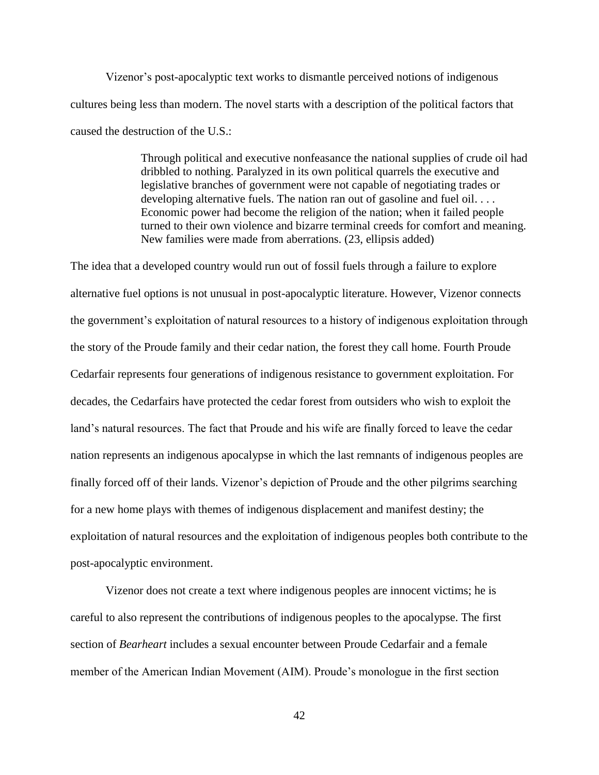Vizenor's post-apocalyptic text works to dismantle perceived notions of indigenous cultures being less than modern. The novel starts with a description of the political factors that caused the destruction of the U.S.:

> Through political and executive nonfeasance the national supplies of crude oil had dribbled to nothing. Paralyzed in its own political quarrels the executive and legislative branches of government were not capable of negotiating trades or developing alternative fuels. The nation ran out of gasoline and fuel oil.... Economic power had become the religion of the nation; when it failed people turned to their own violence and bizarre terminal creeds for comfort and meaning. New families were made from aberrations. (23, ellipsis added)

The idea that a developed country would run out of fossil fuels through a failure to explore alternative fuel options is not unusual in post-apocalyptic literature. However, Vizenor connects the government's exploitation of natural resources to a history of indigenous exploitation through the story of the Proude family and their cedar nation, the forest they call home. Fourth Proude Cedarfair represents four generations of indigenous resistance to government exploitation. For decades, the Cedarfairs have protected the cedar forest from outsiders who wish to exploit the land's natural resources. The fact that Proude and his wife are finally forced to leave the cedar nation represents an indigenous apocalypse in which the last remnants of indigenous peoples are finally forced off of their lands. Vizenor's depiction of Proude and the other pilgrims searching for a new home plays with themes of indigenous displacement and manifest destiny; the exploitation of natural resources and the exploitation of indigenous peoples both contribute to the post-apocalyptic environment.

Vizenor does not create a text where indigenous peoples are innocent victims; he is careful to also represent the contributions of indigenous peoples to the apocalypse. The first section of *Bearheart* includes a sexual encounter between Proude Cedarfair and a female member of the American Indian Movement (AIM). Proude's monologue in the first section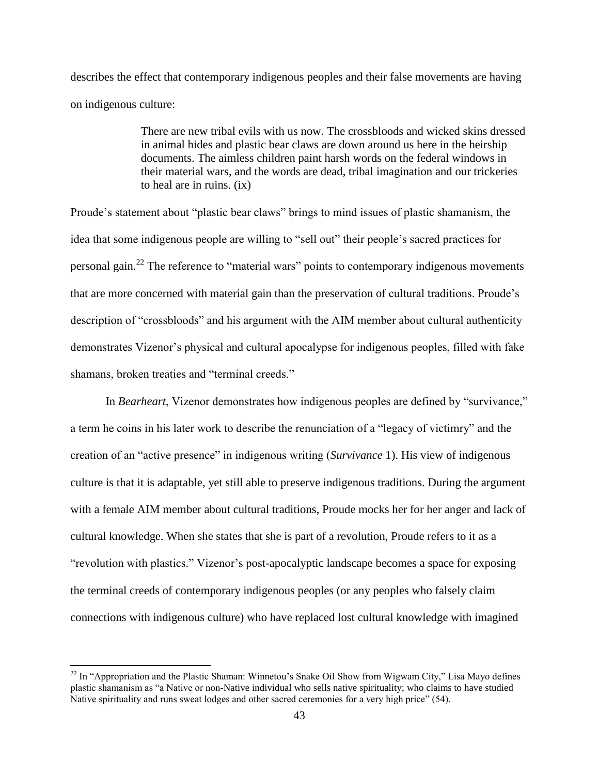describes the effect that contemporary indigenous peoples and their false movements are having on indigenous culture:

> There are new tribal evils with us now. The crossbloods and wicked skins dressed in animal hides and plastic bear claws are down around us here in the heirship documents. The aimless children paint harsh words on the federal windows in their material wars, and the words are dead, tribal imagination and our trickeries to heal are in ruins. (ix)

Proude's statement about "plastic bear claws" brings to mind issues of plastic shamanism, the idea that some indigenous people are willing to "sell out" their people's sacred practices for personal gain.<sup>22</sup> The reference to "material wars" points to contemporary indigenous movements that are more concerned with material gain than the preservation of cultural traditions. Proude's description of "crossbloods" and his argument with the AIM member about cultural authenticity demonstrates Vizenor's physical and cultural apocalypse for indigenous peoples, filled with fake shamans, broken treaties and "terminal creeds."

In *Bearheart*, Vizenor demonstrates how indigenous peoples are defined by "survivance," a term he coins in his later work to describe the renunciation of a "legacy of victimry" and the creation of an "active presence" in indigenous writing (*Survivance* 1). His view of indigenous culture is that it is adaptable, yet still able to preserve indigenous traditions. During the argument with a female AIM member about cultural traditions, Proude mocks her for her anger and lack of cultural knowledge. When she states that she is part of a revolution, Proude refers to it as a "revolution with plastics." Vizenor's post-apocalyptic landscape becomes a space for exposing the terminal creeds of contemporary indigenous peoples (or any peoples who falsely claim connections with indigenous culture) who have replaced lost cultural knowledge with imagined

 $22$  In "Appropriation and the Plastic Shaman: Winnetou's Snake Oil Show from Wigwam City," Lisa Mayo defines plastic shamanism as "a Native or non-Native individual who sells native spirituality; who claims to have studied Native spirituality and runs sweat lodges and other sacred ceremonies for a very high price" (54).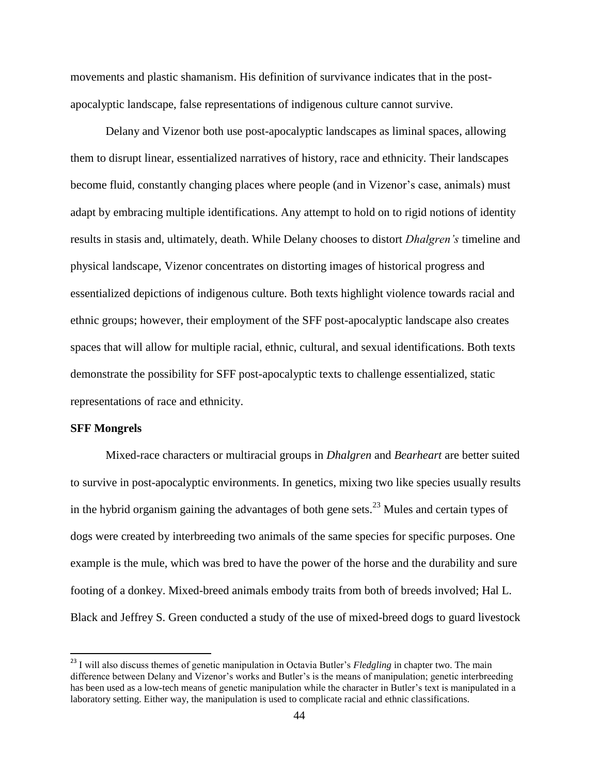movements and plastic shamanism. His definition of survivance indicates that in the postapocalyptic landscape, false representations of indigenous culture cannot survive.

Delany and Vizenor both use post-apocalyptic landscapes as liminal spaces, allowing them to disrupt linear, essentialized narratives of history, race and ethnicity. Their landscapes become fluid, constantly changing places where people (and in Vizenor's case, animals) must adapt by embracing multiple identifications. Any attempt to hold on to rigid notions of identity results in stasis and, ultimately, death. While Delany chooses to distort *Dhalgren's* timeline and physical landscape, Vizenor concentrates on distorting images of historical progress and essentialized depictions of indigenous culture. Both texts highlight violence towards racial and ethnic groups; however, their employment of the SFF post-apocalyptic landscape also creates spaces that will allow for multiple racial, ethnic, cultural, and sexual identifications. Both texts demonstrate the possibility for SFF post-apocalyptic texts to challenge essentialized, static representations of race and ethnicity.

### **SFF Mongrels**

 $\overline{\phantom{a}}$ 

Mixed-race characters or multiracial groups in *Dhalgren* and *Bearheart* are better suited to survive in post-apocalyptic environments. In genetics, mixing two like species usually results in the hybrid organism gaining the advantages of both gene sets.<sup>23</sup> Mules and certain types of dogs were created by interbreeding two animals of the same species for specific purposes. One example is the mule, which was bred to have the power of the horse and the durability and sure footing of a donkey. Mixed-breed animals embody traits from both of breeds involved; Hal L. Black and Jeffrey S. Green conducted a study of the use of mixed-breed dogs to guard livestock

<sup>23</sup> I will also discuss themes of genetic manipulation in Octavia Butler's *Fledgling* in chapter two. The main difference between Delany and Vizenor's works and Butler's is the means of manipulation; genetic interbreeding has been used as a low-tech means of genetic manipulation while the character in Butler's text is manipulated in a laboratory setting. Either way, the manipulation is used to complicate racial and ethnic classifications.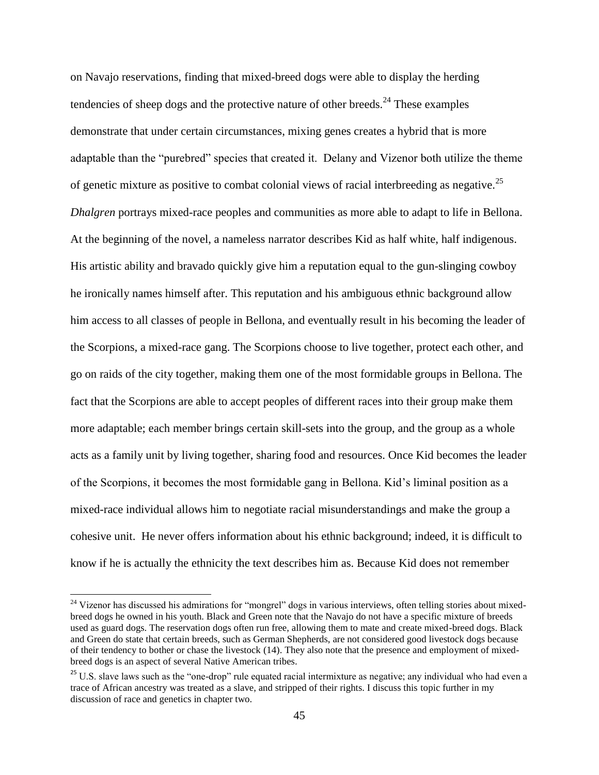on Navajo reservations, finding that mixed-breed dogs were able to display the herding tendencies of sheep dogs and the protective nature of other breeds.<sup>24</sup> These examples demonstrate that under certain circumstances, mixing genes creates a hybrid that is more adaptable than the "purebred" species that created it. Delany and Vizenor both utilize the theme of genetic mixture as positive to combat colonial views of racial interbreeding as negative.<sup>25</sup> *Dhalgren* portrays mixed-race peoples and communities as more able to adapt to life in Bellona. At the beginning of the novel, a nameless narrator describes Kid as half white, half indigenous. His artistic ability and bravado quickly give him a reputation equal to the gun-slinging cowboy he ironically names himself after. This reputation and his ambiguous ethnic background allow him access to all classes of people in Bellona, and eventually result in his becoming the leader of the Scorpions, a mixed-race gang. The Scorpions choose to live together, protect each other, and go on raids of the city together, making them one of the most formidable groups in Bellona. The fact that the Scorpions are able to accept peoples of different races into their group make them more adaptable; each member brings certain skill-sets into the group, and the group as a whole acts as a family unit by living together, sharing food and resources. Once Kid becomes the leader of the Scorpions, it becomes the most formidable gang in Bellona. Kid's liminal position as a mixed-race individual allows him to negotiate racial misunderstandings and make the group a cohesive unit. He never offers information about his ethnic background; indeed, it is difficult to know if he is actually the ethnicity the text describes him as. Because Kid does not remember

 $24$  Vizenor has discussed his admirations for "mongrel" dogs in various interviews, often telling stories about mixedbreed dogs he owned in his youth. Black and Green note that the Navajo do not have a specific mixture of breeds used as guard dogs. The reservation dogs often run free, allowing them to mate and create mixed-breed dogs. Black and Green do state that certain breeds, such as German Shepherds, are not considered good livestock dogs because of their tendency to bother or chase the livestock (14). They also note that the presence and employment of mixedbreed dogs is an aspect of several Native American tribes.

 $25$  U.S. slave laws such as the "one-drop" rule equated racial intermixture as negative; any individual who had even a trace of African ancestry was treated as a slave, and stripped of their rights. I discuss this topic further in my discussion of race and genetics in chapter two.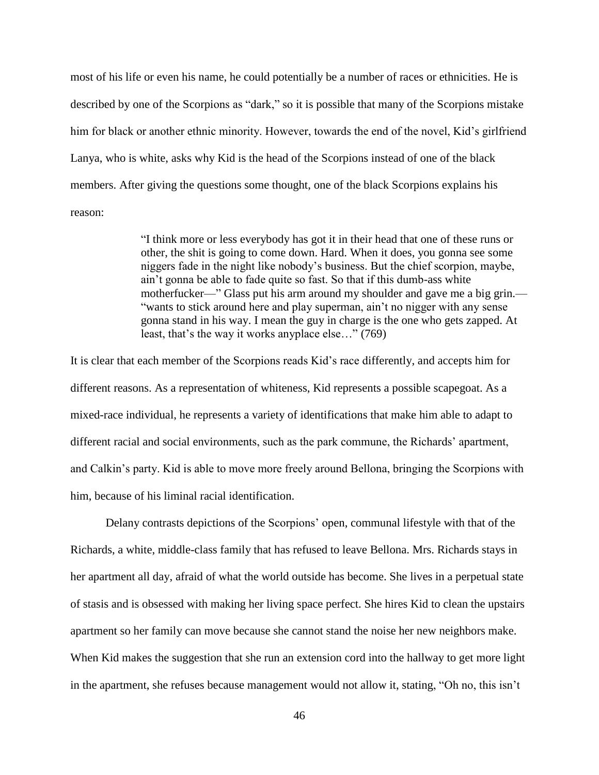most of his life or even his name, he could potentially be a number of races or ethnicities. He is described by one of the Scorpions as "dark," so it is possible that many of the Scorpions mistake him for black or another ethnic minority. However, towards the end of the novel, Kid's girlfriend Lanya, who is white, asks why Kid is the head of the Scorpions instead of one of the black members. After giving the questions some thought, one of the black Scorpions explains his reason:

> "I think more or less everybody has got it in their head that one of these runs or other, the shit is going to come down. Hard. When it does, you gonna see some niggers fade in the night like nobody's business. But the chief scorpion, maybe, ain't gonna be able to fade quite so fast. So that if this dumb-ass white motherfucker—" Glass put his arm around my shoulder and gave me a big grin.— "wants to stick around here and play superman, ain't no nigger with any sense gonna stand in his way. I mean the guy in charge is the one who gets zapped. At least, that's the way it works anyplace else…" (769)

It is clear that each member of the Scorpions reads Kid's race differently, and accepts him for different reasons. As a representation of whiteness, Kid represents a possible scapegoat. As a mixed-race individual, he represents a variety of identifications that make him able to adapt to different racial and social environments, such as the park commune, the Richards' apartment, and Calkin's party. Kid is able to move more freely around Bellona, bringing the Scorpions with him, because of his liminal racial identification.

Delany contrasts depictions of the Scorpions' open, communal lifestyle with that of the Richards, a white, middle-class family that has refused to leave Bellona. Mrs. Richards stays in her apartment all day, afraid of what the world outside has become. She lives in a perpetual state of stasis and is obsessed with making her living space perfect. She hires Kid to clean the upstairs apartment so her family can move because she cannot stand the noise her new neighbors make. When Kid makes the suggestion that she run an extension cord into the hallway to get more light in the apartment, she refuses because management would not allow it, stating, "Oh no, this isn't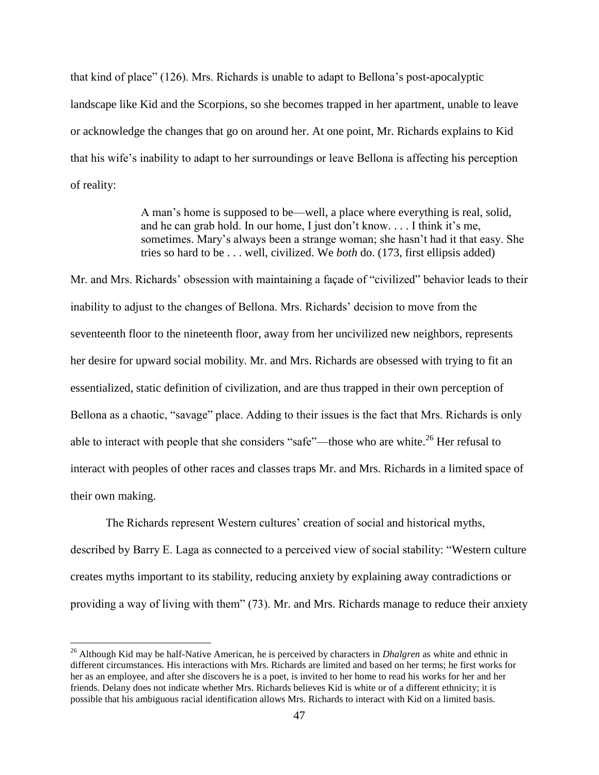that kind of place" (126). Mrs. Richards is unable to adapt to Bellona's post-apocalyptic landscape like Kid and the Scorpions, so she becomes trapped in her apartment, unable to leave or acknowledge the changes that go on around her. At one point, Mr. Richards explains to Kid that his wife's inability to adapt to her surroundings or leave Bellona is affecting his perception of reality:

> A man's home is supposed to be—well, a place where everything is real, solid, and he can grab hold. In our home, I just don't know. . . . I think it's me, sometimes. Mary's always been a strange woman; she hasn't had it that easy. She tries so hard to be . . . well, civilized. We *both* do. (173, first ellipsis added)

Mr. and Mrs. Richards' obsession with maintaining a façade of "civilized" behavior leads to their inability to adjust to the changes of Bellona. Mrs. Richards' decision to move from the seventeenth floor to the nineteenth floor, away from her uncivilized new neighbors, represents her desire for upward social mobility. Mr. and Mrs. Richards are obsessed with trying to fit an essentialized, static definition of civilization, and are thus trapped in their own perception of Bellona as a chaotic, "savage" place. Adding to their issues is the fact that Mrs. Richards is only able to interact with people that she considers "safe"—those who are white.<sup>26</sup> Her refusal to interact with peoples of other races and classes traps Mr. and Mrs. Richards in a limited space of their own making.

The Richards represent Western cultures' creation of social and historical myths, described by Barry E. Laga as connected to a perceived view of social stability: "Western culture creates myths important to its stability, reducing anxiety by explaining away contradictions or providing a way of living with them" (73). Mr. and Mrs. Richards manage to reduce their anxiety

 $\overline{a}$ 

<sup>26</sup> Although Kid may be half-Native American, he is perceived by characters in *Dhalgren* as white and ethnic in different circumstances. His interactions with Mrs. Richards are limited and based on her terms; he first works for her as an employee, and after she discovers he is a poet, is invited to her home to read his works for her and her friends. Delany does not indicate whether Mrs. Richards believes Kid is white or of a different ethnicity; it is possible that his ambiguous racial identification allows Mrs. Richards to interact with Kid on a limited basis.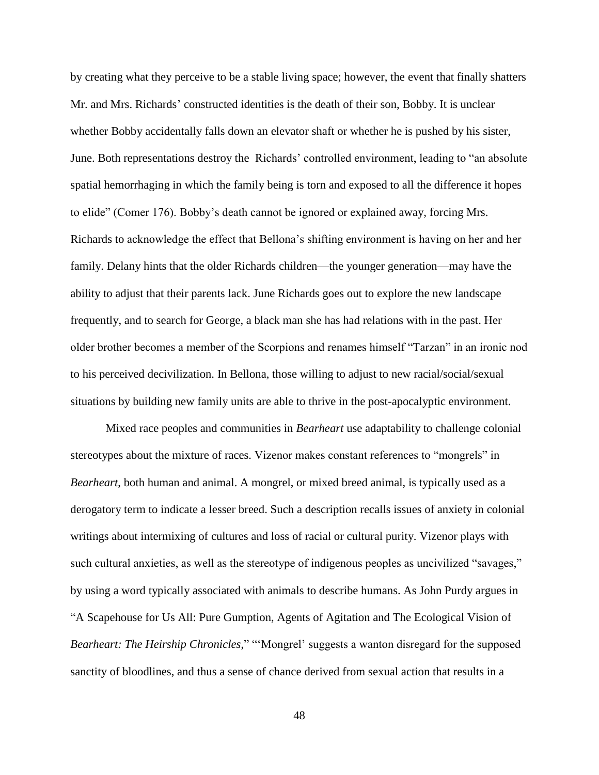by creating what they perceive to be a stable living space; however, the event that finally shatters Mr. and Mrs. Richards' constructed identities is the death of their son, Bobby. It is unclear whether Bobby accidentally falls down an elevator shaft or whether he is pushed by his sister, June. Both representations destroy the Richards' controlled environment, leading to "an absolute spatial hemorrhaging in which the family being is torn and exposed to all the difference it hopes to elide" (Comer 176). Bobby's death cannot be ignored or explained away, forcing Mrs. Richards to acknowledge the effect that Bellona's shifting environment is having on her and her family. Delany hints that the older Richards children—the younger generation—may have the ability to adjust that their parents lack. June Richards goes out to explore the new landscape frequently, and to search for George, a black man she has had relations with in the past. Her older brother becomes a member of the Scorpions and renames himself "Tarzan" in an ironic nod to his perceived decivilization. In Bellona, those willing to adjust to new racial/social/sexual situations by building new family units are able to thrive in the post-apocalyptic environment.

Mixed race peoples and communities in *Bearheart* use adaptability to challenge colonial stereotypes about the mixture of races. Vizenor makes constant references to "mongrels" in *Bearheart*, both human and animal. A mongrel, or mixed breed animal, is typically used as a derogatory term to indicate a lesser breed. Such a description recalls issues of anxiety in colonial writings about intermixing of cultures and loss of racial or cultural purity. Vizenor plays with such cultural anxieties, as well as the stereotype of indigenous peoples as uncivilized "savages," by using a word typically associated with animals to describe humans. As John Purdy argues in "A Scapehouse for Us All: Pure Gumption, Agents of Agitation and The Ecological Vision of *Bearheart: The Heirship Chronicles*," "'Mongrel' suggests a wanton disregard for the supposed sanctity of bloodlines, and thus a sense of chance derived from sexual action that results in a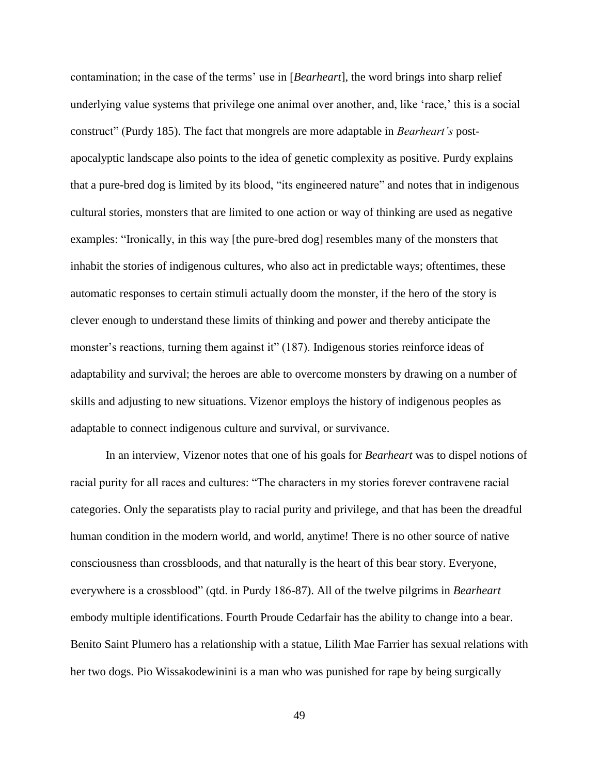contamination; in the case of the terms' use in [*Bearheart*], the word brings into sharp relief underlying value systems that privilege one animal over another, and, like 'race,' this is a social construct" (Purdy 185). The fact that mongrels are more adaptable in *Bearheart's* postapocalyptic landscape also points to the idea of genetic complexity as positive. Purdy explains that a pure-bred dog is limited by its blood, "its engineered nature" and notes that in indigenous cultural stories, monsters that are limited to one action or way of thinking are used as negative examples: "Ironically, in this way [the pure-bred dog] resembles many of the monsters that inhabit the stories of indigenous cultures, who also act in predictable ways; oftentimes, these automatic responses to certain stimuli actually doom the monster, if the hero of the story is clever enough to understand these limits of thinking and power and thereby anticipate the monster's reactions, turning them against it" (187). Indigenous stories reinforce ideas of adaptability and survival; the heroes are able to overcome monsters by drawing on a number of skills and adjusting to new situations. Vizenor employs the history of indigenous peoples as adaptable to connect indigenous culture and survival, or survivance.

In an interview*,* Vizenor notes that one of his goals for *Bearheart* was to dispel notions of racial purity for all races and cultures: "The characters in my stories forever contravene racial categories. Only the separatists play to racial purity and privilege, and that has been the dreadful human condition in the modern world, and world, anytime! There is no other source of native consciousness than crossbloods, and that naturally is the heart of this bear story. Everyone, everywhere is a crossblood" (qtd. in Purdy 186-87). All of the twelve pilgrims in *Bearheart*  embody multiple identifications. Fourth Proude Cedarfair has the ability to change into a bear. Benito Saint Plumero has a relationship with a statue, Lilith Mae Farrier has sexual relations with her two dogs. Pio Wissakodewinini is a man who was punished for rape by being surgically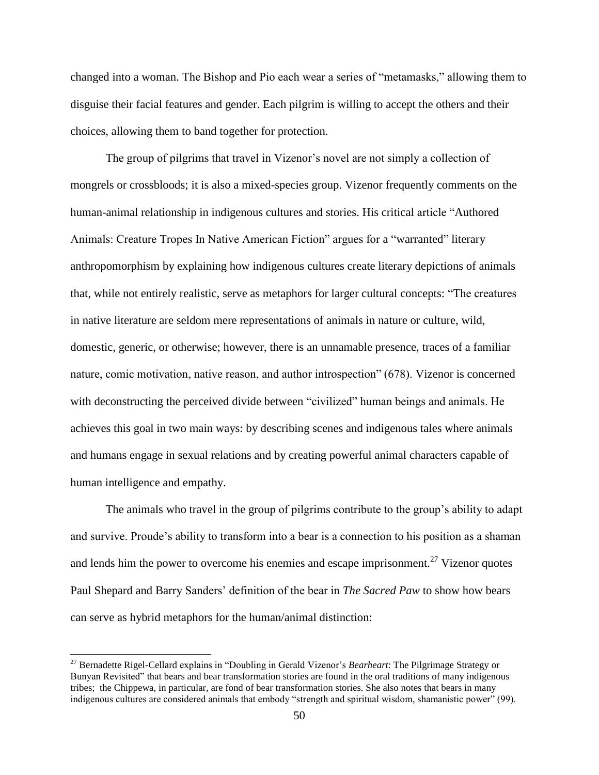changed into a woman. The Bishop and Pio each wear a series of "metamasks," allowing them to disguise their facial features and gender. Each pilgrim is willing to accept the others and their choices, allowing them to band together for protection.

The group of pilgrims that travel in Vizenor's novel are not simply a collection of mongrels or crossbloods; it is also a mixed-species group. Vizenor frequently comments on the human-animal relationship in indigenous cultures and stories. His critical article "Authored Animals: Creature Tropes In Native American Fiction" argues for a "warranted" literary anthropomorphism by explaining how indigenous cultures create literary depictions of animals that, while not entirely realistic, serve as metaphors for larger cultural concepts: "The creatures in native literature are seldom mere representations of animals in nature or culture, wild, domestic, generic, or otherwise; however, there is an unnamable presence, traces of a familiar nature, comic motivation, native reason, and author introspection" (678). Vizenor is concerned with deconstructing the perceived divide between "civilized" human beings and animals. He achieves this goal in two main ways: by describing scenes and indigenous tales where animals and humans engage in sexual relations and by creating powerful animal characters capable of human intelligence and empathy.

The animals who travel in the group of pilgrims contribute to the group's ability to adapt and survive. Proude's ability to transform into a bear is a connection to his position as a shaman and lends him the power to overcome his enemies and escape imprisonment.<sup>27</sup> Vizenor quotes Paul Shepard and Barry Sanders' definition of the bear in *The Sacred Paw* to show how bears can serve as hybrid metaphors for the human/animal distinction:

<sup>27</sup> Bernadette Rigel-Cellard explains in "Doubling in Gerald Vizenor's *Bearheart*: The Pilgrimage Strategy or Bunyan Revisited" that bears and bear transformation stories are found in the oral traditions of many indigenous tribes; the Chippewa, in particular, are fond of bear transformation stories. She also notes that bears in many indigenous cultures are considered animals that embody "strength and spiritual wisdom, shamanistic power" (99).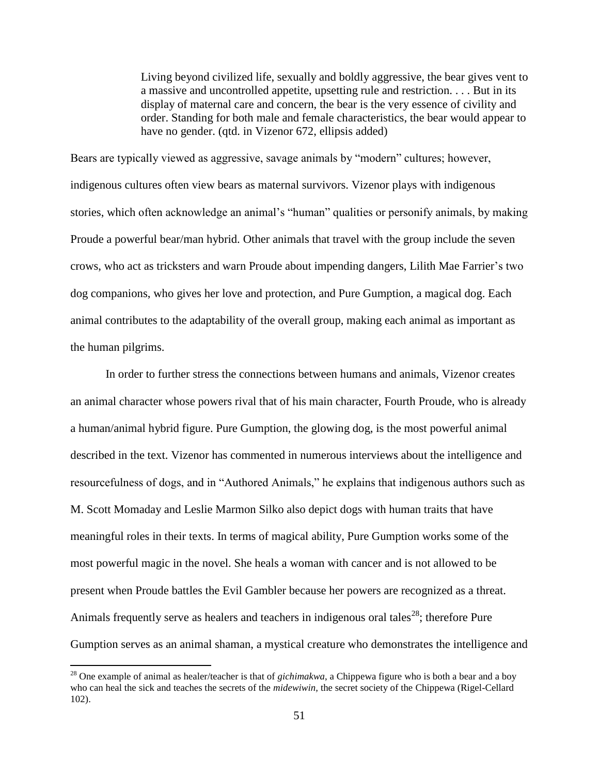Living beyond civilized life, sexually and boldly aggressive, the bear gives vent to a massive and uncontrolled appetite, upsetting rule and restriction. . . . But in its display of maternal care and concern, the bear is the very essence of civility and order. Standing for both male and female characteristics, the bear would appear to have no gender. (qtd. in Vizenor 672, ellipsis added)

Bears are typically viewed as aggressive, savage animals by "modern" cultures; however, indigenous cultures often view bears as maternal survivors. Vizenor plays with indigenous stories, which often acknowledge an animal's "human" qualities or personify animals, by making Proude a powerful bear/man hybrid. Other animals that travel with the group include the seven crows, who act as tricksters and warn Proude about impending dangers, Lilith Mae Farrier's two dog companions, who gives her love and protection, and Pure Gumption, a magical dog. Each animal contributes to the adaptability of the overall group, making each animal as important as the human pilgrims.

In order to further stress the connections between humans and animals, Vizenor creates an animal character whose powers rival that of his main character, Fourth Proude, who is already a human/animal hybrid figure. Pure Gumption, the glowing dog, is the most powerful animal described in the text. Vizenor has commented in numerous interviews about the intelligence and resourcefulness of dogs, and in "Authored Animals," he explains that indigenous authors such as M. Scott Momaday and Leslie Marmon Silko also depict dogs with human traits that have meaningful roles in their texts. In terms of magical ability, Pure Gumption works some of the most powerful magic in the novel. She heals a woman with cancer and is not allowed to be present when Proude battles the Evil Gambler because her powers are recognized as a threat. Animals frequently serve as healers and teachers in indigenous oral tales<sup>28</sup>; therefore Pure Gumption serves as an animal shaman, a mystical creature who demonstrates the intelligence and

<sup>28</sup> One example of animal as healer/teacher is that of *gichimakwa*, a Chippewa figure who is both a bear and a boy who can heal the sick and teaches the secrets of the *midewiwin,* the secret society of the Chippewa (Rigel-Cellard 102).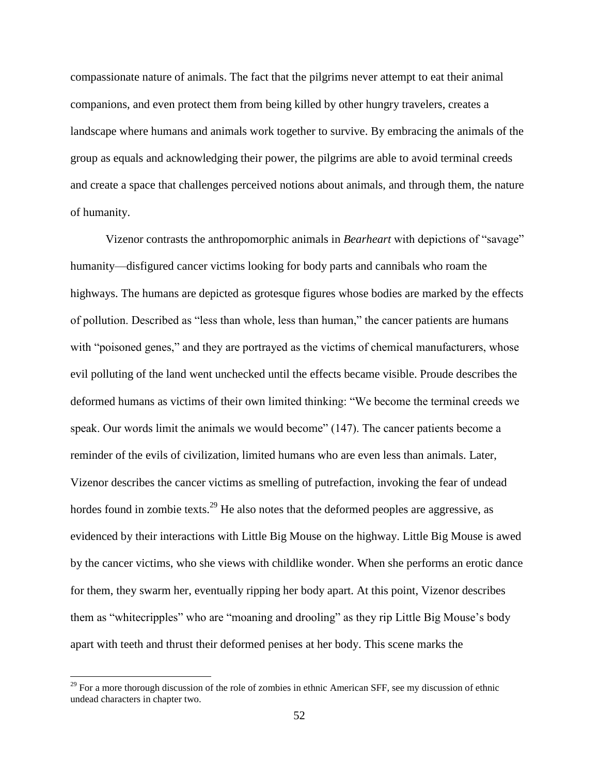compassionate nature of animals. The fact that the pilgrims never attempt to eat their animal companions, and even protect them from being killed by other hungry travelers, creates a landscape where humans and animals work together to survive. By embracing the animals of the group as equals and acknowledging their power, the pilgrims are able to avoid terminal creeds and create a space that challenges perceived notions about animals, and through them, the nature of humanity.

Vizenor contrasts the anthropomorphic animals in *Bearheart* with depictions of "savage" humanity—disfigured cancer victims looking for body parts and cannibals who roam the highways. The humans are depicted as grotesque figures whose bodies are marked by the effects of pollution. Described as "less than whole, less than human," the cancer patients are humans with "poisoned genes," and they are portrayed as the victims of chemical manufacturers, whose evil polluting of the land went unchecked until the effects became visible. Proude describes the deformed humans as victims of their own limited thinking: "We become the terminal creeds we speak. Our words limit the animals we would become" (147). The cancer patients become a reminder of the evils of civilization, limited humans who are even less than animals. Later, Vizenor describes the cancer victims as smelling of putrefaction, invoking the fear of undead hordes found in zombie texts.<sup>29</sup> He also notes that the deformed peoples are aggressive, as evidenced by their interactions with Little Big Mouse on the highway. Little Big Mouse is awed by the cancer victims, who she views with childlike wonder. When she performs an erotic dance for them, they swarm her, eventually ripping her body apart. At this point, Vizenor describes them as "whitecripples" who are "moaning and drooling" as they rip Little Big Mouse's body apart with teeth and thrust their deformed penises at her body. This scene marks the

 $29$  For a more thorough discussion of the role of zombies in ethnic American SFF, see my discussion of ethnic undead characters in chapter two.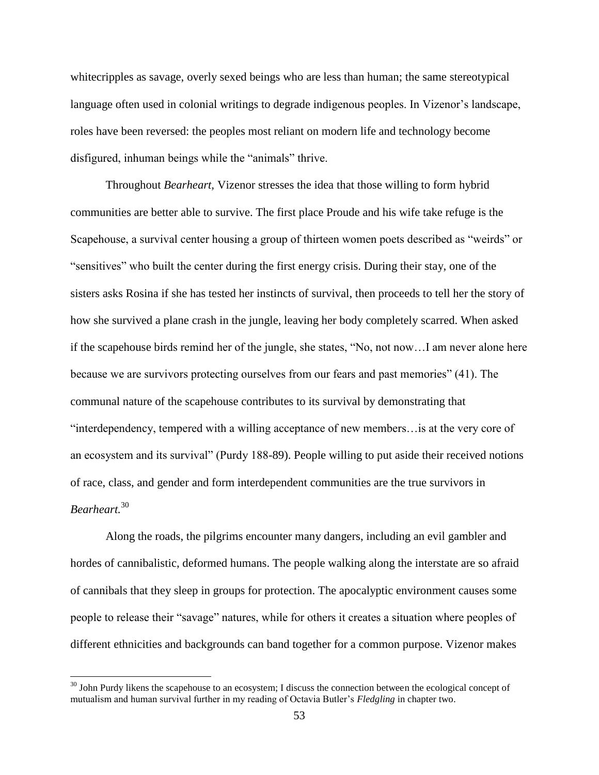whitecripples as savage, overly sexed beings who are less than human; the same stereotypical language often used in colonial writings to degrade indigenous peoples. In Vizenor's landscape, roles have been reversed: the peoples most reliant on modern life and technology become disfigured, inhuman beings while the "animals" thrive.

Throughout *Bearheart,* Vizenor stresses the idea that those willing to form hybrid communities are better able to survive. The first place Proude and his wife take refuge is the Scapehouse, a survival center housing a group of thirteen women poets described as "weirds" or "sensitives" who built the center during the first energy crisis. During their stay, one of the sisters asks Rosina if she has tested her instincts of survival, then proceeds to tell her the story of how she survived a plane crash in the jungle, leaving her body completely scarred. When asked if the scapehouse birds remind her of the jungle, she states, "No, not now…I am never alone here because we are survivors protecting ourselves from our fears and past memories" (41). The communal nature of the scapehouse contributes to its survival by demonstrating that "interdependency, tempered with a willing acceptance of new members…is at the very core of an ecosystem and its survival" (Purdy 188-89). People willing to put aside their received notions of race, class, and gender and form interdependent communities are the true survivors in *Bearheart.*<sup>30</sup>

Along the roads, the pilgrims encounter many dangers, including an evil gambler and hordes of cannibalistic, deformed humans. The people walking along the interstate are so afraid of cannibals that they sleep in groups for protection. The apocalyptic environment causes some people to release their "savage" natures, while for others it creates a situation where peoples of different ethnicities and backgrounds can band together for a common purpose. Vizenor makes

 $30$  John Purdy likens the scapehouse to an ecosystem; I discuss the connection between the ecological concept of mutualism and human survival further in my reading of Octavia Butler's *Fledgling* in chapter two.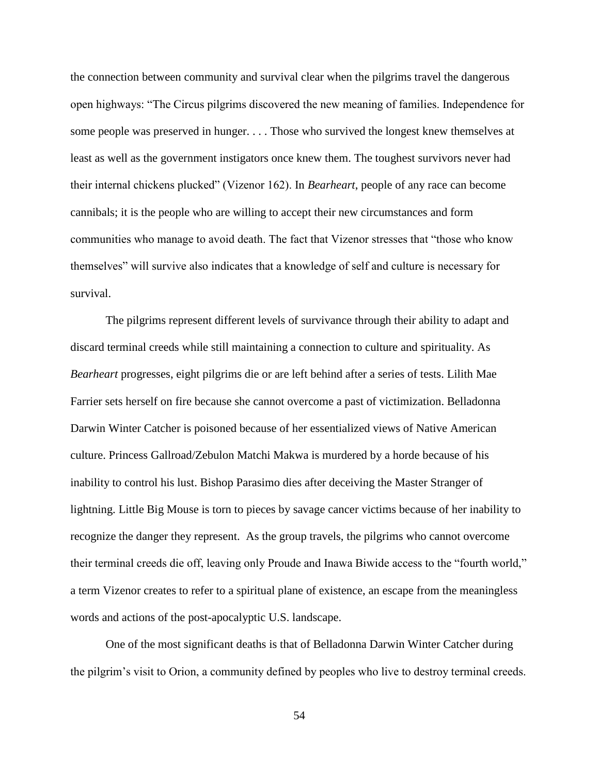the connection between community and survival clear when the pilgrims travel the dangerous open highways: "The Circus pilgrims discovered the new meaning of families. Independence for some people was preserved in hunger. . . . Those who survived the longest knew themselves at least as well as the government instigators once knew them. The toughest survivors never had their internal chickens plucked" (Vizenor 162). In *Bearheart*, people of any race can become cannibals; it is the people who are willing to accept their new circumstances and form communities who manage to avoid death. The fact that Vizenor stresses that "those who know themselves" will survive also indicates that a knowledge of self and culture is necessary for survival.

The pilgrims represent different levels of survivance through their ability to adapt and discard terminal creeds while still maintaining a connection to culture and spirituality. As *Bearheart* progresses, eight pilgrims die or are left behind after a series of tests. Lilith Mae Farrier sets herself on fire because she cannot overcome a past of victimization. Belladonna Darwin Winter Catcher is poisoned because of her essentialized views of Native American culture. Princess Gallroad/Zebulon Matchi Makwa is murdered by a horde because of his inability to control his lust. Bishop Parasimo dies after deceiving the Master Stranger of lightning. Little Big Mouse is torn to pieces by savage cancer victims because of her inability to recognize the danger they represent. As the group travels, the pilgrims who cannot overcome their terminal creeds die off, leaving only Proude and Inawa Biwide access to the "fourth world," a term Vizenor creates to refer to a spiritual plane of existence, an escape from the meaningless words and actions of the post-apocalyptic U.S. landscape.

One of the most significant deaths is that of Belladonna Darwin Winter Catcher during the pilgrim's visit to Orion, a community defined by peoples who live to destroy terminal creeds.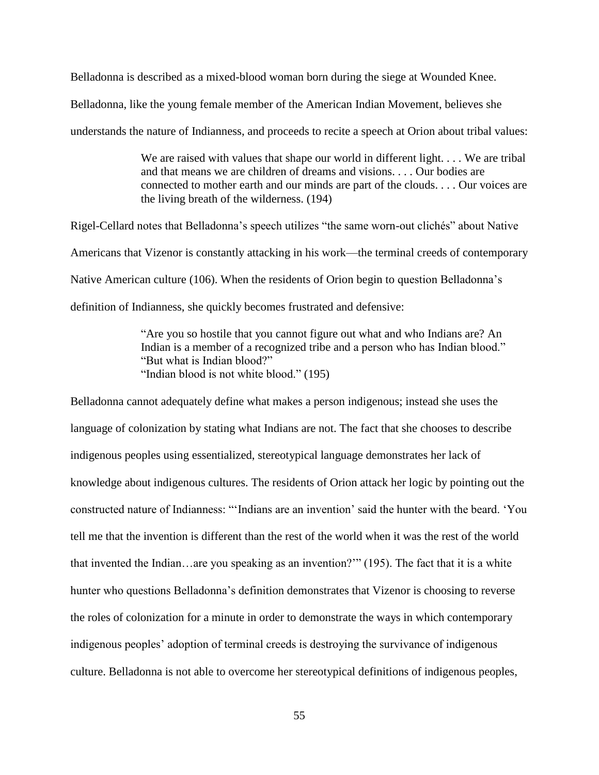Belladonna is described as a mixed-blood woman born during the siege at Wounded Knee.

Belladonna, like the young female member of the American Indian Movement, believes she

understands the nature of Indianness, and proceeds to recite a speech at Orion about tribal values:

We are raised with values that shape our world in different light.... We are tribal and that means we are children of dreams and visions. . . . Our bodies are connected to mother earth and our minds are part of the clouds. . . . Our voices are the living breath of the wilderness. (194)

Rigel-Cellard notes that Belladonna's speech utilizes "the same worn-out clichés" about Native Americans that Vizenor is constantly attacking in his work—the terminal creeds of contemporary Native American culture (106). When the residents of Orion begin to question Belladonna's definition of Indianness, she quickly becomes frustrated and defensive:

> "Are you so hostile that you cannot figure out what and who Indians are? An Indian is a member of a recognized tribe and a person who has Indian blood." "But what is Indian blood?" "Indian blood is not white blood." (195)

Belladonna cannot adequately define what makes a person indigenous; instead she uses the language of colonization by stating what Indians are not. The fact that she chooses to describe indigenous peoples using essentialized, stereotypical language demonstrates her lack of knowledge about indigenous cultures. The residents of Orion attack her logic by pointing out the constructed nature of Indianness: "'Indians are an invention' said the hunter with the beard. 'You tell me that the invention is different than the rest of the world when it was the rest of the world that invented the Indian…are you speaking as an invention?'" (195). The fact that it is a white hunter who questions Belladonna's definition demonstrates that Vizenor is choosing to reverse the roles of colonization for a minute in order to demonstrate the ways in which contemporary indigenous peoples' adoption of terminal creeds is destroying the survivance of indigenous culture. Belladonna is not able to overcome her stereotypical definitions of indigenous peoples,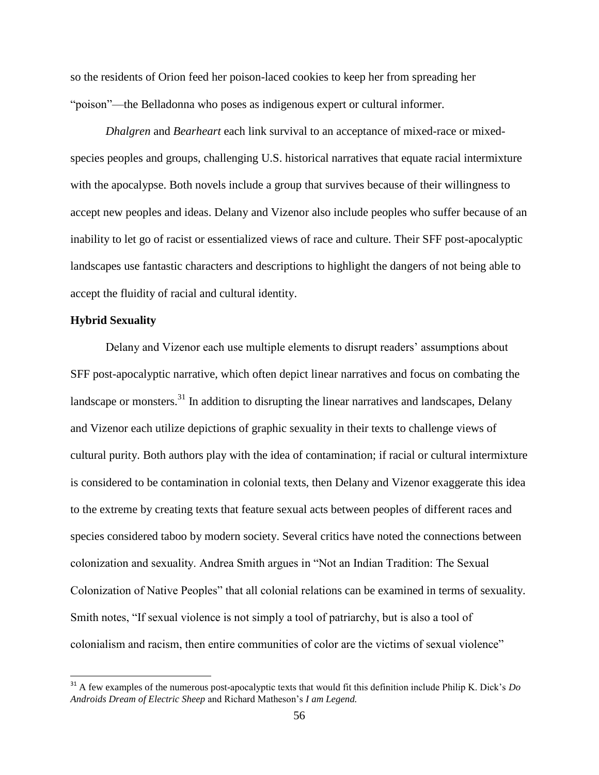so the residents of Orion feed her poison-laced cookies to keep her from spreading her "poison"—the Belladonna who poses as indigenous expert or cultural informer.

*Dhalgren* and *Bearheart* each link survival to an acceptance of mixed-race or mixedspecies peoples and groups, challenging U.S. historical narratives that equate racial intermixture with the apocalypse. Both novels include a group that survives because of their willingness to accept new peoples and ideas. Delany and Vizenor also include peoples who suffer because of an inability to let go of racist or essentialized views of race and culture. Their SFF post-apocalyptic landscapes use fantastic characters and descriptions to highlight the dangers of not being able to accept the fluidity of racial and cultural identity.

## **Hybrid Sexuality**

l

Delany and Vizenor each use multiple elements to disrupt readers' assumptions about SFF post-apocalyptic narrative, which often depict linear narratives and focus on combating the landscape or monsters.<sup>31</sup> In addition to disrupting the linear narratives and landscapes, Delany and Vizenor each utilize depictions of graphic sexuality in their texts to challenge views of cultural purity. Both authors play with the idea of contamination; if racial or cultural intermixture is considered to be contamination in colonial texts, then Delany and Vizenor exaggerate this idea to the extreme by creating texts that feature sexual acts between peoples of different races and species considered taboo by modern society. Several critics have noted the connections between colonization and sexuality. Andrea Smith argues in "Not an Indian Tradition: The Sexual Colonization of Native Peoples" that all colonial relations can be examined in terms of sexuality. Smith notes, "If sexual violence is not simply a tool of patriarchy, but is also a tool of colonialism and racism, then entire communities of color are the victims of sexual violence"

<sup>&</sup>lt;sup>31</sup> A few examples of the numerous post-apocalyptic texts that would fit this definition include Philip K. Dick's *Do Androids Dream of Electric Sheep* and Richard Matheson's *I am Legend.*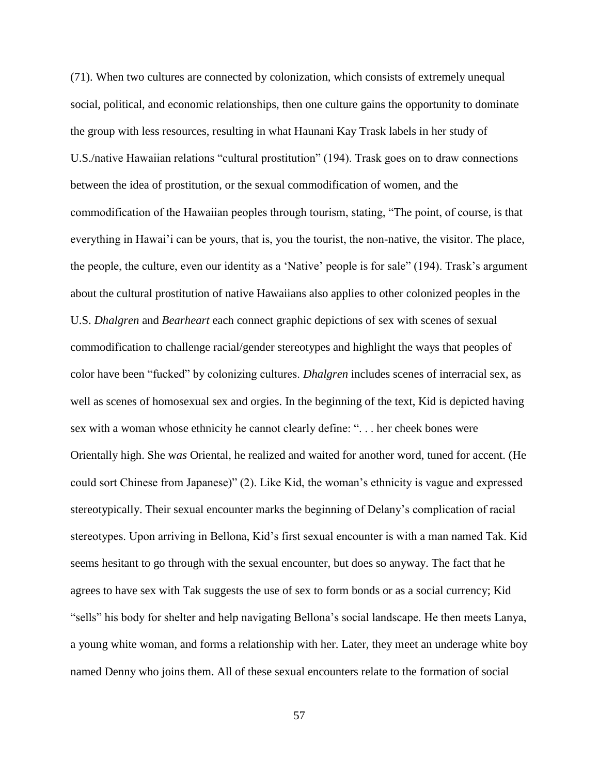(71). When two cultures are connected by colonization, which consists of extremely unequal social, political, and economic relationships, then one culture gains the opportunity to dominate the group with less resources, resulting in what Haunani Kay Trask labels in her study of U.S./native Hawaiian relations "cultural prostitution" (194). Trask goes on to draw connections between the idea of prostitution, or the sexual commodification of women, and the commodification of the Hawaiian peoples through tourism, stating, "The point, of course, is that everything in Hawai'i can be yours, that is, you the tourist, the non-native, the visitor. The place, the people, the culture, even our identity as a 'Native' people is for sale" (194). Trask's argument about the cultural prostitution of native Hawaiians also applies to other colonized peoples in the U.S. *Dhalgren* and *Bearheart* each connect graphic depictions of sex with scenes of sexual commodification to challenge racial/gender stereotypes and highlight the ways that peoples of color have been "fucked" by colonizing cultures. *Dhalgren* includes scenes of interracial sex, as well as scenes of homosexual sex and orgies. In the beginning of the text, Kid is depicted having sex with a woman whose ethnicity he cannot clearly define: ". . . her cheek bones were Orientally high. She w*as* Oriental, he realized and waited for another word, tuned for accent. (He could sort Chinese from Japanese)" (2). Like Kid, the woman's ethnicity is vague and expressed stereotypically. Their sexual encounter marks the beginning of Delany's complication of racial stereotypes. Upon arriving in Bellona, Kid's first sexual encounter is with a man named Tak. Kid seems hesitant to go through with the sexual encounter, but does so anyway. The fact that he agrees to have sex with Tak suggests the use of sex to form bonds or as a social currency; Kid "sells" his body for shelter and help navigating Bellona's social landscape. He then meets Lanya, a young white woman, and forms a relationship with her. Later, they meet an underage white boy named Denny who joins them. All of these sexual encounters relate to the formation of social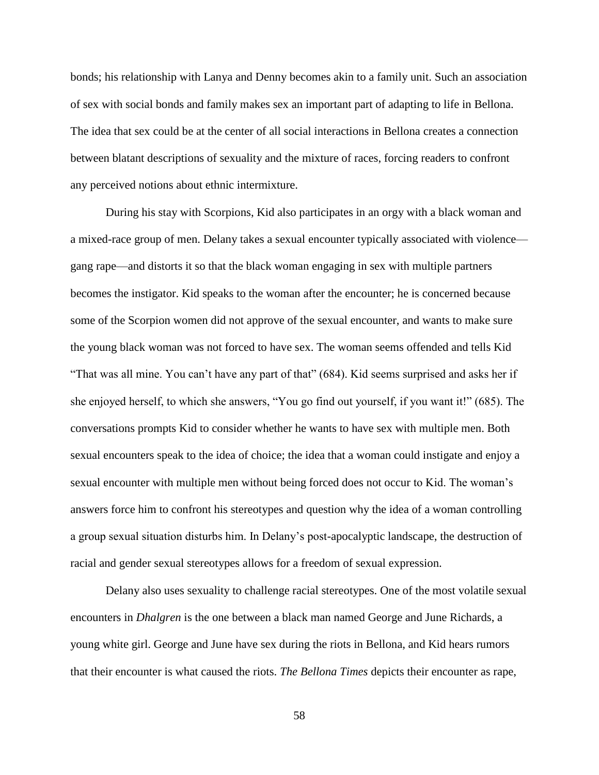bonds; his relationship with Lanya and Denny becomes akin to a family unit. Such an association of sex with social bonds and family makes sex an important part of adapting to life in Bellona. The idea that sex could be at the center of all social interactions in Bellona creates a connection between blatant descriptions of sexuality and the mixture of races, forcing readers to confront any perceived notions about ethnic intermixture.

During his stay with Scorpions, Kid also participates in an orgy with a black woman and a mixed-race group of men. Delany takes a sexual encounter typically associated with violence gang rape—and distorts it so that the black woman engaging in sex with multiple partners becomes the instigator. Kid speaks to the woman after the encounter; he is concerned because some of the Scorpion women did not approve of the sexual encounter, and wants to make sure the young black woman was not forced to have sex. The woman seems offended and tells Kid "That was all mine. You can't have any part of that" (684). Kid seems surprised and asks her if she enjoyed herself, to which she answers, "You go find out yourself, if you want it!" (685). The conversations prompts Kid to consider whether he wants to have sex with multiple men. Both sexual encounters speak to the idea of choice; the idea that a woman could instigate and enjoy a sexual encounter with multiple men without being forced does not occur to Kid. The woman's answers force him to confront his stereotypes and question why the idea of a woman controlling a group sexual situation disturbs him. In Delany's post-apocalyptic landscape, the destruction of racial and gender sexual stereotypes allows for a freedom of sexual expression.

Delany also uses sexuality to challenge racial stereotypes. One of the most volatile sexual encounters in *Dhalgren* is the one between a black man named George and June Richards, a young white girl. George and June have sex during the riots in Bellona, and Kid hears rumors that their encounter is what caused the riots. *The Bellona Times* depicts their encounter as rape,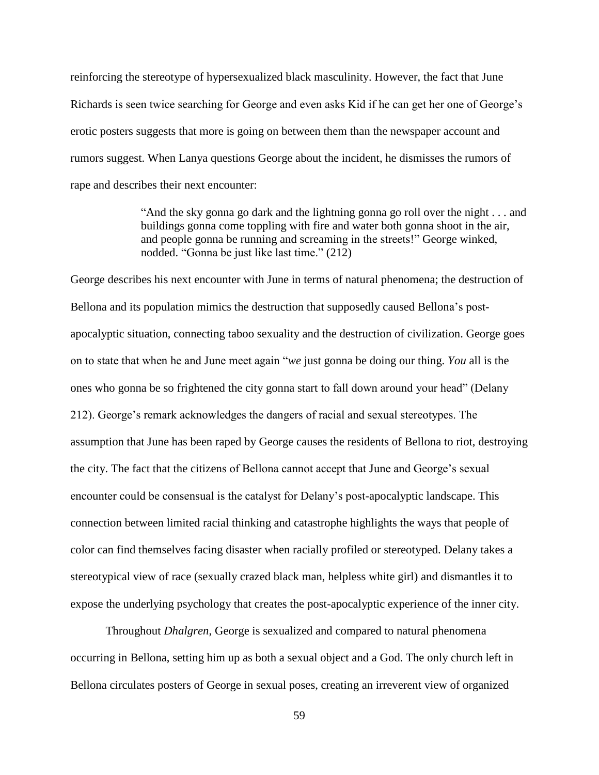reinforcing the stereotype of hypersexualized black masculinity. However, the fact that June Richards is seen twice searching for George and even asks Kid if he can get her one of George's erotic posters suggests that more is going on between them than the newspaper account and rumors suggest. When Lanya questions George about the incident, he dismisses the rumors of rape and describes their next encounter:

> "And the sky gonna go dark and the lightning gonna go roll over the night . . . and buildings gonna come toppling with fire and water both gonna shoot in the air, and people gonna be running and screaming in the streets!" George winked, nodded. "Gonna be just like last time." (212)

George describes his next encounter with June in terms of natural phenomena; the destruction of Bellona and its population mimics the destruction that supposedly caused Bellona's postapocalyptic situation, connecting taboo sexuality and the destruction of civilization. George goes on to state that when he and June meet again "*we* just gonna be doing our thing. *You* all is the ones who gonna be so frightened the city gonna start to fall down around your head" (Delany 212). George's remark acknowledges the dangers of racial and sexual stereotypes. The assumption that June has been raped by George causes the residents of Bellona to riot, destroying the city. The fact that the citizens of Bellona cannot accept that June and George's sexual encounter could be consensual is the catalyst for Delany's post-apocalyptic landscape. This connection between limited racial thinking and catastrophe highlights the ways that people of color can find themselves facing disaster when racially profiled or stereotyped. Delany takes a stereotypical view of race (sexually crazed black man, helpless white girl) and dismantles it to expose the underlying psychology that creates the post-apocalyptic experience of the inner city.

Throughout *Dhalgren*, George is sexualized and compared to natural phenomena occurring in Bellona, setting him up as both a sexual object and a God. The only church left in Bellona circulates posters of George in sexual poses, creating an irreverent view of organized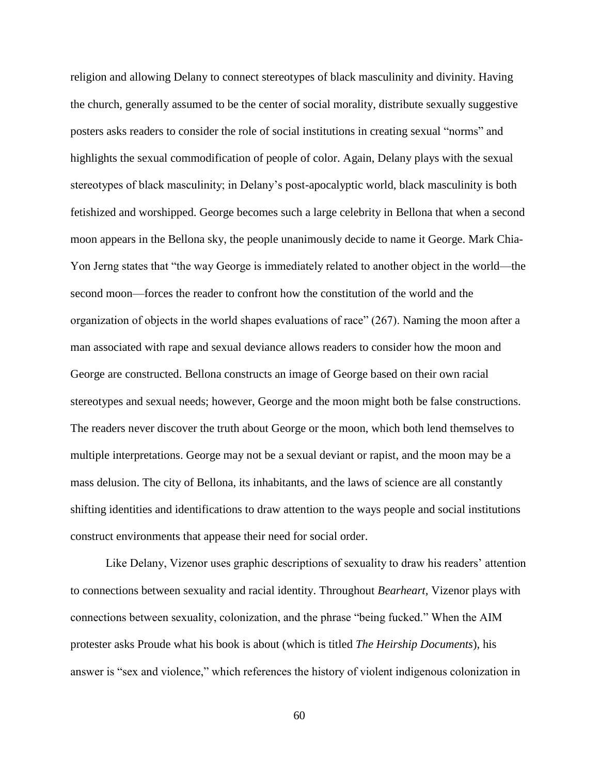religion and allowing Delany to connect stereotypes of black masculinity and divinity. Having the church, generally assumed to be the center of social morality, distribute sexually suggestive posters asks readers to consider the role of social institutions in creating sexual "norms" and highlights the sexual commodification of people of color. Again, Delany plays with the sexual stereotypes of black masculinity; in Delany's post-apocalyptic world, black masculinity is both fetishized and worshipped. George becomes such a large celebrity in Bellona that when a second moon appears in the Bellona sky, the people unanimously decide to name it George. Mark Chia-Yon Jerng states that "the way George is immediately related to another object in the world—the second moon—forces the reader to confront how the constitution of the world and the organization of objects in the world shapes evaluations of race" (267). Naming the moon after a man associated with rape and sexual deviance allows readers to consider how the moon and George are constructed. Bellona constructs an image of George based on their own racial stereotypes and sexual needs; however, George and the moon might both be false constructions. The readers never discover the truth about George or the moon, which both lend themselves to multiple interpretations. George may not be a sexual deviant or rapist, and the moon may be a mass delusion. The city of Bellona, its inhabitants, and the laws of science are all constantly shifting identities and identifications to draw attention to the ways people and social institutions construct environments that appease their need for social order.

Like Delany, Vizenor uses graphic descriptions of sexuality to draw his readers' attention to connections between sexuality and racial identity. Throughout *Bearheart,* Vizenor plays with connections between sexuality, colonization, and the phrase "being fucked." When the AIM protester asks Proude what his book is about (which is titled *The Heirship Documents*), his answer is "sex and violence," which references the history of violent indigenous colonization in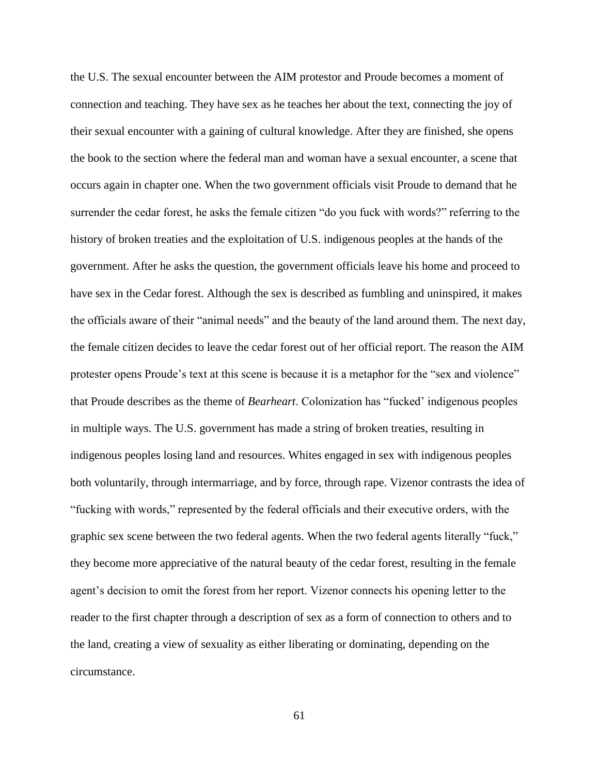the U.S. The sexual encounter between the AIM protestor and Proude becomes a moment of connection and teaching. They have sex as he teaches her about the text, connecting the joy of their sexual encounter with a gaining of cultural knowledge. After they are finished, she opens the book to the section where the federal man and woman have a sexual encounter, a scene that occurs again in chapter one. When the two government officials visit Proude to demand that he surrender the cedar forest, he asks the female citizen "do you fuck with words?" referring to the history of broken treaties and the exploitation of U.S. indigenous peoples at the hands of the government. After he asks the question, the government officials leave his home and proceed to have sex in the Cedar forest. Although the sex is described as fumbling and uninspired, it makes the officials aware of their "animal needs" and the beauty of the land around them. The next day, the female citizen decides to leave the cedar forest out of her official report. The reason the AIM protester opens Proude's text at this scene is because it is a metaphor for the "sex and violence" that Proude describes as the theme of *Bearheart*. Colonization has "fucked' indigenous peoples in multiple ways. The U.S. government has made a string of broken treaties, resulting in indigenous peoples losing land and resources. Whites engaged in sex with indigenous peoples both voluntarily, through intermarriage, and by force, through rape. Vizenor contrasts the idea of "fucking with words," represented by the federal officials and their executive orders, with the graphic sex scene between the two federal agents. When the two federal agents literally "fuck," they become more appreciative of the natural beauty of the cedar forest, resulting in the female agent's decision to omit the forest from her report. Vizenor connects his opening letter to the reader to the first chapter through a description of sex as a form of connection to others and to the land, creating a view of sexuality as either liberating or dominating, depending on the circumstance.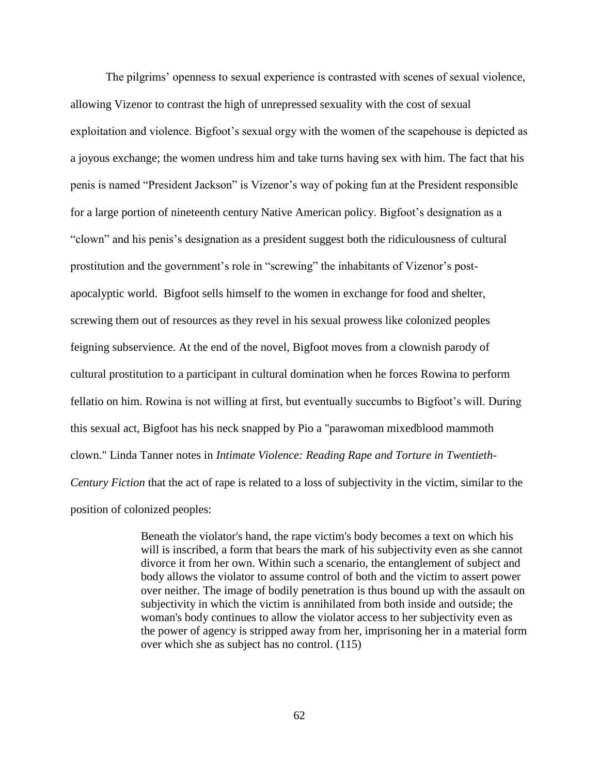The pilgrims' openness to sexual experience is contrasted with scenes of sexual violence, allowing Vizenor to contrast the high of unrepressed sexuality with the cost of sexual exploitation and violence. Bigfoot's sexual orgy with the women of the scapehouse is depicted as a joyous exchange; the women undress him and take turns having sex with him. The fact that his penis is named "President Jackson" is Vizenor's way of poking fun at the President responsible for a large portion of nineteenth century Native American policy. Bigfoot's designation as a "clown" and his penis's designation as a president suggest both the ridiculousness of cultural prostitution and the government's role in "screwing" the inhabitants of Vizenor's postapocalyptic world. Bigfoot sells himself to the women in exchange for food and shelter, screwing them out of resources as they revel in his sexual prowess like colonized peoples feigning subservience. At the end of the novel, Bigfoot moves from a clownish parody of cultural prostitution to a participant in cultural domination when he forces Rowina to perform fellatio on him. Rowina is not willing at first, but eventually succumbs to Bigfoot's will. During this sexual act, Bigfoot has his neck snapped by Pio a "parawoman mixedblood mammoth clown." Linda Tanner notes in *Intimate Violence: Reading Rape and Torture in Twentieth-Century Fiction* that the act of rape is related to a loss of subjectivity in the victim, similar to the position of colonized peoples:

> Beneath the violator's hand, the rape victim's body becomes a text on which his will is inscribed, a form that bears the mark of his subjectivity even as she cannot divorce it from her own. Within such a scenario, the entanglement of subject and body allows the violator to assume control of both and the victim to assert power over neither. The image of bodily penetration is thus bound up with the assault on subjectivity in which the victim is annihilated from both inside and outside; the woman's body continues to allow the violator access to her subjectivity even as the power of agency is stripped away from her, imprisoning her in a material form over which she as subject has no control. (115)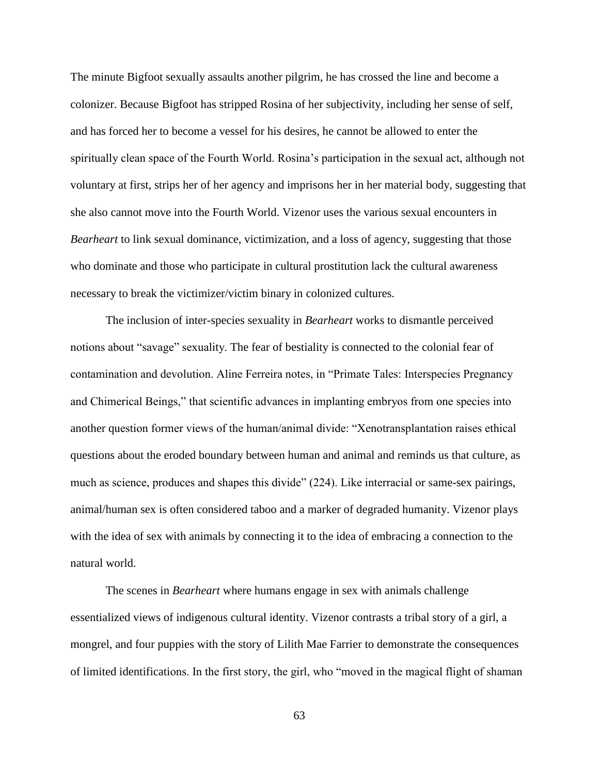The minute Bigfoot sexually assaults another pilgrim, he has crossed the line and become a colonizer. Because Bigfoot has stripped Rosina of her subjectivity, including her sense of self, and has forced her to become a vessel for his desires, he cannot be allowed to enter the spiritually clean space of the Fourth World. Rosina's participation in the sexual act, although not voluntary at first, strips her of her agency and imprisons her in her material body, suggesting that she also cannot move into the Fourth World. Vizenor uses the various sexual encounters in *Bearheart* to link sexual dominance, victimization, and a loss of agency, suggesting that those who dominate and those who participate in cultural prostitution lack the cultural awareness necessary to break the victimizer/victim binary in colonized cultures.

The inclusion of inter-species sexuality in *Bearheart* works to dismantle perceived notions about "savage" sexuality. The fear of bestiality is connected to the colonial fear of contamination and devolution. Aline Ferreira notes, in "Primate Tales: Interspecies Pregnancy and Chimerical Beings," that scientific advances in implanting embryos from one species into another question former views of the human/animal divide: "Xenotransplantation raises ethical questions about the eroded boundary between human and animal and reminds us that culture, as much as science, produces and shapes this divide" (224). Like interracial or same-sex pairings, animal/human sex is often considered taboo and a marker of degraded humanity. Vizenor plays with the idea of sex with animals by connecting it to the idea of embracing a connection to the natural world.

The scenes in *Bearheart* where humans engage in sex with animals challenge essentialized views of indigenous cultural identity. Vizenor contrasts a tribal story of a girl, a mongrel, and four puppies with the story of Lilith Mae Farrier to demonstrate the consequences of limited identifications. In the first story, the girl, who "moved in the magical flight of shaman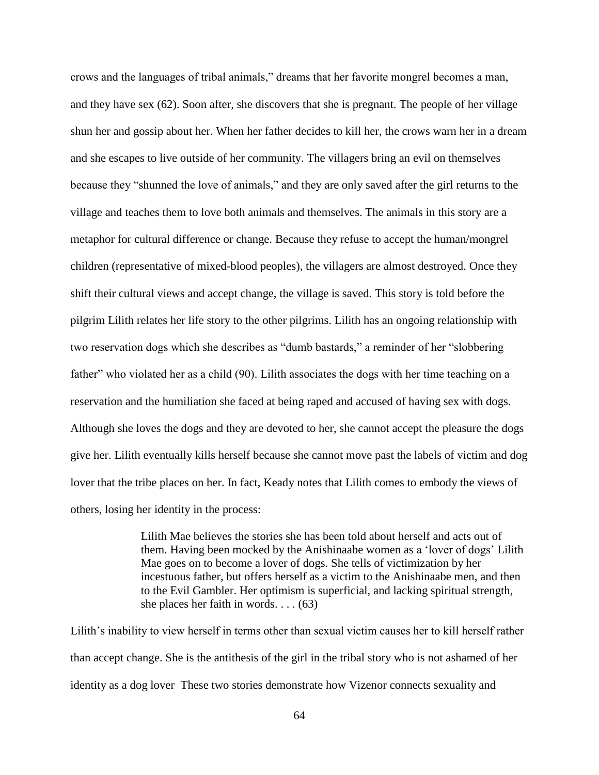crows and the languages of tribal animals," dreams that her favorite mongrel becomes a man, and they have sex (62). Soon after, she discovers that she is pregnant. The people of her village shun her and gossip about her. When her father decides to kill her, the crows warn her in a dream and she escapes to live outside of her community. The villagers bring an evil on themselves because they "shunned the love of animals," and they are only saved after the girl returns to the village and teaches them to love both animals and themselves. The animals in this story are a metaphor for cultural difference or change. Because they refuse to accept the human/mongrel children (representative of mixed-blood peoples), the villagers are almost destroyed. Once they shift their cultural views and accept change, the village is saved. This story is told before the pilgrim Lilith relates her life story to the other pilgrims. Lilith has an ongoing relationship with two reservation dogs which she describes as "dumb bastards," a reminder of her "slobbering father" who violated her as a child (90). Lilith associates the dogs with her time teaching on a reservation and the humiliation she faced at being raped and accused of having sex with dogs. Although she loves the dogs and they are devoted to her, she cannot accept the pleasure the dogs give her. Lilith eventually kills herself because she cannot move past the labels of victim and dog lover that the tribe places on her. In fact, Keady notes that Lilith comes to embody the views of others, losing her identity in the process:

> Lilith Mae believes the stories she has been told about herself and acts out of them. Having been mocked by the Anishinaabe women as a 'lover of dogs' Lilith Mae goes on to become a lover of dogs. She tells of victimization by her incestuous father, but offers herself as a victim to the Anishinaabe men, and then to the Evil Gambler. Her optimism is superficial, and lacking spiritual strength, she places her faith in words. . . . (63)

Lilith's inability to view herself in terms other than sexual victim causes her to kill herself rather than accept change. She is the antithesis of the girl in the tribal story who is not ashamed of her identity as a dog lover These two stories demonstrate how Vizenor connects sexuality and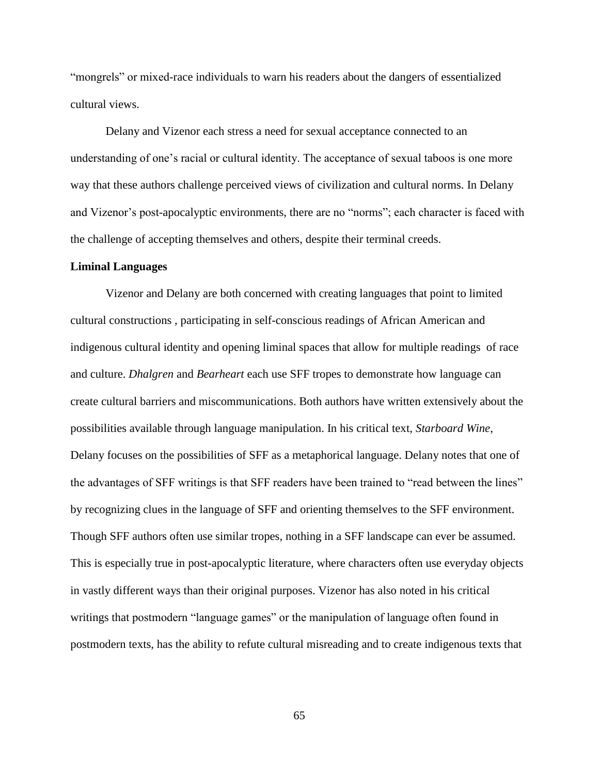"mongrels" or mixed-race individuals to warn his readers about the dangers of essentialized cultural views.

Delany and Vizenor each stress a need for sexual acceptance connected to an understanding of one's racial or cultural identity. The acceptance of sexual taboos is one more way that these authors challenge perceived views of civilization and cultural norms. In Delany and Vizenor's post-apocalyptic environments, there are no "norms"; each character is faced with the challenge of accepting themselves and others, despite their terminal creeds.

#### **Liminal Languages**

Vizenor and Delany are both concerned with creating languages that point to limited cultural constructions , participating in self-conscious readings of African American and indigenous cultural identity and opening liminal spaces that allow for multiple readings of race and culture. *Dhalgren* and *Bearheart* each use SFF tropes to demonstrate how language can create cultural barriers and miscommunications. Both authors have written extensively about the possibilities available through language manipulation. In his critical text, *Starboard Wine*, Delany focuses on the possibilities of SFF as a metaphorical language. Delany notes that one of the advantages of SFF writings is that SFF readers have been trained to "read between the lines" by recognizing clues in the language of SFF and orienting themselves to the SFF environment. Though SFF authors often use similar tropes, nothing in a SFF landscape can ever be assumed. This is especially true in post-apocalyptic literature, where characters often use everyday objects in vastly different ways than their original purposes. Vizenor has also noted in his critical writings that postmodern "language games" or the manipulation of language often found in postmodern texts, has the ability to refute cultural misreading and to create indigenous texts that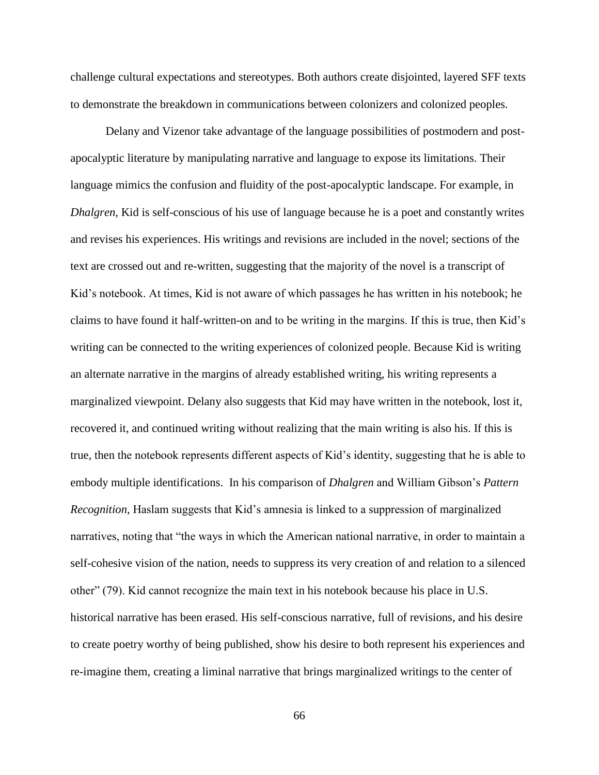challenge cultural expectations and stereotypes. Both authors create disjointed, layered SFF texts to demonstrate the breakdown in communications between colonizers and colonized peoples.

Delany and Vizenor take advantage of the language possibilities of postmodern and postapocalyptic literature by manipulating narrative and language to expose its limitations. Their language mimics the confusion and fluidity of the post-apocalyptic landscape. For example, in *Dhalgren,* Kid is self-conscious of his use of language because he is a poet and constantly writes and revises his experiences. His writings and revisions are included in the novel; sections of the text are crossed out and re-written, suggesting that the majority of the novel is a transcript of Kid's notebook. At times, Kid is not aware of which passages he has written in his notebook; he claims to have found it half-written-on and to be writing in the margins. If this is true, then Kid's writing can be connected to the writing experiences of colonized people. Because Kid is writing an alternate narrative in the margins of already established writing, his writing represents a marginalized viewpoint. Delany also suggests that Kid may have written in the notebook, lost it, recovered it, and continued writing without realizing that the main writing is also his. If this is true, then the notebook represents different aspects of Kid's identity, suggesting that he is able to embody multiple identifications. In his comparison of *Dhalgren* and William Gibson's *Pattern Recognition,* Haslam suggests that Kid's amnesia is linked to a suppression of marginalized narratives, noting that "the ways in which the American national narrative, in order to maintain a self-cohesive vision of the nation, needs to suppress its very creation of and relation to a silenced other" (79). Kid cannot recognize the main text in his notebook because his place in U.S. historical narrative has been erased. His self-conscious narrative, full of revisions, and his desire to create poetry worthy of being published, show his desire to both represent his experiences and re-imagine them, creating a liminal narrative that brings marginalized writings to the center of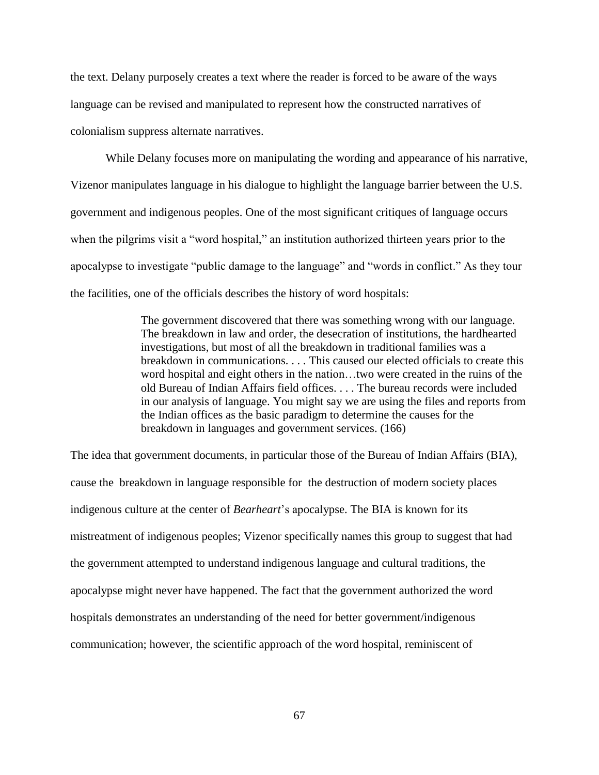the text. Delany purposely creates a text where the reader is forced to be aware of the ways language can be revised and manipulated to represent how the constructed narratives of colonialism suppress alternate narratives.

While Delany focuses more on manipulating the wording and appearance of his narrative, Vizenor manipulates language in his dialogue to highlight the language barrier between the U.S. government and indigenous peoples. One of the most significant critiques of language occurs when the pilgrims visit a "word hospital," an institution authorized thirteen years prior to the apocalypse to investigate "public damage to the language" and "words in conflict." As they tour the facilities, one of the officials describes the history of word hospitals:

> The government discovered that there was something wrong with our language. The breakdown in law and order, the desecration of institutions, the hardhearted investigations, but most of all the breakdown in traditional families was a breakdown in communications. . . . This caused our elected officials to create this word hospital and eight others in the nation…two were created in the ruins of the old Bureau of Indian Affairs field offices. . . . The bureau records were included in our analysis of language. You might say we are using the files and reports from the Indian offices as the basic paradigm to determine the causes for the breakdown in languages and government services. (166)

The idea that government documents, in particular those of the Bureau of Indian Affairs (BIA), cause the breakdown in language responsible for the destruction of modern society places indigenous culture at the center of *Bearheart*'s apocalypse. The BIA is known for its mistreatment of indigenous peoples; Vizenor specifically names this group to suggest that had the government attempted to understand indigenous language and cultural traditions, the apocalypse might never have happened. The fact that the government authorized the word hospitals demonstrates an understanding of the need for better government/indigenous communication; however, the scientific approach of the word hospital, reminiscent of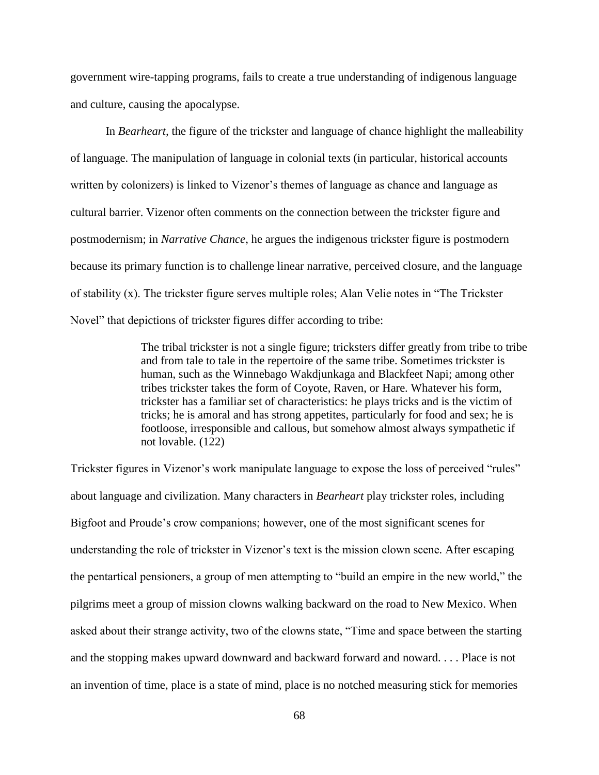government wire-tapping programs, fails to create a true understanding of indigenous language and culture, causing the apocalypse.

In *Bearheart,* the figure of the trickster and language of chance highlight the malleability of language. The manipulation of language in colonial texts (in particular, historical accounts written by colonizers) is linked to Vizenor's themes of language as chance and language as cultural barrier. Vizenor often comments on the connection between the trickster figure and postmodernism; in *Narrative Chance*, he argues the indigenous trickster figure is postmodern because its primary function is to challenge linear narrative, perceived closure, and the language of stability (x). The trickster figure serves multiple roles; Alan Velie notes in "The Trickster Novel" that depictions of trickster figures differ according to tribe:

> The tribal trickster is not a single figure; tricksters differ greatly from tribe to tribe and from tale to tale in the repertoire of the same tribe. Sometimes trickster is human, such as the Winnebago Wakdjunkaga and Blackfeet Napi; among other tribes trickster takes the form of Coyote, Raven, or Hare. Whatever his form, trickster has a familiar set of characteristics: he plays tricks and is the victim of tricks; he is amoral and has strong appetites, particularly for food and sex; he is footloose, irresponsible and callous, but somehow almost always sympathetic if not lovable. (122)

Trickster figures in Vizenor's work manipulate language to expose the loss of perceived "rules" about language and civilization. Many characters in *Bearheart* play trickster roles, including Bigfoot and Proude's crow companions; however, one of the most significant scenes for understanding the role of trickster in Vizenor's text is the mission clown scene*.* After escaping the pentartical pensioners, a group of men attempting to "build an empire in the new world," the pilgrims meet a group of mission clowns walking backward on the road to New Mexico. When asked about their strange activity, two of the clowns state, "Time and space between the starting and the stopping makes upward downward and backward forward and noward. . . . Place is not an invention of time, place is a state of mind, place is no notched measuring stick for memories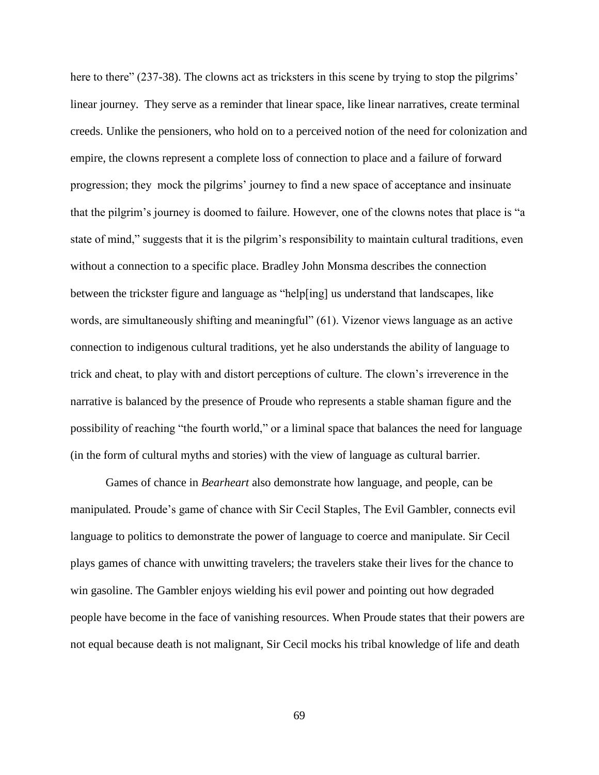here to there" (237-38). The clowns act as tricksters in this scene by trying to stop the pilgrims' linear journey. They serve as a reminder that linear space, like linear narratives, create terminal creeds. Unlike the pensioners, who hold on to a perceived notion of the need for colonization and empire, the clowns represent a complete loss of connection to place and a failure of forward progression; they mock the pilgrims' journey to find a new space of acceptance and insinuate that the pilgrim's journey is doomed to failure. However, one of the clowns notes that place is "a state of mind," suggests that it is the pilgrim's responsibility to maintain cultural traditions, even without a connection to a specific place. Bradley John Monsma describes the connection between the trickster figure and language as "help[ing] us understand that landscapes, like words, are simultaneously shifting and meaningful" (61). Vizenor views language as an active connection to indigenous cultural traditions, yet he also understands the ability of language to trick and cheat, to play with and distort perceptions of culture. The clown's irreverence in the narrative is balanced by the presence of Proude who represents a stable shaman figure and the possibility of reaching "the fourth world," or a liminal space that balances the need for language (in the form of cultural myths and stories) with the view of language as cultural barrier.

Games of chance in *Bearheart* also demonstrate how language, and people, can be manipulated*.* Proude's game of chance with Sir Cecil Staples, The Evil Gambler, connects evil language to politics to demonstrate the power of language to coerce and manipulate. Sir Cecil plays games of chance with unwitting travelers; the travelers stake their lives for the chance to win gasoline. The Gambler enjoys wielding his evil power and pointing out how degraded people have become in the face of vanishing resources. When Proude states that their powers are not equal because death is not malignant, Sir Cecil mocks his tribal knowledge of life and death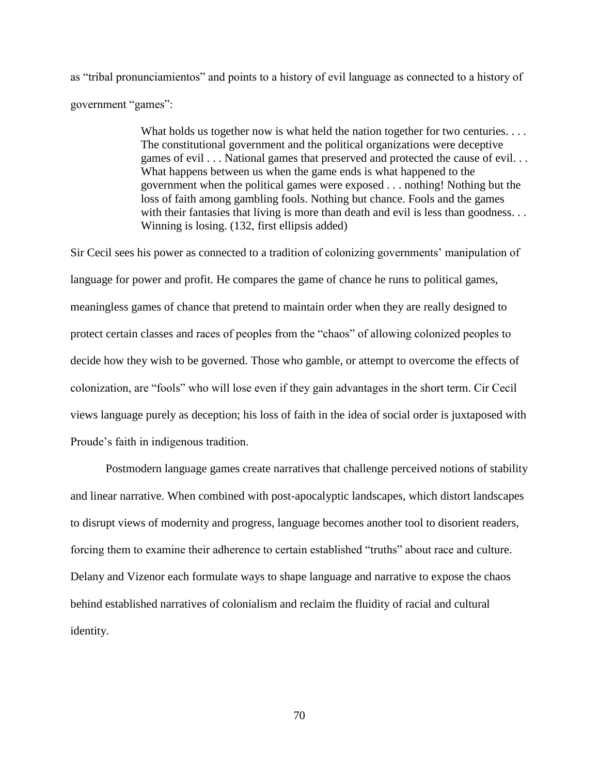as "tribal pronunciamientos" and points to a history of evil language as connected to a history of government "games":

> What holds us together now is what held the nation together for two centuries. . . . The constitutional government and the political organizations were deceptive games of evil . . . National games that preserved and protected the cause of evil. . . What happens between us when the game ends is what happened to the government when the political games were exposed . . . nothing! Nothing but the loss of faith among gambling fools. Nothing but chance. Fools and the games with their fantasies that living is more than death and evil is less than goodness... Winning is losing. (132, first ellipsis added)

Sir Cecil sees his power as connected to a tradition of colonizing governments' manipulation of language for power and profit. He compares the game of chance he runs to political games, meaningless games of chance that pretend to maintain order when they are really designed to protect certain classes and races of peoples from the "chaos" of allowing colonized peoples to decide how they wish to be governed. Those who gamble, or attempt to overcome the effects of colonization, are "fools" who will lose even if they gain advantages in the short term. Cir Cecil views language purely as deception; his loss of faith in the idea of social order is juxtaposed with Proude's faith in indigenous tradition.

Postmodern language games create narratives that challenge perceived notions of stability and linear narrative. When combined with post-apocalyptic landscapes, which distort landscapes to disrupt views of modernity and progress, language becomes another tool to disorient readers, forcing them to examine their adherence to certain established "truths" about race and culture. Delany and Vizenor each formulate ways to shape language and narrative to expose the chaos behind established narratives of colonialism and reclaim the fluidity of racial and cultural identity.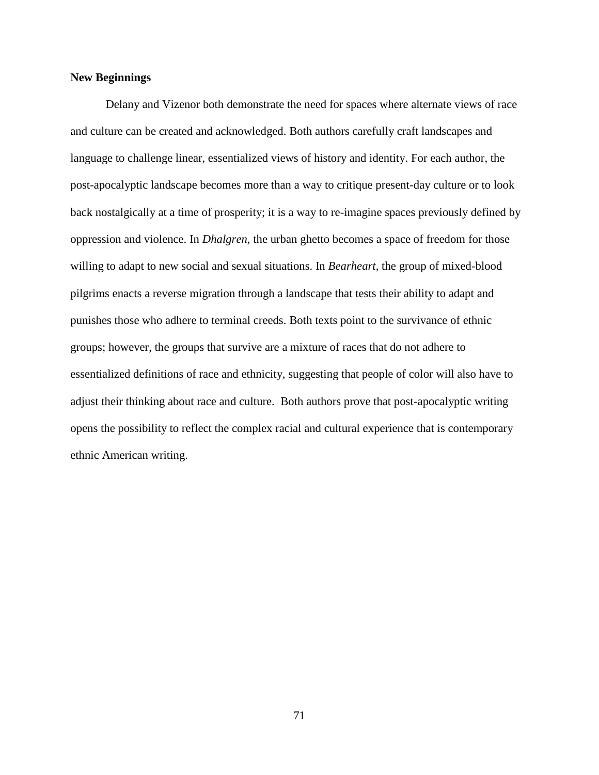### **New Beginnings**

Delany and Vizenor both demonstrate the need for spaces where alternate views of race and culture can be created and acknowledged. Both authors carefully craft landscapes and language to challenge linear, essentialized views of history and identity. For each author, the post-apocalyptic landscape becomes more than a way to critique present-day culture or to look back nostalgically at a time of prosperity; it is a way to re-imagine spaces previously defined by oppression and violence. In *Dhalgren*, the urban ghetto becomes a space of freedom for those willing to adapt to new social and sexual situations. In *Bearheart*, the group of mixed-blood pilgrims enacts a reverse migration through a landscape that tests their ability to adapt and punishes those who adhere to terminal creeds. Both texts point to the survivance of ethnic groups; however, the groups that survive are a mixture of races that do not adhere to essentialized definitions of race and ethnicity, suggesting that people of color will also have to adjust their thinking about race and culture. Both authors prove that post-apocalyptic writing opens the possibility to reflect the complex racial and cultural experience that is contemporary ethnic American writing.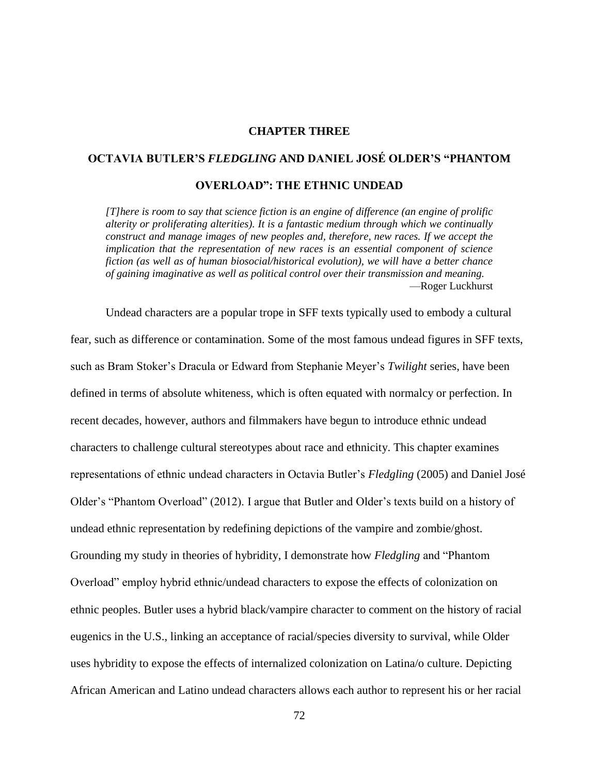## **CHAPTER THREE**

# **OCTAVIA BUTLER'S** *FLEDGLING* **AND DANIEL JOSÉ OLDER'S "PHANTOM**

## **OVERLOAD": THE ETHNIC UNDEAD**

*[T]here is room to say that science fiction is an engine of difference (an engine of prolific alterity or proliferating alterities). It is a fantastic medium through which we continually construct and manage images of new peoples and, therefore, new races. If we accept the implication that the representation of new races is an essential component of science fiction (as well as of human biosocial/historical evolution), we will have a better chance of gaining imaginative as well as political control over their transmission and meaning.* —Roger Luckhurst

Undead characters are a popular trope in SFF texts typically used to embody a cultural fear, such as difference or contamination. Some of the most famous undead figures in SFF texts, such as Bram Stoker's Dracula or Edward from Stephanie Meyer's *Twilight* series, have been defined in terms of absolute whiteness, which is often equated with normalcy or perfection. In recent decades, however, authors and filmmakers have begun to introduce ethnic undead characters to challenge cultural stereotypes about race and ethnicity. This chapter examines representations of ethnic undead characters in Octavia Butler's *Fledgling* (2005) and Daniel José Older's "Phantom Overload" (2012). I argue that Butler and Older's texts build on a history of undead ethnic representation by redefining depictions of the vampire and zombie/ghost. Grounding my study in theories of hybridity, I demonstrate how *Fledgling* and "Phantom Overload" employ hybrid ethnic/undead characters to expose the effects of colonization on ethnic peoples. Butler uses a hybrid black/vampire character to comment on the history of racial eugenics in the U.S., linking an acceptance of racial/species diversity to survival, while Older uses hybridity to expose the effects of internalized colonization on Latina/o culture. Depicting African American and Latino undead characters allows each author to represent his or her racial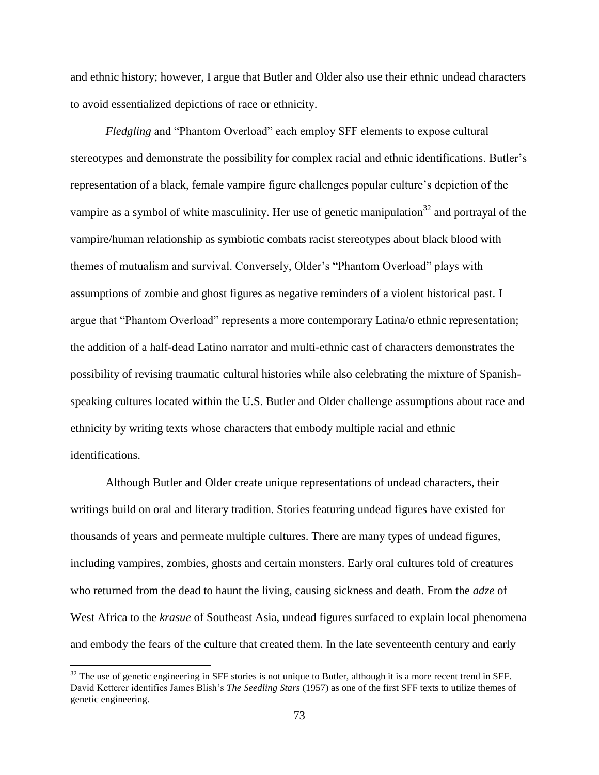and ethnic history; however, I argue that Butler and Older also use their ethnic undead characters to avoid essentialized depictions of race or ethnicity.

*Fledgling* and "Phantom Overload" each employ SFF elements to expose cultural stereotypes and demonstrate the possibility for complex racial and ethnic identifications. Butler's representation of a black, female vampire figure challenges popular culture's depiction of the vampire as a symbol of white masculinity. Her use of genetic manipulation<sup>32</sup> and portrayal of the vampire/human relationship as symbiotic combats racist stereotypes about black blood with themes of mutualism and survival. Conversely, Older's "Phantom Overload" plays with assumptions of zombie and ghost figures as negative reminders of a violent historical past. I argue that "Phantom Overload" represents a more contemporary Latina/o ethnic representation; the addition of a half-dead Latino narrator and multi-ethnic cast of characters demonstrates the possibility of revising traumatic cultural histories while also celebrating the mixture of Spanishspeaking cultures located within the U.S. Butler and Older challenge assumptions about race and ethnicity by writing texts whose characters that embody multiple racial and ethnic identifications.

Although Butler and Older create unique representations of undead characters, their writings build on oral and literary tradition. Stories featuring undead figures have existed for thousands of years and permeate multiple cultures. There are many types of undead figures, including vampires, zombies, ghosts and certain monsters. Early oral cultures told of creatures who returned from the dead to haunt the living, causing sickness and death. From the *adze* of West Africa to the *krasue* of Southeast Asia, undead figures surfaced to explain local phenomena and embody the fears of the culture that created them. In the late seventeenth century and early

 $32$  The use of genetic engineering in SFF stories is not unique to Butler, although it is a more recent trend in SFF. David Ketterer identifies James Blish's *The Seedling Stars* (1957) as one of the first SFF texts to utilize themes of genetic engineering.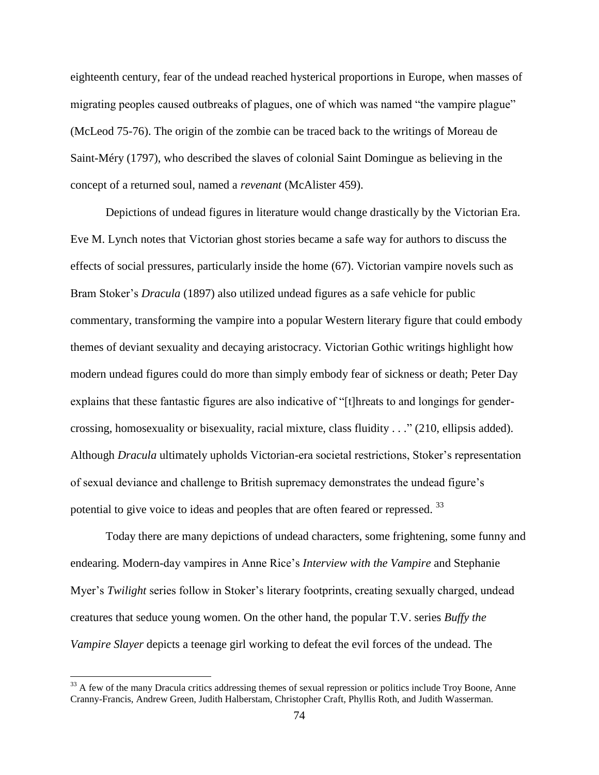eighteenth century, fear of the undead reached hysterical proportions in Europe, when masses of migrating peoples caused outbreaks of plagues, one of which was named "the vampire plague" (McLeod 75-76). The origin of the zombie can be traced back to the writings of Moreau de Saint-Méry (1797), who described the slaves of colonial Saint Domingue as believing in the concept of a returned soul, named a *revenant* (McAlister 459).

Depictions of undead figures in literature would change drastically by the Victorian Era. Eve M. Lynch notes that Victorian ghost stories became a safe way for authors to discuss the effects of social pressures, particularly inside the home (67). Victorian vampire novels such as Bram Stoker's *Dracula* (1897) also utilized undead figures as a safe vehicle for public commentary, transforming the vampire into a popular Western literary figure that could embody themes of deviant sexuality and decaying aristocracy. Victorian Gothic writings highlight how modern undead figures could do more than simply embody fear of sickness or death; Peter Day explains that these fantastic figures are also indicative of "[t]hreats to and longings for gendercrossing, homosexuality or bisexuality, racial mixture, class fluidity . . ." (210, ellipsis added). Although *Dracula* ultimately upholds Victorian-era societal restrictions, Stoker's representation of sexual deviance and challenge to British supremacy demonstrates the undead figure's potential to give voice to ideas and peoples that are often feared or repressed.<sup>33</sup>

Today there are many depictions of undead characters, some frightening, some funny and endearing. Modern-day vampires in Anne Rice's *Interview with the Vampire* and Stephanie Myer's *Twilight* series follow in Stoker's literary footprints, creating sexually charged, undead creatures that seduce young women. On the other hand, the popular T.V. series *Buffy the Vampire Slayer* depicts a teenage girl working to defeat the evil forces of the undead. The

 $33$  A few of the many Dracula critics addressing themes of sexual repression or politics include Troy Boone, Anne Cranny-Francis, Andrew Green, Judith Halberstam, Christopher Craft, Phyllis Roth, and Judith Wasserman.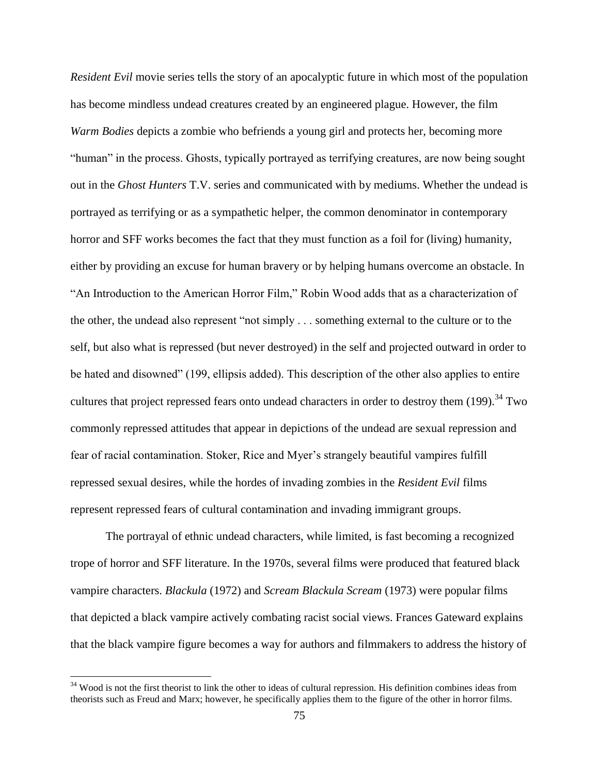*Resident Evil* movie series tells the story of an apocalyptic future in which most of the population has become mindless undead creatures created by an engineered plague. However, the film *Warm Bodies* depicts a zombie who befriends a young girl and protects her, becoming more "human" in the process. Ghosts, typically portrayed as terrifying creatures, are now being sought out in the *Ghost Hunters* T.V. series and communicated with by mediums. Whether the undead is portrayed as terrifying or as a sympathetic helper, the common denominator in contemporary horror and SFF works becomes the fact that they must function as a foil for (living) humanity, either by providing an excuse for human bravery or by helping humans overcome an obstacle. In "An Introduction to the American Horror Film," Robin Wood adds that as a characterization of the other, the undead also represent "not simply . . . something external to the culture or to the self, but also what is repressed (but never destroyed) in the self and projected outward in order to be hated and disowned" (199, ellipsis added). This description of the other also applies to entire cultures that project repressed fears onto undead characters in order to destroy them (199).<sup>34</sup> Two commonly repressed attitudes that appear in depictions of the undead are sexual repression and fear of racial contamination. Stoker, Rice and Myer's strangely beautiful vampires fulfill repressed sexual desires, while the hordes of invading zombies in the *Resident Evil* films represent repressed fears of cultural contamination and invading immigrant groups.

The portrayal of ethnic undead characters, while limited, is fast becoming a recognized trope of horror and SFF literature. In the 1970s, several films were produced that featured black vampire characters. *Blackula* (1972) and *Scream Blackula Scream* (1973) were popular films that depicted a black vampire actively combating racist social views. Frances Gateward explains that the black vampire figure becomes a way for authors and filmmakers to address the history of

 $34$  Wood is not the first theorist to link the other to ideas of cultural repression. His definition combines ideas from theorists such as Freud and Marx; however, he specifically applies them to the figure of the other in horror films.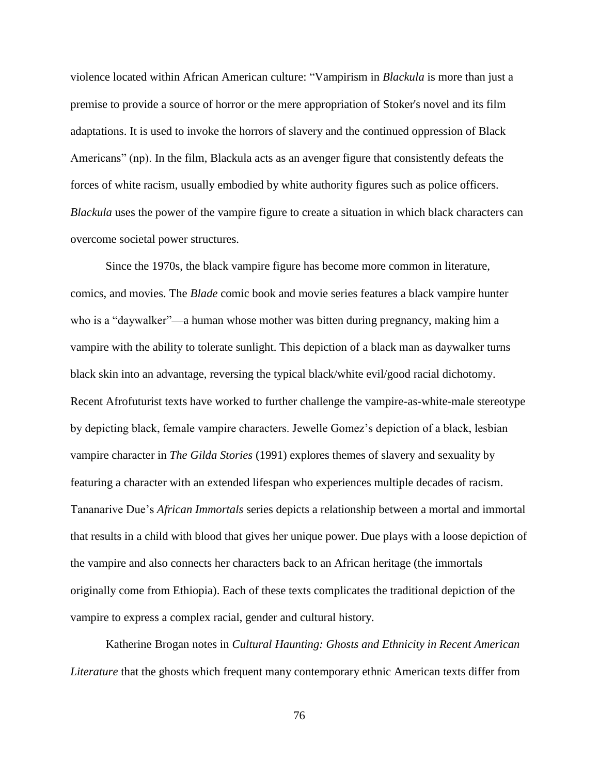violence located within African American culture: "Vampirism in *Blackula* is more than just a premise to provide a source of horror or the mere appropriation of Stoker's novel and its film adaptations. It is used to invoke the horrors of slavery and the continued oppression of Black Americans" (np). In the film, Blackula acts as an avenger figure that consistently defeats the forces of white racism, usually embodied by white authority figures such as police officers. *Blackula* uses the power of the vampire figure to create a situation in which black characters can overcome societal power structures.

Since the 1970s, the black vampire figure has become more common in literature, comics, and movies. The *Blade* comic book and movie series features a black vampire hunter who is a "daywalker"—a human whose mother was bitten during pregnancy, making him a vampire with the ability to tolerate sunlight. This depiction of a black man as daywalker turns black skin into an advantage, reversing the typical black/white evil/good racial dichotomy. Recent Afrofuturist texts have worked to further challenge the vampire-as-white-male stereotype by depicting black, female vampire characters. Jewelle Gomez's depiction of a black, lesbian vampire character in *The Gilda Stories* (1991) explores themes of slavery and sexuality by featuring a character with an extended lifespan who experiences multiple decades of racism. Tananarive Due's *African Immortals* series depicts a relationship between a mortal and immortal that results in a child with blood that gives her unique power. Due plays with a loose depiction of the vampire and also connects her characters back to an African heritage (the immortals originally come from Ethiopia). Each of these texts complicates the traditional depiction of the vampire to express a complex racial, gender and cultural history.

Katherine Brogan notes in *Cultural Haunting: Ghosts and Ethnicity in Recent American Literature* that the ghosts which frequent many contemporary ethnic American texts differ from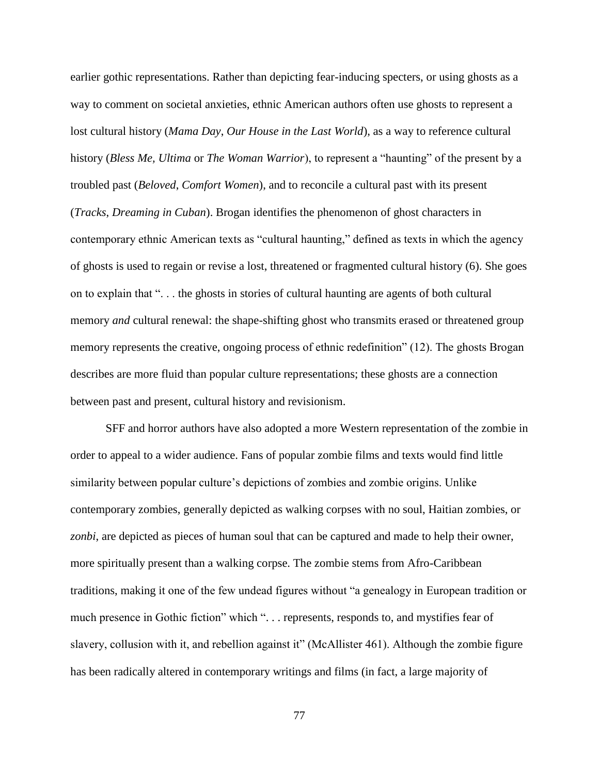earlier gothic representations. Rather than depicting fear-inducing specters, or using ghosts as a way to comment on societal anxieties, ethnic American authors often use ghosts to represent a lost cultural history (*Mama Day*, *Our House in the Last World*), as a way to reference cultural history (*Bless Me, Ultima* or *The Woman Warrior*), to represent a "haunting" of the present by a troubled past (*Beloved*, *Comfort Women*), and to reconcile a cultural past with its present (*Tracks*, *Dreaming in Cuban*). Brogan identifies the phenomenon of ghost characters in contemporary ethnic American texts as "cultural haunting," defined as texts in which the agency of ghosts is used to regain or revise a lost, threatened or fragmented cultural history (6). She goes on to explain that ". . . the ghosts in stories of cultural haunting are agents of both cultural memory *and* cultural renewal: the shape-shifting ghost who transmits erased or threatened group memory represents the creative, ongoing process of ethnic redefinition" (12). The ghosts Brogan describes are more fluid than popular culture representations; these ghosts are a connection between past and present, cultural history and revisionism.

SFF and horror authors have also adopted a more Western representation of the zombie in order to appeal to a wider audience. Fans of popular zombie films and texts would find little similarity between popular culture's depictions of zombies and zombie origins. Unlike contemporary zombies, generally depicted as walking corpses with no soul, Haitian zombies, or *zonbi*, are depicted as pieces of human soul that can be captured and made to help their owner, more spiritually present than a walking corpse. The zombie stems from Afro-Caribbean traditions, making it one of the few undead figures without "a genealogy in European tradition or much presence in Gothic fiction" which ". . . represents, responds to, and mystifies fear of slavery, collusion with it, and rebellion against it" (McAllister 461). Although the zombie figure has been radically altered in contemporary writings and films (in fact, a large majority of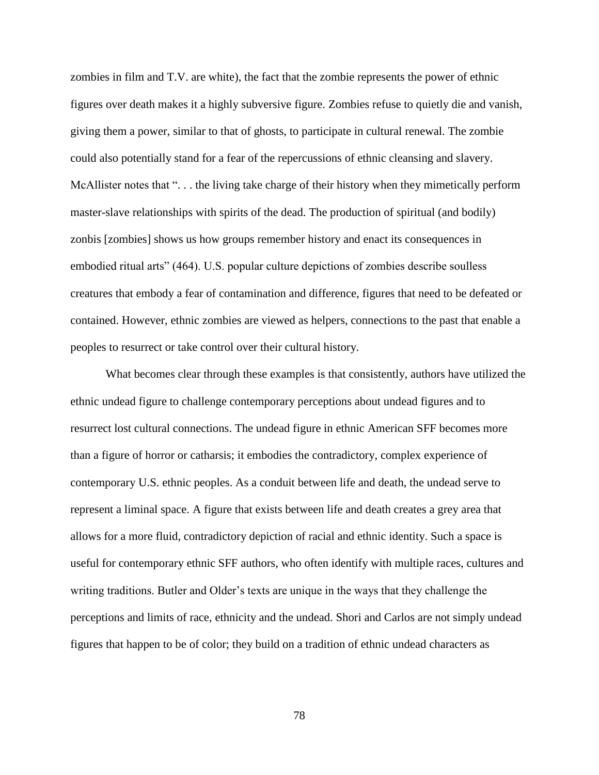zombies in film and T.V. are white), the fact that the zombie represents the power of ethnic figures over death makes it a highly subversive figure. Zombies refuse to quietly die and vanish, giving them a power, similar to that of ghosts, to participate in cultural renewal. The zombie could also potentially stand for a fear of the repercussions of ethnic cleansing and slavery. McAllister notes that "... the living take charge of their history when they mimetically perform master-slave relationships with spirits of the dead. The production of spiritual (and bodily) zonbis [zombies] shows us how groups remember history and enact its consequences in embodied ritual arts" (464). U.S. popular culture depictions of zombies describe soulless creatures that embody a fear of contamination and difference, figures that need to be defeated or contained. However, ethnic zombies are viewed as helpers, connections to the past that enable a peoples to resurrect or take control over their cultural history.

What becomes clear through these examples is that consistently, authors have utilized the ethnic undead figure to challenge contemporary perceptions about undead figures and to resurrect lost cultural connections. The undead figure in ethnic American SFF becomes more than a figure of horror or catharsis; it embodies the contradictory, complex experience of contemporary U.S. ethnic peoples. As a conduit between life and death, the undead serve to represent a liminal space. A figure that exists between life and death creates a grey area that allows for a more fluid, contradictory depiction of racial and ethnic identity. Such a space is useful for contemporary ethnic SFF authors, who often identify with multiple races, cultures and writing traditions. Butler and Older's texts are unique in the ways that they challenge the perceptions and limits of race, ethnicity and the undead. Shori and Carlos are not simply undead figures that happen to be of color; they build on a tradition of ethnic undead characters as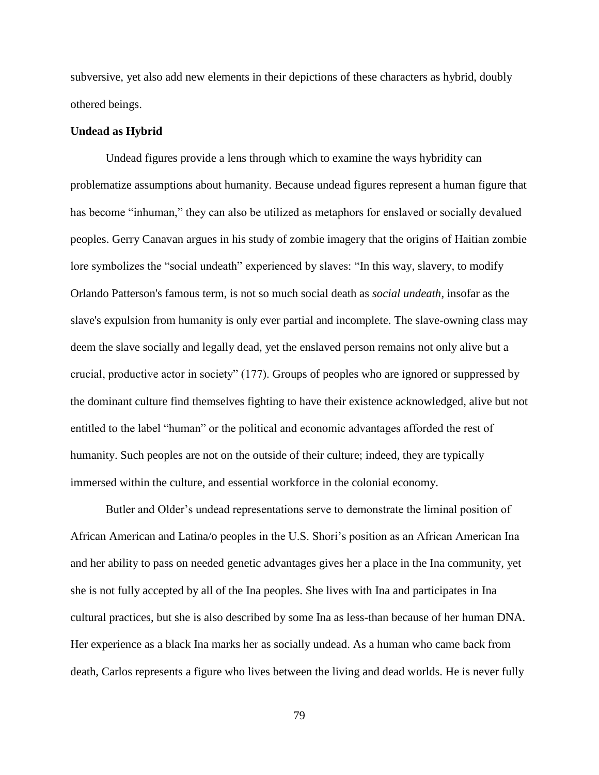subversive, yet also add new elements in their depictions of these characters as hybrid, doubly othered beings.

### **Undead as Hybrid**

Undead figures provide a lens through which to examine the ways hybridity can problematize assumptions about humanity. Because undead figures represent a human figure that has become "inhuman," they can also be utilized as metaphors for enslaved or socially devalued peoples. Gerry Canavan argues in his study of zombie imagery that the origins of Haitian zombie lore symbolizes the "social undeath" experienced by slaves: "In this way, slavery, to modify Orlando Patterson's famous term, is not so much social death as *social undeath*, insofar as the slave's expulsion from humanity is only ever partial and incomplete. The slave-owning class may deem the slave socially and legally dead, yet the enslaved person remains not only alive but a crucial, productive actor in society" (177). Groups of peoples who are ignored or suppressed by the dominant culture find themselves fighting to have their existence acknowledged, alive but not entitled to the label "human" or the political and economic advantages afforded the rest of humanity. Such peoples are not on the outside of their culture; indeed, they are typically immersed within the culture, and essential workforce in the colonial economy.

Butler and Older's undead representations serve to demonstrate the liminal position of African American and Latina/o peoples in the U.S. Shori's position as an African American Ina and her ability to pass on needed genetic advantages gives her a place in the Ina community, yet she is not fully accepted by all of the Ina peoples. She lives with Ina and participates in Ina cultural practices, but she is also described by some Ina as less-than because of her human DNA. Her experience as a black Ina marks her as socially undead. As a human who came back from death, Carlos represents a figure who lives between the living and dead worlds. He is never fully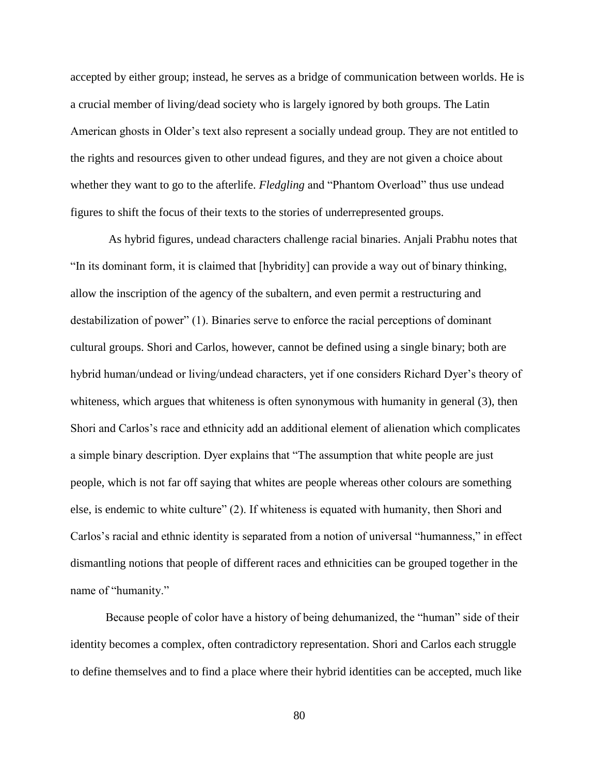accepted by either group; instead, he serves as a bridge of communication between worlds. He is a crucial member of living/dead society who is largely ignored by both groups. The Latin American ghosts in Older's text also represent a socially undead group. They are not entitled to the rights and resources given to other undead figures, and they are not given a choice about whether they want to go to the afterlife. *Fledgling* and "Phantom Overload" thus use undead figures to shift the focus of their texts to the stories of underrepresented groups.

As hybrid figures, undead characters challenge racial binaries. Anjali Prabhu notes that "In its dominant form, it is claimed that [hybridity] can provide a way out of binary thinking, allow the inscription of the agency of the subaltern, and even permit a restructuring and destabilization of power" (1). Binaries serve to enforce the racial perceptions of dominant cultural groups. Shori and Carlos, however, cannot be defined using a single binary; both are hybrid human/undead or living/undead characters, yet if one considers Richard Dyer's theory of whiteness, which argues that whiteness is often synonymous with humanity in general (3), then Shori and Carlos's race and ethnicity add an additional element of alienation which complicates a simple binary description. Dyer explains that "The assumption that white people are just people, which is not far off saying that whites are people whereas other colours are something else, is endemic to white culture" (2). If whiteness is equated with humanity, then Shori and Carlos's racial and ethnic identity is separated from a notion of universal "humanness," in effect dismantling notions that people of different races and ethnicities can be grouped together in the name of "humanity."

Because people of color have a history of being dehumanized, the "human" side of their identity becomes a complex, often contradictory representation. Shori and Carlos each struggle to define themselves and to find a place where their hybrid identities can be accepted, much like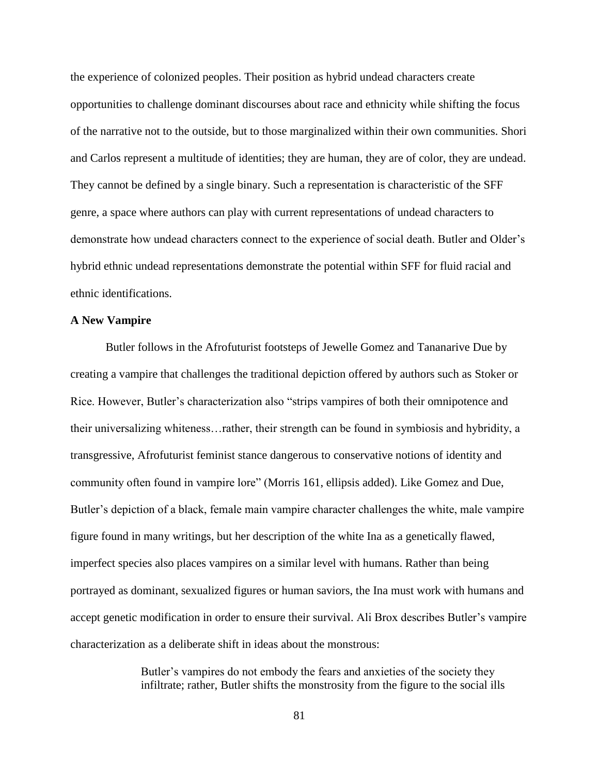the experience of colonized peoples. Their position as hybrid undead characters create opportunities to challenge dominant discourses about race and ethnicity while shifting the focus of the narrative not to the outside, but to those marginalized within their own communities. Shori and Carlos represent a multitude of identities; they are human, they are of color, they are undead. They cannot be defined by a single binary. Such a representation is characteristic of the SFF genre, a space where authors can play with current representations of undead characters to demonstrate how undead characters connect to the experience of social death. Butler and Older's hybrid ethnic undead representations demonstrate the potential within SFF for fluid racial and ethnic identifications.

#### **A New Vampire**

Butler follows in the Afrofuturist footsteps of Jewelle Gomez and Tananarive Due by creating a vampire that challenges the traditional depiction offered by authors such as Stoker or Rice. However, Butler's characterization also "strips vampires of both their omnipotence and their universalizing whiteness…rather, their strength can be found in symbiosis and hybridity, a transgressive, Afrofuturist feminist stance dangerous to conservative notions of identity and community often found in vampire lore" (Morris 161, ellipsis added). Like Gomez and Due, Butler's depiction of a black, female main vampire character challenges the white, male vampire figure found in many writings, but her description of the white Ina as a genetically flawed, imperfect species also places vampires on a similar level with humans. Rather than being portrayed as dominant, sexualized figures or human saviors, the Ina must work with humans and accept genetic modification in order to ensure their survival. Ali Brox describes Butler's vampire characterization as a deliberate shift in ideas about the monstrous:

> Butler's vampires do not embody the fears and anxieties of the society they infiltrate; rather, Butler shifts the monstrosity from the figure to the social ills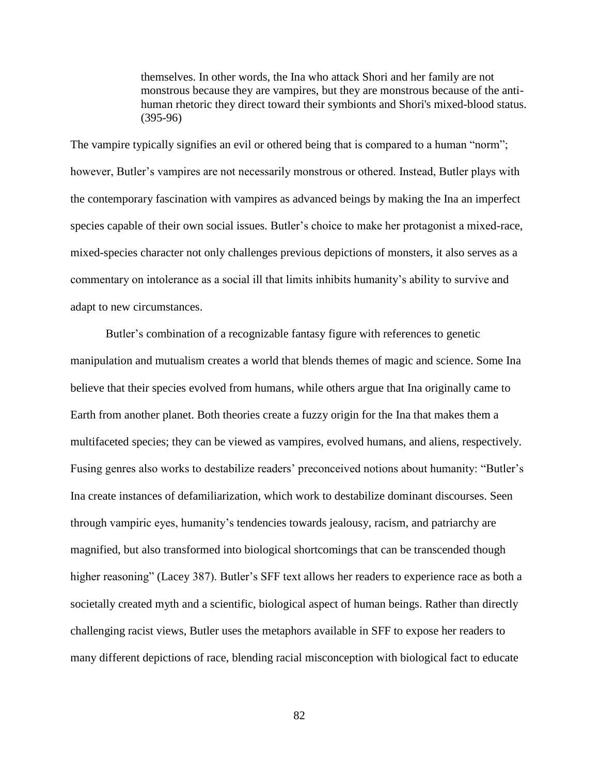themselves. In other words, the Ina who attack Shori and her family are not monstrous because they are vampires, but they are monstrous because of the antihuman rhetoric they direct toward their symbionts and Shori's mixed-blood status. (395-96)

The vampire typically signifies an evil or othered being that is compared to a human "norm"; however, Butler's vampires are not necessarily monstrous or othered. Instead, Butler plays with the contemporary fascination with vampires as advanced beings by making the Ina an imperfect species capable of their own social issues. Butler's choice to make her protagonist a mixed-race, mixed-species character not only challenges previous depictions of monsters, it also serves as a commentary on intolerance as a social ill that limits inhibits humanity's ability to survive and adapt to new circumstances.

Butler's combination of a recognizable fantasy figure with references to genetic manipulation and mutualism creates a world that blends themes of magic and science. Some Ina believe that their species evolved from humans, while others argue that Ina originally came to Earth from another planet. Both theories create a fuzzy origin for the Ina that makes them a multifaceted species; they can be viewed as vampires, evolved humans, and aliens, respectively. Fusing genres also works to destabilize readers' preconceived notions about humanity: "Butler's Ina create instances of defamiliarization, which work to destabilize dominant discourses. Seen through vampiric eyes, humanity's tendencies towards jealousy, racism, and patriarchy are magnified, but also transformed into biological shortcomings that can be transcended though higher reasoning" (Lacey 387). Butler's SFF text allows her readers to experience race as both a societally created myth and a scientific, biological aspect of human beings. Rather than directly challenging racist views, Butler uses the metaphors available in SFF to expose her readers to many different depictions of race, blending racial misconception with biological fact to educate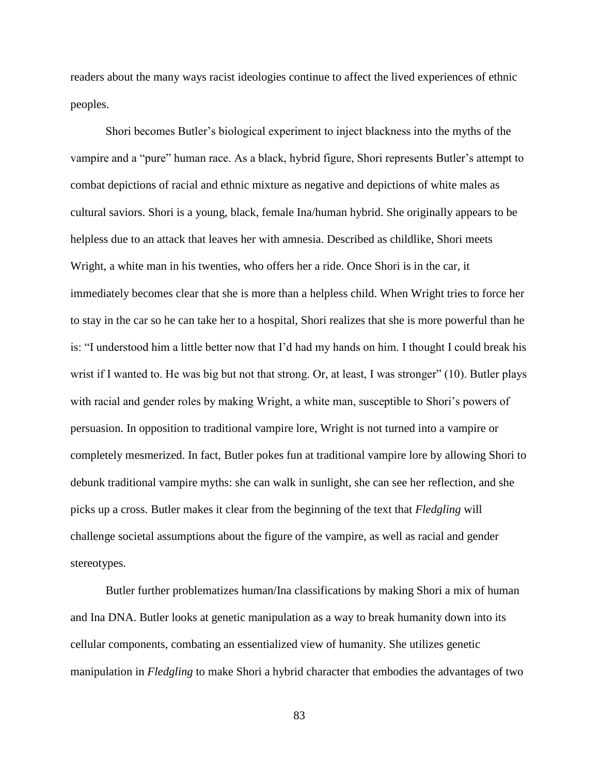readers about the many ways racist ideologies continue to affect the lived experiences of ethnic peoples.

Shori becomes Butler's biological experiment to inject blackness into the myths of the vampire and a "pure" human race. As a black, hybrid figure, Shori represents Butler's attempt to combat depictions of racial and ethnic mixture as negative and depictions of white males as cultural saviors. Shori is a young, black, female Ina/human hybrid. She originally appears to be helpless due to an attack that leaves her with amnesia. Described as childlike, Shori meets Wright, a white man in his twenties, who offers her a ride. Once Shori is in the car, it immediately becomes clear that she is more than a helpless child. When Wright tries to force her to stay in the car so he can take her to a hospital, Shori realizes that she is more powerful than he is: "I understood him a little better now that I'd had my hands on him. I thought I could break his wrist if I wanted to. He was big but not that strong. Or, at least, I was stronger" (10). Butler plays with racial and gender roles by making Wright, a white man, susceptible to Shori's powers of persuasion. In opposition to traditional vampire lore, Wright is not turned into a vampire or completely mesmerized. In fact, Butler pokes fun at traditional vampire lore by allowing Shori to debunk traditional vampire myths: she can walk in sunlight, she can see her reflection, and she picks up a cross. Butler makes it clear from the beginning of the text that *Fledgling* will challenge societal assumptions about the figure of the vampire, as well as racial and gender stereotypes.

Butler further problematizes human/Ina classifications by making Shori a mix of human and Ina DNA. Butler looks at genetic manipulation as a way to break humanity down into its cellular components, combating an essentialized view of humanity. She utilizes genetic manipulation in *Fledgling* to make Shori a hybrid character that embodies the advantages of two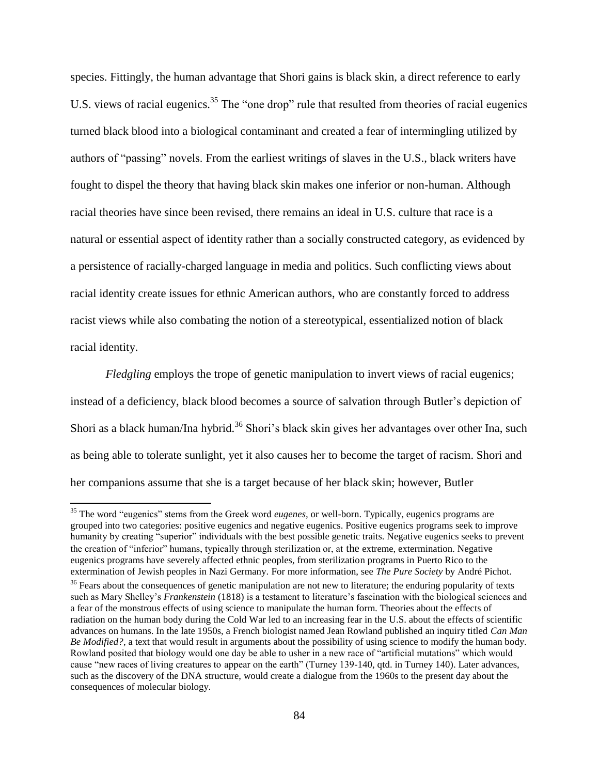species. Fittingly, the human advantage that Shori gains is black skin, a direct reference to early U.S. views of racial eugenics.<sup>35</sup> The "one drop" rule that resulted from theories of racial eugenics turned black blood into a biological contaminant and created a fear of intermingling utilized by authors of "passing" novels. From the earliest writings of slaves in the U.S., black writers have fought to dispel the theory that having black skin makes one inferior or non-human. Although racial theories have since been revised, there remains an ideal in U.S. culture that race is a natural or essential aspect of identity rather than a socially constructed category, as evidenced by a persistence of racially-charged language in media and politics. Such conflicting views about racial identity create issues for ethnic American authors, who are constantly forced to address racist views while also combating the notion of a stereotypical, essentialized notion of black racial identity.

*Fledgling* employs the trope of genetic manipulation to invert views of racial eugenics; instead of a deficiency, black blood becomes a source of salvation through Butler's depiction of Shori as a black human/Ina hybrid.<sup>36</sup> Shori's black skin gives her advantages over other Ina, such as being able to tolerate sunlight, yet it also causes her to become the target of racism. Shori and her companions assume that she is a target because of her black skin; however, Butler

 $\overline{a}$ 

<sup>&</sup>lt;sup>35</sup> The word "eugenics" stems from the Greek word *eugenes*, or well-born. Typically, eugenics programs are grouped into two categories: positive eugenics and negative eugenics. Positive eugenics programs seek to improve humanity by creating "superior" individuals with the best possible genetic traits. Negative eugenics seeks to prevent the creation of "inferior" humans, typically through sterilization or, at the extreme, extermination. Negative eugenics programs have severely affected ethnic peoples, from sterilization programs in Puerto Rico to the extermination of Jewish peoples in Nazi Germany. For more information, see *The Pure Society* by André Pichot.

 $36$  Fears about the consequences of genetic manipulation are not new to literature; the enduring popularity of texts such as Mary Shelley's *Frankenstein* (1818) is a testament to literature's fascination with the biological sciences and a fear of the monstrous effects of using science to manipulate the human form. Theories about the effects of radiation on the human body during the Cold War led to an increasing fear in the U.S. about the effects of scientific advances on humans. In the late 1950s, a French biologist named Jean Rowland published an inquiry titled *Can Man Be Modified?*, a text that would result in arguments about the possibility of using science to modify the human body. Rowland posited that biology would one day be able to usher in a new race of "artificial mutations" which would cause "new races of living creatures to appear on the earth" (Turney 139-140, qtd. in Turney 140). Later advances, such as the discovery of the DNA structure, would create a dialogue from the 1960s to the present day about the consequences of molecular biology.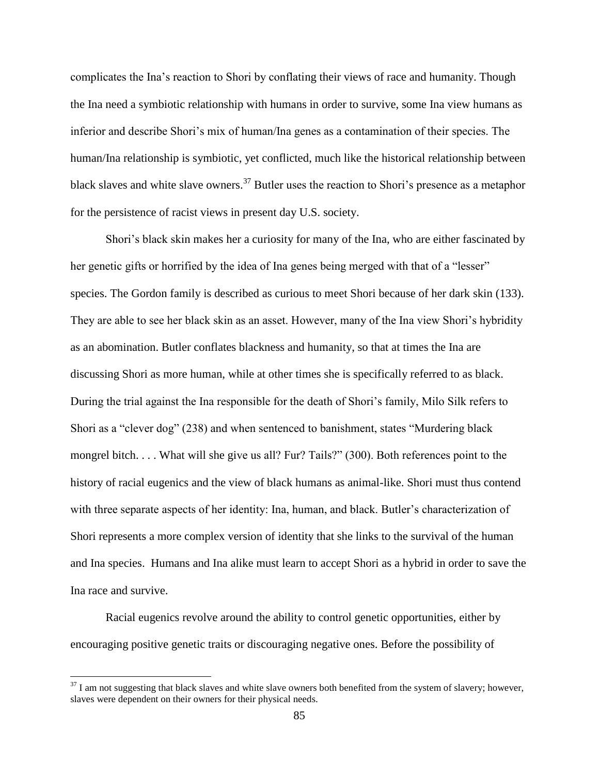complicates the Ina's reaction to Shori by conflating their views of race and humanity. Though the Ina need a symbiotic relationship with humans in order to survive, some Ina view humans as inferior and describe Shori's mix of human/Ina genes as a contamination of their species. The human/Ina relationship is symbiotic, yet conflicted, much like the historical relationship between black slaves and white slave owners.<sup>37</sup> Butler uses the reaction to Shori's presence as a metaphor for the persistence of racist views in present day U.S. society.

Shori's black skin makes her a curiosity for many of the Ina, who are either fascinated by her genetic gifts or horrified by the idea of Ina genes being merged with that of a "lesser" species. The Gordon family is described as curious to meet Shori because of her dark skin (133). They are able to see her black skin as an asset. However, many of the Ina view Shori's hybridity as an abomination. Butler conflates blackness and humanity, so that at times the Ina are discussing Shori as more human, while at other times she is specifically referred to as black. During the trial against the Ina responsible for the death of Shori's family, Milo Silk refers to Shori as a "clever dog" (238) and when sentenced to banishment, states "Murdering black mongrel bitch. . . . What will she give us all? Fur? Tails?" (300). Both references point to the history of racial eugenics and the view of black humans as animal-like. Shori must thus contend with three separate aspects of her identity: Ina, human, and black. Butler's characterization of Shori represents a more complex version of identity that she links to the survival of the human and Ina species. Humans and Ina alike must learn to accept Shori as a hybrid in order to save the Ina race and survive.

Racial eugenics revolve around the ability to control genetic opportunities, either by encouraging positive genetic traits or discouraging negative ones. Before the possibility of

 $37$  I am not suggesting that black slaves and white slave owners both benefited from the system of slavery; however, slaves were dependent on their owners for their physical needs.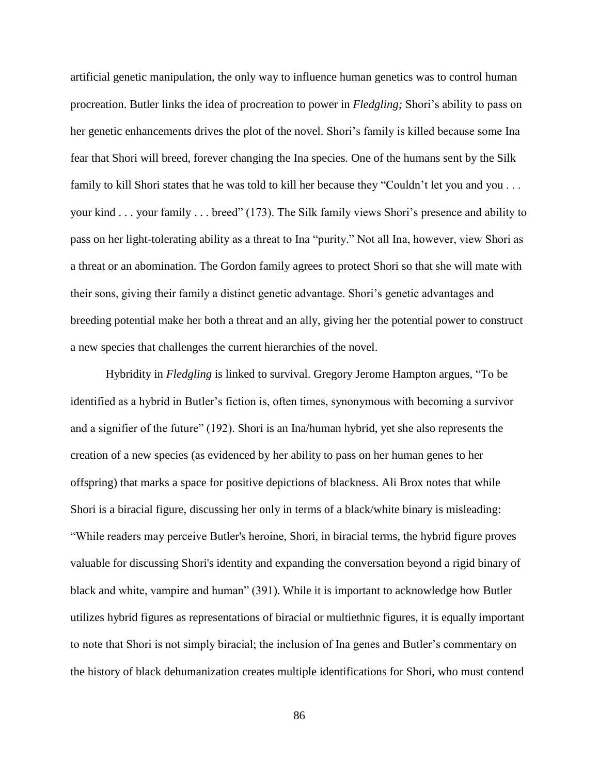artificial genetic manipulation, the only way to influence human genetics was to control human procreation. Butler links the idea of procreation to power in *Fledgling;* Shori's ability to pass on her genetic enhancements drives the plot of the novel*.* Shori's family is killed because some Ina fear that Shori will breed, forever changing the Ina species. One of the humans sent by the Silk family to kill Shori states that he was told to kill her because they "Couldn't let you and you . . . your kind . . . your family . . . breed" (173). The Silk family views Shori's presence and ability to pass on her light-tolerating ability as a threat to Ina "purity." Not all Ina, however, view Shori as a threat or an abomination. The Gordon family agrees to protect Shori so that she will mate with their sons, giving their family a distinct genetic advantage. Shori's genetic advantages and breeding potential make her both a threat and an ally, giving her the potential power to construct a new species that challenges the current hierarchies of the novel.

Hybridity in *Fledgling* is linked to survival. Gregory Jerome Hampton argues, "To be identified as a hybrid in Butler's fiction is, often times, synonymous with becoming a survivor and a signifier of the future" (192). Shori is an Ina/human hybrid, yet she also represents the creation of a new species (as evidenced by her ability to pass on her human genes to her offspring) that marks a space for positive depictions of blackness. Ali Brox notes that while Shori is a biracial figure, discussing her only in terms of a black/white binary is misleading: "While readers may perceive Butler's heroine, Shori, in biracial terms, the hybrid figure proves valuable for discussing Shori's identity and expanding the conversation beyond a rigid binary of black and white, vampire and human" (391). While it is important to acknowledge how Butler utilizes hybrid figures as representations of biracial or multiethnic figures, it is equally important to note that Shori is not simply biracial; the inclusion of Ina genes and Butler's commentary on the history of black dehumanization creates multiple identifications for Shori, who must contend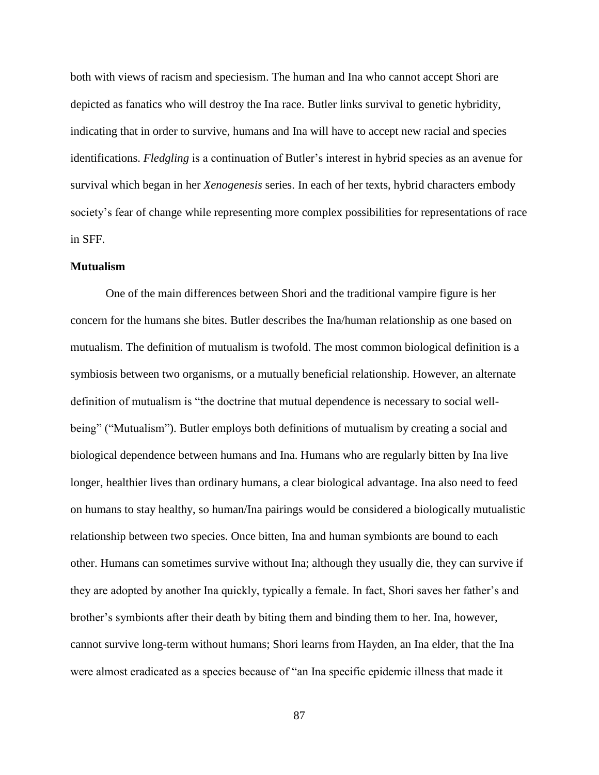both with views of racism and speciesism. The human and Ina who cannot accept Shori are depicted as fanatics who will destroy the Ina race. Butler links survival to genetic hybridity, indicating that in order to survive, humans and Ina will have to accept new racial and species identifications. *Fledgling* is a continuation of Butler's interest in hybrid species as an avenue for survival which began in her *Xenogenesis* series. In each of her texts, hybrid characters embody society's fear of change while representing more complex possibilities for representations of race in SFF.

#### **Mutualism**

One of the main differences between Shori and the traditional vampire figure is her concern for the humans she bites. Butler describes the Ina/human relationship as one based on mutualism. The definition of mutualism is twofold. The most common biological definition is a symbiosis between two organisms, or a mutually beneficial relationship. However, an alternate definition of mutualism is "the doctrine that mutual dependence is necessary to social wellbeing" ("Mutualism"). Butler employs both definitions of mutualism by creating a social and biological dependence between humans and Ina. Humans who are regularly bitten by Ina live longer, healthier lives than ordinary humans, a clear biological advantage. Ina also need to feed on humans to stay healthy, so human/Ina pairings would be considered a biologically mutualistic relationship between two species. Once bitten, Ina and human symbionts are bound to each other. Humans can sometimes survive without Ina; although they usually die, they can survive if they are adopted by another Ina quickly, typically a female. In fact, Shori saves her father's and brother's symbionts after their death by biting them and binding them to her. Ina, however, cannot survive long-term without humans; Shori learns from Hayden, an Ina elder, that the Ina were almost eradicated as a species because of "an Ina specific epidemic illness that made it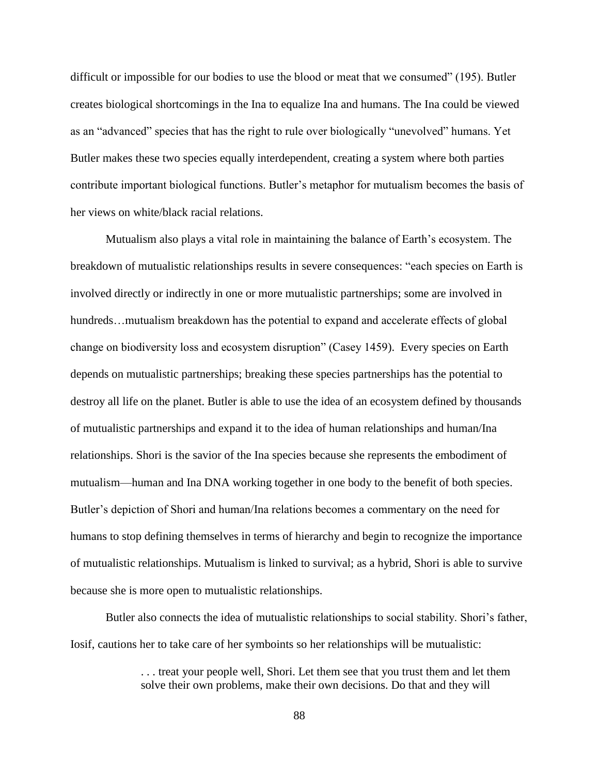difficult or impossible for our bodies to use the blood or meat that we consumed" (195). Butler creates biological shortcomings in the Ina to equalize Ina and humans. The Ina could be viewed as an "advanced" species that has the right to rule over biologically "unevolved" humans. Yet Butler makes these two species equally interdependent, creating a system where both parties contribute important biological functions. Butler's metaphor for mutualism becomes the basis of her views on white/black racial relations.

Mutualism also plays a vital role in maintaining the balance of Earth's ecosystem. The breakdown of mutualistic relationships results in severe consequences: "each species on Earth is involved directly or indirectly in one or more mutualistic partnerships; some are involved in hundreds... mutualism breakdown has the potential to expand and accelerate effects of global change on biodiversity loss and ecosystem disruption" (Casey 1459). Every species on Earth depends on mutualistic partnerships; breaking these species partnerships has the potential to destroy all life on the planet. Butler is able to use the idea of an ecosystem defined by thousands of mutualistic partnerships and expand it to the idea of human relationships and human/Ina relationships. Shori is the savior of the Ina species because she represents the embodiment of mutualism—human and Ina DNA working together in one body to the benefit of both species. Butler's depiction of Shori and human/Ina relations becomes a commentary on the need for humans to stop defining themselves in terms of hierarchy and begin to recognize the importance of mutualistic relationships. Mutualism is linked to survival; as a hybrid, Shori is able to survive because she is more open to mutualistic relationships.

Butler also connects the idea of mutualistic relationships to social stability. Shori's father, Iosif, cautions her to take care of her symboints so her relationships will be mutualistic:

> . . . treat your people well, Shori. Let them see that you trust them and let them solve their own problems, make their own decisions. Do that and they will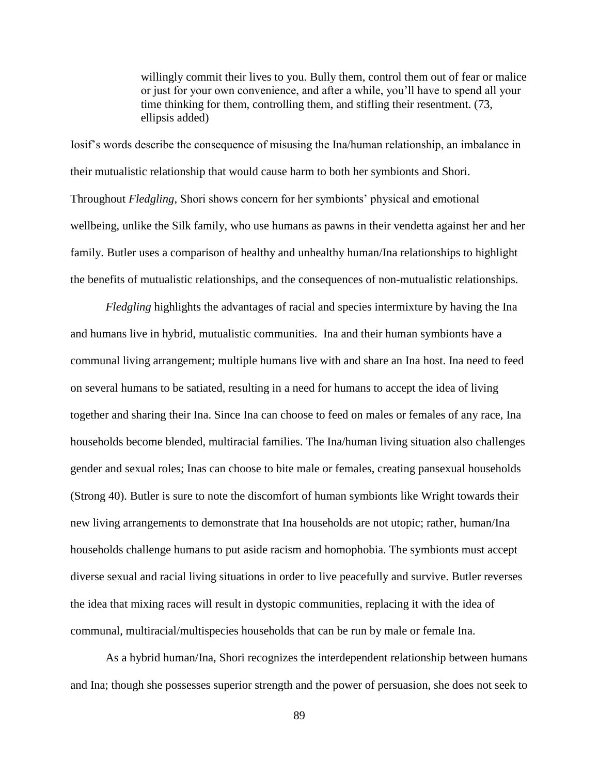willingly commit their lives to you. Bully them, control them out of fear or malice or just for your own convenience, and after a while, you'll have to spend all your time thinking for them, controlling them, and stifling their resentment. (73, ellipsis added)

Iosif's words describe the consequence of misusing the Ina/human relationship, an imbalance in their mutualistic relationship that would cause harm to both her symbionts and Shori. Throughout *Fledgling*, Shori shows concern for her symbionts' physical and emotional wellbeing, unlike the Silk family, who use humans as pawns in their vendetta against her and her family. Butler uses a comparison of healthy and unhealthy human/Ina relationships to highlight the benefits of mutualistic relationships, and the consequences of non-mutualistic relationships.

*Fledgling* highlights the advantages of racial and species intermixture by having the Ina and humans live in hybrid, mutualistic communities. Ina and their human symbionts have a communal living arrangement; multiple humans live with and share an Ina host. Ina need to feed on several humans to be satiated, resulting in a need for humans to accept the idea of living together and sharing their Ina. Since Ina can choose to feed on males or females of any race, Ina households become blended, multiracial families. The Ina/human living situation also challenges gender and sexual roles; Inas can choose to bite male or females, creating pansexual households (Strong 40). Butler is sure to note the discomfort of human symbionts like Wright towards their new living arrangements to demonstrate that Ina households are not utopic; rather, human/Ina households challenge humans to put aside racism and homophobia. The symbionts must accept diverse sexual and racial living situations in order to live peacefully and survive. Butler reverses the idea that mixing races will result in dystopic communities, replacing it with the idea of communal, multiracial/multispecies households that can be run by male or female Ina.

As a hybrid human/Ina, Shori recognizes the interdependent relationship between humans and Ina; though she possesses superior strength and the power of persuasion, she does not seek to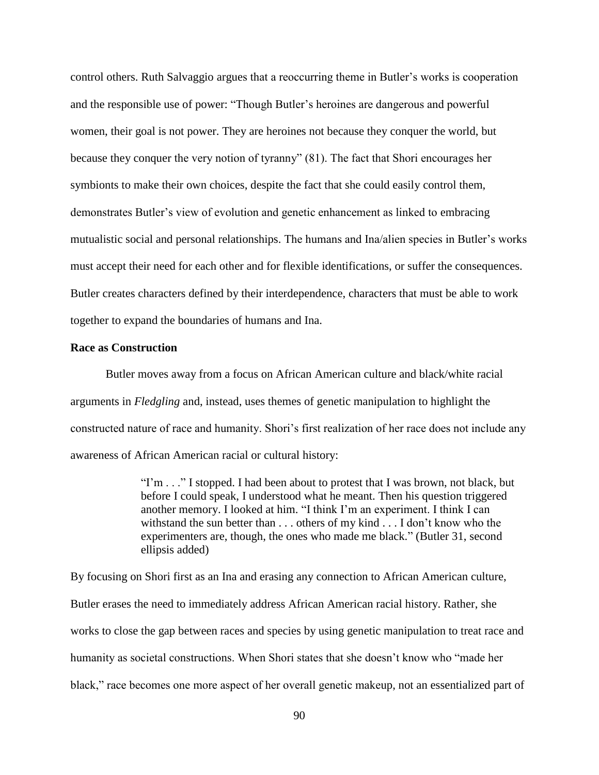control others. Ruth Salvaggio argues that a reoccurring theme in Butler's works is cooperation and the responsible use of power: "Though Butler's heroines are dangerous and powerful women, their goal is not power. They are heroines not because they conquer the world, but because they conquer the very notion of tyranny" (81). The fact that Shori encourages her symbionts to make their own choices, despite the fact that she could easily control them, demonstrates Butler's view of evolution and genetic enhancement as linked to embracing mutualistic social and personal relationships. The humans and Ina/alien species in Butler's works must accept their need for each other and for flexible identifications, or suffer the consequences. Butler creates characters defined by their interdependence, characters that must be able to work together to expand the boundaries of humans and Ina.

#### **Race as Construction**

Butler moves away from a focus on African American culture and black/white racial arguments in *Fledgling* and, instead, uses themes of genetic manipulation to highlight the constructed nature of race and humanity. Shori's first realization of her race does not include any awareness of African American racial or cultural history:

> "I'm . . ." I stopped. I had been about to protest that I was brown, not black, but before I could speak, I understood what he meant. Then his question triggered another memory. I looked at him. "I think I'm an experiment. I think I can withstand the sun better than . . . others of my kind . . . I don't know who the experimenters are, though, the ones who made me black." (Butler 31, second ellipsis added)

By focusing on Shori first as an Ina and erasing any connection to African American culture, Butler erases the need to immediately address African American racial history. Rather, she works to close the gap between races and species by using genetic manipulation to treat race and humanity as societal constructions. When Shori states that she doesn't know who "made her black," race becomes one more aspect of her overall genetic makeup, not an essentialized part of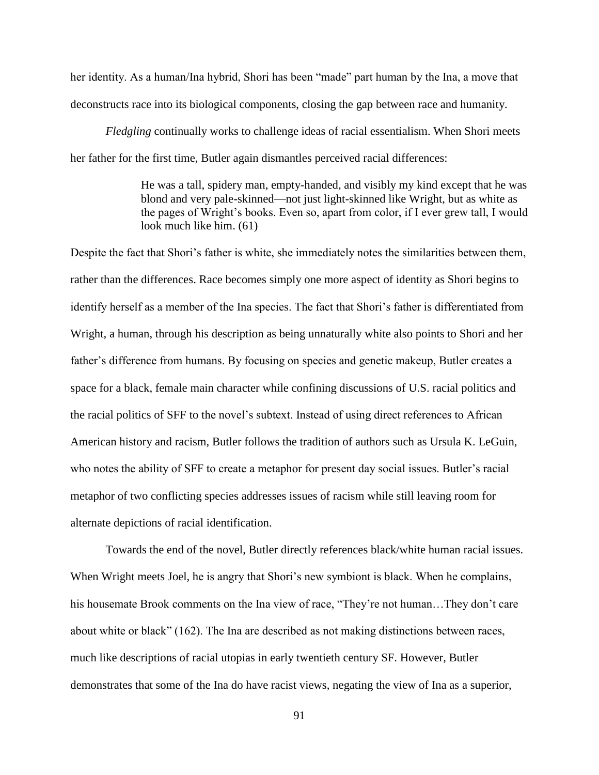her identity. As a human/Ina hybrid, Shori has been "made" part human by the Ina, a move that deconstructs race into its biological components, closing the gap between race and humanity.

*Fledgling* continually works to challenge ideas of racial essentialism. When Shori meets her father for the first time, Butler again dismantles perceived racial differences:

> He was a tall, spidery man, empty-handed, and visibly my kind except that he was blond and very pale-skinned—not just light-skinned like Wright, but as white as the pages of Wright's books. Even so, apart from color, if I ever grew tall, I would look much like him. (61)

Despite the fact that Shori's father is white, she immediately notes the similarities between them, rather than the differences. Race becomes simply one more aspect of identity as Shori begins to identify herself as a member of the Ina species. The fact that Shori's father is differentiated from Wright, a human, through his description as being unnaturally white also points to Shori and her father's difference from humans. By focusing on species and genetic makeup, Butler creates a space for a black, female main character while confining discussions of U.S. racial politics and the racial politics of SFF to the novel's subtext. Instead of using direct references to African American history and racism, Butler follows the tradition of authors such as Ursula K. LeGuin, who notes the ability of SFF to create a metaphor for present day social issues. Butler's racial metaphor of two conflicting species addresses issues of racism while still leaving room for alternate depictions of racial identification.

Towards the end of the novel, Butler directly references black/white human racial issues. When Wright meets Joel, he is angry that Shori's new symbiont is black. When he complains, his housemate Brook comments on the Ina view of race, "They're not human...They don't care about white or black" (162). The Ina are described as not making distinctions between races, much like descriptions of racial utopias in early twentieth century SF. However, Butler demonstrates that some of the Ina do have racist views, negating the view of Ina as a superior,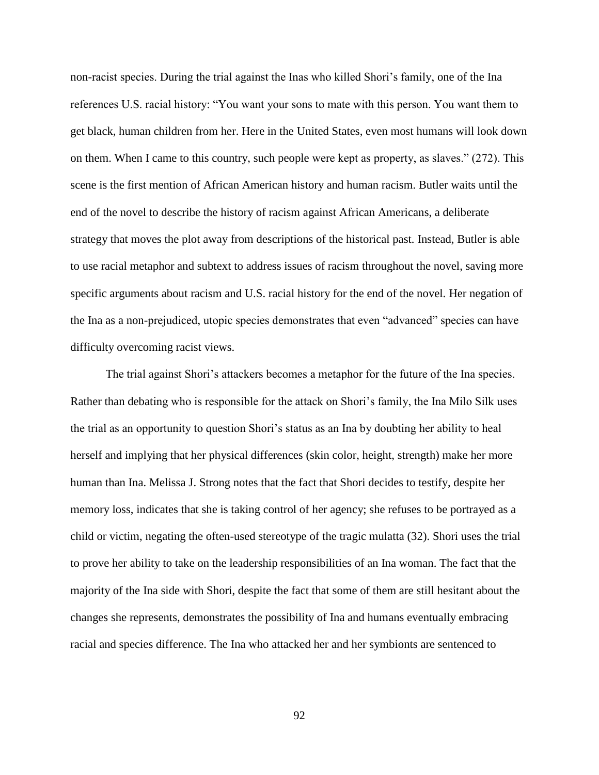non-racist species. During the trial against the Inas who killed Shori's family, one of the Ina references U.S. racial history: "You want your sons to mate with this person. You want them to get black, human children from her. Here in the United States, even most humans will look down on them. When I came to this country, such people were kept as property, as slaves." (272). This scene is the first mention of African American history and human racism. Butler waits until the end of the novel to describe the history of racism against African Americans, a deliberate strategy that moves the plot away from descriptions of the historical past. Instead, Butler is able to use racial metaphor and subtext to address issues of racism throughout the novel, saving more specific arguments about racism and U.S. racial history for the end of the novel. Her negation of the Ina as a non-prejudiced, utopic species demonstrates that even "advanced" species can have difficulty overcoming racist views.

The trial against Shori's attackers becomes a metaphor for the future of the Ina species. Rather than debating who is responsible for the attack on Shori's family, the Ina Milo Silk uses the trial as an opportunity to question Shori's status as an Ina by doubting her ability to heal herself and implying that her physical differences (skin color, height, strength) make her more human than Ina. Melissa J. Strong notes that the fact that Shori decides to testify, despite her memory loss, indicates that she is taking control of her agency; she refuses to be portrayed as a child or victim, negating the often-used stereotype of the tragic mulatta (32). Shori uses the trial to prove her ability to take on the leadership responsibilities of an Ina woman. The fact that the majority of the Ina side with Shori, despite the fact that some of them are still hesitant about the changes she represents, demonstrates the possibility of Ina and humans eventually embracing racial and species difference. The Ina who attacked her and her symbionts are sentenced to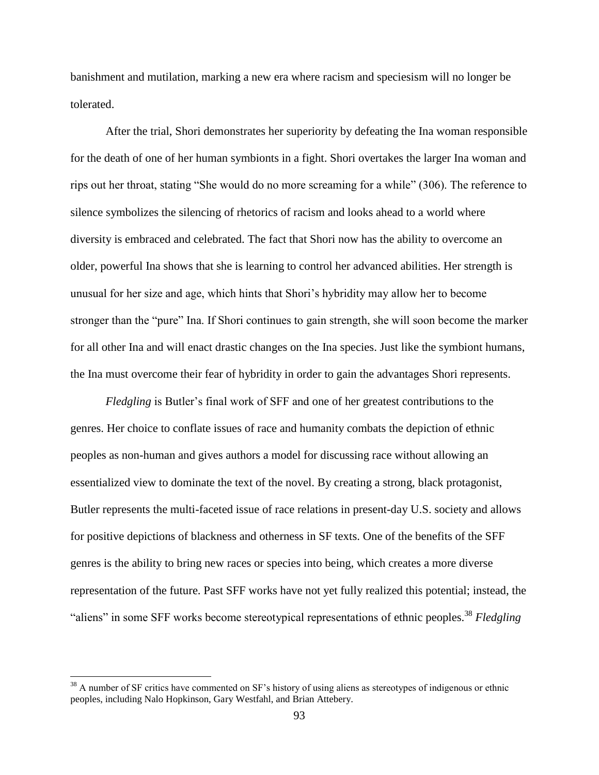banishment and mutilation, marking a new era where racism and speciesism will no longer be tolerated.

After the trial, Shori demonstrates her superiority by defeating the Ina woman responsible for the death of one of her human symbionts in a fight. Shori overtakes the larger Ina woman and rips out her throat, stating "She would do no more screaming for a while" (306). The reference to silence symbolizes the silencing of rhetorics of racism and looks ahead to a world where diversity is embraced and celebrated. The fact that Shori now has the ability to overcome an older, powerful Ina shows that she is learning to control her advanced abilities. Her strength is unusual for her size and age, which hints that Shori's hybridity may allow her to become stronger than the "pure" Ina. If Shori continues to gain strength, she will soon become the marker for all other Ina and will enact drastic changes on the Ina species. Just like the symbiont humans, the Ina must overcome their fear of hybridity in order to gain the advantages Shori represents.

*Fledgling* is Butler's final work of SFF and one of her greatest contributions to the genres. Her choice to conflate issues of race and humanity combats the depiction of ethnic peoples as non-human and gives authors a model for discussing race without allowing an essentialized view to dominate the text of the novel. By creating a strong, black protagonist, Butler represents the multi-faceted issue of race relations in present-day U.S. society and allows for positive depictions of blackness and otherness in SF texts. One of the benefits of the SFF genres is the ability to bring new races or species into being, which creates a more diverse representation of the future. Past SFF works have not yet fully realized this potential; instead, the "aliens" in some SFF works become stereotypical representations of ethnic peoples.<sup>38</sup> *Fledgling* 

 $38$  A number of SF critics have commented on SF's history of using aliens as stereotypes of indigenous or ethnic peoples, including Nalo Hopkinson, Gary Westfahl, and Brian Attebery.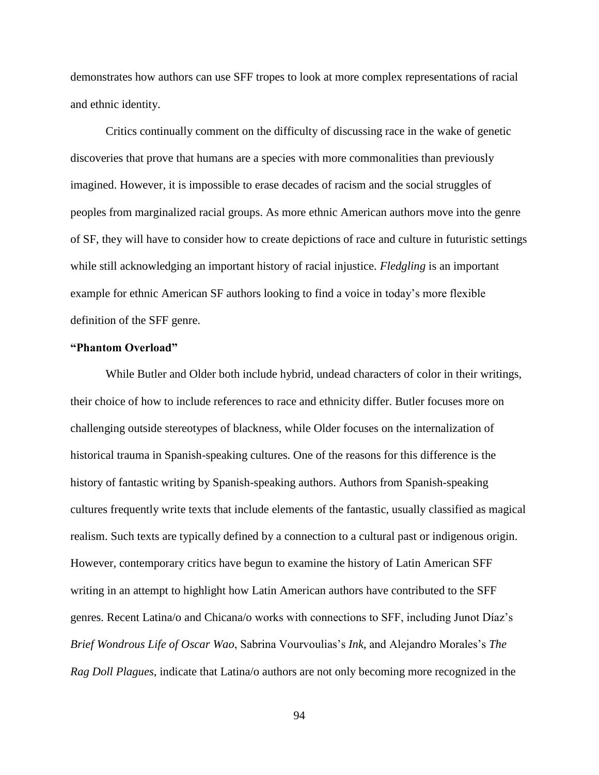demonstrates how authors can use SFF tropes to look at more complex representations of racial and ethnic identity.

Critics continually comment on the difficulty of discussing race in the wake of genetic discoveries that prove that humans are a species with more commonalities than previously imagined. However, it is impossible to erase decades of racism and the social struggles of peoples from marginalized racial groups. As more ethnic American authors move into the genre of SF, they will have to consider how to create depictions of race and culture in futuristic settings while still acknowledging an important history of racial injustice. *Fledgling* is an important example for ethnic American SF authors looking to find a voice in today's more flexible definition of the SFF genre.

#### **"Phantom Overload"**

While Butler and Older both include hybrid, undead characters of color in their writings, their choice of how to include references to race and ethnicity differ. Butler focuses more on challenging outside stereotypes of blackness, while Older focuses on the internalization of historical trauma in Spanish-speaking cultures. One of the reasons for this difference is the history of fantastic writing by Spanish-speaking authors. Authors from Spanish-speaking cultures frequently write texts that include elements of the fantastic, usually classified as magical realism. Such texts are typically defined by a connection to a cultural past or indigenous origin. However, contemporary critics have begun to examine the history of Latin American SFF writing in an attempt to highlight how Latin American authors have contributed to the SFF genres. Recent Latina/o and Chicana/o works with connections to SFF, including Junot Díaz's *Brief Wondrous Life of Oscar Wao*, Sabrina Vourvoulias's *Ink,* and Alejandro Morales's *The Rag Doll Plagues*, indicate that Latina/o authors are not only becoming more recognized in the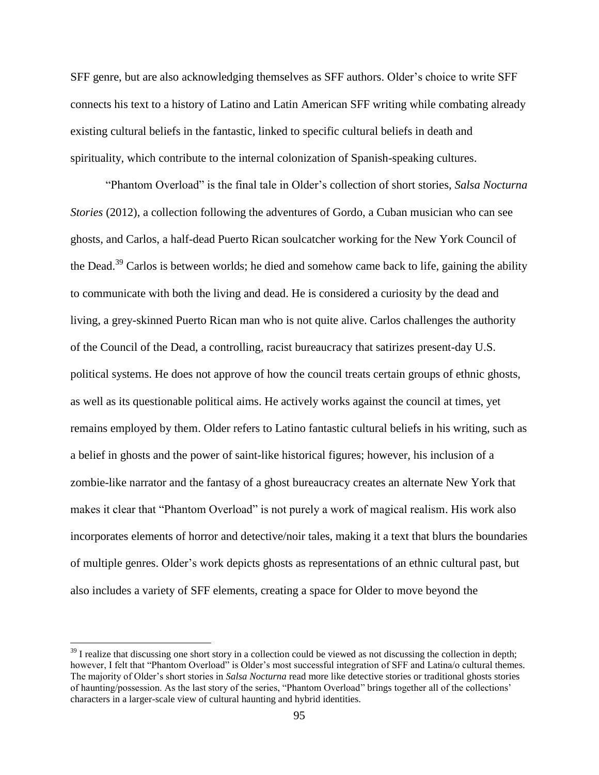SFF genre, but are also acknowledging themselves as SFF authors. Older's choice to write SFF connects his text to a history of Latino and Latin American SFF writing while combating already existing cultural beliefs in the fantastic, linked to specific cultural beliefs in death and spirituality, which contribute to the internal colonization of Spanish-speaking cultures.

"Phantom Overload" is the final tale in Older's collection of short stories, *Salsa Nocturna Stories* (2012), a collection following the adventures of Gordo, a Cuban musician who can see ghosts, and Carlos, a half-dead Puerto Rican soulcatcher working for the New York Council of the Dead.<sup>39</sup> Carlos is between worlds; he died and somehow came back to life, gaining the ability to communicate with both the living and dead. He is considered a curiosity by the dead and living, a grey-skinned Puerto Rican man who is not quite alive. Carlos challenges the authority of the Council of the Dead, a controlling, racist bureaucracy that satirizes present-day U.S. political systems. He does not approve of how the council treats certain groups of ethnic ghosts, as well as its questionable political aims. He actively works against the council at times, yet remains employed by them. Older refers to Latino fantastic cultural beliefs in his writing, such as a belief in ghosts and the power of saint-like historical figures; however, his inclusion of a zombie-like narrator and the fantasy of a ghost bureaucracy creates an alternate New York that makes it clear that "Phantom Overload" is not purely a work of magical realism. His work also incorporates elements of horror and detective/noir tales, making it a text that blurs the boundaries of multiple genres. Older's work depicts ghosts as representations of an ethnic cultural past, but also includes a variety of SFF elements, creating a space for Older to move beyond the

 $\overline{a}$ 

 $39$  I realize that discussing one short story in a collection could be viewed as not discussing the collection in depth; however, I felt that "Phantom Overload" is Older's most successful integration of SFF and Latina/o cultural themes. The majority of Older's short stories in *Salsa Nocturna* read more like detective stories or traditional ghosts stories of haunting/possession. As the last story of the series, "Phantom Overload" brings together all of the collections' characters in a larger-scale view of cultural haunting and hybrid identities.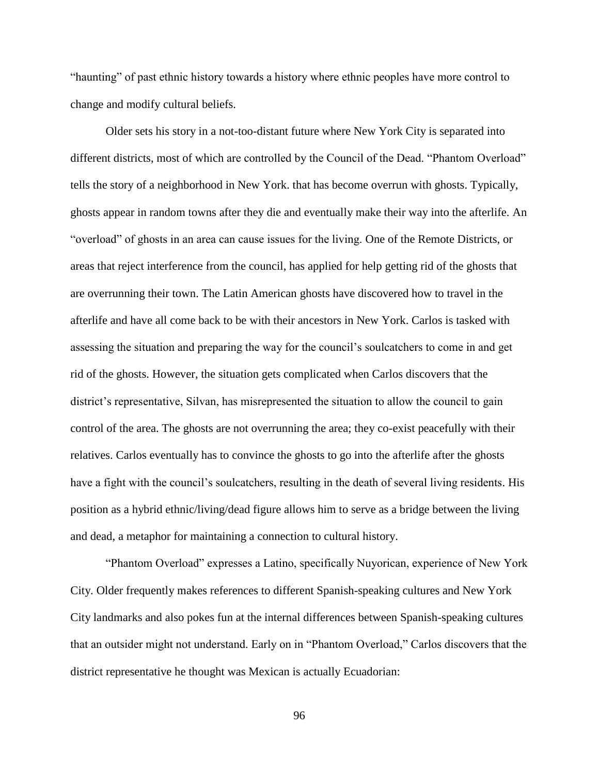"haunting" of past ethnic history towards a history where ethnic peoples have more control to change and modify cultural beliefs.

Older sets his story in a not-too-distant future where New York City is separated into different districts, most of which are controlled by the Council of the Dead. "Phantom Overload" tells the story of a neighborhood in New York. that has become overrun with ghosts. Typically, ghosts appear in random towns after they die and eventually make their way into the afterlife. An "overload" of ghosts in an area can cause issues for the living. One of the Remote Districts, or areas that reject interference from the council, has applied for help getting rid of the ghosts that are overrunning their town. The Latin American ghosts have discovered how to travel in the afterlife and have all come back to be with their ancestors in New York. Carlos is tasked with assessing the situation and preparing the way for the council's soulcatchers to come in and get rid of the ghosts. However, the situation gets complicated when Carlos discovers that the district's representative, Silvan, has misrepresented the situation to allow the council to gain control of the area. The ghosts are not overrunning the area; they co-exist peacefully with their relatives. Carlos eventually has to convince the ghosts to go into the afterlife after the ghosts have a fight with the council's soulcatchers, resulting in the death of several living residents. His position as a hybrid ethnic/living/dead figure allows him to serve as a bridge between the living and dead, a metaphor for maintaining a connection to cultural history.

"Phantom Overload" expresses a Latino, specifically Nuyorican, experience of New York City. Older frequently makes references to different Spanish-speaking cultures and New York City landmarks and also pokes fun at the internal differences between Spanish-speaking cultures that an outsider might not understand. Early on in "Phantom Overload," Carlos discovers that the district representative he thought was Mexican is actually Ecuadorian: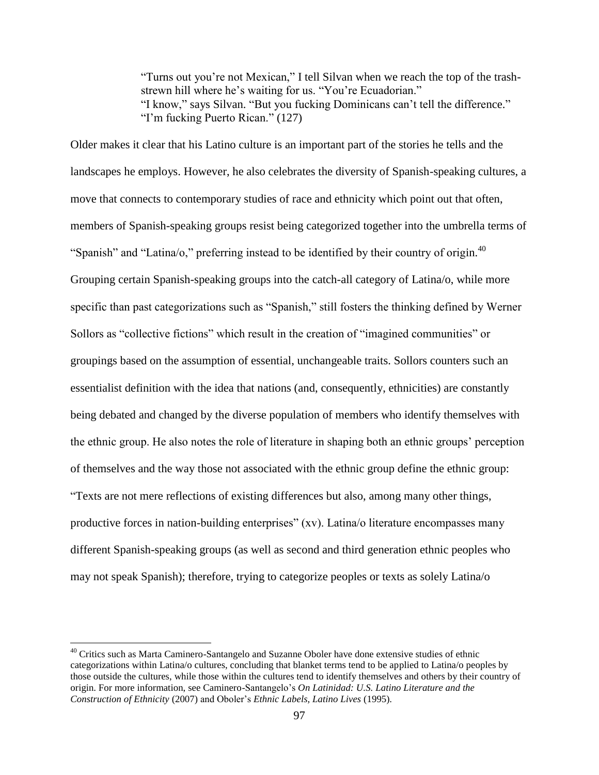"Turns out you're not Mexican," I tell Silvan when we reach the top of the trashstrewn hill where he's waiting for us. "You're Ecuadorian." "I know," says Silvan. "But you fucking Dominicans can't tell the difference." "I'm fucking Puerto Rican." (127)

Older makes it clear that his Latino culture is an important part of the stories he tells and the landscapes he employs. However, he also celebrates the diversity of Spanish-speaking cultures, a move that connects to contemporary studies of race and ethnicity which point out that often, members of Spanish-speaking groups resist being categorized together into the umbrella terms of "Spanish" and "Latina/o," preferring instead to be identified by their country of origin.<sup>40</sup> Grouping certain Spanish-speaking groups into the catch-all category of Latina/o, while more specific than past categorizations such as "Spanish," still fosters the thinking defined by Werner Sollors as "collective fictions" which result in the creation of "imagined communities" or groupings based on the assumption of essential, unchangeable traits. Sollors counters such an essentialist definition with the idea that nations (and, consequently, ethnicities) are constantly being debated and changed by the diverse population of members who identify themselves with the ethnic group. He also notes the role of literature in shaping both an ethnic groups' perception of themselves and the way those not associated with the ethnic group define the ethnic group: "Texts are not mere reflections of existing differences but also, among many other things, productive forces in nation-building enterprises" (xv). Latina/o literature encompasses many different Spanish-speaking groups (as well as second and third generation ethnic peoples who may not speak Spanish); therefore, trying to categorize peoples or texts as solely Latina/o

 $\overline{a}$ 

<sup>&</sup>lt;sup>40</sup> Critics such as Marta Caminero-Santangelo and Suzanne Oboler have done extensive studies of ethnic categorizations within Latina/o cultures, concluding that blanket terms tend to be applied to Latina/o peoples by those outside the cultures, while those within the cultures tend to identify themselves and others by their country of origin. For more information, see Caminero-Santangelo's *On Latinidad: U.S. Latino Literature and the Construction of Ethnicity* (2007) and Oboler's *Ethnic Labels, Latino Lives* (1995)*.*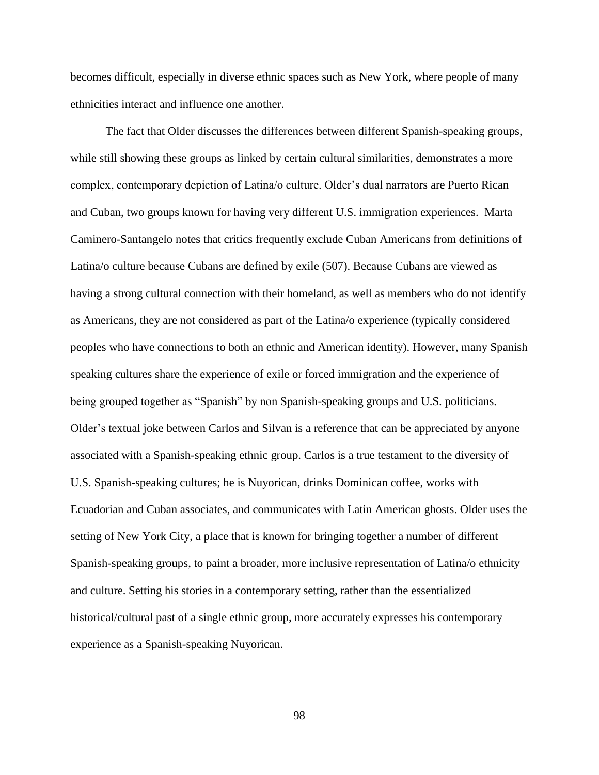becomes difficult, especially in diverse ethnic spaces such as New York, where people of many ethnicities interact and influence one another.

The fact that Older discusses the differences between different Spanish-speaking groups, while still showing these groups as linked by certain cultural similarities, demonstrates a more complex, contemporary depiction of Latina/o culture. Older's dual narrators are Puerto Rican and Cuban, two groups known for having very different U.S. immigration experiences. Marta Caminero-Santangelo notes that critics frequently exclude Cuban Americans from definitions of Latina/o culture because Cubans are defined by exile (507). Because Cubans are viewed as having a strong cultural connection with their homeland, as well as members who do not identify as Americans, they are not considered as part of the Latina/o experience (typically considered peoples who have connections to both an ethnic and American identity). However, many Spanish speaking cultures share the experience of exile or forced immigration and the experience of being grouped together as "Spanish" by non Spanish-speaking groups and U.S. politicians. Older's textual joke between Carlos and Silvan is a reference that can be appreciated by anyone associated with a Spanish-speaking ethnic group. Carlos is a true testament to the diversity of U.S. Spanish-speaking cultures; he is Nuyorican, drinks Dominican coffee, works with Ecuadorian and Cuban associates, and communicates with Latin American ghosts. Older uses the setting of New York City, a place that is known for bringing together a number of different Spanish-speaking groups, to paint a broader, more inclusive representation of Latina/o ethnicity and culture. Setting his stories in a contemporary setting, rather than the essentialized historical/cultural past of a single ethnic group, more accurately expresses his contemporary experience as a Spanish-speaking Nuyorican.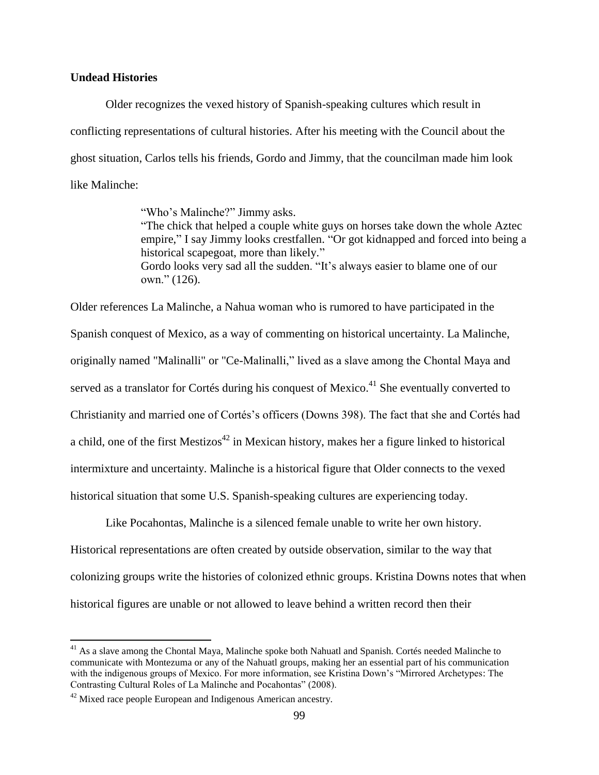## **Undead Histories**

Older recognizes the vexed history of Spanish-speaking cultures which result in conflicting representations of cultural histories. After his meeting with the Council about the ghost situation, Carlos tells his friends, Gordo and Jimmy, that the councilman made him look like Malinche:

> "Who's Malinche?" Jimmy asks. "The chick that helped a couple white guys on horses take down the whole Aztec empire," I say Jimmy looks crestfallen. "Or got kidnapped and forced into being a historical scapegoat, more than likely." Gordo looks very sad all the sudden. "It's always easier to blame one of our own." (126).

Older references La Malinche, a Nahua woman who is rumored to have participated in the Spanish conquest of Mexico, as a way of commenting on historical uncertainty. La Malinche, originally named "Malinalli" or "Ce-Malinalli," lived as a slave among the Chontal Maya and served as a translator for Cortés during his conquest of Mexico.<sup>41</sup> She eventually converted to Christianity and married one of Cortés's officers (Downs 398). The fact that she and Cortés had a child, one of the first Mestizos<sup> $42$ </sup> in Mexican history, makes her a figure linked to historical intermixture and uncertainty. Malinche is a historical figure that Older connects to the vexed historical situation that some U.S. Spanish-speaking cultures are experiencing today.

Like Pocahontas, Malinche is a silenced female unable to write her own history. Historical representations are often created by outside observation, similar to the way that colonizing groups write the histories of colonized ethnic groups. Kristina Downs notes that when historical figures are unable or not allowed to leave behind a written record then their

 $\overline{a}$ 

 $41$  As a slave among the Chontal Maya, Malinche spoke both Nahuatl and Spanish. Cortés needed Malinche to communicate with Montezuma or any of the Nahuatl groups, making her an essential part of his communication with the indigenous groups of Mexico. For more information, see Kristina Down's "Mirrored Archetypes: The Contrasting Cultural Roles of La Malinche and Pocahontas" (2008).

 $42$  Mixed race people European and Indigenous American ancestry.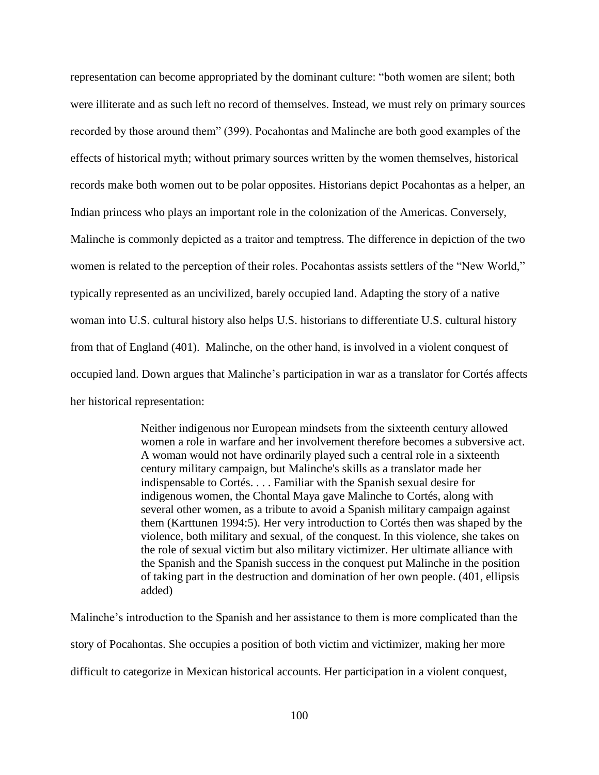representation can become appropriated by the dominant culture: "both women are silent; both were illiterate and as such left no record of themselves. Instead, we must rely on primary sources recorded by those around them" (399). Pocahontas and Malinche are both good examples of the effects of historical myth; without primary sources written by the women themselves, historical records make both women out to be polar opposites. Historians depict Pocahontas as a helper, an Indian princess who plays an important role in the colonization of the Americas. Conversely, Malinche is commonly depicted as a traitor and temptress. The difference in depiction of the two women is related to the perception of their roles. Pocahontas assists settlers of the "New World," typically represented as an uncivilized, barely occupied land. Adapting the story of a native woman into U.S. cultural history also helps U.S. historians to differentiate U.S. cultural history from that of England (401). Malinche, on the other hand, is involved in a violent conquest of occupied land. Down argues that Malinche's participation in war as a translator for Cortés affects her historical representation:

> Neither indigenous nor European mindsets from the sixteenth century allowed women a role in warfare and her involvement therefore becomes a subversive act. A woman would not have ordinarily played such a central role in a sixteenth century military campaign, but Malinche's skills as a translator made her indispensable to Cortés. . . . Familiar with the Spanish sexual desire for indigenous women, the Chontal Maya gave Malinche to Cortés, along with several other women, as a tribute to avoid a Spanish military campaign against them (Karttunen 1994:5). Her very introduction to Cortés then was shaped by the violence, both military and sexual, of the conquest. In this violence, she takes on the role of sexual victim but also military victimizer. Her ultimate alliance with the Spanish and the Spanish success in the conquest put Malinche in the position of taking part in the destruction and domination of her own people. (401, ellipsis added)

Malinche's introduction to the Spanish and her assistance to them is more complicated than the story of Pocahontas. She occupies a position of both victim and victimizer, making her more difficult to categorize in Mexican historical accounts. Her participation in a violent conquest,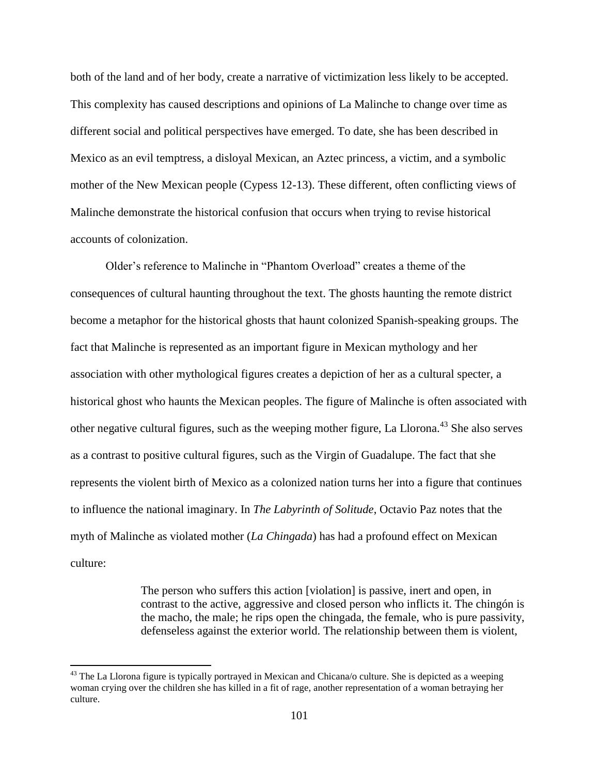both of the land and of her body, create a narrative of victimization less likely to be accepted. This complexity has caused descriptions and opinions of La Malinche to change over time as different social and political perspectives have emerged. To date, she has been described in Mexico as an evil temptress, a disloyal Mexican, an Aztec princess, a victim, and a symbolic mother of the New Mexican people (Cypess 12-13). These different, often conflicting views of Malinche demonstrate the historical confusion that occurs when trying to revise historical accounts of colonization.

Older's reference to Malinche in "Phantom Overload" creates a theme of the consequences of cultural haunting throughout the text. The ghosts haunting the remote district become a metaphor for the historical ghosts that haunt colonized Spanish-speaking groups. The fact that Malinche is represented as an important figure in Mexican mythology and her association with other mythological figures creates a depiction of her as a cultural specter, a historical ghost who haunts the Mexican peoples. The figure of Malinche is often associated with other negative cultural figures, such as the weeping mother figure, La Llorona.<sup>43</sup> She also serves as a contrast to positive cultural figures, such as the Virgin of Guadalupe. The fact that she represents the violent birth of Mexico as a colonized nation turns her into a figure that continues to influence the national imaginary. In *The Labyrinth of Solitude*, Octavio Paz notes that the myth of Malinche as violated mother (*La Chingada*) has had a profound effect on Mexican culture:

> The person who suffers this action [violation] is passive, inert and open, in contrast to the active, aggressive and closed person who inflicts it. The chingón is the macho, the male; he rips open the chingada, the female, who is pure passivity, defenseless against the exterior world. The relationship between them is violent,

 $43$  The La Llorona figure is typically portrayed in Mexican and Chicana/o culture. She is depicted as a weeping woman crying over the children she has killed in a fit of rage, another representation of a woman betraying her culture.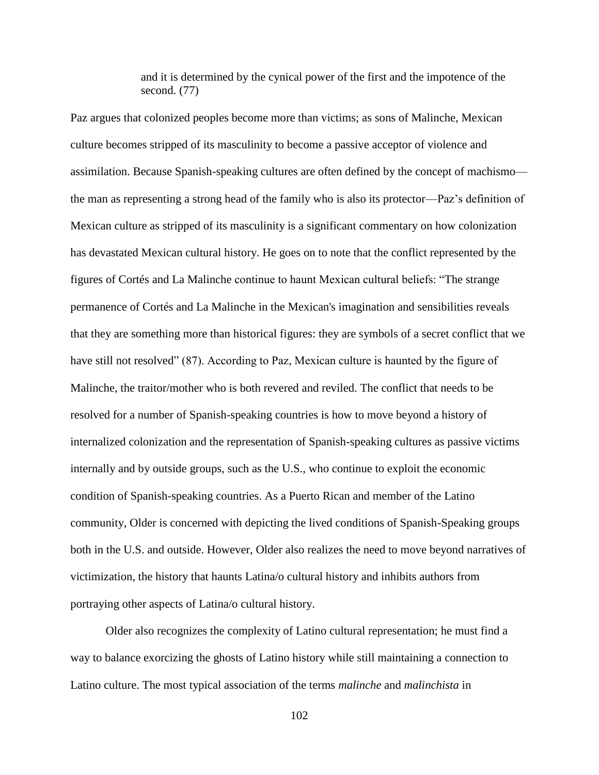and it is determined by the cynical power of the first and the impotence of the second. (77)

Paz argues that colonized peoples become more than victims; as sons of Malinche, Mexican culture becomes stripped of its masculinity to become a passive acceptor of violence and assimilation. Because Spanish-speaking cultures are often defined by the concept of machismo the man as representing a strong head of the family who is also its protector—Paz's definition of Mexican culture as stripped of its masculinity is a significant commentary on how colonization has devastated Mexican cultural history. He goes on to note that the conflict represented by the figures of Cortés and La Malinche continue to haunt Mexican cultural beliefs: "The strange permanence of Cortés and La Malinche in the Mexican's imagination and sensibilities reveals that they are something more than historical figures: they are symbols of a secret conflict that we have still not resolved" (87). According to Paz, Mexican culture is haunted by the figure of Malinche, the traitor/mother who is both revered and reviled. The conflict that needs to be resolved for a number of Spanish-speaking countries is how to move beyond a history of internalized colonization and the representation of Spanish-speaking cultures as passive victims internally and by outside groups, such as the U.S., who continue to exploit the economic condition of Spanish-speaking countries. As a Puerto Rican and member of the Latino community, Older is concerned with depicting the lived conditions of Spanish-Speaking groups both in the U.S. and outside. However, Older also realizes the need to move beyond narratives of victimization, the history that haunts Latina/o cultural history and inhibits authors from portraying other aspects of Latina/o cultural history.

Older also recognizes the complexity of Latino cultural representation; he must find a way to balance exorcizing the ghosts of Latino history while still maintaining a connection to Latino culture. The most typical association of the terms *malinche* and *malinchista* in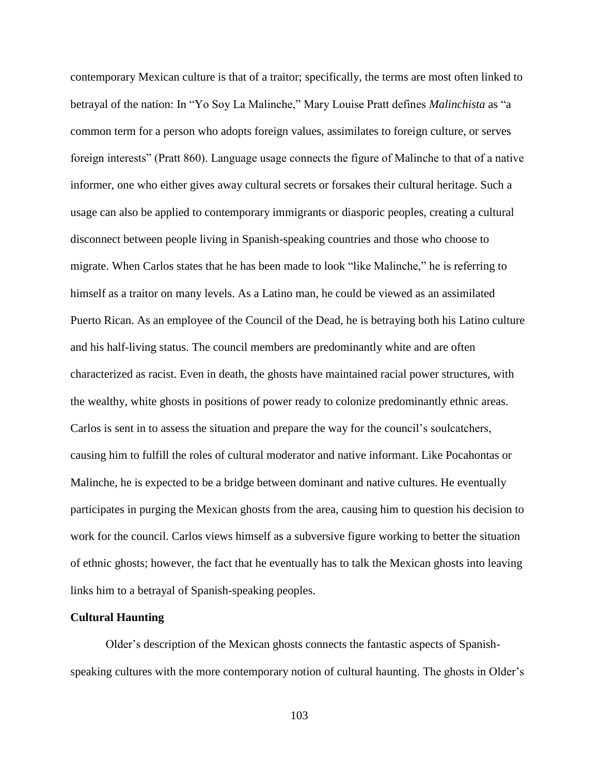contemporary Mexican culture is that of a traitor; specifically, the terms are most often linked to betrayal of the nation: In "Yo Soy La Malinche," Mary Louise Pratt defines *Malinchista* as "a common term for a person who adopts foreign values, assimilates to foreign culture, or serves foreign interests" (Pratt 860). Language usage connects the figure of Malinche to that of a native informer, one who either gives away cultural secrets or forsakes their cultural heritage. Such a usage can also be applied to contemporary immigrants or diasporic peoples, creating a cultural disconnect between people living in Spanish-speaking countries and those who choose to migrate. When Carlos states that he has been made to look "like Malinche," he is referring to himself as a traitor on many levels. As a Latino man, he could be viewed as an assimilated Puerto Rican. As an employee of the Council of the Dead, he is betraying both his Latino culture and his half-living status. The council members are predominantly white and are often characterized as racist. Even in death, the ghosts have maintained racial power structures, with the wealthy, white ghosts in positions of power ready to colonize predominantly ethnic areas. Carlos is sent in to assess the situation and prepare the way for the council's soulcatchers, causing him to fulfill the roles of cultural moderator and native informant. Like Pocahontas or Malinche, he is expected to be a bridge between dominant and native cultures. He eventually participates in purging the Mexican ghosts from the area, causing him to question his decision to work for the council. Carlos views himself as a subversive figure working to better the situation of ethnic ghosts; however, the fact that he eventually has to talk the Mexican ghosts into leaving links him to a betrayal of Spanish-speaking peoples.

#### **Cultural Haunting**

Older's description of the Mexican ghosts connects the fantastic aspects of Spanishspeaking cultures with the more contemporary notion of cultural haunting. The ghosts in Older's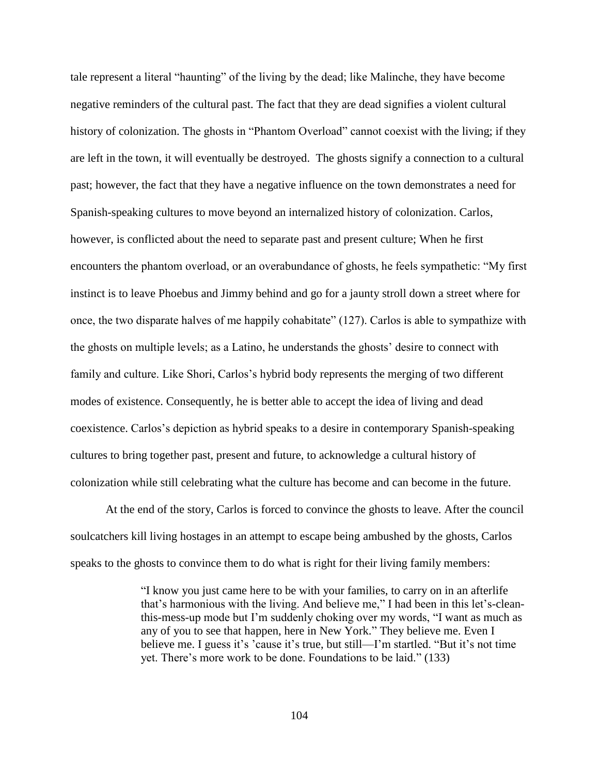tale represent a literal "haunting" of the living by the dead; like Malinche, they have become negative reminders of the cultural past. The fact that they are dead signifies a violent cultural history of colonization. The ghosts in "Phantom Overload" cannot coexist with the living; if they are left in the town, it will eventually be destroyed. The ghosts signify a connection to a cultural past; however, the fact that they have a negative influence on the town demonstrates a need for Spanish-speaking cultures to move beyond an internalized history of colonization. Carlos, however, is conflicted about the need to separate past and present culture; When he first encounters the phantom overload, or an overabundance of ghosts, he feels sympathetic: "My first instinct is to leave Phoebus and Jimmy behind and go for a jaunty stroll down a street where for once, the two disparate halves of me happily cohabitate" (127). Carlos is able to sympathize with the ghosts on multiple levels; as a Latino, he understands the ghosts' desire to connect with family and culture. Like Shori, Carlos's hybrid body represents the merging of two different modes of existence. Consequently, he is better able to accept the idea of living and dead coexistence. Carlos's depiction as hybrid speaks to a desire in contemporary Spanish-speaking cultures to bring together past, present and future, to acknowledge a cultural history of colonization while still celebrating what the culture has become and can become in the future.

At the end of the story, Carlos is forced to convince the ghosts to leave. After the council soulcatchers kill living hostages in an attempt to escape being ambushed by the ghosts, Carlos speaks to the ghosts to convince them to do what is right for their living family members:

> "I know you just came here to be with your families, to carry on in an afterlife that's harmonious with the living. And believe me," I had been in this let's-cleanthis-mess-up mode but I'm suddenly choking over my words, "I want as much as any of you to see that happen, here in New York." They believe me. Even I believe me. I guess it's 'cause it's true, but still—I'm startled. "But it's not time yet. There's more work to be done. Foundations to be laid." (133)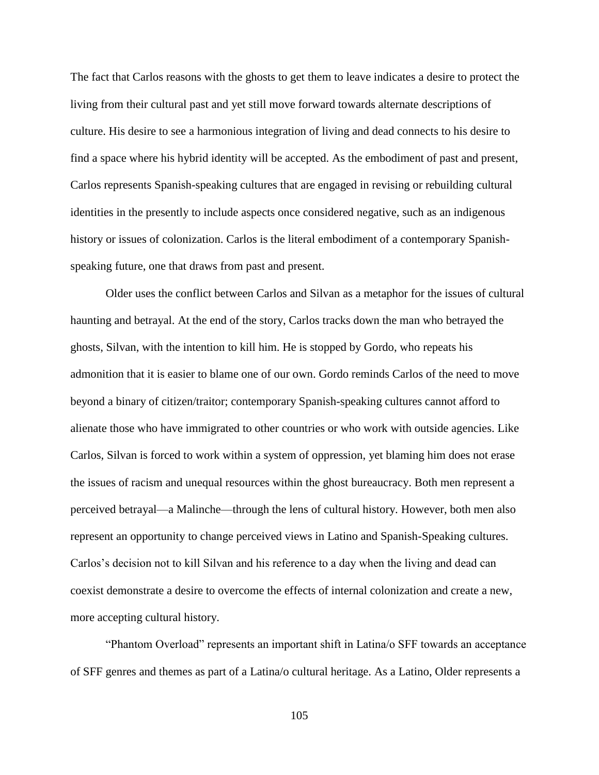The fact that Carlos reasons with the ghosts to get them to leave indicates a desire to protect the living from their cultural past and yet still move forward towards alternate descriptions of culture. His desire to see a harmonious integration of living and dead connects to his desire to find a space where his hybrid identity will be accepted. As the embodiment of past and present, Carlos represents Spanish-speaking cultures that are engaged in revising or rebuilding cultural identities in the presently to include aspects once considered negative, such as an indigenous history or issues of colonization. Carlos is the literal embodiment of a contemporary Spanishspeaking future, one that draws from past and present.

Older uses the conflict between Carlos and Silvan as a metaphor for the issues of cultural haunting and betrayal. At the end of the story, Carlos tracks down the man who betrayed the ghosts, Silvan, with the intention to kill him. He is stopped by Gordo, who repeats his admonition that it is easier to blame one of our own. Gordo reminds Carlos of the need to move beyond a binary of citizen/traitor; contemporary Spanish-speaking cultures cannot afford to alienate those who have immigrated to other countries or who work with outside agencies. Like Carlos, Silvan is forced to work within a system of oppression, yet blaming him does not erase the issues of racism and unequal resources within the ghost bureaucracy. Both men represent a perceived betrayal—a Malinche—through the lens of cultural history. However, both men also represent an opportunity to change perceived views in Latino and Spanish-Speaking cultures. Carlos's decision not to kill Silvan and his reference to a day when the living and dead can coexist demonstrate a desire to overcome the effects of internal colonization and create a new, more accepting cultural history.

"Phantom Overload" represents an important shift in Latina/o SFF towards an acceptance of SFF genres and themes as part of a Latina/o cultural heritage. As a Latino, Older represents a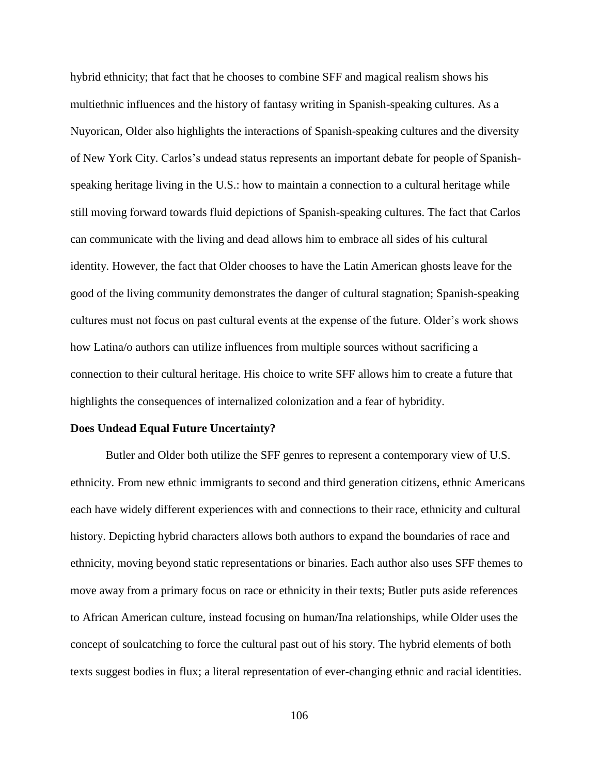hybrid ethnicity; that fact that he chooses to combine SFF and magical realism shows his multiethnic influences and the history of fantasy writing in Spanish-speaking cultures. As a Nuyorican, Older also highlights the interactions of Spanish-speaking cultures and the diversity of New York City. Carlos's undead status represents an important debate for people of Spanishspeaking heritage living in the U.S.: how to maintain a connection to a cultural heritage while still moving forward towards fluid depictions of Spanish-speaking cultures. The fact that Carlos can communicate with the living and dead allows him to embrace all sides of his cultural identity. However, the fact that Older chooses to have the Latin American ghosts leave for the good of the living community demonstrates the danger of cultural stagnation; Spanish-speaking cultures must not focus on past cultural events at the expense of the future. Older's work shows how Latina/o authors can utilize influences from multiple sources without sacrificing a connection to their cultural heritage. His choice to write SFF allows him to create a future that highlights the consequences of internalized colonization and a fear of hybridity.

# **Does Undead Equal Future Uncertainty?**

Butler and Older both utilize the SFF genres to represent a contemporary view of U.S. ethnicity. From new ethnic immigrants to second and third generation citizens, ethnic Americans each have widely different experiences with and connections to their race, ethnicity and cultural history. Depicting hybrid characters allows both authors to expand the boundaries of race and ethnicity, moving beyond static representations or binaries. Each author also uses SFF themes to move away from a primary focus on race or ethnicity in their texts; Butler puts aside references to African American culture, instead focusing on human/Ina relationships, while Older uses the concept of soulcatching to force the cultural past out of his story. The hybrid elements of both texts suggest bodies in flux; a literal representation of ever-changing ethnic and racial identities.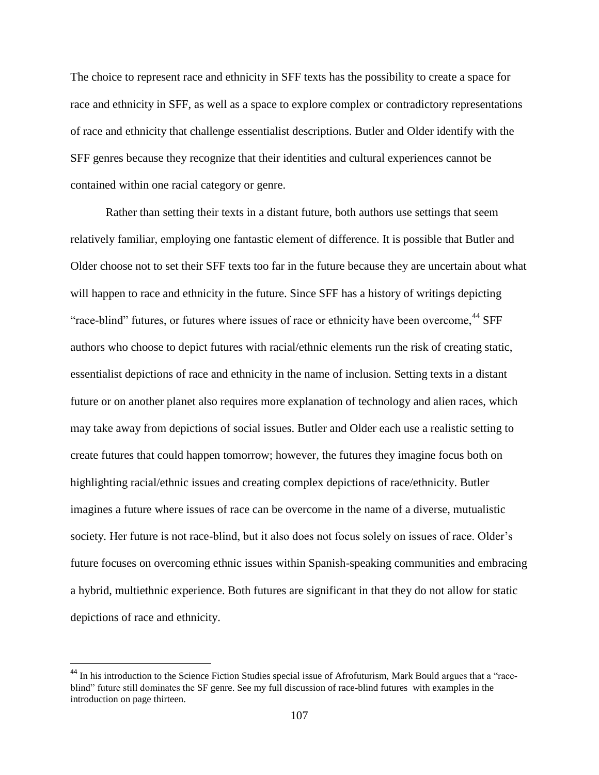The choice to represent race and ethnicity in SFF texts has the possibility to create a space for race and ethnicity in SFF, as well as a space to explore complex or contradictory representations of race and ethnicity that challenge essentialist descriptions. Butler and Older identify with the SFF genres because they recognize that their identities and cultural experiences cannot be contained within one racial category or genre.

Rather than setting their texts in a distant future, both authors use settings that seem relatively familiar, employing one fantastic element of difference. It is possible that Butler and Older choose not to set their SFF texts too far in the future because they are uncertain about what will happen to race and ethnicity in the future. Since SFF has a history of writings depicting "race-blind" futures, or futures where issues of race or ethnicity have been overcome,<sup>44</sup> SFF authors who choose to depict futures with racial/ethnic elements run the risk of creating static, essentialist depictions of race and ethnicity in the name of inclusion. Setting texts in a distant future or on another planet also requires more explanation of technology and alien races, which may take away from depictions of social issues. Butler and Older each use a realistic setting to create futures that could happen tomorrow; however, the futures they imagine focus both on highlighting racial/ethnic issues and creating complex depictions of race/ethnicity. Butler imagines a future where issues of race can be overcome in the name of a diverse, mutualistic society. Her future is not race-blind, but it also does not focus solely on issues of race. Older's future focuses on overcoming ethnic issues within Spanish-speaking communities and embracing a hybrid, multiethnic experience. Both futures are significant in that they do not allow for static depictions of race and ethnicity.

l

<sup>&</sup>lt;sup>44</sup> In his introduction to the Science Fiction Studies special issue of Afrofuturism, Mark Bould argues that a "raceblind" future still dominates the SF genre. See my full discussion of race-blind futures with examples in the introduction on page thirteen.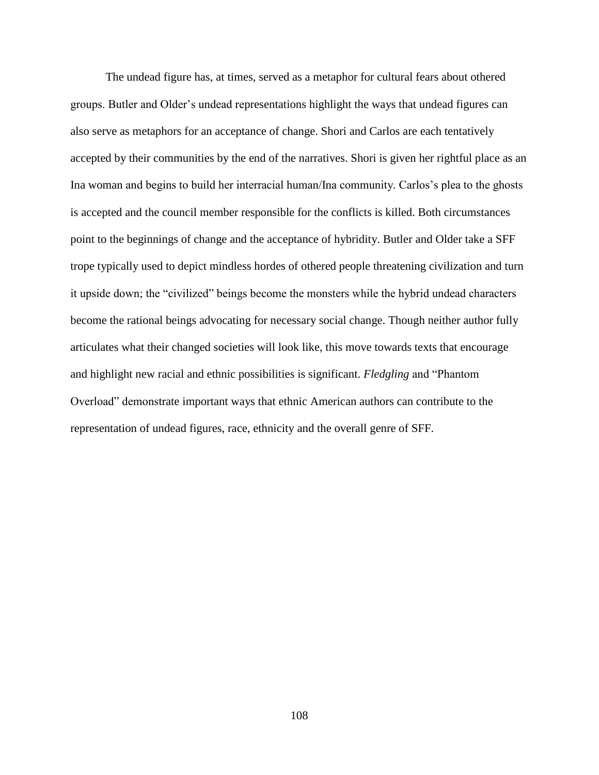The undead figure has, at times, served as a metaphor for cultural fears about othered groups. Butler and Older's undead representations highlight the ways that undead figures can also serve as metaphors for an acceptance of change. Shori and Carlos are each tentatively accepted by their communities by the end of the narratives. Shori is given her rightful place as an Ina woman and begins to build her interracial human/Ina community. Carlos's plea to the ghosts is accepted and the council member responsible for the conflicts is killed. Both circumstances point to the beginnings of change and the acceptance of hybridity. Butler and Older take a SFF trope typically used to depict mindless hordes of othered people threatening civilization and turn it upside down; the "civilized" beings become the monsters while the hybrid undead characters become the rational beings advocating for necessary social change. Though neither author fully articulates what their changed societies will look like, this move towards texts that encourage and highlight new racial and ethnic possibilities is significant. *Fledgling* and "Phantom Overload" demonstrate important ways that ethnic American authors can contribute to the representation of undead figures, race, ethnicity and the overall genre of SFF.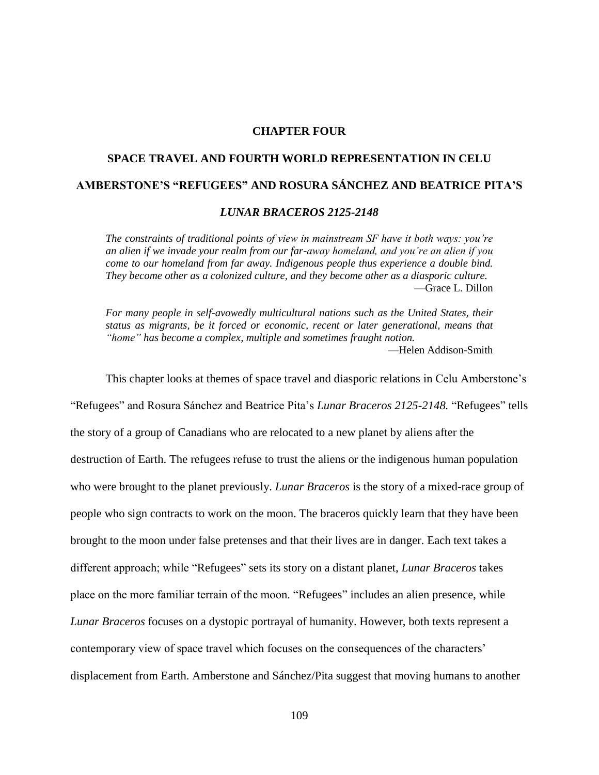# **CHAPTER FOUR**

# **SPACE TRAVEL AND FOURTH WORLD REPRESENTATION IN CELU AMBERSTONE'S "REFUGEES" AND ROSURA SÁNCHEZ AND BEATRICE PITA'S**

#### *LUNAR BRACEROS 2125-2148*

*The constraints of traditional points of view in mainstream SF have it both ways: you're an alien if we invade your realm from our far-away homeland, and you're an alien if you come to our homeland from far away. Indigenous people thus experience a double bind. They become other as a colonized culture, and they become other as a diasporic culture.* —Grace L. Dillon

*For many people in self-avowedly multicultural nations such as the United States, their status as migrants, be it forced or economic, recent or later generational, means that "home" has become a complex, multiple and sometimes fraught notion.* —Helen Addison-Smith

This chapter looks at themes of space travel and diasporic relations in Celu Amberstone's "Refugees" and Rosura Sánchez and Beatrice Pita's *Lunar Braceros 2125-2148.* "Refugees" tells the story of a group of Canadians who are relocated to a new planet by aliens after the destruction of Earth. The refugees refuse to trust the aliens or the indigenous human population who were brought to the planet previously. *Lunar Braceros* is the story of a mixed-race group of people who sign contracts to work on the moon. The braceros quickly learn that they have been brought to the moon under false pretenses and that their lives are in danger. Each text takes a different approach; while "Refugees" sets its story on a distant planet, *Lunar Braceros* takes place on the more familiar terrain of the moon. "Refugees" includes an alien presence, while *Lunar Braceros* focuses on a dystopic portrayal of humanity. However, both texts represent a contemporary view of space travel which focuses on the consequences of the characters' displacement from Earth. Amberstone and Sánchez/Pita suggest that moving humans to another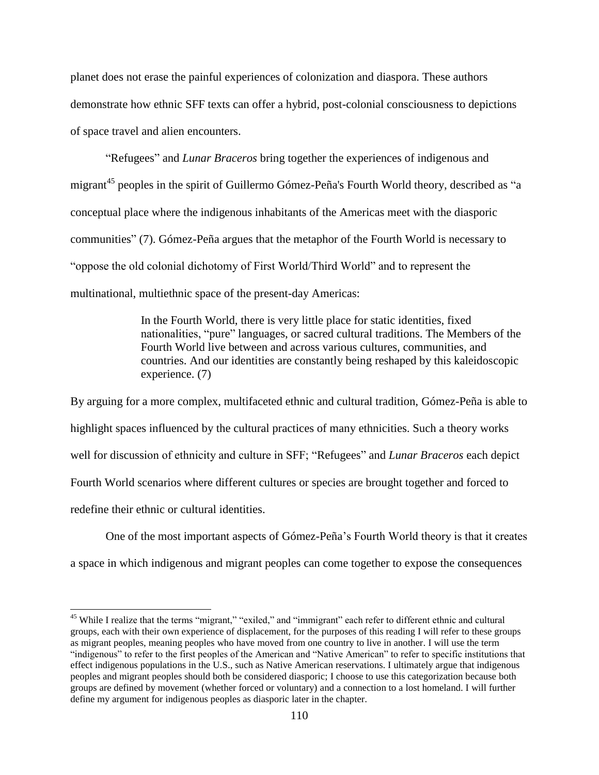planet does not erase the painful experiences of colonization and diaspora. These authors demonstrate how ethnic SFF texts can offer a hybrid, post-colonial consciousness to depictions of space travel and alien encounters.

"Refugees" and *Lunar Braceros* bring together the experiences of indigenous and migrant<sup>45</sup> peoples in the spirit of Guillermo Gómez-Peña's Fourth World theory, described as "a conceptual place where the indigenous inhabitants of the Americas meet with the diasporic communities" (7). Gómez-Peña argues that the metaphor of the Fourth World is necessary to "oppose the old colonial dichotomy of First World/Third World" and to represent the multinational, multiethnic space of the present-day Americas:

> In the Fourth World, there is very little place for static identities, fixed nationalities, "pure" languages, or sacred cultural traditions. The Members of the Fourth World live between and across various cultures, communities, and countries. And our identities are constantly being reshaped by this kaleidoscopic experience. (7)

By arguing for a more complex, multifaceted ethnic and cultural tradition, Gómez-Peña is able to highlight spaces influenced by the cultural practices of many ethnicities. Such a theory works well for discussion of ethnicity and culture in SFF; "Refugees" and *Lunar Braceros* each depict Fourth World scenarios where different cultures or species are brought together and forced to redefine their ethnic or cultural identities.

One of the most important aspects of Gómez-Peña's Fourth World theory is that it creates a space in which indigenous and migrant peoples can come together to expose the consequences

 $\overline{a}$ 

<sup>&</sup>lt;sup>45</sup> While I realize that the terms "migrant," "exiled," and "immigrant" each refer to different ethnic and cultural groups, each with their own experience of displacement, for the purposes of this reading I will refer to these groups as migrant peoples, meaning peoples who have moved from one country to live in another. I will use the term "indigenous" to refer to the first peoples of the American and "Native American" to refer to specific institutions that effect indigenous populations in the U.S., such as Native American reservations. I ultimately argue that indigenous peoples and migrant peoples should both be considered diasporic; I choose to use this categorization because both groups are defined by movement (whether forced or voluntary) and a connection to a lost homeland. I will further define my argument for indigenous peoples as diasporic later in the chapter.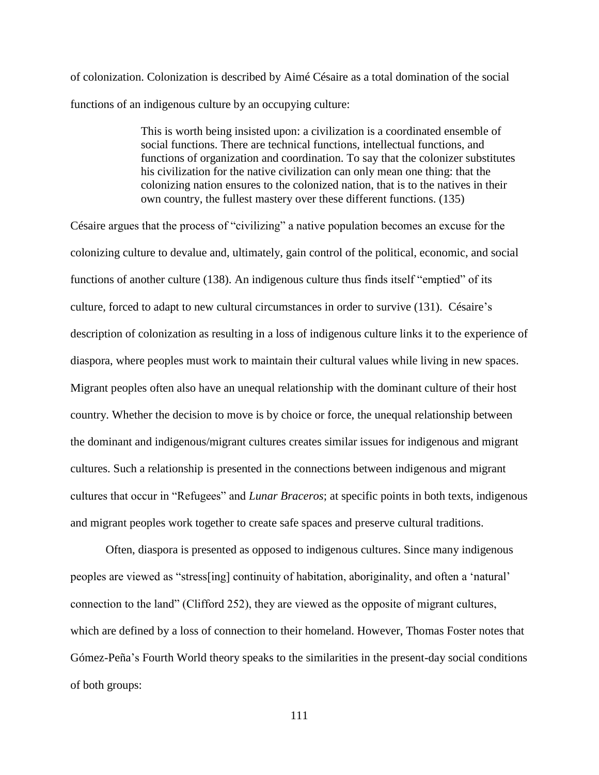of colonization. Colonization is described by Aimé Césaire as a total domination of the social functions of an indigenous culture by an occupying culture:

> This is worth being insisted upon: a civilization is a coordinated ensemble of social functions. There are technical functions, intellectual functions, and functions of organization and coordination. To say that the colonizer substitutes his civilization for the native civilization can only mean one thing: that the colonizing nation ensures to the colonized nation, that is to the natives in their own country, the fullest mastery over these different functions. (135)

Césaire argues that the process of "civilizing" a native population becomes an excuse for the colonizing culture to devalue and, ultimately, gain control of the political, economic, and social functions of another culture (138). An indigenous culture thus finds itself "emptied" of its culture, forced to adapt to new cultural circumstances in order to survive (131). Césaire's description of colonization as resulting in a loss of indigenous culture links it to the experience of diaspora, where peoples must work to maintain their cultural values while living in new spaces. Migrant peoples often also have an unequal relationship with the dominant culture of their host country. Whether the decision to move is by choice or force, the unequal relationship between the dominant and indigenous/migrant cultures creates similar issues for indigenous and migrant cultures. Such a relationship is presented in the connections between indigenous and migrant cultures that occur in "Refugees" and *Lunar Braceros*; at specific points in both texts, indigenous and migrant peoples work together to create safe spaces and preserve cultural traditions.

Often, diaspora is presented as opposed to indigenous cultures. Since many indigenous peoples are viewed as "stress[ing] continuity of habitation, aboriginality, and often a 'natural' connection to the land" (Clifford 252), they are viewed as the opposite of migrant cultures, which are defined by a loss of connection to their homeland. However, Thomas Foster notes that Gómez-Peña's Fourth World theory speaks to the similarities in the present-day social conditions of both groups: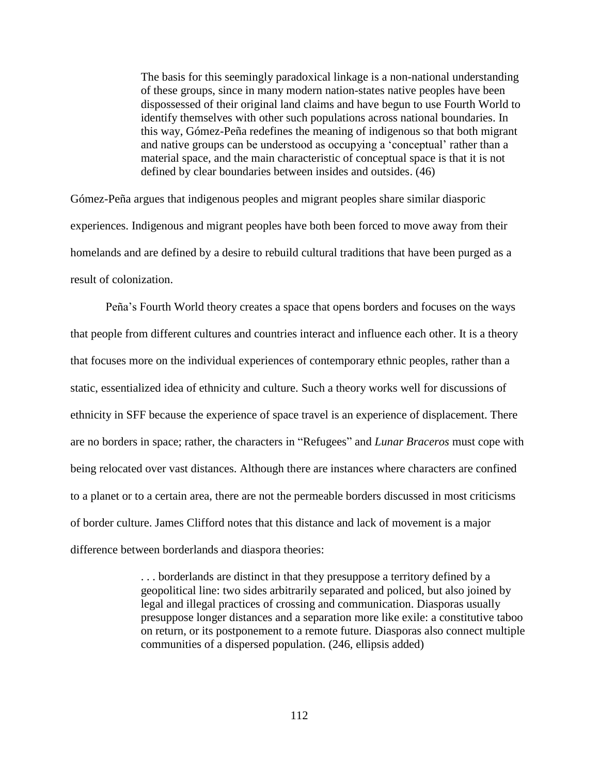The basis for this seemingly paradoxical linkage is a non-national understanding of these groups, since in many modern nation-states native peoples have been dispossessed of their original land claims and have begun to use Fourth World to identify themselves with other such populations across national boundaries. In this way, Gómez-Peña redefines the meaning of indigenous so that both migrant and native groups can be understood as occupying a 'conceptual' rather than a material space, and the main characteristic of conceptual space is that it is not defined by clear boundaries between insides and outsides. (46)

Gómez-Peña argues that indigenous peoples and migrant peoples share similar diasporic experiences. Indigenous and migrant peoples have both been forced to move away from their homelands and are defined by a desire to rebuild cultural traditions that have been purged as a result of colonization.

Peña's Fourth World theory creates a space that opens borders and focuses on the ways that people from different cultures and countries interact and influence each other. It is a theory that focuses more on the individual experiences of contemporary ethnic peoples, rather than a static, essentialized idea of ethnicity and culture. Such a theory works well for discussions of ethnicity in SFF because the experience of space travel is an experience of displacement. There are no borders in space; rather, the characters in "Refugees" and *Lunar Braceros* must cope with being relocated over vast distances. Although there are instances where characters are confined to a planet or to a certain area, there are not the permeable borders discussed in most criticisms of border culture. James Clifford notes that this distance and lack of movement is a major difference between borderlands and diaspora theories:

> . . . borderlands are distinct in that they presuppose a territory defined by a geopolitical line: two sides arbitrarily separated and policed, but also joined by legal and illegal practices of crossing and communication. Diasporas usually presuppose longer distances and a separation more like exile: a constitutive taboo on return, or its postponement to a remote future. Diasporas also connect multiple communities of a dispersed population. (246, ellipsis added)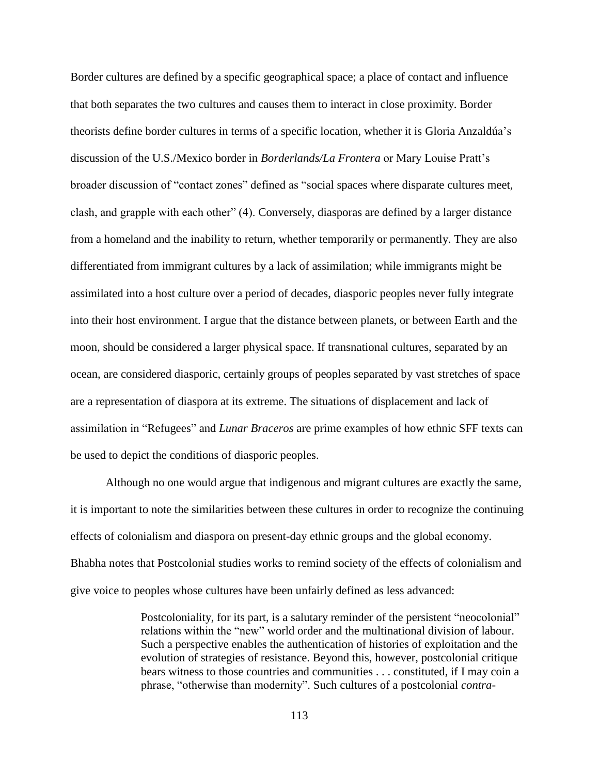Border cultures are defined by a specific geographical space; a place of contact and influence that both separates the two cultures and causes them to interact in close proximity. Border theorists define border cultures in terms of a specific location, whether it is Gloria Anzaldúa's discussion of the U.S./Mexico border in *Borderlands/La Frontera* or Mary Louise Pratt's broader discussion of "contact zones" defined as "social spaces where disparate cultures meet, clash, and grapple with each other" (4). Conversely, diasporas are defined by a larger distance from a homeland and the inability to return, whether temporarily or permanently. They are also differentiated from immigrant cultures by a lack of assimilation; while immigrants might be assimilated into a host culture over a period of decades, diasporic peoples never fully integrate into their host environment. I argue that the distance between planets, or between Earth and the moon, should be considered a larger physical space. If transnational cultures, separated by an ocean, are considered diasporic, certainly groups of peoples separated by vast stretches of space are a representation of diaspora at its extreme. The situations of displacement and lack of assimilation in "Refugees" and *Lunar Braceros* are prime examples of how ethnic SFF texts can be used to depict the conditions of diasporic peoples.

Although no one would argue that indigenous and migrant cultures are exactly the same, it is important to note the similarities between these cultures in order to recognize the continuing effects of colonialism and diaspora on present-day ethnic groups and the global economy. Bhabha notes that Postcolonial studies works to remind society of the effects of colonialism and give voice to peoples whose cultures have been unfairly defined as less advanced:

> Postcoloniality, for its part, is a salutary reminder of the persistent "neocolonial" relations within the "new" world order and the multinational division of labour. Such a perspective enables the authentication of histories of exploitation and the evolution of strategies of resistance. Beyond this, however, postcolonial critique bears witness to those countries and communities . . . constituted, if I may coin a phrase, "otherwise than modernity". Such cultures of a postcolonial *contra-*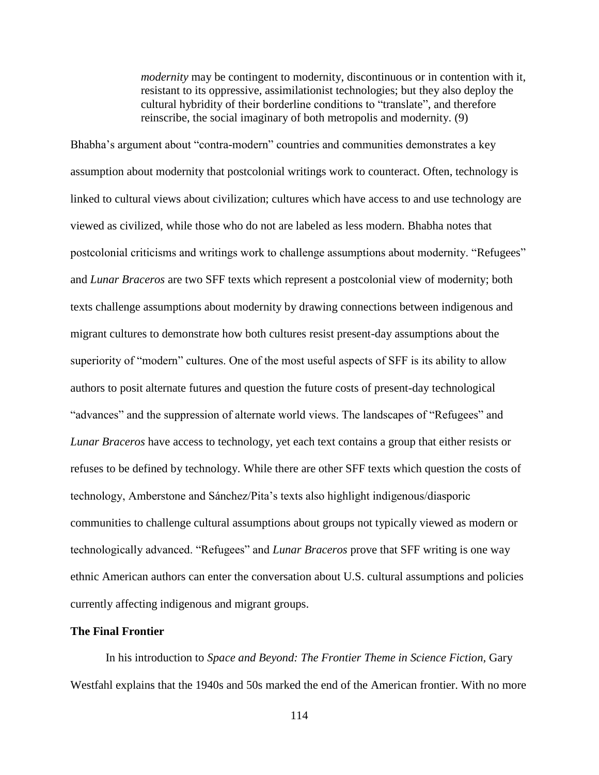*modernity* may be contingent to modernity, discontinuous or in contention with it, resistant to its oppressive, assimilationist technologies; but they also deploy the cultural hybridity of their borderline conditions to "translate", and therefore reinscribe, the social imaginary of both metropolis and modernity. (9)

Bhabha's argument about "contra-modern" countries and communities demonstrates a key assumption about modernity that postcolonial writings work to counteract. Often, technology is linked to cultural views about civilization; cultures which have access to and use technology are viewed as civilized, while those who do not are labeled as less modern. Bhabha notes that postcolonial criticisms and writings work to challenge assumptions about modernity. "Refugees" and *Lunar Braceros* are two SFF texts which represent a postcolonial view of modernity; both texts challenge assumptions about modernity by drawing connections between indigenous and migrant cultures to demonstrate how both cultures resist present-day assumptions about the superiority of "modern" cultures. One of the most useful aspects of SFF is its ability to allow authors to posit alternate futures and question the future costs of present-day technological "advances" and the suppression of alternate world views. The landscapes of "Refugees" and *Lunar Braceros* have access to technology, yet each text contains a group that either resists or refuses to be defined by technology. While there are other SFF texts which question the costs of technology, Amberstone and Sánchez/Pita's texts also highlight indigenous/diasporic communities to challenge cultural assumptions about groups not typically viewed as modern or technologically advanced. "Refugees" and *Lunar Braceros* prove that SFF writing is one way ethnic American authors can enter the conversation about U.S. cultural assumptions and policies currently affecting indigenous and migrant groups.

#### **The Final Frontier**

In his introduction to *Space and Beyond: The Frontier Theme in Science Fiction,* Gary Westfahl explains that the 1940s and 50s marked the end of the American frontier. With no more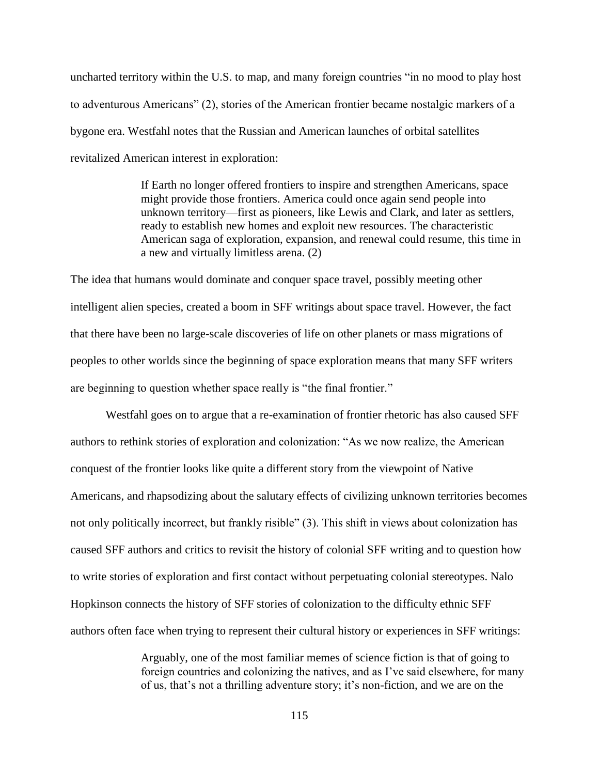uncharted territory within the U.S. to map, and many foreign countries "in no mood to play host to adventurous Americans" (2), stories of the American frontier became nostalgic markers of a bygone era. Westfahl notes that the Russian and American launches of orbital satellites revitalized American interest in exploration:

> If Earth no longer offered frontiers to inspire and strengthen Americans, space might provide those frontiers. America could once again send people into unknown territory—first as pioneers, like Lewis and Clark, and later as settlers, ready to establish new homes and exploit new resources. The characteristic American saga of exploration, expansion, and renewal could resume, this time in a new and virtually limitless arena. (2)

The idea that humans would dominate and conquer space travel, possibly meeting other intelligent alien species, created a boom in SFF writings about space travel. However, the fact that there have been no large-scale discoveries of life on other planets or mass migrations of peoples to other worlds since the beginning of space exploration means that many SFF writers are beginning to question whether space really is "the final frontier."

Westfahl goes on to argue that a re-examination of frontier rhetoric has also caused SFF authors to rethink stories of exploration and colonization: "As we now realize, the American conquest of the frontier looks like quite a different story from the viewpoint of Native Americans, and rhapsodizing about the salutary effects of civilizing unknown territories becomes not only politically incorrect, but frankly risible" (3). This shift in views about colonization has caused SFF authors and critics to revisit the history of colonial SFF writing and to question how to write stories of exploration and first contact without perpetuating colonial stereotypes. Nalo Hopkinson connects the history of SFF stories of colonization to the difficulty ethnic SFF authors often face when trying to represent their cultural history or experiences in SFF writings:

> Arguably, one of the most familiar memes of science fiction is that of going to foreign countries and colonizing the natives, and as I've said elsewhere, for many of us, that's not a thrilling adventure story; it's non-fiction, and we are on the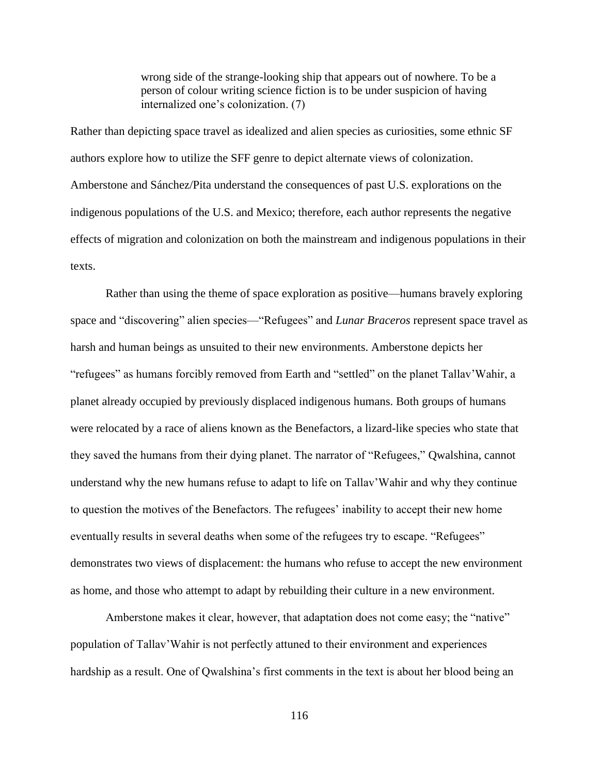wrong side of the strange-looking ship that appears out of nowhere. To be a person of colour writing science fiction is to be under suspicion of having internalized one's colonization. (7)

Rather than depicting space travel as idealized and alien species as curiosities, some ethnic SF authors explore how to utilize the SFF genre to depict alternate views of colonization. Amberstone and Sánchez/Pita understand the consequences of past U.S. explorations on the indigenous populations of the U.S. and Mexico; therefore, each author represents the negative effects of migration and colonization on both the mainstream and indigenous populations in their texts.

Rather than using the theme of space exploration as positive—humans bravely exploring space and "discovering" alien species—"Refugees" and *Lunar Braceros* represent space travel as harsh and human beings as unsuited to their new environments. Amberstone depicts her "refugees" as humans forcibly removed from Earth and "settled" on the planet Tallav'Wahir, a planet already occupied by previously displaced indigenous humans. Both groups of humans were relocated by a race of aliens known as the Benefactors, a lizard-like species who state that they saved the humans from their dying planet. The narrator of "Refugees," Qwalshina, cannot understand why the new humans refuse to adapt to life on Tallav'Wahir and why they continue to question the motives of the Benefactors. The refugees' inability to accept their new home eventually results in several deaths when some of the refugees try to escape. "Refugees" demonstrates two views of displacement: the humans who refuse to accept the new environment as home, and those who attempt to adapt by rebuilding their culture in a new environment.

Amberstone makes it clear, however, that adaptation does not come easy; the "native" population of Tallav'Wahir is not perfectly attuned to their environment and experiences hardship as a result. One of Qwalshina's first comments in the text is about her blood being an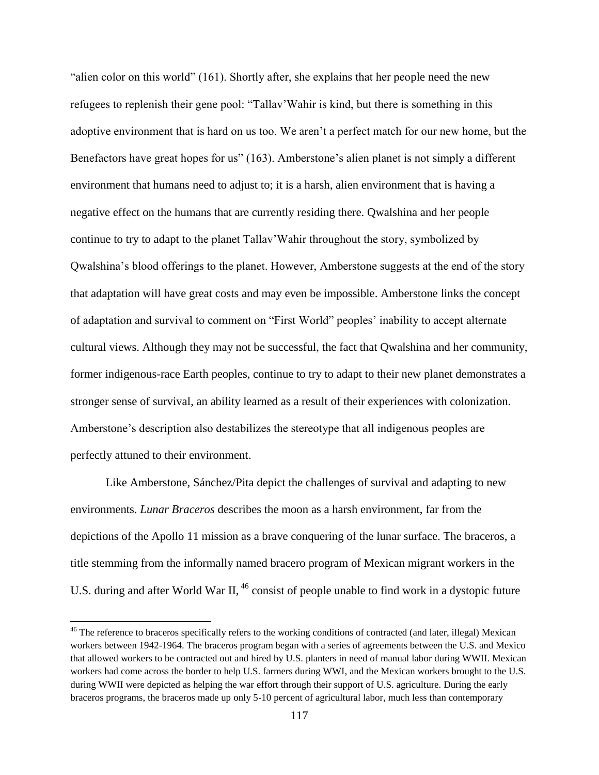"alien color on this world" (161). Shortly after, she explains that her people need the new refugees to replenish their gene pool: "Tallav'Wahir is kind, but there is something in this adoptive environment that is hard on us too. We aren't a perfect match for our new home, but the Benefactors have great hopes for us" (163). Amberstone's alien planet is not simply a different environment that humans need to adjust to; it is a harsh, alien environment that is having a negative effect on the humans that are currently residing there. Qwalshina and her people continue to try to adapt to the planet Tallav'Wahir throughout the story, symbolized by Qwalshina's blood offerings to the planet. However, Amberstone suggests at the end of the story that adaptation will have great costs and may even be impossible. Amberstone links the concept of adaptation and survival to comment on "First World" peoples' inability to accept alternate cultural views. Although they may not be successful, the fact that Qwalshina and her community, former indigenous-race Earth peoples, continue to try to adapt to their new planet demonstrates a stronger sense of survival, an ability learned as a result of their experiences with colonization. Amberstone's description also destabilizes the stereotype that all indigenous peoples are perfectly attuned to their environment.

Like Amberstone, Sánchez/Pita depict the challenges of survival and adapting to new environments. *Lunar Braceros* describes the moon as a harsh environment, far from the depictions of the Apollo 11 mission as a brave conquering of the lunar surface. The braceros, a title stemming from the informally named bracero program of Mexican migrant workers in the U.S. during and after World War II, <sup>46</sup> consist of people unable to find work in a dystopic future

 $46$  The reference to braceros specifically refers to the working conditions of contracted (and later, illegal) Mexican workers between 1942-1964. The braceros program began with a series of agreements between the U.S. and Mexico that allowed workers to be contracted out and hired by U.S. planters in need of manual labor during WWII. Mexican workers had come across the border to help U.S. farmers during WWI, and the Mexican workers brought to the U.S. during WWII were depicted as helping the war effort through their support of U.S. agriculture. During the early braceros programs, the braceros made up only 5-10 percent of agricultural labor, much less than contemporary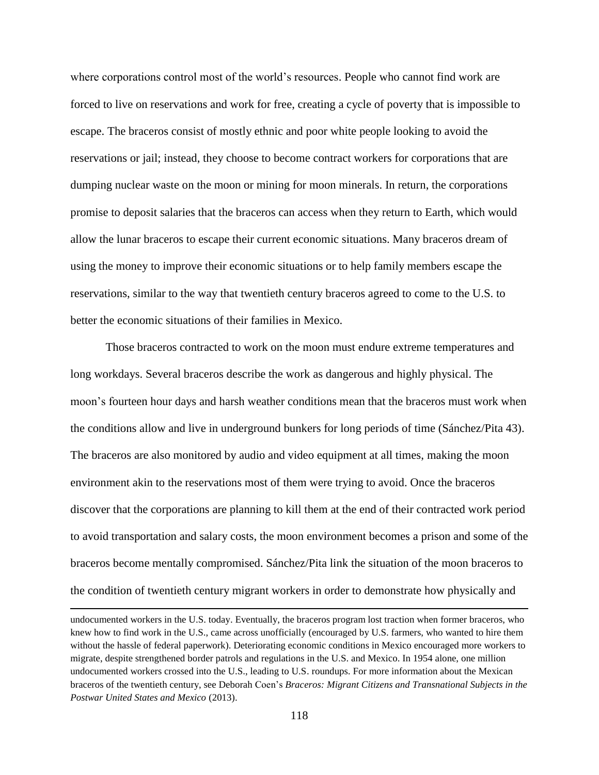where corporations control most of the world's resources. People who cannot find work are forced to live on reservations and work for free, creating a cycle of poverty that is impossible to escape. The braceros consist of mostly ethnic and poor white people looking to avoid the reservations or jail; instead, they choose to become contract workers for corporations that are dumping nuclear waste on the moon or mining for moon minerals. In return, the corporations promise to deposit salaries that the braceros can access when they return to Earth, which would allow the lunar braceros to escape their current economic situations. Many braceros dream of using the money to improve their economic situations or to help family members escape the reservations, similar to the way that twentieth century braceros agreed to come to the U.S. to better the economic situations of their families in Mexico.

Those braceros contracted to work on the moon must endure extreme temperatures and long workdays. Several braceros describe the work as dangerous and highly physical. The moon's fourteen hour days and harsh weather conditions mean that the braceros must work when the conditions allow and live in underground bunkers for long periods of time (Sánchez/Pita 43). The braceros are also monitored by audio and video equipment at all times, making the moon environment akin to the reservations most of them were trying to avoid. Once the braceros discover that the corporations are planning to kill them at the end of their contracted work period to avoid transportation and salary costs, the moon environment becomes a prison and some of the braceros become mentally compromised. Sánchez/Pita link the situation of the moon braceros to the condition of twentieth century migrant workers in order to demonstrate how physically and

undocumented workers in the U.S. today. Eventually, the braceros program lost traction when former braceros, who knew how to find work in the U.S., came across unofficially (encouraged by U.S. farmers, who wanted to hire them without the hassle of federal paperwork). Deteriorating economic conditions in Mexico encouraged more workers to migrate, despite strengthened border patrols and regulations in the U.S. and Mexico. In 1954 alone, one million undocumented workers crossed into the U.S., leading to U.S. roundups. For more information about the Mexican braceros of the twentieth century, see Deborah Coen's *Braceros: Migrant Citizens and Transnational Subjects in the Postwar United States and Mexico* (2013).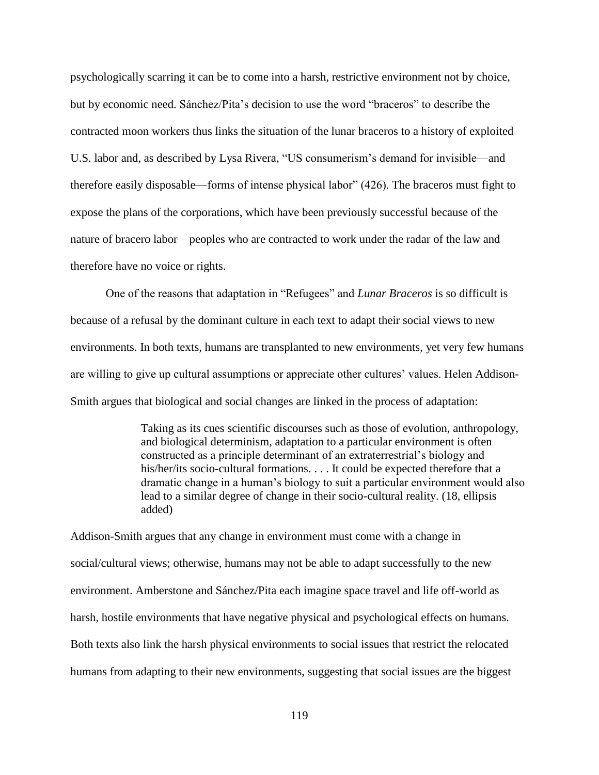psychologically scarring it can be to come into a harsh, restrictive environment not by choice, but by economic need. Sánchez/Pita's decision to use the word "braceros" to describe the contracted moon workers thus links the situation of the lunar braceros to a history of exploited U.S. labor and, as described by Lysa Rivera, "US consumerism's demand for invisible—and therefore easily disposable—forms of intense physical labor" (426). The braceros must fight to expose the plans of the corporations, which have been previously successful because of the nature of bracero labor—peoples who are contracted to work under the radar of the law and therefore have no voice or rights.

One of the reasons that adaptation in "Refugees" and *Lunar Braceros* is so difficult is because of a refusal by the dominant culture in each text to adapt their social views to new environments. In both texts, humans are transplanted to new environments, yet very few humans are willing to give up cultural assumptions or appreciate other cultures' values. Helen Addison-Smith argues that biological and social changes are linked in the process of adaptation:

> Taking as its cues scientific discourses such as those of evolution, anthropology, and biological determinism, adaptation to a particular environment is often constructed as a principle determinant of an extraterrestrial's biology and his/her/its socio-cultural formations. . . . It could be expected therefore that a dramatic change in a human's biology to suit a particular environment would also lead to a similar degree of change in their socio-cultural reality. (18, ellipsis added)

Addison-Smith argues that any change in environment must come with a change in social/cultural views; otherwise, humans may not be able to adapt successfully to the new environment. Amberstone and Sánchez/Pita each imagine space travel and life off-world as harsh, hostile environments that have negative physical and psychological effects on humans. Both texts also link the harsh physical environments to social issues that restrict the relocated humans from adapting to their new environments, suggesting that social issues are the biggest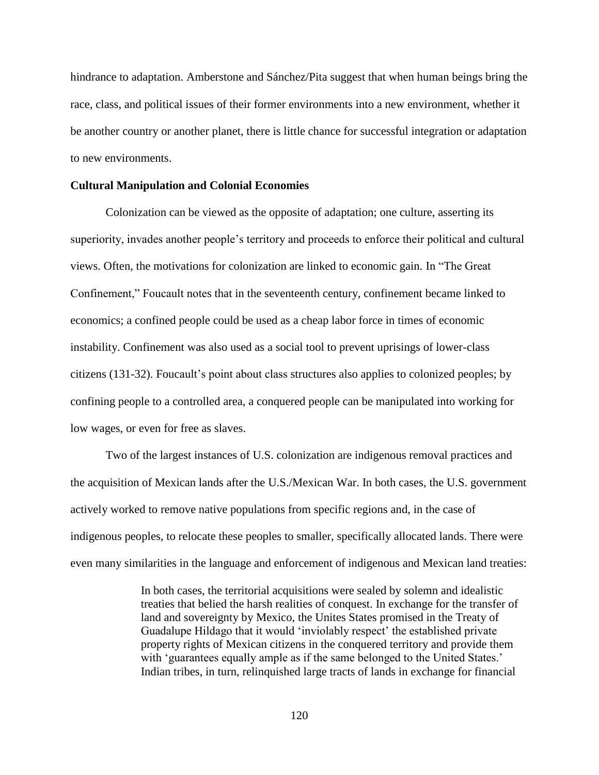hindrance to adaptation. Amberstone and Sánchez/Pita suggest that when human beings bring the race, class, and political issues of their former environments into a new environment, whether it be another country or another planet, there is little chance for successful integration or adaptation to new environments.

#### **Cultural Manipulation and Colonial Economies**

Colonization can be viewed as the opposite of adaptation; one culture, asserting its superiority, invades another people's territory and proceeds to enforce their political and cultural views. Often, the motivations for colonization are linked to economic gain. In "The Great Confinement," Foucault notes that in the seventeenth century, confinement became linked to economics; a confined people could be used as a cheap labor force in times of economic instability. Confinement was also used as a social tool to prevent uprisings of lower-class citizens (131-32). Foucault's point about class structures also applies to colonized peoples; by confining people to a controlled area, a conquered people can be manipulated into working for low wages, or even for free as slaves.

Two of the largest instances of U.S. colonization are indigenous removal practices and the acquisition of Mexican lands after the U.S./Mexican War. In both cases, the U.S. government actively worked to remove native populations from specific regions and, in the case of indigenous peoples, to relocate these peoples to smaller, specifically allocated lands. There were even many similarities in the language and enforcement of indigenous and Mexican land treaties:

> In both cases, the territorial acquisitions were sealed by solemn and idealistic treaties that belied the harsh realities of conquest. In exchange for the transfer of land and sovereignty by Mexico, the Unites States promised in the Treaty of Guadalupe Hildago that it would 'inviolably respect' the established private property rights of Mexican citizens in the conquered territory and provide them with 'guarantees equally ample as if the same belonged to the United States.' Indian tribes, in turn, relinquished large tracts of lands in exchange for financial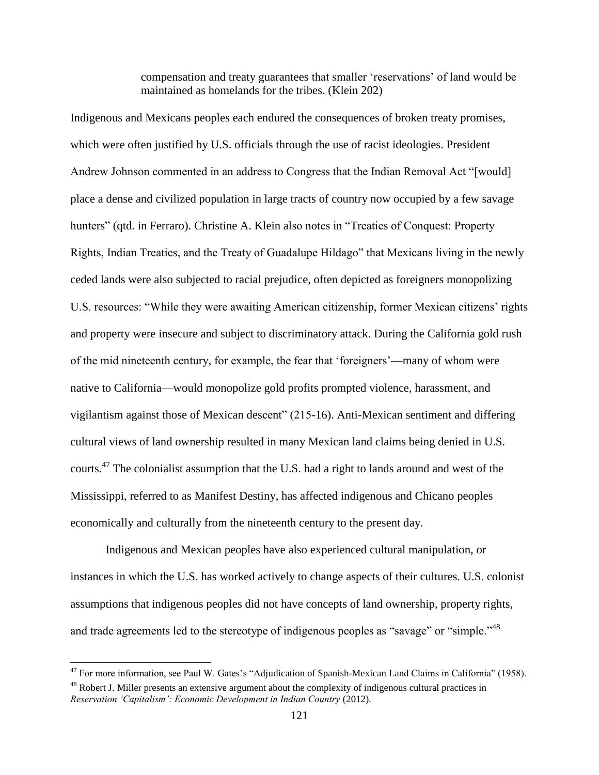compensation and treaty guarantees that smaller 'reservations' of land would be maintained as homelands for the tribes. (Klein 202)

Indigenous and Mexicans peoples each endured the consequences of broken treaty promises, which were often justified by U.S. officials through the use of racist ideologies. President Andrew Johnson commented in an address to Congress that the Indian Removal Act "[would] place a dense and civilized population in large tracts of country now occupied by a few savage hunters" (qtd. in Ferraro). Christine A. Klein also notes in "Treaties of Conquest: Property Rights, Indian Treaties, and the Treaty of Guadalupe Hildago" that Mexicans living in the newly ceded lands were also subjected to racial prejudice, often depicted as foreigners monopolizing U.S. resources: "While they were awaiting American citizenship, former Mexican citizens' rights and property were insecure and subject to discriminatory attack. During the California gold rush of the mid nineteenth century, for example, the fear that 'foreigners'—many of whom were native to California—would monopolize gold profits prompted violence, harassment, and vigilantism against those of Mexican descent" (215-16). Anti-Mexican sentiment and differing cultural views of land ownership resulted in many Mexican land claims being denied in U.S. courts.<sup>47</sup> The colonialist assumption that the U.S. had a right to lands around and west of the Mississippi, referred to as Manifest Destiny, has affected indigenous and Chicano peoples economically and culturally from the nineteenth century to the present day.

Indigenous and Mexican peoples have also experienced cultural manipulation, or instances in which the U.S. has worked actively to change aspects of their cultures. U.S. colonist assumptions that indigenous peoples did not have concepts of land ownership, property rights, and trade agreements led to the stereotype of indigenous peoples as "savage" or "simple."<sup>48</sup>

 $47$  For more information, see Paul W. Gates's "Adjudication of Spanish-Mexican Land Claims in California" (1958). <sup>48</sup> Robert J. Miller presents an extensive argument about the complexity of indigenous cultural practices in *Reservation 'Capitalism': Economic Development in Indian Country* (2012)*.*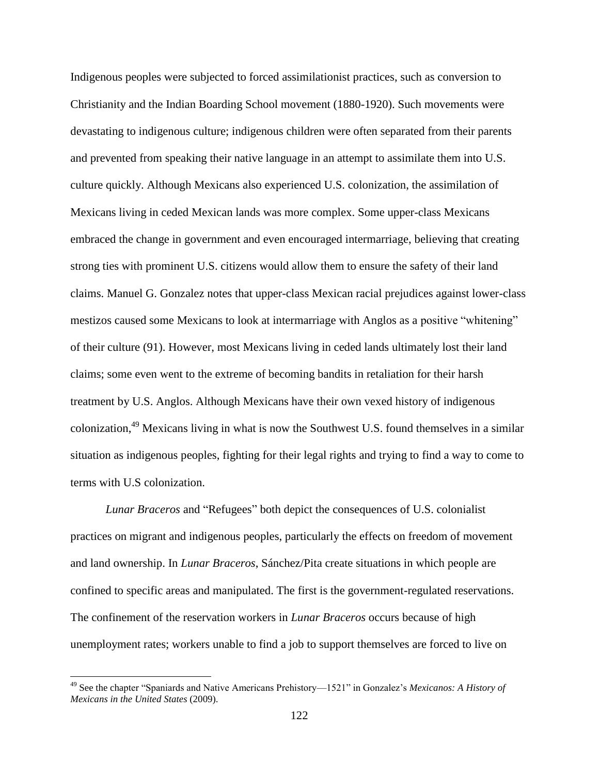Indigenous peoples were subjected to forced assimilationist practices, such as conversion to Christianity and the Indian Boarding School movement (1880-1920). Such movements were devastating to indigenous culture; indigenous children were often separated from their parents and prevented from speaking their native language in an attempt to assimilate them into U.S. culture quickly. Although Mexicans also experienced U.S. colonization, the assimilation of Mexicans living in ceded Mexican lands was more complex. Some upper-class Mexicans embraced the change in government and even encouraged intermarriage, believing that creating strong ties with prominent U.S. citizens would allow them to ensure the safety of their land claims. Manuel G. Gonzalez notes that upper-class Mexican racial prejudices against lower-class mestizos caused some Mexicans to look at intermarriage with Anglos as a positive "whitening" of their culture (91). However, most Mexicans living in ceded lands ultimately lost their land claims; some even went to the extreme of becoming bandits in retaliation for their harsh treatment by U.S. Anglos. Although Mexicans have their own vexed history of indigenous colonization,<sup>49</sup> Mexicans living in what is now the Southwest U.S. found themselves in a similar situation as indigenous peoples, fighting for their legal rights and trying to find a way to come to terms with U.S colonization.

*Lunar Braceros* and "Refugees" both depict the consequences of U.S. colonialist practices on migrant and indigenous peoples, particularly the effects on freedom of movement and land ownership. In *Lunar Braceros*, Sánchez/Pita create situations in which people are confined to specific areas and manipulated. The first is the government-regulated reservations. The confinement of the reservation workers in *Lunar Braceros* occurs because of high unemployment rates; workers unable to find a job to support themselves are forced to live on

<sup>49</sup> See the chapter "Spaniards and Native Americans Prehistory—1521" in Gonzalez's *Mexicanos: A History of Mexicans in the United States* (2009).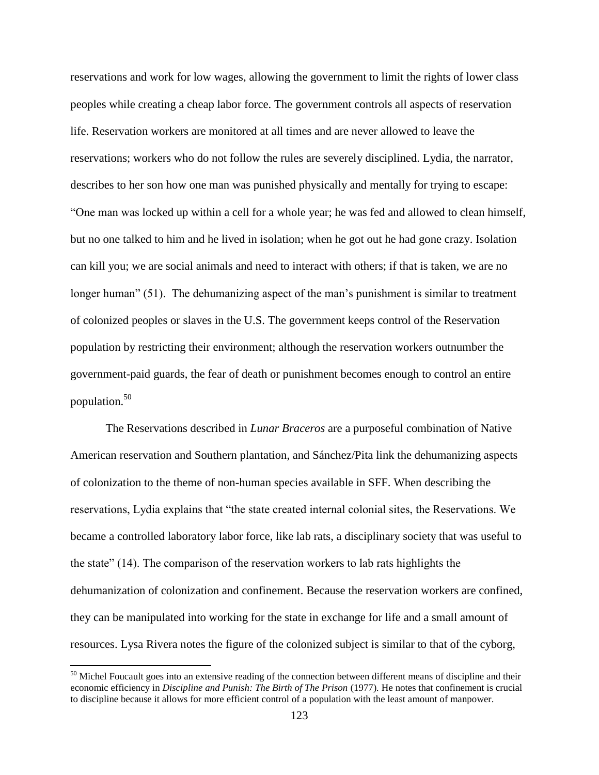reservations and work for low wages, allowing the government to limit the rights of lower class peoples while creating a cheap labor force. The government controls all aspects of reservation life. Reservation workers are monitored at all times and are never allowed to leave the reservations; workers who do not follow the rules are severely disciplined. Lydia, the narrator, describes to her son how one man was punished physically and mentally for trying to escape: "One man was locked up within a cell for a whole year; he was fed and allowed to clean himself, but no one talked to him and he lived in isolation; when he got out he had gone crazy. Isolation can kill you; we are social animals and need to interact with others; if that is taken, we are no longer human" (51). The dehumanizing aspect of the man's punishment is similar to treatment of colonized peoples or slaves in the U.S. The government keeps control of the Reservation population by restricting their environment; although the reservation workers outnumber the government-paid guards, the fear of death or punishment becomes enough to control an entire population.<sup>50</sup>

The Reservations described in *Lunar Braceros* are a purposeful combination of Native American reservation and Southern plantation, and Sánchez/Pita link the dehumanizing aspects of colonization to the theme of non-human species available in SFF. When describing the reservations, Lydia explains that "the state created internal colonial sites, the Reservations. We became a controlled laboratory labor force, like lab rats, a disciplinary society that was useful to the state" (14). The comparison of the reservation workers to lab rats highlights the dehumanization of colonization and confinement. Because the reservation workers are confined, they can be manipulated into working for the state in exchange for life and a small amount of resources. Lysa Rivera notes the figure of the colonized subject is similar to that of the cyborg,

<sup>&</sup>lt;sup>50</sup> Michel Foucault goes into an extensive reading of the connection between different means of discipline and their economic efficiency in *Discipline and Punish: The Birth of The Prison* (1977). He notes that confinement is crucial to discipline because it allows for more efficient control of a population with the least amount of manpower.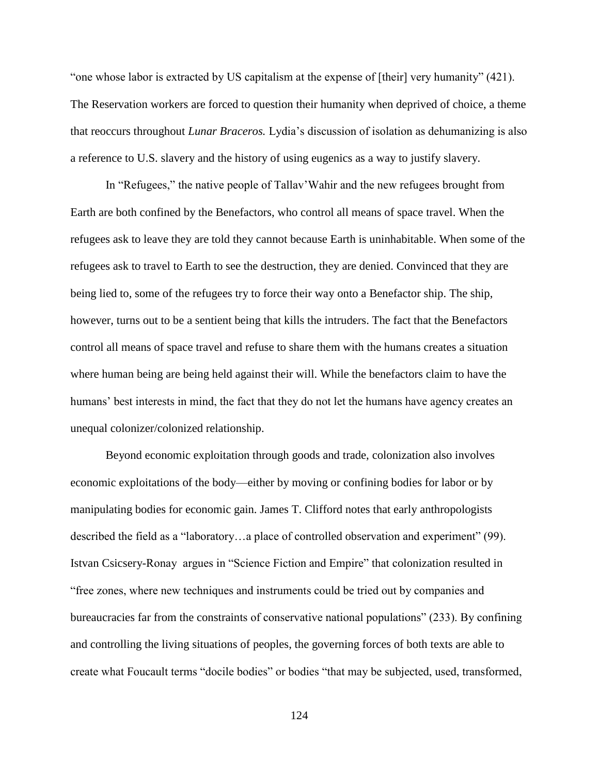"one whose labor is extracted by US capitalism at the expense of [their] very humanity" (421). The Reservation workers are forced to question their humanity when deprived of choice, a theme that reoccurs throughout *Lunar Braceros.* Lydia's discussion of isolation as dehumanizing is also a reference to U.S. slavery and the history of using eugenics as a way to justify slavery.

In "Refugees," the native people of Tallav'Wahir and the new refugees brought from Earth are both confined by the Benefactors, who control all means of space travel. When the refugees ask to leave they are told they cannot because Earth is uninhabitable. When some of the refugees ask to travel to Earth to see the destruction, they are denied. Convinced that they are being lied to, some of the refugees try to force their way onto a Benefactor ship. The ship, however, turns out to be a sentient being that kills the intruders. The fact that the Benefactors control all means of space travel and refuse to share them with the humans creates a situation where human being are being held against their will. While the benefactors claim to have the humans' best interests in mind, the fact that they do not let the humans have agency creates an unequal colonizer/colonized relationship.

Beyond economic exploitation through goods and trade, colonization also involves economic exploitations of the body—either by moving or confining bodies for labor or by manipulating bodies for economic gain. James T. Clifford notes that early anthropologists described the field as a "laboratory…a place of controlled observation and experiment" (99). Istvan Csicsery-Ronay argues in "Science Fiction and Empire" that colonization resulted in "free zones, where new techniques and instruments could be tried out by companies and bureaucracies far from the constraints of conservative national populations" (233). By confining and controlling the living situations of peoples, the governing forces of both texts are able to create what Foucault terms "docile bodies" or bodies "that may be subjected, used, transformed,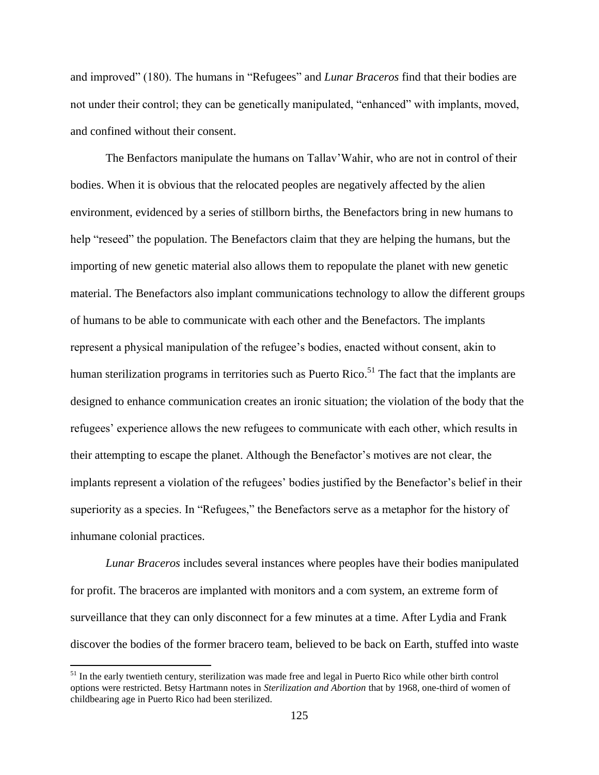and improved" (180). The humans in "Refugees" and *Lunar Braceros* find that their bodies are not under their control; they can be genetically manipulated, "enhanced" with implants, moved, and confined without their consent.

The Benfactors manipulate the humans on Tallav'Wahir, who are not in control of their bodies. When it is obvious that the relocated peoples are negatively affected by the alien environment, evidenced by a series of stillborn births, the Benefactors bring in new humans to help "reseed" the population. The Benefactors claim that they are helping the humans, but the importing of new genetic material also allows them to repopulate the planet with new genetic material. The Benefactors also implant communications technology to allow the different groups of humans to be able to communicate with each other and the Benefactors. The implants represent a physical manipulation of the refugee's bodies, enacted without consent, akin to human sterilization programs in territories such as Puerto Rico.<sup>51</sup> The fact that the implants are designed to enhance communication creates an ironic situation; the violation of the body that the refugees' experience allows the new refugees to communicate with each other, which results in their attempting to escape the planet. Although the Benefactor's motives are not clear, the implants represent a violation of the refugees' bodies justified by the Benefactor's belief in their superiority as a species. In "Refugees," the Benefactors serve as a metaphor for the history of inhumane colonial practices.

*Lunar Braceros* includes several instances where peoples have their bodies manipulated for profit. The braceros are implanted with monitors and a com system, an extreme form of surveillance that they can only disconnect for a few minutes at a time. After Lydia and Frank discover the bodies of the former bracero team, believed to be back on Earth, stuffed into waste

<sup>&</sup>lt;sup>51</sup> In the early twentieth century, sterilization was made free and legal in Puerto Rico while other birth control options were restricted. Betsy Hartmann notes in *Sterilization and Abortion* that by 1968, one-third of women of childbearing age in Puerto Rico had been sterilized.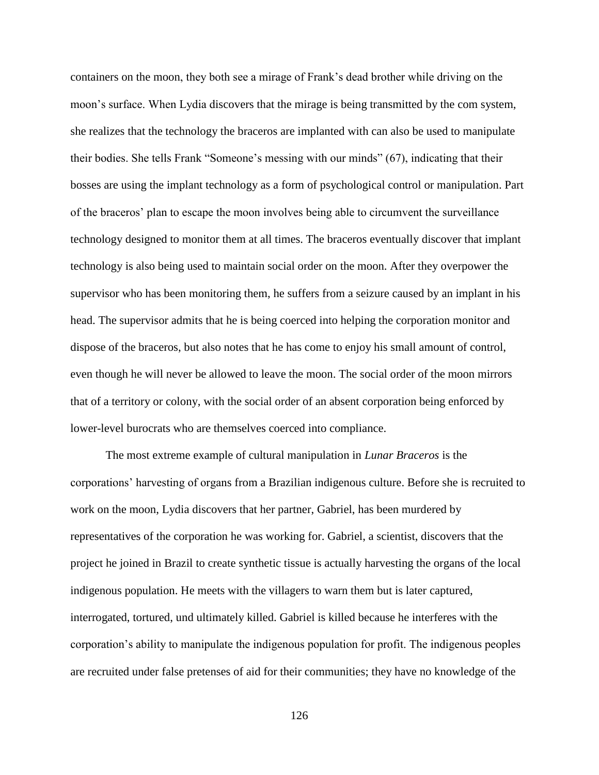containers on the moon, they both see a mirage of Frank's dead brother while driving on the moon's surface. When Lydia discovers that the mirage is being transmitted by the com system, she realizes that the technology the braceros are implanted with can also be used to manipulate their bodies. She tells Frank "Someone's messing with our minds" (67), indicating that their bosses are using the implant technology as a form of psychological control or manipulation. Part of the braceros' plan to escape the moon involves being able to circumvent the surveillance technology designed to monitor them at all times. The braceros eventually discover that implant technology is also being used to maintain social order on the moon. After they overpower the supervisor who has been monitoring them, he suffers from a seizure caused by an implant in his head. The supervisor admits that he is being coerced into helping the corporation monitor and dispose of the braceros, but also notes that he has come to enjoy his small amount of control, even though he will never be allowed to leave the moon. The social order of the moon mirrors that of a territory or colony, with the social order of an absent corporation being enforced by lower-level burocrats who are themselves coerced into compliance.

The most extreme example of cultural manipulation in *Lunar Braceros* is the corporations' harvesting of organs from a Brazilian indigenous culture. Before she is recruited to work on the moon, Lydia discovers that her partner, Gabriel, has been murdered by representatives of the corporation he was working for. Gabriel, a scientist, discovers that the project he joined in Brazil to create synthetic tissue is actually harvesting the organs of the local indigenous population. He meets with the villagers to warn them but is later captured, interrogated, tortured, und ultimately killed. Gabriel is killed because he interferes with the corporation's ability to manipulate the indigenous population for profit. The indigenous peoples are recruited under false pretenses of aid for their communities; they have no knowledge of the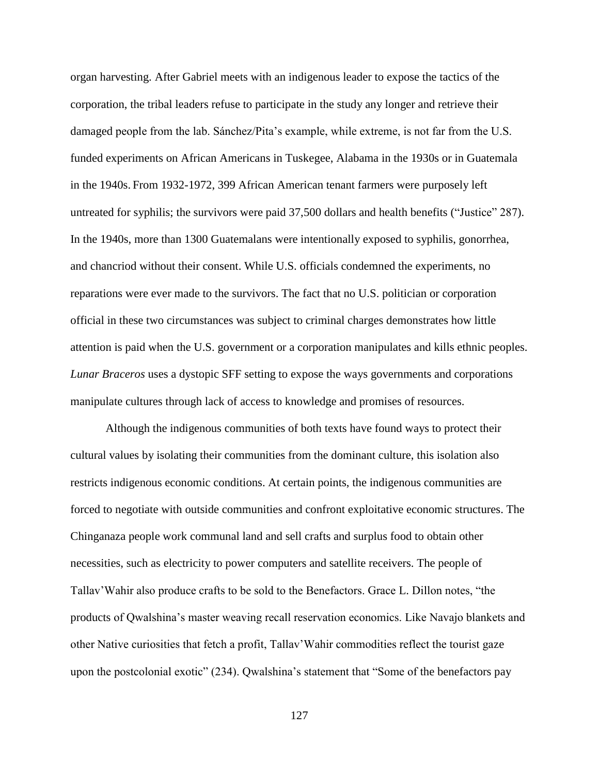organ harvesting. After Gabriel meets with an indigenous leader to expose the tactics of the corporation, the tribal leaders refuse to participate in the study any longer and retrieve their damaged people from the lab. Sánchez/Pita's example, while extreme, is not far from the U.S. funded experiments on African Americans in Tuskegee, Alabama in the 1930s or in Guatemala in the 1940s. From 1932-1972, 399 African American tenant farmers were purposely left untreated for syphilis; the survivors were paid 37,500 dollars and health benefits ("Justice" 287). In the 1940s, more than 1300 Guatemalans were intentionally exposed to syphilis, gonorrhea, and chancriod without their consent. While U.S. officials condemned the experiments, no reparations were ever made to the survivors. The fact that no U.S. politician or corporation official in these two circumstances was subject to criminal charges demonstrates how little attention is paid when the U.S. government or a corporation manipulates and kills ethnic peoples. *Lunar Braceros* uses a dystopic SFF setting to expose the ways governments and corporations manipulate cultures through lack of access to knowledge and promises of resources.

Although the indigenous communities of both texts have found ways to protect their cultural values by isolating their communities from the dominant culture, this isolation also restricts indigenous economic conditions. At certain points, the indigenous communities are forced to negotiate with outside communities and confront exploitative economic structures. The Chinganaza people work communal land and sell crafts and surplus food to obtain other necessities, such as electricity to power computers and satellite receivers. The people of Tallav'Wahir also produce crafts to be sold to the Benefactors. Grace L. Dillon notes, "the products of Qwalshina's master weaving recall reservation economics. Like Navajo blankets and other Native curiosities that fetch a profit, Tallav'Wahir commodities reflect the tourist gaze upon the postcolonial exotic" (234). Qwalshina's statement that "Some of the benefactors pay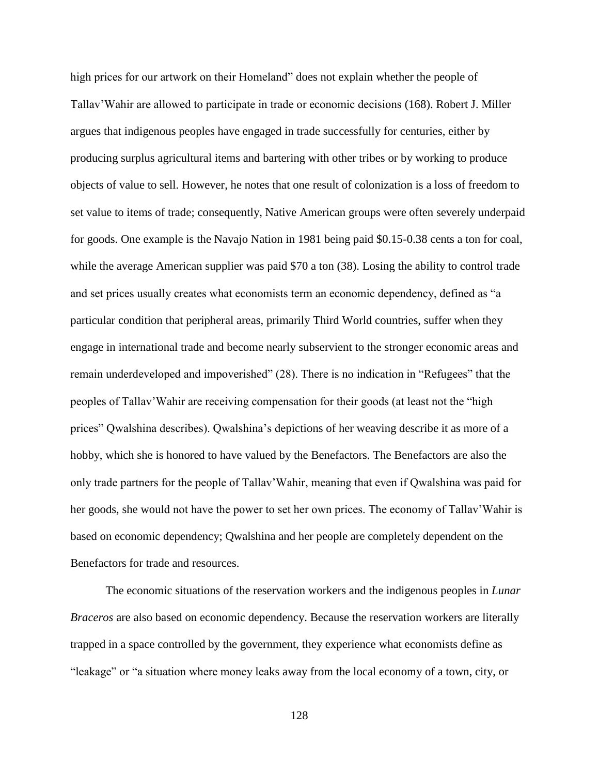high prices for our artwork on their Homeland" does not explain whether the people of Tallav'Wahir are allowed to participate in trade or economic decisions (168). Robert J. Miller argues that indigenous peoples have engaged in trade successfully for centuries, either by producing surplus agricultural items and bartering with other tribes or by working to produce objects of value to sell. However, he notes that one result of colonization is a loss of freedom to set value to items of trade; consequently, Native American groups were often severely underpaid for goods. One example is the Navajo Nation in 1981 being paid \$0.15-0.38 cents a ton for coal, while the average American supplier was paid \$70 a ton (38). Losing the ability to control trade and set prices usually creates what economists term an economic dependency, defined as "a particular condition that peripheral areas, primarily Third World countries, suffer when they engage in international trade and become nearly subservient to the stronger economic areas and remain underdeveloped and impoverished" (28). There is no indication in "Refugees" that the peoples of Tallav'Wahir are receiving compensation for their goods (at least not the "high prices" Qwalshina describes). Qwalshina's depictions of her weaving describe it as more of a hobby, which she is honored to have valued by the Benefactors. The Benefactors are also the only trade partners for the people of Tallav'Wahir, meaning that even if Qwalshina was paid for her goods, she would not have the power to set her own prices. The economy of Tallav'Wahir is based on economic dependency; Qwalshina and her people are completely dependent on the Benefactors for trade and resources.

The economic situations of the reservation workers and the indigenous peoples in *Lunar Braceros* are also based on economic dependency. Because the reservation workers are literally trapped in a space controlled by the government, they experience what economists define as "leakage" or "a situation where money leaks away from the local economy of a town, city, or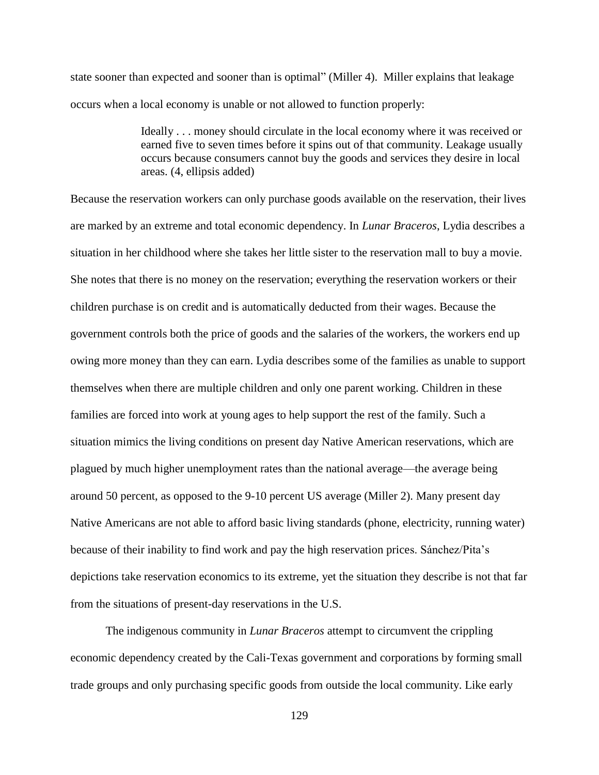state sooner than expected and sooner than is optimal" (Miller 4). Miller explains that leakage occurs when a local economy is unable or not allowed to function properly:

> Ideally . . . money should circulate in the local economy where it was received or earned five to seven times before it spins out of that community. Leakage usually occurs because consumers cannot buy the goods and services they desire in local areas. (4, ellipsis added)

Because the reservation workers can only purchase goods available on the reservation, their lives are marked by an extreme and total economic dependency. In *Lunar Braceros*, Lydia describes a situation in her childhood where she takes her little sister to the reservation mall to buy a movie. She notes that there is no money on the reservation; everything the reservation workers or their children purchase is on credit and is automatically deducted from their wages. Because the government controls both the price of goods and the salaries of the workers, the workers end up owing more money than they can earn. Lydia describes some of the families as unable to support themselves when there are multiple children and only one parent working. Children in these families are forced into work at young ages to help support the rest of the family. Such a situation mimics the living conditions on present day Native American reservations, which are plagued by much higher unemployment rates than the national average—the average being around 50 percent, as opposed to the 9-10 percent US average (Miller 2). Many present day Native Americans are not able to afford basic living standards (phone, electricity, running water) because of their inability to find work and pay the high reservation prices. Sánchez/Pita's depictions take reservation economics to its extreme, yet the situation they describe is not that far from the situations of present-day reservations in the U.S.

The indigenous community in *Lunar Braceros* attempt to circumvent the crippling economic dependency created by the Cali-Texas government and corporations by forming small trade groups and only purchasing specific goods from outside the local community. Like early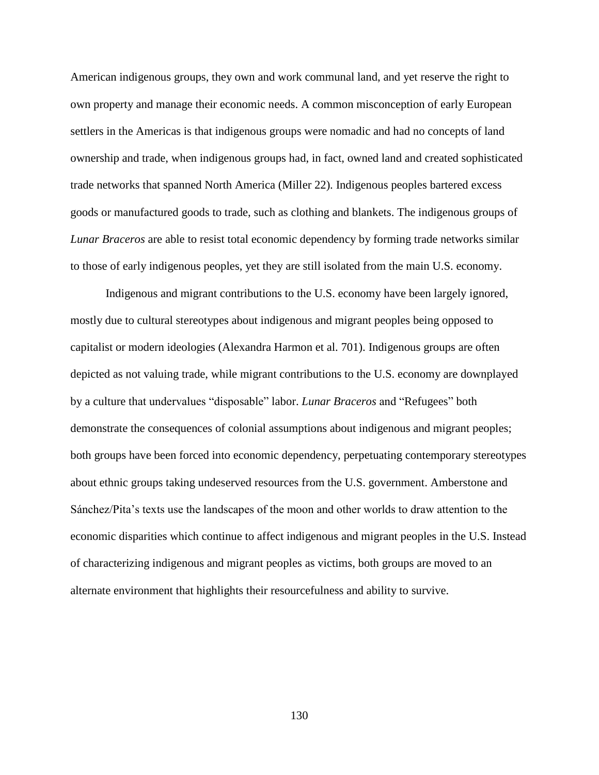American indigenous groups, they own and work communal land, and yet reserve the right to own property and manage their economic needs. A common misconception of early European settlers in the Americas is that indigenous groups were nomadic and had no concepts of land ownership and trade, when indigenous groups had, in fact, owned land and created sophisticated trade networks that spanned North America (Miller 22). Indigenous peoples bartered excess goods or manufactured goods to trade, such as clothing and blankets. The indigenous groups of *Lunar Braceros* are able to resist total economic dependency by forming trade networks similar to those of early indigenous peoples, yet they are still isolated from the main U.S. economy.

Indigenous and migrant contributions to the U.S. economy have been largely ignored, mostly due to cultural stereotypes about indigenous and migrant peoples being opposed to capitalist or modern ideologies (Alexandra Harmon et al. 701). Indigenous groups are often depicted as not valuing trade, while migrant contributions to the U.S. economy are downplayed by a culture that undervalues "disposable" labor. *Lunar Braceros* and "Refugees" both demonstrate the consequences of colonial assumptions about indigenous and migrant peoples; both groups have been forced into economic dependency, perpetuating contemporary stereotypes about ethnic groups taking undeserved resources from the U.S. government. Amberstone and Sánchez/Pita's texts use the landscapes of the moon and other worlds to draw attention to the economic disparities which continue to affect indigenous and migrant peoples in the U.S. Instead of characterizing indigenous and migrant peoples as victims, both groups are moved to an alternate environment that highlights their resourcefulness and ability to survive.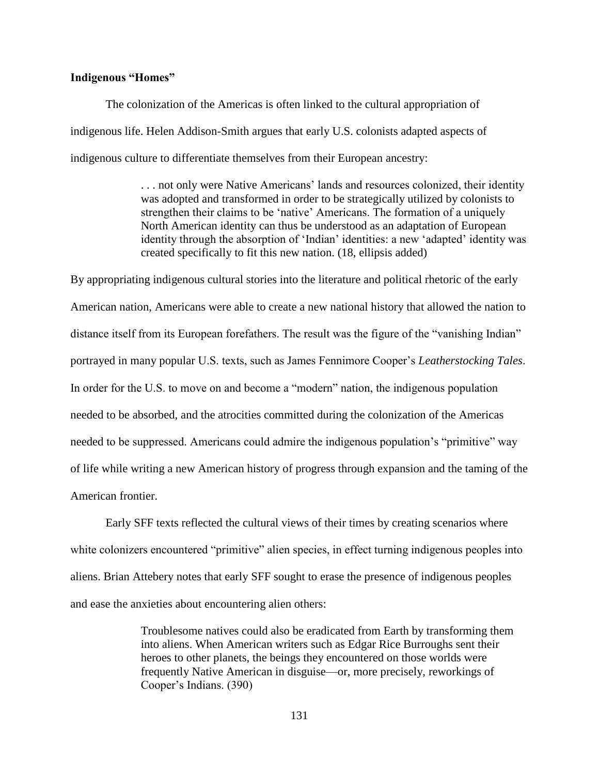# **Indigenous "Homes"**

The colonization of the Americas is often linked to the cultural appropriation of indigenous life. Helen Addison-Smith argues that early U.S. colonists adapted aspects of indigenous culture to differentiate themselves from their European ancestry:

> . . . not only were Native Americans' lands and resources colonized, their identity was adopted and transformed in order to be strategically utilized by colonists to strengthen their claims to be 'native' Americans. The formation of a uniquely North American identity can thus be understood as an adaptation of European identity through the absorption of 'Indian' identities: a new 'adapted' identity was created specifically to fit this new nation. (18, ellipsis added)

By appropriating indigenous cultural stories into the literature and political rhetoric of the early American nation, Americans were able to create a new national history that allowed the nation to distance itself from its European forefathers. The result was the figure of the "vanishing Indian" portrayed in many popular U.S. texts, such as James Fennimore Cooper's *Leatherstocking Tales*. In order for the U.S. to move on and become a "modern" nation, the indigenous population needed to be absorbed, and the atrocities committed during the colonization of the Americas needed to be suppressed. Americans could admire the indigenous population's "primitive" way of life while writing a new American history of progress through expansion and the taming of the American frontier.

Early SFF texts reflected the cultural views of their times by creating scenarios where white colonizers encountered "primitive" alien species, in effect turning indigenous peoples into aliens. Brian Attebery notes that early SFF sought to erase the presence of indigenous peoples and ease the anxieties about encountering alien others:

> Troublesome natives could also be eradicated from Earth by transforming them into aliens. When American writers such as Edgar Rice Burroughs sent their heroes to other planets, the beings they encountered on those worlds were frequently Native American in disguise—or, more precisely, reworkings of Cooper's Indians. (390)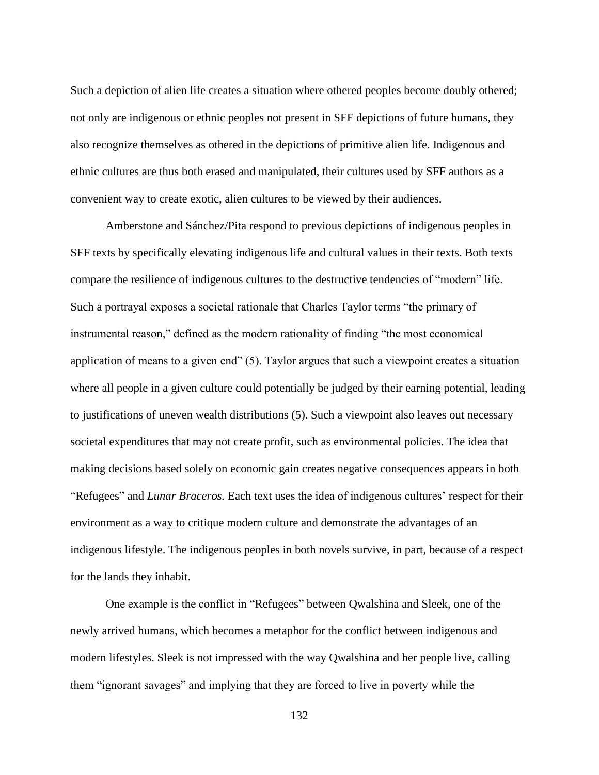Such a depiction of alien life creates a situation where othered peoples become doubly othered; not only are indigenous or ethnic peoples not present in SFF depictions of future humans, they also recognize themselves as othered in the depictions of primitive alien life. Indigenous and ethnic cultures are thus both erased and manipulated, their cultures used by SFF authors as a convenient way to create exotic, alien cultures to be viewed by their audiences.

Amberstone and Sánchez/Pita respond to previous depictions of indigenous peoples in SFF texts by specifically elevating indigenous life and cultural values in their texts. Both texts compare the resilience of indigenous cultures to the destructive tendencies of "modern" life. Such a portrayal exposes a societal rationale that Charles Taylor terms "the primary of instrumental reason," defined as the modern rationality of finding "the most economical application of means to a given end" (5). Taylor argues that such a viewpoint creates a situation where all people in a given culture could potentially be judged by their earning potential, leading to justifications of uneven wealth distributions (5). Such a viewpoint also leaves out necessary societal expenditures that may not create profit, such as environmental policies. The idea that making decisions based solely on economic gain creates negative consequences appears in both "Refugees" and *Lunar Braceros.* Each text uses the idea of indigenous cultures' respect for their environment as a way to critique modern culture and demonstrate the advantages of an indigenous lifestyle. The indigenous peoples in both novels survive, in part, because of a respect for the lands they inhabit.

One example is the conflict in "Refugees" between Qwalshina and Sleek, one of the newly arrived humans, which becomes a metaphor for the conflict between indigenous and modern lifestyles. Sleek is not impressed with the way Qwalshina and her people live, calling them "ignorant savages" and implying that they are forced to live in poverty while the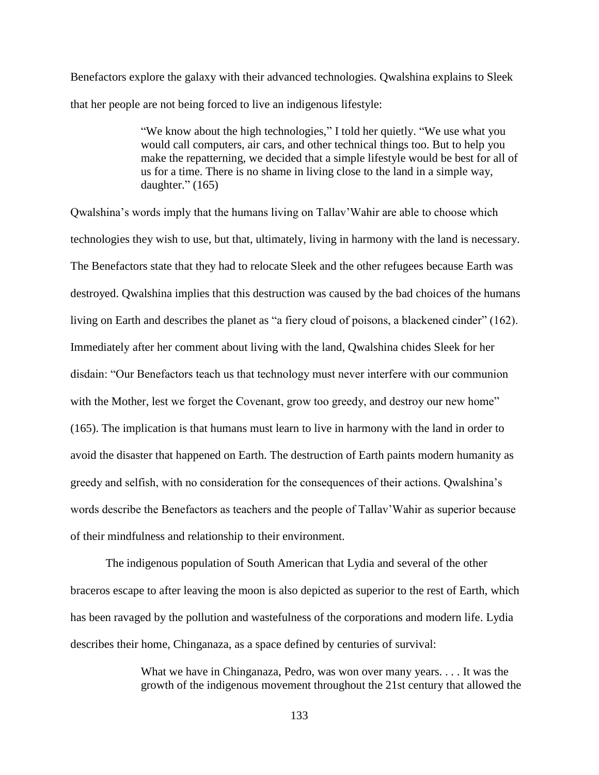Benefactors explore the galaxy with their advanced technologies. Qwalshina explains to Sleek that her people are not being forced to live an indigenous lifestyle:

> "We know about the high technologies," I told her quietly. "We use what you would call computers, air cars, and other technical things too. But to help you make the repatterning, we decided that a simple lifestyle would be best for all of us for a time. There is no shame in living close to the land in a simple way, daughter." (165)

Qwalshina's words imply that the humans living on Tallav'Wahir are able to choose which technologies they wish to use, but that, ultimately, living in harmony with the land is necessary. The Benefactors state that they had to relocate Sleek and the other refugees because Earth was destroyed. Qwalshina implies that this destruction was caused by the bad choices of the humans living on Earth and describes the planet as "a fiery cloud of poisons, a blackened cinder" (162). Immediately after her comment about living with the land, Qwalshina chides Sleek for her disdain: "Our Benefactors teach us that technology must never interfere with our communion with the Mother, lest we forget the Covenant, grow too greedy, and destroy our new home" (165). The implication is that humans must learn to live in harmony with the land in order to avoid the disaster that happened on Earth. The destruction of Earth paints modern humanity as greedy and selfish, with no consideration for the consequences of their actions. Qwalshina's words describe the Benefactors as teachers and the people of Tallav'Wahir as superior because of their mindfulness and relationship to their environment.

The indigenous population of South American that Lydia and several of the other braceros escape to after leaving the moon is also depicted as superior to the rest of Earth, which has been ravaged by the pollution and wastefulness of the corporations and modern life. Lydia describes their home, Chinganaza, as a space defined by centuries of survival:

> What we have in Chinganaza, Pedro, was won over many years. . . . It was the growth of the indigenous movement throughout the 21st century that allowed the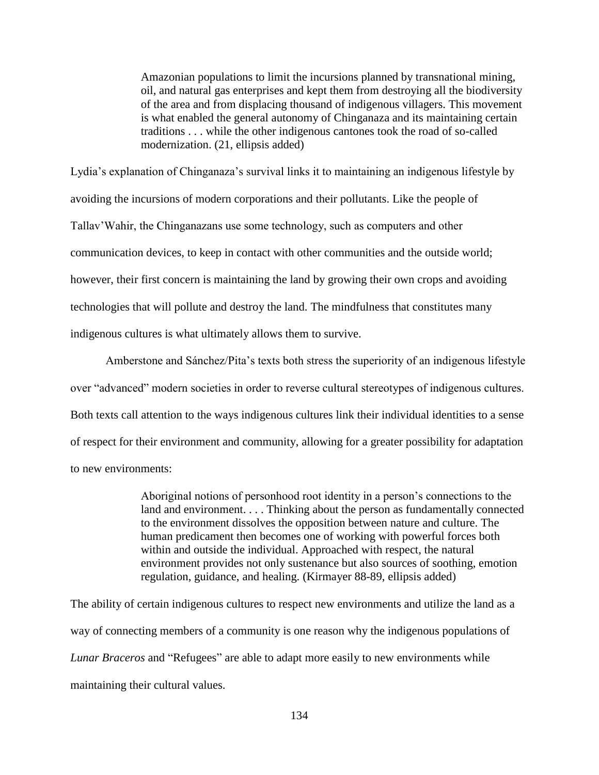Amazonian populations to limit the incursions planned by transnational mining, oil, and natural gas enterprises and kept them from destroying all the biodiversity of the area and from displacing thousand of indigenous villagers. This movement is what enabled the general autonomy of Chinganaza and its maintaining certain traditions . . . while the other indigenous cantones took the road of so-called modernization. (21, ellipsis added)

Lydia's explanation of Chinganaza's survival links it to maintaining an indigenous lifestyle by avoiding the incursions of modern corporations and their pollutants. Like the people of Tallav'Wahir, the Chinganazans use some technology, such as computers and other communication devices, to keep in contact with other communities and the outside world; however, their first concern is maintaining the land by growing their own crops and avoiding technologies that will pollute and destroy the land. The mindfulness that constitutes many indigenous cultures is what ultimately allows them to survive.

Amberstone and Sánchez/Pita's texts both stress the superiority of an indigenous lifestyle over "advanced" modern societies in order to reverse cultural stereotypes of indigenous cultures. Both texts call attention to the ways indigenous cultures link their individual identities to a sense of respect for their environment and community, allowing for a greater possibility for adaptation to new environments:

> Aboriginal notions of personhood root identity in a person's connections to the land and environment. . . . Thinking about the person as fundamentally connected to the environment dissolves the opposition between nature and culture. The human predicament then becomes one of working with powerful forces both within and outside the individual. Approached with respect, the natural environment provides not only sustenance but also sources of soothing, emotion regulation, guidance, and healing. (Kirmayer 88-89, ellipsis added)

The ability of certain indigenous cultures to respect new environments and utilize the land as a way of connecting members of a community is one reason why the indigenous populations of *Lunar Braceros* and "Refugees" are able to adapt more easily to new environments while maintaining their cultural values.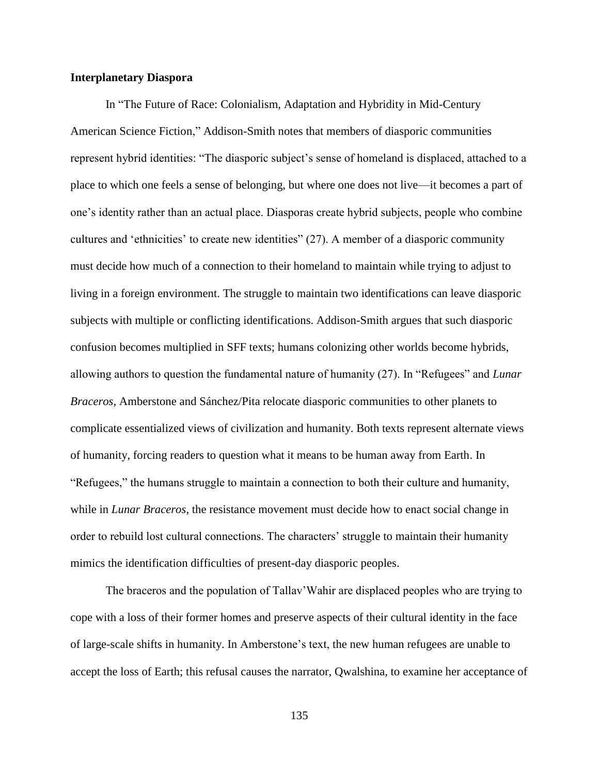#### **Interplanetary Diaspora**

In "The Future of Race: Colonialism, Adaptation and Hybridity in Mid-Century American Science Fiction," Addison-Smith notes that members of diasporic communities represent hybrid identities: "The diasporic subject's sense of homeland is displaced, attached to a place to which one feels a sense of belonging, but where one does not live—it becomes a part of one's identity rather than an actual place. Diasporas create hybrid subjects, people who combine cultures and 'ethnicities' to create new identities" (27). A member of a diasporic community must decide how much of a connection to their homeland to maintain while trying to adjust to living in a foreign environment. The struggle to maintain two identifications can leave diasporic subjects with multiple or conflicting identifications. Addison-Smith argues that such diasporic confusion becomes multiplied in SFF texts; humans colonizing other worlds become hybrids, allowing authors to question the fundamental nature of humanity (27). In "Refugees" and *Lunar Braceros,* Amberstone and Sánchez/Pita relocate diasporic communities to other planets to complicate essentialized views of civilization and humanity. Both texts represent alternate views of humanity, forcing readers to question what it means to be human away from Earth. In "Refugees," the humans struggle to maintain a connection to both their culture and humanity, while in *Lunar Braceros*, the resistance movement must decide how to enact social change in order to rebuild lost cultural connections. The characters' struggle to maintain their humanity mimics the identification difficulties of present-day diasporic peoples.

The braceros and the population of Tallav'Wahir are displaced peoples who are trying to cope with a loss of their former homes and preserve aspects of their cultural identity in the face of large-scale shifts in humanity. In Amberstone's text, the new human refugees are unable to accept the loss of Earth; this refusal causes the narrator, Qwalshina, to examine her acceptance of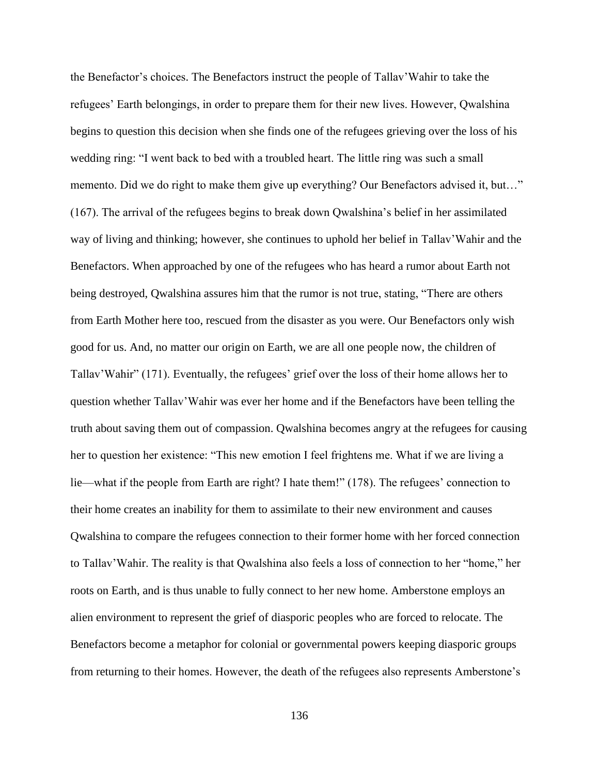the Benefactor's choices. The Benefactors instruct the people of Tallav'Wahir to take the refugees' Earth belongings, in order to prepare them for their new lives. However, Qwalshina begins to question this decision when she finds one of the refugees grieving over the loss of his wedding ring: "I went back to bed with a troubled heart. The little ring was such a small memento. Did we do right to make them give up everything? Our Benefactors advised it, but..." (167). The arrival of the refugees begins to break down Qwalshina's belief in her assimilated way of living and thinking; however, she continues to uphold her belief in Tallav'Wahir and the Benefactors. When approached by one of the refugees who has heard a rumor about Earth not being destroyed, Qwalshina assures him that the rumor is not true, stating, "There are others from Earth Mother here too, rescued from the disaster as you were. Our Benefactors only wish good for us. And, no matter our origin on Earth, we are all one people now, the children of Tallav'Wahir" (171). Eventually, the refugees' grief over the loss of their home allows her to question whether Tallav'Wahir was ever her home and if the Benefactors have been telling the truth about saving them out of compassion. Qwalshina becomes angry at the refugees for causing her to question her existence: "This new emotion I feel frightens me. What if we are living a lie—what if the people from Earth are right? I hate them!" (178). The refugees' connection to their home creates an inability for them to assimilate to their new environment and causes Qwalshina to compare the refugees connection to their former home with her forced connection to Tallav'Wahir. The reality is that Qwalshina also feels a loss of connection to her "home," her roots on Earth, and is thus unable to fully connect to her new home. Amberstone employs an alien environment to represent the grief of diasporic peoples who are forced to relocate. The Benefactors become a metaphor for colonial or governmental powers keeping diasporic groups from returning to their homes. However, the death of the refugees also represents Amberstone's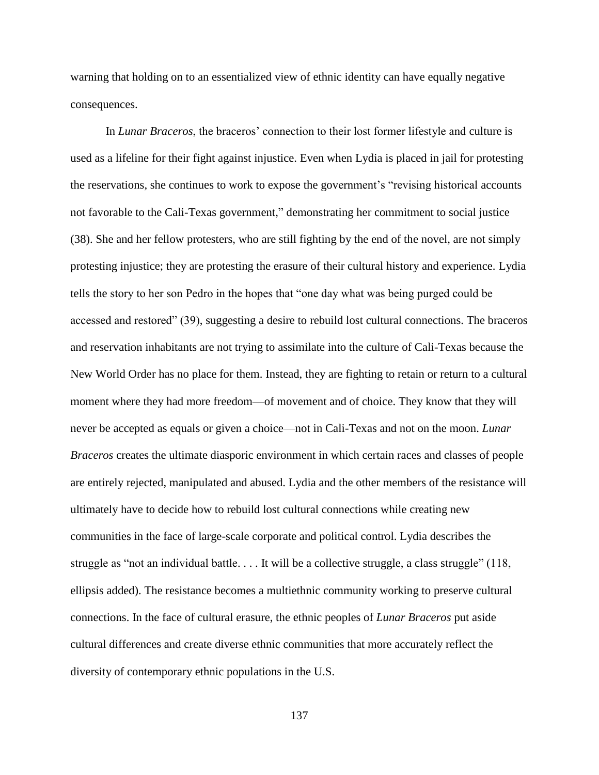warning that holding on to an essentialized view of ethnic identity can have equally negative consequences.

In *Lunar Braceros*, the braceros' connection to their lost former lifestyle and culture is used as a lifeline for their fight against injustice. Even when Lydia is placed in jail for protesting the reservations, she continues to work to expose the government's "revising historical accounts not favorable to the Cali-Texas government," demonstrating her commitment to social justice (38). She and her fellow protesters, who are still fighting by the end of the novel, are not simply protesting injustice; they are protesting the erasure of their cultural history and experience. Lydia tells the story to her son Pedro in the hopes that "one day what was being purged could be accessed and restored" (39), suggesting a desire to rebuild lost cultural connections. The braceros and reservation inhabitants are not trying to assimilate into the culture of Cali-Texas because the New World Order has no place for them. Instead, they are fighting to retain or return to a cultural moment where they had more freedom—of movement and of choice. They know that they will never be accepted as equals or given a choice—not in Cali-Texas and not on the moon. *Lunar Braceros* creates the ultimate diasporic environment in which certain races and classes of people are entirely rejected, manipulated and abused. Lydia and the other members of the resistance will ultimately have to decide how to rebuild lost cultural connections while creating new communities in the face of large-scale corporate and political control. Lydia describes the struggle as "not an individual battle. . . . It will be a collective struggle, a class struggle" (118, ellipsis added). The resistance becomes a multiethnic community working to preserve cultural connections. In the face of cultural erasure, the ethnic peoples of *Lunar Braceros* put aside cultural differences and create diverse ethnic communities that more accurately reflect the diversity of contemporary ethnic populations in the U.S.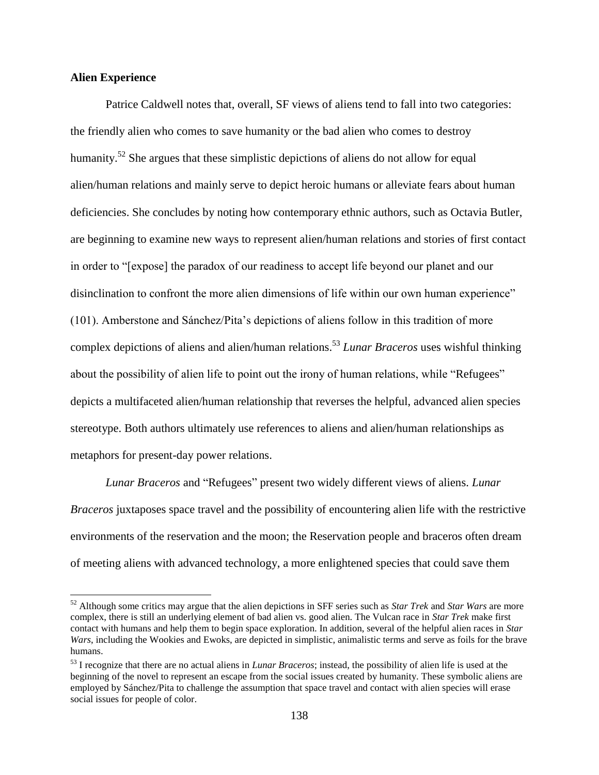# **Alien Experience**

 $\overline{\phantom{a}}$ 

Patrice Caldwell notes that, overall, SF views of aliens tend to fall into two categories: the friendly alien who comes to save humanity or the bad alien who comes to destroy humanity.<sup>52</sup> She argues that these simplistic depictions of aliens do not allow for equal alien/human relations and mainly serve to depict heroic humans or alleviate fears about human deficiencies. She concludes by noting how contemporary ethnic authors, such as Octavia Butler, are beginning to examine new ways to represent alien/human relations and stories of first contact in order to "[expose] the paradox of our readiness to accept life beyond our planet and our disinclination to confront the more alien dimensions of life within our own human experience" (101). Amberstone and Sánchez/Pita's depictions of aliens follow in this tradition of more complex depictions of aliens and alien/human relations.<sup>53</sup> *Lunar Braceros* uses wishful thinking about the possibility of alien life to point out the irony of human relations, while "Refugees" depicts a multifaceted alien/human relationship that reverses the helpful, advanced alien species stereotype. Both authors ultimately use references to aliens and alien/human relationships as metaphors for present-day power relations.

*Lunar Braceros* and "Refugees" present two widely different views of aliens. *Lunar Braceros* juxtaposes space travel and the possibility of encountering alien life with the restrictive environments of the reservation and the moon; the Reservation people and braceros often dream of meeting aliens with advanced technology, a more enlightened species that could save them

<sup>52</sup> Although some critics may argue that the alien depictions in SFF series such as *Star Trek* and *Star Wars* are more complex, there is still an underlying element of bad alien vs. good alien. The Vulcan race in *Star Trek* make first contact with humans and help them to begin space exploration. In addition, several of the helpful alien races in *Star Wars*, including the Wookies and Ewoks, are depicted in simplistic, animalistic terms and serve as foils for the brave humans.

<sup>53</sup> I recognize that there are no actual aliens in *Lunar Braceros*; instead, the possibility of alien life is used at the beginning of the novel to represent an escape from the social issues created by humanity. These symbolic aliens are employed by Sánchez/Pita to challenge the assumption that space travel and contact with alien species will erase social issues for people of color.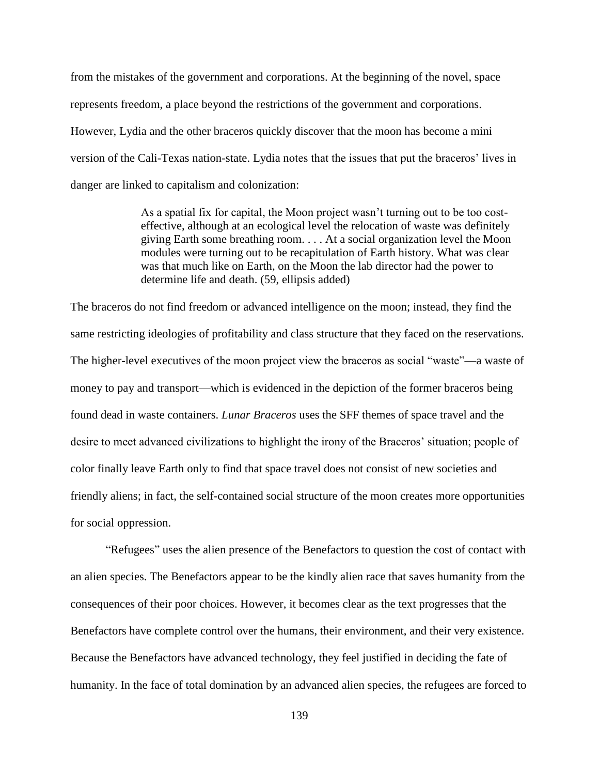from the mistakes of the government and corporations. At the beginning of the novel, space represents freedom, a place beyond the restrictions of the government and corporations. However, Lydia and the other braceros quickly discover that the moon has become a mini version of the Cali-Texas nation-state. Lydia notes that the issues that put the braceros' lives in danger are linked to capitalism and colonization:

> As a spatial fix for capital, the Moon project wasn't turning out to be too costeffective, although at an ecological level the relocation of waste was definitely giving Earth some breathing room. . . . At a social organization level the Moon modules were turning out to be recapitulation of Earth history. What was clear was that much like on Earth, on the Moon the lab director had the power to determine life and death. (59, ellipsis added)

The braceros do not find freedom or advanced intelligence on the moon; instead, they find the same restricting ideologies of profitability and class structure that they faced on the reservations. The higher-level executives of the moon project view the braceros as social "waste"—a waste of money to pay and transport—which is evidenced in the depiction of the former braceros being found dead in waste containers. *Lunar Braceros* uses the SFF themes of space travel and the desire to meet advanced civilizations to highlight the irony of the Braceros' situation; people of color finally leave Earth only to find that space travel does not consist of new societies and friendly aliens; in fact, the self-contained social structure of the moon creates more opportunities for social oppression.

"Refugees" uses the alien presence of the Benefactors to question the cost of contact with an alien species. The Benefactors appear to be the kindly alien race that saves humanity from the consequences of their poor choices. However, it becomes clear as the text progresses that the Benefactors have complete control over the humans, their environment, and their very existence. Because the Benefactors have advanced technology, they feel justified in deciding the fate of humanity. In the face of total domination by an advanced alien species, the refugees are forced to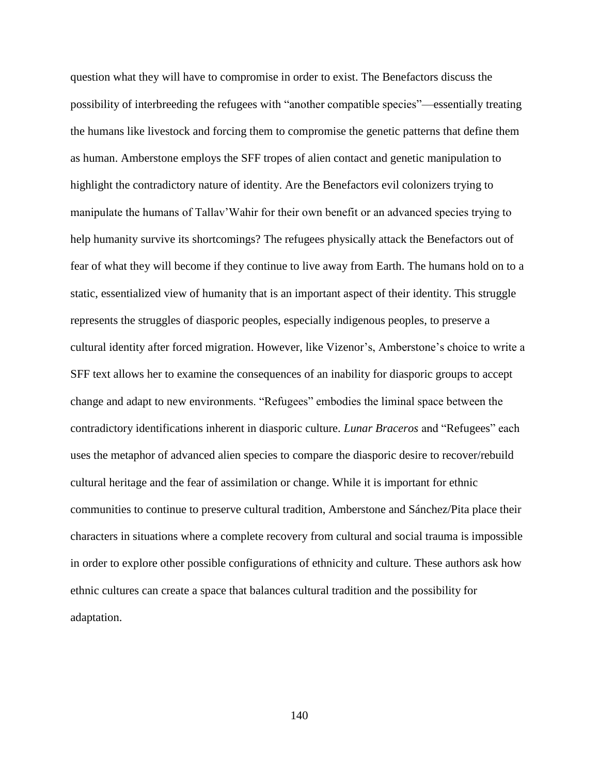question what they will have to compromise in order to exist. The Benefactors discuss the possibility of interbreeding the refugees with "another compatible species"—essentially treating the humans like livestock and forcing them to compromise the genetic patterns that define them as human. Amberstone employs the SFF tropes of alien contact and genetic manipulation to highlight the contradictory nature of identity. Are the Benefactors evil colonizers trying to manipulate the humans of Tallav'Wahir for their own benefit or an advanced species trying to help humanity survive its shortcomings? The refugees physically attack the Benefactors out of fear of what they will become if they continue to live away from Earth. The humans hold on to a static, essentialized view of humanity that is an important aspect of their identity. This struggle represents the struggles of diasporic peoples, especially indigenous peoples, to preserve a cultural identity after forced migration. However, like Vizenor's, Amberstone's choice to write a SFF text allows her to examine the consequences of an inability for diasporic groups to accept change and adapt to new environments. "Refugees" embodies the liminal space between the contradictory identifications inherent in diasporic culture. *Lunar Braceros* and "Refugees" each uses the metaphor of advanced alien species to compare the diasporic desire to recover/rebuild cultural heritage and the fear of assimilation or change. While it is important for ethnic communities to continue to preserve cultural tradition, Amberstone and Sánchez/Pita place their characters in situations where a complete recovery from cultural and social trauma is impossible in order to explore other possible configurations of ethnicity and culture. These authors ask how ethnic cultures can create a space that balances cultural tradition and the possibility for adaptation.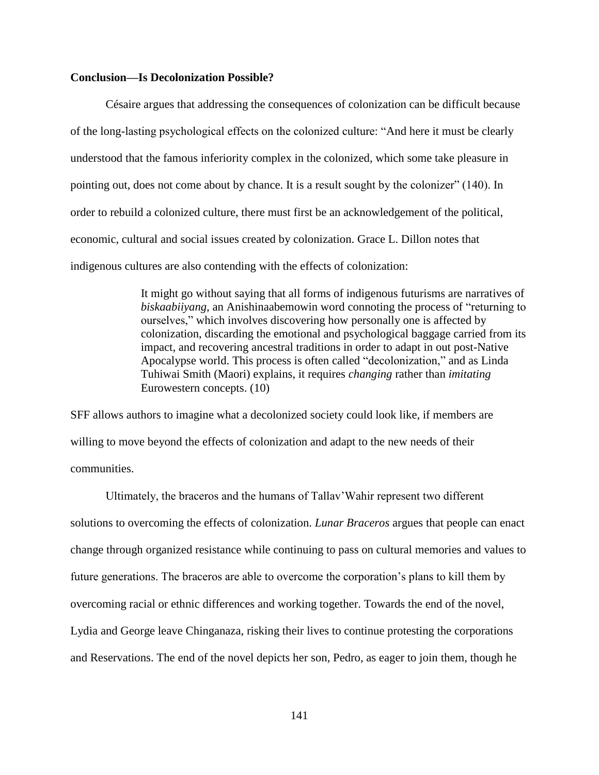## **Conclusion—Is Decolonization Possible?**

Césaire argues that addressing the consequences of colonization can be difficult because of the long-lasting psychological effects on the colonized culture: "And here it must be clearly understood that the famous inferiority complex in the colonized, which some take pleasure in pointing out, does not come about by chance. It is a result sought by the colonizer" (140). In order to rebuild a colonized culture, there must first be an acknowledgement of the political, economic, cultural and social issues created by colonization. Grace L. Dillon notes that indigenous cultures are also contending with the effects of colonization:

> It might go without saying that all forms of indigenous futurisms are narratives of *biskaabiiyang,* an Anishinaabemowin word connoting the process of "returning to ourselves," which involves discovering how personally one is affected by colonization, discarding the emotional and psychological baggage carried from its impact, and recovering ancestral traditions in order to adapt in out post-Native Apocalypse world. This process is often called "decolonization," and as Linda Tuhiwai Smith (Maori) explains, it requires *changing* rather than *imitating*  Eurowestern concepts. (10)

SFF allows authors to imagine what a decolonized society could look like, if members are willing to move beyond the effects of colonization and adapt to the new needs of their communities.

Ultimately, the braceros and the humans of Tallav'Wahir represent two different solutions to overcoming the effects of colonization. *Lunar Braceros* argues that people can enact change through organized resistance while continuing to pass on cultural memories and values to future generations. The braceros are able to overcome the corporation's plans to kill them by overcoming racial or ethnic differences and working together. Towards the end of the novel, Lydia and George leave Chinganaza, risking their lives to continue protesting the corporations and Reservations. The end of the novel depicts her son, Pedro, as eager to join them, though he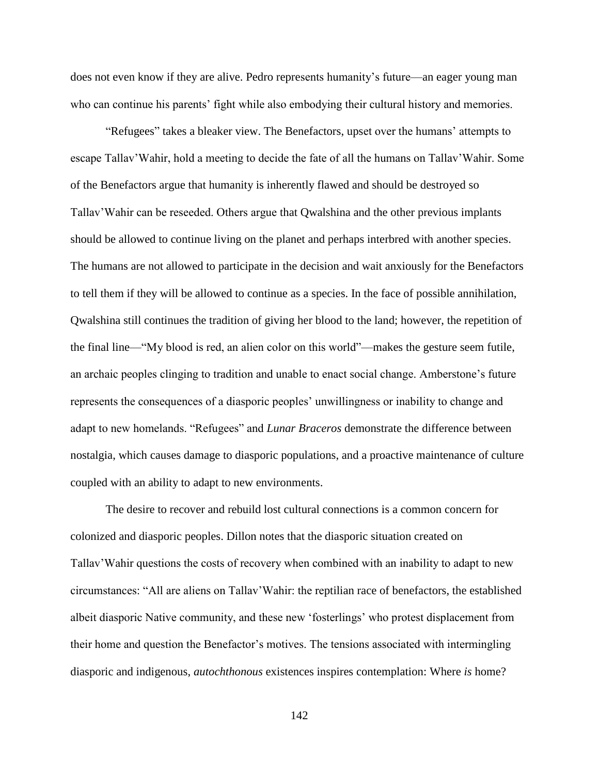does not even know if they are alive. Pedro represents humanity's future—an eager young man who can continue his parents' fight while also embodying their cultural history and memories.

"Refugees" takes a bleaker view. The Benefactors, upset over the humans' attempts to escape Tallav'Wahir, hold a meeting to decide the fate of all the humans on Tallav'Wahir. Some of the Benefactors argue that humanity is inherently flawed and should be destroyed so Tallav'Wahir can be reseeded. Others argue that Qwalshina and the other previous implants should be allowed to continue living on the planet and perhaps interbred with another species. The humans are not allowed to participate in the decision and wait anxiously for the Benefactors to tell them if they will be allowed to continue as a species. In the face of possible annihilation, Qwalshina still continues the tradition of giving her blood to the land; however, the repetition of the final line—"My blood is red, an alien color on this world"—makes the gesture seem futile, an archaic peoples clinging to tradition and unable to enact social change. Amberstone's future represents the consequences of a diasporic peoples' unwillingness or inability to change and adapt to new homelands. "Refugees" and *Lunar Braceros* demonstrate the difference between nostalgia, which causes damage to diasporic populations, and a proactive maintenance of culture coupled with an ability to adapt to new environments.

The desire to recover and rebuild lost cultural connections is a common concern for colonized and diasporic peoples. Dillon notes that the diasporic situation created on Tallav'Wahir questions the costs of recovery when combined with an inability to adapt to new circumstances: "All are aliens on Tallav'Wahir: the reptilian race of benefactors, the established albeit diasporic Native community, and these new 'fosterlings' who protest displacement from their home and question the Benefactor's motives. The tensions associated with intermingling diasporic and indigenous, *autochthonous* existences inspires contemplation: Where *is* home?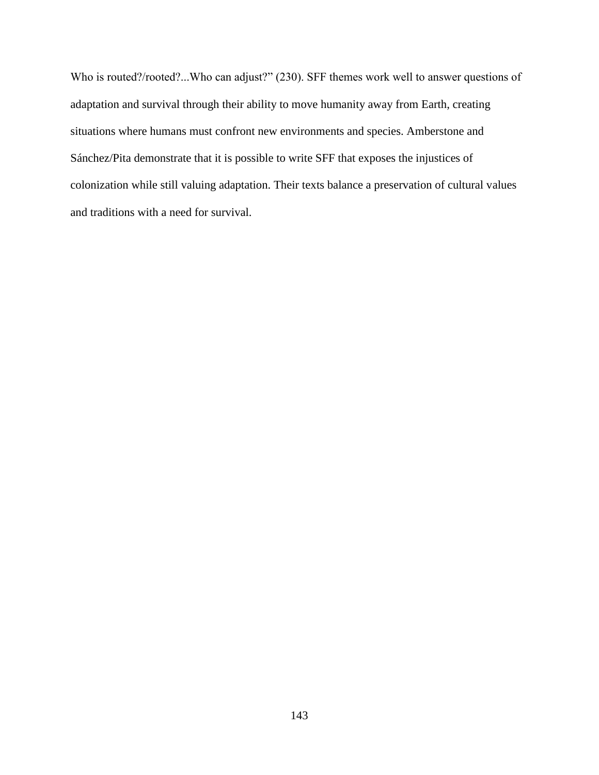Who is routed?/rooted?...Who can adjust?" (230). SFF themes work well to answer questions of adaptation and survival through their ability to move humanity away from Earth, creating situations where humans must confront new environments and species. Amberstone and Sánchez/Pita demonstrate that it is possible to write SFF that exposes the injustices of colonization while still valuing adaptation. Their texts balance a preservation of cultural values and traditions with a need for survival.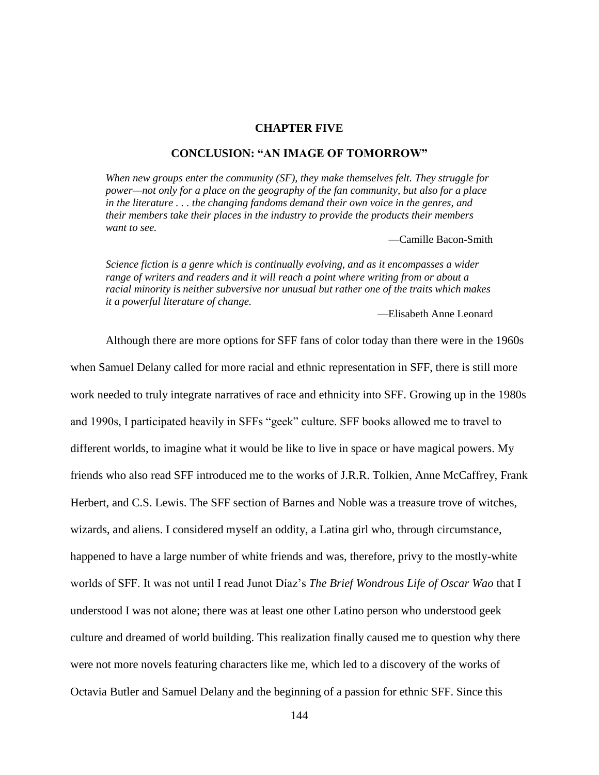### **CHAPTER FIVE**

### **CONCLUSION: "AN IMAGE OF TOMORROW"**

*When new groups enter the community (SF), they make themselves felt. They struggle for power—not only for a place on the geography of the fan community, but also for a place in the literature . . . the changing fandoms demand their own voice in the genres, and their members take their places in the industry to provide the products their members want to see.*

—Camille Bacon-Smith

*Science fiction is a genre which is continually evolving, and as it encompasses a wider range of writers and readers and it will reach a point where writing from or about a racial minority is neither subversive nor unusual but rather one of the traits which makes it a powerful literature of change.*

—Elisabeth Anne Leonard

Although there are more options for SFF fans of color today than there were in the 1960s when Samuel Delany called for more racial and ethnic representation in SFF, there is still more work needed to truly integrate narratives of race and ethnicity into SFF. Growing up in the 1980s and 1990s, I participated heavily in SFFs "geek" culture. SFF books allowed me to travel to different worlds, to imagine what it would be like to live in space or have magical powers. My friends who also read SFF introduced me to the works of J.R.R. Tolkien, Anne McCaffrey, Frank Herbert, and C.S. Lewis. The SFF section of Barnes and Noble was a treasure trove of witches, wizards, and aliens. I considered myself an oddity, a Latina girl who, through circumstance, happened to have a large number of white friends and was, therefore, privy to the mostly-white worlds of SFF. It was not until I read Junot Díaz's *The Brief Wondrous Life of Oscar Wao* that I understood I was not alone; there was at least one other Latino person who understood geek culture and dreamed of world building. This realization finally caused me to question why there were not more novels featuring characters like me, which led to a discovery of the works of Octavia Butler and Samuel Delany and the beginning of a passion for ethnic SFF. Since this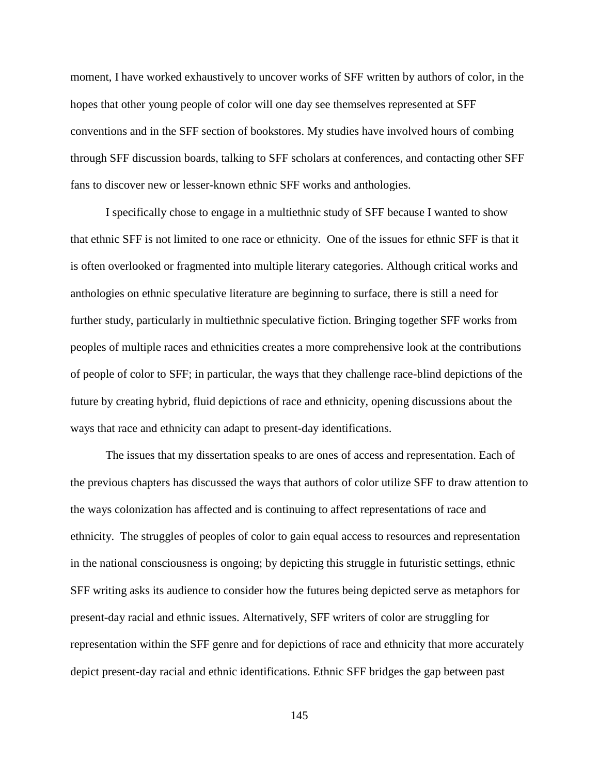moment, I have worked exhaustively to uncover works of SFF written by authors of color, in the hopes that other young people of color will one day see themselves represented at SFF conventions and in the SFF section of bookstores. My studies have involved hours of combing through SFF discussion boards, talking to SFF scholars at conferences, and contacting other SFF fans to discover new or lesser-known ethnic SFF works and anthologies.

I specifically chose to engage in a multiethnic study of SFF because I wanted to show that ethnic SFF is not limited to one race or ethnicity. One of the issues for ethnic SFF is that it is often overlooked or fragmented into multiple literary categories. Although critical works and anthologies on ethnic speculative literature are beginning to surface, there is still a need for further study, particularly in multiethnic speculative fiction. Bringing together SFF works from peoples of multiple races and ethnicities creates a more comprehensive look at the contributions of people of color to SFF; in particular, the ways that they challenge race-blind depictions of the future by creating hybrid, fluid depictions of race and ethnicity, opening discussions about the ways that race and ethnicity can adapt to present-day identifications.

The issues that my dissertation speaks to are ones of access and representation. Each of the previous chapters has discussed the ways that authors of color utilize SFF to draw attention to the ways colonization has affected and is continuing to affect representations of race and ethnicity. The struggles of peoples of color to gain equal access to resources and representation in the national consciousness is ongoing; by depicting this struggle in futuristic settings, ethnic SFF writing asks its audience to consider how the futures being depicted serve as metaphors for present-day racial and ethnic issues. Alternatively, SFF writers of color are struggling for representation within the SFF genre and for depictions of race and ethnicity that more accurately depict present-day racial and ethnic identifications. Ethnic SFF bridges the gap between past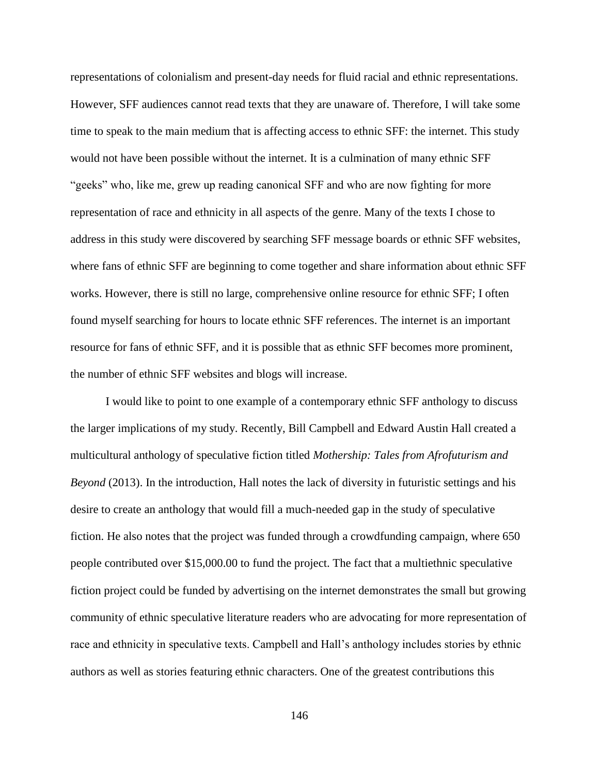representations of colonialism and present-day needs for fluid racial and ethnic representations. However, SFF audiences cannot read texts that they are unaware of. Therefore, I will take some time to speak to the main medium that is affecting access to ethnic SFF: the internet. This study would not have been possible without the internet. It is a culmination of many ethnic SFF "geeks" who, like me, grew up reading canonical SFF and who are now fighting for more representation of race and ethnicity in all aspects of the genre. Many of the texts I chose to address in this study were discovered by searching SFF message boards or ethnic SFF websites, where fans of ethnic SFF are beginning to come together and share information about ethnic SFF works. However, there is still no large, comprehensive online resource for ethnic SFF; I often found myself searching for hours to locate ethnic SFF references. The internet is an important resource for fans of ethnic SFF, and it is possible that as ethnic SFF becomes more prominent, the number of ethnic SFF websites and blogs will increase.

I would like to point to one example of a contemporary ethnic SFF anthology to discuss the larger implications of my study. Recently, Bill Campbell and Edward Austin Hall created a multicultural anthology of speculative fiction titled *Mothership: Tales from Afrofuturism and Beyond* (2013). In the introduction, Hall notes the lack of diversity in futuristic settings and his desire to create an anthology that would fill a much-needed gap in the study of speculative fiction. He also notes that the project was funded through a crowdfunding campaign, where 650 people contributed over \$15,000.00 to fund the project. The fact that a multiethnic speculative fiction project could be funded by advertising on the internet demonstrates the small but growing community of ethnic speculative literature readers who are advocating for more representation of race and ethnicity in speculative texts. Campbell and Hall's anthology includes stories by ethnic authors as well as stories featuring ethnic characters. One of the greatest contributions this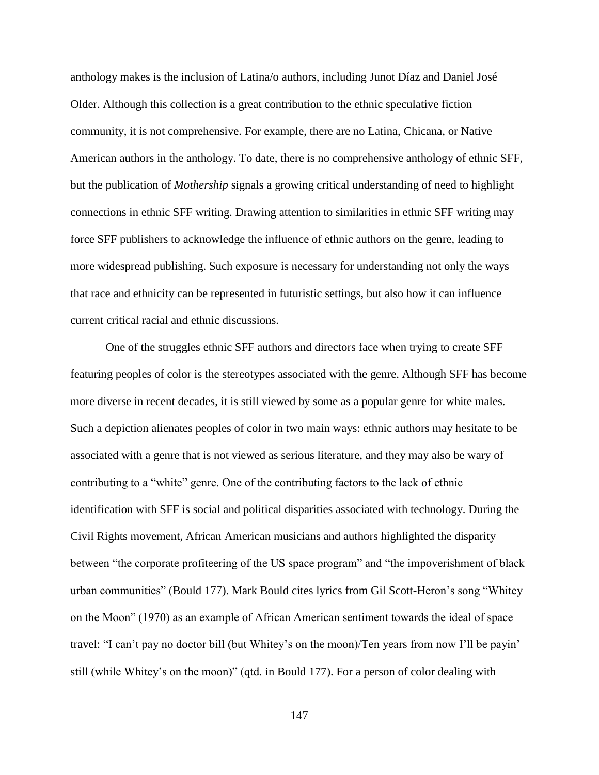anthology makes is the inclusion of Latina/o authors, including Junot Díaz and Daniel José Older. Although this collection is a great contribution to the ethnic speculative fiction community, it is not comprehensive. For example, there are no Latina, Chicana, or Native American authors in the anthology. To date, there is no comprehensive anthology of ethnic SFF, but the publication of *Mothership* signals a growing critical understanding of need to highlight connections in ethnic SFF writing. Drawing attention to similarities in ethnic SFF writing may force SFF publishers to acknowledge the influence of ethnic authors on the genre, leading to more widespread publishing. Such exposure is necessary for understanding not only the ways that race and ethnicity can be represented in futuristic settings, but also how it can influence current critical racial and ethnic discussions.

One of the struggles ethnic SFF authors and directors face when trying to create SFF featuring peoples of color is the stereotypes associated with the genre. Although SFF has become more diverse in recent decades, it is still viewed by some as a popular genre for white males. Such a depiction alienates peoples of color in two main ways: ethnic authors may hesitate to be associated with a genre that is not viewed as serious literature, and they may also be wary of contributing to a "white" genre. One of the contributing factors to the lack of ethnic identification with SFF is social and political disparities associated with technology. During the Civil Rights movement, African American musicians and authors highlighted the disparity between "the corporate profiteering of the US space program" and "the impoverishment of black urban communities" (Bould 177). Mark Bould cites lyrics from Gil Scott-Heron's song "Whitey on the Moon" (1970) as an example of African American sentiment towards the ideal of space travel: "I can't pay no doctor bill (but Whitey's on the moon)/Ten years from now I'll be payin' still (while Whitey's on the moon)" (qtd. in Bould 177). For a person of color dealing with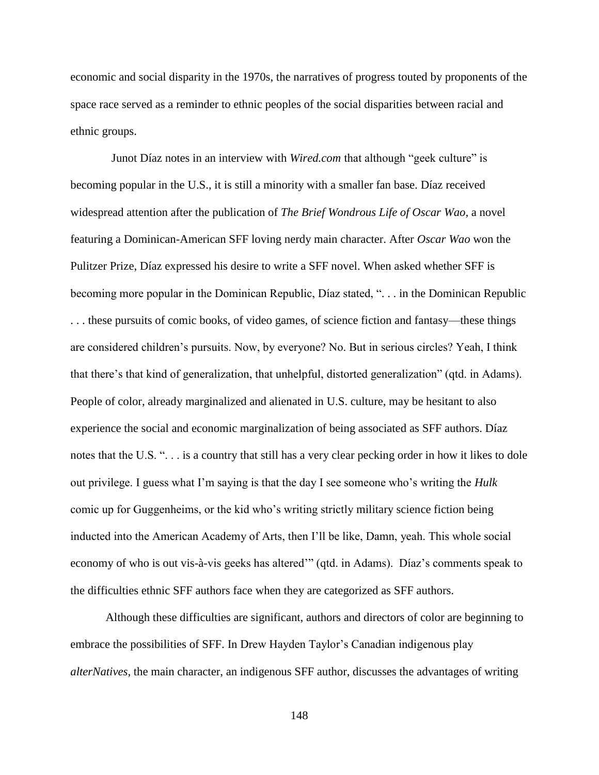economic and social disparity in the 1970s, the narratives of progress touted by proponents of the space race served as a reminder to ethnic peoples of the social disparities between racial and ethnic groups.

Junot Díaz notes in an interview with *Wired.com* that although "geek culture" is becoming popular in the U.S., it is still a minority with a smaller fan base. Díaz received widespread attention after the publication of *The Brief Wondrous Life of Oscar Wao,* a novel featuring a Dominican-American SFF loving nerdy main character. After *Oscar Wao* won the Pulitzer Prize, Díaz expressed his desire to write a SFF novel. When asked whether SFF is becoming more popular in the Dominican Republic, Díaz stated, ". . . in the Dominican Republic . . . these pursuits of comic books, of video games, of science fiction and fantasy—these things are considered children's pursuits. Now, by everyone? No. But in serious circles? Yeah, I think that there's that kind of generalization, that unhelpful, distorted generalization" (qtd. in Adams). People of color, already marginalized and alienated in U.S. culture, may be hesitant to also experience the social and economic marginalization of being associated as SFF authors. Díaz notes that the U.S. ". . . is a country that still has a very clear pecking order in how it likes to dole out privilege. I guess what I'm saying is that the day I see someone who's writing the *Hulk*  comic up for Guggenheims, or the kid who's writing strictly military science fiction being inducted into the American Academy of Arts, then I'll be like, Damn, yeah. This whole social economy of who is out vis-à-vis geeks has altered'" (qtd. in Adams). Díaz's comments speak to the difficulties ethnic SFF authors face when they are categorized as SFF authors.

Although these difficulties are significant, authors and directors of color are beginning to embrace the possibilities of SFF. In Drew Hayden Taylor's Canadian indigenous play *alterNatives*, the main character, an indigenous SFF author, discusses the advantages of writing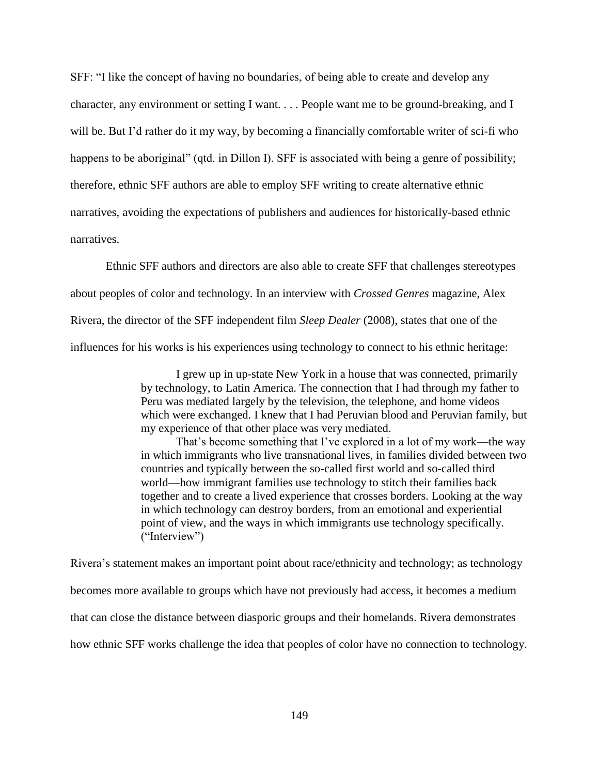SFF: "I like the concept of having no boundaries, of being able to create and develop any character, any environment or setting I want. . . . People want me to be ground-breaking, and I will be. But I'd rather do it my way, by becoming a financially comfortable writer of sci-fi who happens to be aboriginal" (qtd. in Dillon I). SFF is associated with being a genre of possibility; therefore, ethnic SFF authors are able to employ SFF writing to create alternative ethnic narratives, avoiding the expectations of publishers and audiences for historically-based ethnic narratives.

Ethnic SFF authors and directors are also able to create SFF that challenges stereotypes about peoples of color and technology. In an interview with *Crossed Genres* magazine, Alex Rivera, the director of the SFF independent film *Sleep Dealer* (2008), states that one of the influences for his works is his experiences using technology to connect to his ethnic heritage:

> I grew up in up-state New York in a house that was connected, primarily by technology, to Latin America. The connection that I had through my father to Peru was mediated largely by the television, the telephone, and home videos which were exchanged. I knew that I had Peruvian blood and Peruvian family, but my experience of that other place was very mediated.

> That's become something that I've explored in a lot of my work—the way in which immigrants who live transnational lives, in families divided between two countries and typically between the so-called first world and so-called third world—how immigrant families use technology to stitch their families back together and to create a lived experience that crosses borders. Looking at the way in which technology can destroy borders, from an emotional and experiential point of view, and the ways in which immigrants use technology specifically. ("Interview")

Rivera's statement makes an important point about race/ethnicity and technology; as technology becomes more available to groups which have not previously had access, it becomes a medium that can close the distance between diasporic groups and their homelands. Rivera demonstrates how ethnic SFF works challenge the idea that peoples of color have no connection to technology.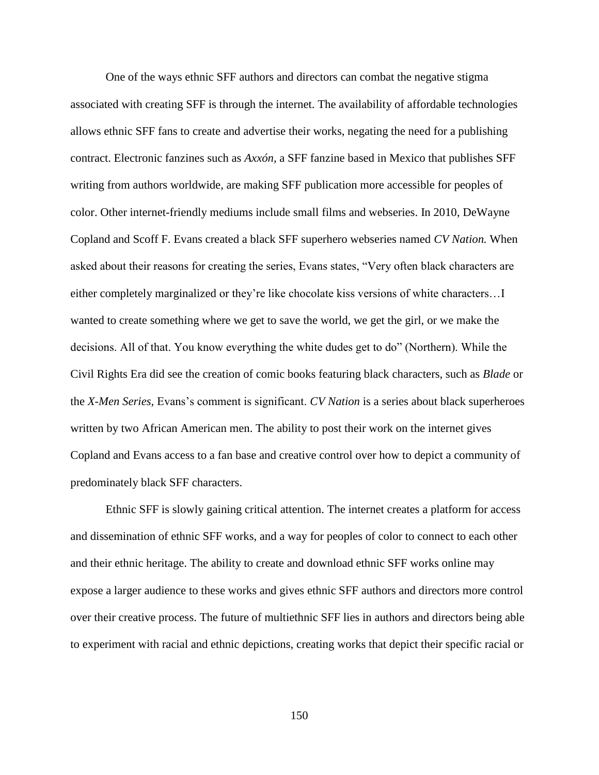One of the ways ethnic SFF authors and directors can combat the negative stigma associated with creating SFF is through the internet. The availability of affordable technologies allows ethnic SFF fans to create and advertise their works, negating the need for a publishing contract. Electronic fanzines such as *Axxón,* a SFF fanzine based in Mexico that publishes SFF writing from authors worldwide, are making SFF publication more accessible for peoples of color. Other internet-friendly mediums include small films and webseries. In 2010, DeWayne Copland and Scoff F. Evans created a black SFF superhero webseries named *CV Nation.* When asked about their reasons for creating the series, Evans states, "Very often black characters are either completely marginalized or they're like chocolate kiss versions of white characters…I wanted to create something where we get to save the world, we get the girl, or we make the decisions. All of that. You know everything the white dudes get to do" (Northern). While the Civil Rights Era did see the creation of comic books featuring black characters, such as *Blade* or the *X-Men Series,* Evans's comment is significant. *CV Nation* is a series about black superheroes written by two African American men. The ability to post their work on the internet gives Copland and Evans access to a fan base and creative control over how to depict a community of predominately black SFF characters.

Ethnic SFF is slowly gaining critical attention. The internet creates a platform for access and dissemination of ethnic SFF works, and a way for peoples of color to connect to each other and their ethnic heritage. The ability to create and download ethnic SFF works online may expose a larger audience to these works and gives ethnic SFF authors and directors more control over their creative process. The future of multiethnic SFF lies in authors and directors being able to experiment with racial and ethnic depictions, creating works that depict their specific racial or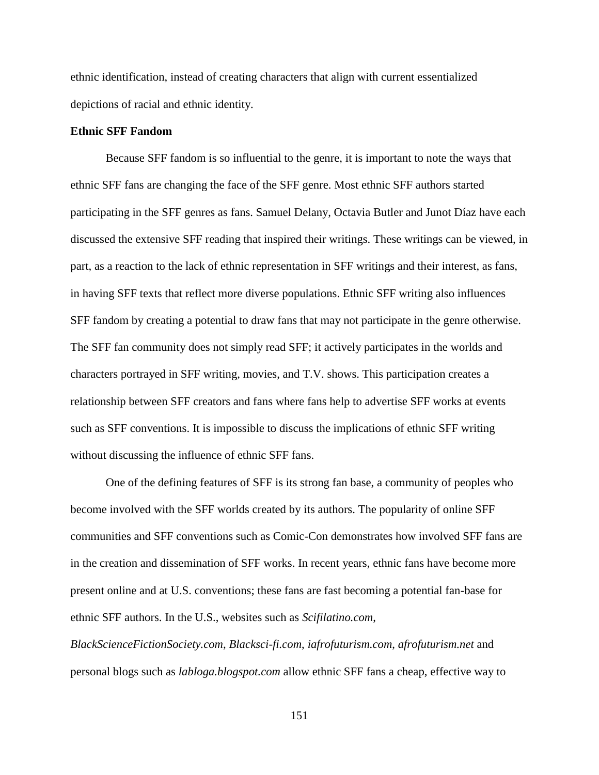ethnic identification, instead of creating characters that align with current essentialized depictions of racial and ethnic identity.

# **Ethnic SFF Fandom**

Because SFF fandom is so influential to the genre, it is important to note the ways that ethnic SFF fans are changing the face of the SFF genre. Most ethnic SFF authors started participating in the SFF genres as fans. Samuel Delany, Octavia Butler and Junot Díaz have each discussed the extensive SFF reading that inspired their writings. These writings can be viewed, in part, as a reaction to the lack of ethnic representation in SFF writings and their interest, as fans, in having SFF texts that reflect more diverse populations. Ethnic SFF writing also influences SFF fandom by creating a potential to draw fans that may not participate in the genre otherwise. The SFF fan community does not simply read SFF; it actively participates in the worlds and characters portrayed in SFF writing, movies, and T.V. shows. This participation creates a relationship between SFF creators and fans where fans help to advertise SFF works at events such as SFF conventions. It is impossible to discuss the implications of ethnic SFF writing without discussing the influence of ethnic SFF fans.

One of the defining features of SFF is its strong fan base, a community of peoples who become involved with the SFF worlds created by its authors. The popularity of online SFF communities and SFF conventions such as Comic-Con demonstrates how involved SFF fans are in the creation and dissemination of SFF works. In recent years, ethnic fans have become more present online and at U.S. conventions; these fans are fast becoming a potential fan-base for ethnic SFF authors. In the U.S., websites such as *Scifilatino.com*,

*BlackScienceFictionSociety.com*, *Blacksci-fi.com*, *iafrofuturism.com*, *afrofuturism.net* and personal blogs such as *labloga.blogspot.com* allow ethnic SFF fans a cheap, effective way to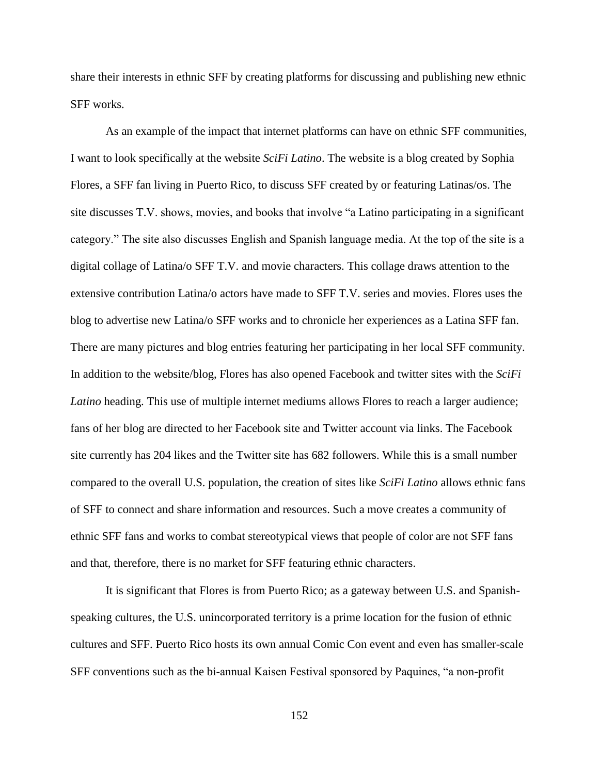share their interests in ethnic SFF by creating platforms for discussing and publishing new ethnic SFF works.

As an example of the impact that internet platforms can have on ethnic SFF communities, I want to look specifically at the website *SciFi Latino*. The website is a blog created by Sophia Flores, a SFF fan living in Puerto Rico, to discuss SFF created by or featuring Latinas/os. The site discusses T.V. shows, movies, and books that involve "a Latino participating in a significant category." The site also discusses English and Spanish language media. At the top of the site is a digital collage of Latina/o SFF T.V. and movie characters. This collage draws attention to the extensive contribution Latina/o actors have made to SFF T.V. series and movies. Flores uses the blog to advertise new Latina/o SFF works and to chronicle her experiences as a Latina SFF fan. There are many pictures and blog entries featuring her participating in her local SFF community. In addition to the website/blog, Flores has also opened Facebook and twitter sites with the *SciFi Latino* heading. This use of multiple internet mediums allows Flores to reach a larger audience; fans of her blog are directed to her Facebook site and Twitter account via links. The Facebook site currently has 204 likes and the Twitter site has 682 followers. While this is a small number compared to the overall U.S. population, the creation of sites like *SciFi Latino* allows ethnic fans of SFF to connect and share information and resources. Such a move creates a community of ethnic SFF fans and works to combat stereotypical views that people of color are not SFF fans and that, therefore, there is no market for SFF featuring ethnic characters.

It is significant that Flores is from Puerto Rico; as a gateway between U.S. and Spanishspeaking cultures, the U.S. unincorporated territory is a prime location for the fusion of ethnic cultures and SFF. Puerto Rico hosts its own annual Comic Con event and even has smaller-scale SFF conventions such as the bi-annual Kaisen Festival sponsored by Paquines, "a non-profit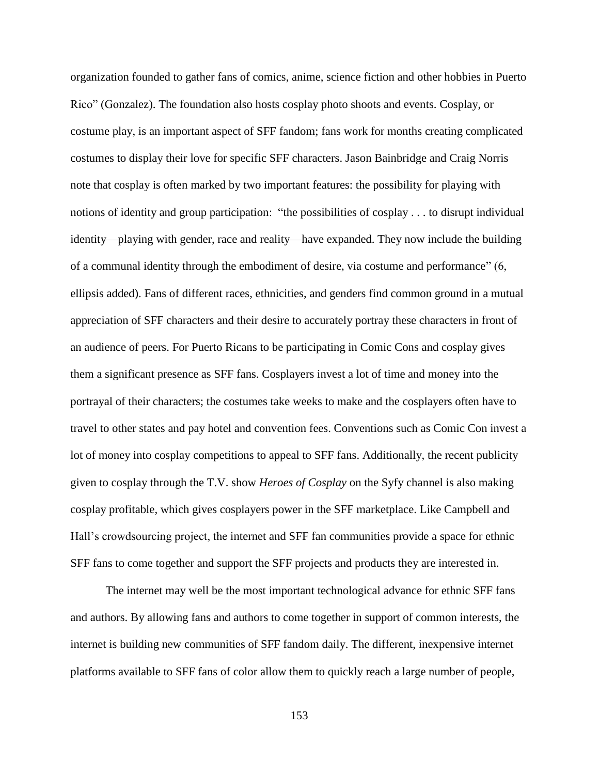organization founded to gather fans of comics, anime, science fiction and other hobbies in Puerto Rico" (Gonzalez). The foundation also hosts cosplay photo shoots and events. Cosplay, or costume play, is an important aspect of SFF fandom; fans work for months creating complicated costumes to display their love for specific SFF characters. Jason Bainbridge and Craig Norris note that cosplay is often marked by two important features: the possibility for playing with notions of identity and group participation: "the possibilities of cosplay . . . to disrupt individual identity—playing with gender, race and reality—have expanded. They now include the building of a communal identity through the embodiment of desire, via costume and performance" (6, ellipsis added). Fans of different races, ethnicities, and genders find common ground in a mutual appreciation of SFF characters and their desire to accurately portray these characters in front of an audience of peers. For Puerto Ricans to be participating in Comic Cons and cosplay gives them a significant presence as SFF fans. Cosplayers invest a lot of time and money into the portrayal of their characters; the costumes take weeks to make and the cosplayers often have to travel to other states and pay hotel and convention fees. Conventions such as Comic Con invest a lot of money into cosplay competitions to appeal to SFF fans. Additionally, the recent publicity given to cosplay through the T.V. show *Heroes of Cosplay* on the Syfy channel is also making cosplay profitable, which gives cosplayers power in the SFF marketplace. Like Campbell and Hall's crowdsourcing project, the internet and SFF fan communities provide a space for ethnic SFF fans to come together and support the SFF projects and products they are interested in.

The internet may well be the most important technological advance for ethnic SFF fans and authors. By allowing fans and authors to come together in support of common interests, the internet is building new communities of SFF fandom daily. The different, inexpensive internet platforms available to SFF fans of color allow them to quickly reach a large number of people,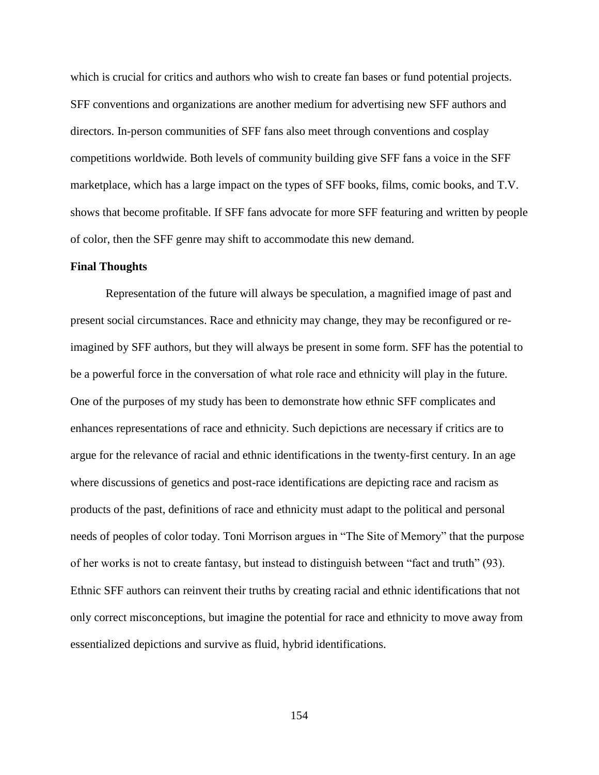which is crucial for critics and authors who wish to create fan bases or fund potential projects. SFF conventions and organizations are another medium for advertising new SFF authors and directors. In-person communities of SFF fans also meet through conventions and cosplay competitions worldwide. Both levels of community building give SFF fans a voice in the SFF marketplace, which has a large impact on the types of SFF books, films, comic books, and T.V. shows that become profitable. If SFF fans advocate for more SFF featuring and written by people of color, then the SFF genre may shift to accommodate this new demand.

## **Final Thoughts**

Representation of the future will always be speculation, a magnified image of past and present social circumstances. Race and ethnicity may change, they may be reconfigured or reimagined by SFF authors, but they will always be present in some form. SFF has the potential to be a powerful force in the conversation of what role race and ethnicity will play in the future. One of the purposes of my study has been to demonstrate how ethnic SFF complicates and enhances representations of race and ethnicity. Such depictions are necessary if critics are to argue for the relevance of racial and ethnic identifications in the twenty-first century. In an age where discussions of genetics and post-race identifications are depicting race and racism as products of the past, definitions of race and ethnicity must adapt to the political and personal needs of peoples of color today. Toni Morrison argues in "The Site of Memory" that the purpose of her works is not to create fantasy, but instead to distinguish between "fact and truth" (93). Ethnic SFF authors can reinvent their truths by creating racial and ethnic identifications that not only correct misconceptions, but imagine the potential for race and ethnicity to move away from essentialized depictions and survive as fluid, hybrid identifications.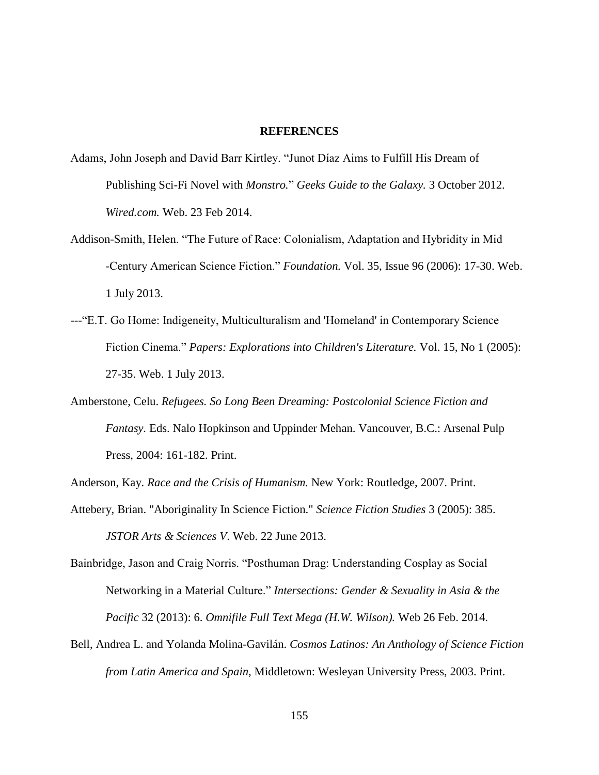#### **REFERENCES**

- Adams, John Joseph and David Barr Kirtley. "Junot Díaz Aims to Fulfill His Dream of Publishing Sci-Fi Novel with *Monstro.*" *Geeks Guide to the Galaxy.* 3 October 2012. *Wired.com.* Web. 23 Feb 2014.
- Addison-Smith, Helen. "The Future of Race: Colonialism, Adaptation and Hybridity in Mid -Century American Science Fiction." *Foundation.* Vol. 35, Issue 96 (2006): 17-30. Web. 1 July 2013.
- ---"E.T. Go Home: Indigeneity, Multiculturalism and 'Homeland' in Contemporary Science Fiction Cinema." *Papers: Explorations into Children's Literature.* Vol. 15, No 1 (2005): 27-35. Web. 1 July 2013.
- Amberstone, Celu. *Refugees. So Long Been Dreaming: Postcolonial Science Fiction and Fantasy.* Eds. Nalo Hopkinson and Uppinder Mehan. Vancouver, B.C.: Arsenal Pulp Press, 2004: 161-182. Print.
- Anderson, Kay. *Race and the Crisis of Humanism.* New York: Routledge, 2007. Print.
- Attebery, Brian. "Aboriginality In Science Fiction." *Science Fiction Studies* 3 (2005): 385. *JSTOR Arts & Sciences V*. Web. 22 June 2013.
- Bainbridge, Jason and Craig Norris. "Posthuman Drag: Understanding Cosplay as Social Networking in a Material Culture." *Intersections: Gender & Sexuality in Asia & the Pacific* 32 (2013): 6. *Omnifile Full Text Mega (H.W. Wilson).* Web 26 Feb. 2014.
- Bell, Andrea L. and Yolanda Molina-Gavilán. *Cosmos Latinos: An Anthology of Science Fiction from Latin America and Spain*, Middletown: Wesleyan University Press, 2003. Print.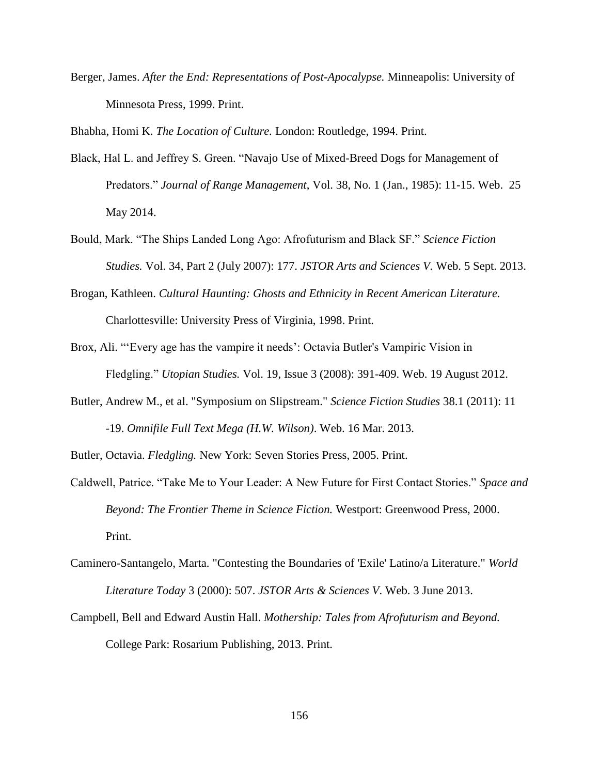Berger, James. *After the End: Representations of Post-Apocalypse.* Minneapolis: University of Minnesota Press, 1999. Print.

Bhabha, Homi K. *The Location of Culture.* London: Routledge, 1994. Print.

- Black, Hal L. and Jeffrey S. Green. "Navajo Use of Mixed-Breed Dogs for Management of Predators." *Journal of Range Management*, Vol. 38, No. 1 (Jan., 1985): 11-15. Web. 25 May 2014.
- Bould, Mark. "The Ships Landed Long Ago: Afrofuturism and Black SF." *Science Fiction Studies.* Vol. 34, Part 2 (July 2007): 177. *JSTOR Arts and Sciences V.* Web. 5 Sept. 2013.
- Brogan, Kathleen. *Cultural Haunting: Ghosts and Ethnicity in Recent American Literature.* Charlottesville: University Press of Virginia, 1998. Print.
- Brox, Ali. "'Every age has the vampire it needs': Octavia Butler's Vampiric Vision in Fledgling." *Utopian Studies.* Vol. 19, Issue 3 (2008): 391-409. Web. 19 August 2012.
- Butler, Andrew M., et al. "Symposium on Slipstream." *Science Fiction Studies* 38.1 (2011): 11 -19. *Omnifile Full Text Mega (H.W. Wilson)*. Web. 16 Mar. 2013.

Butler, Octavia. *Fledgling.* New York: Seven Stories Press, 2005. Print.

- Caldwell, Patrice. "Take Me to Your Leader: A New Future for First Contact Stories." *Space and Beyond: The Frontier Theme in Science Fiction.* Westport: Greenwood Press, 2000. Print.
- Caminero-Santangelo, Marta. "Contesting the Boundaries of 'Exile' Latino/a Literature." *World Literature Today* 3 (2000): 507. *JSTOR Arts & Sciences V*. Web. 3 June 2013.
- Campbell, Bell and Edward Austin Hall. *Mothership: Tales from Afrofuturism and Beyond.* College Park: Rosarium Publishing, 2013. Print.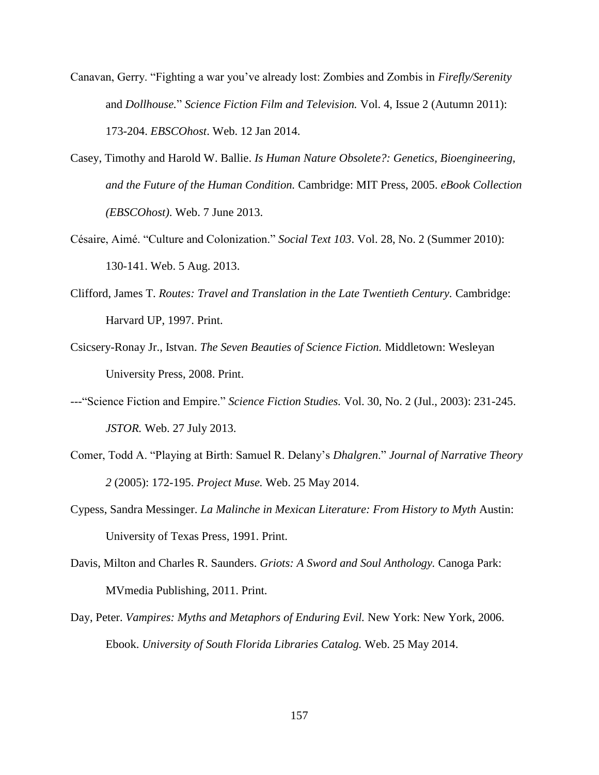- Canavan, Gerry. "Fighting a war you've already lost: Zombies and Zombis in *Firefly/Serenity* and *Dollhouse.*" *Science Fiction Film and Television.* Vol. 4, Issue 2 (Autumn 2011): 173-204. *EBSCOhost*. Web. 12 Jan 2014.
- Casey, Timothy and Harold W. Ballie. *Is Human Nature Obsolete?: Genetics, Bioengineering, and the Future of the Human Condition.* Cambridge: MIT Press, 2005. *eBook Collection (EBSCOhost)*. Web. 7 June 2013.
- Césaire, Aimé. "Culture and Colonization." *Social Text 103*. Vol. 28, No. 2 (Summer 2010): 130-141. Web. 5 Aug. 2013.
- Clifford, James T. *Routes: Travel and Translation in the Late Twentieth Century.* Cambridge: Harvard UP, 1997. Print.
- Csicsery-Ronay Jr., Istvan. *The Seven Beauties of Science Fiction.* Middletown: Wesleyan University Press, 2008. Print.
- ---"Science Fiction and Empire." *Science Fiction Studies.* Vol. 30, No. 2 (Jul., 2003): 231-245. *JSTOR.* Web. 27 July 2013.
- Comer, Todd A. "Playing at Birth: Samuel R. Delany's *Dhalgren*." *Journal of Narrative Theory 2* (2005): 172-195. *Project Muse.* Web. 25 May 2014.
- Cypess, Sandra Messinger. *La Malinche in Mexican Literature: From History to Myth* Austin: University of Texas Press, 1991. Print.
- Davis, Milton and Charles R. Saunders. *Griots: A Sword and Soul Anthology.* Canoga Park: MVmedia Publishing, 2011. Print.
- Day, Peter. *Vampires: Myths and Metaphors of Enduring Evil.* New York: New York, 2006. Ebook. *University of South Florida Libraries Catalog.* Web. 25 May 2014.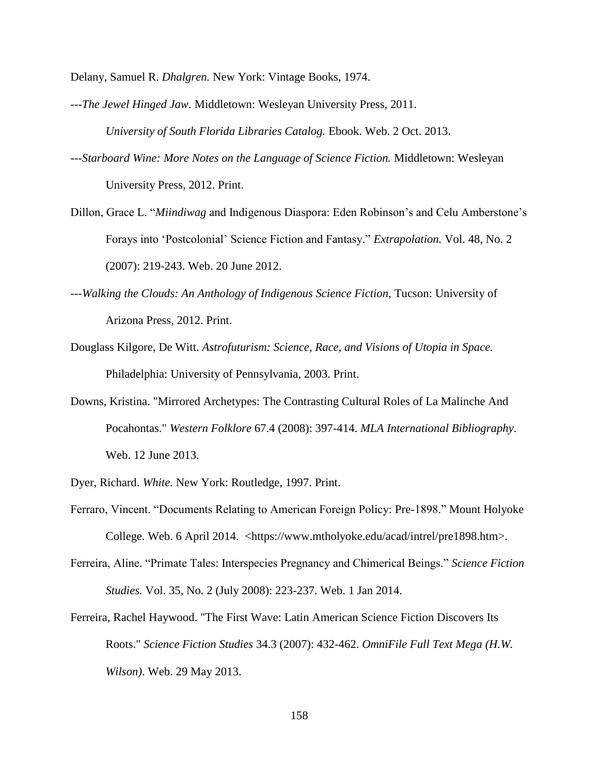Delany, Samuel R. *Dhalgren.* New York: Vintage Books, 1974.

- ---*The Jewel Hinged Jaw.* Middletown: Wesleyan University Press, 2011. *University of South Florida Libraries Catalog.* Ebook. Web. 2 Oct. 2013.
- ---*Starboard Wine: More Notes on the Language of Science Fiction.* Middletown: Wesleyan University Press, 2012. Print.
- Dillon, Grace L. "*Miindiwag* and Indigenous Diaspora: Eden Robinson's and Celu Amberstone's Forays into 'Postcolonial' Science Fiction and Fantasy." *Extrapolation.* Vol. 48, No. 2 (2007): 219-243. Web. 20 June 2012.
- ---*Walking the Clouds: An Anthology of Indigenous Science Fiction, Tucson: University of* Arizona Press, 2012. Print.
- Douglass Kilgore, De Witt. *Astrofuturism: Science, Race, and Visions of Utopia in Space.* Philadelphia: University of Pennsylvania, 2003. Print.
- Downs, Kristina. "Mirrored Archetypes: The Contrasting Cultural Roles of La Malinche And Pocahontas." *Western Folklore* 67.4 (2008): 397-414. *MLA International Bibliography*. Web. 12 June 2013.
- Dyer, Richard. *White.* New York: Routledge, 1997. Print.
- Ferraro, Vincent. "Documents Relating to American Foreign Policy: Pre-1898." Mount Holyoke College. Web. 6 April 2014. <https://www.mtholyoke.edu/acad/intrel/pre1898.htm>.
- Ferreira, Aline. "Primate Tales: Interspecies Pregnancy and Chimerical Beings." *Science Fiction Studies.* Vol. 35, No. 2 (July 2008): 223-237. Web. 1 Jan 2014.
- Ferreira, Rachel Haywood. "The First Wave: Latin American Science Fiction Discovers Its Roots." *Science Fiction Studies* 34.3 (2007): 432-462. *OmniFile Full Text Mega (H.W. Wilson)*. Web. 29 May 2013.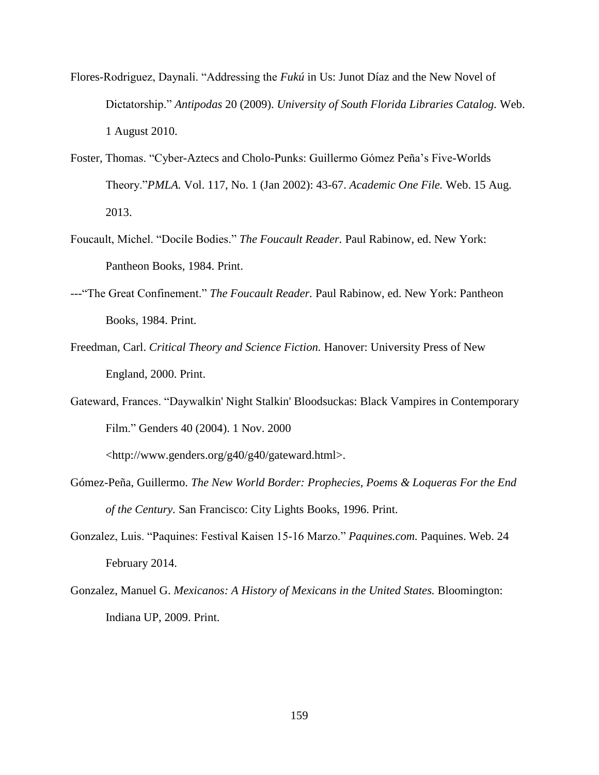- Flores-Rodriguez, Daynali. "Addressing the *Fukú* in Us: Junot Díaz and the New Novel of Dictatorship." *Antipodas* 20 (2009). *University of South Florida Libraries Catalog.* Web. 1 August 2010.
- Foster, Thomas. "Cyber-Aztecs and Cholo-Punks: Guillermo Gómez Peña's Five-Worlds Theory."*PMLA.* Vol. 117, No. 1 (Jan 2002): 43-67. *Academic One File.* Web. 15 Aug. 2013.
- Foucault, Michel. "Docile Bodies." *The Foucault Reader.* Paul Rabinow, ed. New York: Pantheon Books, 1984. Print.
- ---"The Great Confinement." *The Foucault Reader.* Paul Rabinow, ed. New York: Pantheon Books, 1984. Print.
- Freedman, Carl. *Critical Theory and Science Fiction.* Hanover: University Press of New England, 2000. Print.
- Gateward, Frances. "Daywalkin' Night Stalkin' Bloodsuckas: Black Vampires in Contemporary Film." Genders 40 (2004). 1 Nov. 2000

<http://www.genders.org/g40/g40/gateward.html>.

- Gómez-Peña, Guillermo. *The New World Border: Prophecies, Poems & Loqueras For the End of the Century.* San Francisco: City Lights Books, 1996. Print.
- Gonzalez, Luis. "Paquines: Festival Kaisen 15-16 Marzo." *Paquines.com.* Paquines. Web. 24 February 2014.
- Gonzalez, Manuel G. *Mexicanos: A History of Mexicans in the United States.* Bloomington: Indiana UP, 2009. Print.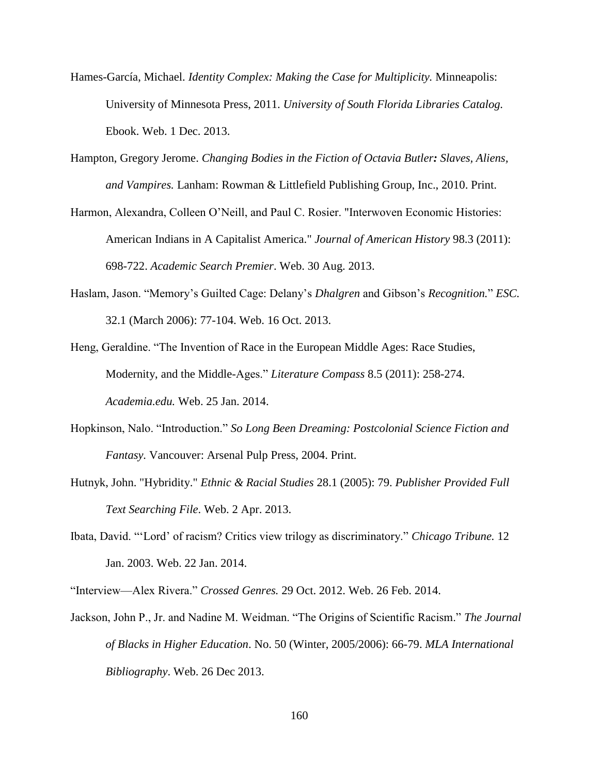- Hames-García, Michael. *Identity Complex: Making the Case for Multiplicity.* Minneapolis: University of Minnesota Press, 2011. *University of South Florida Libraries Catalog.*  Ebook. Web. 1 Dec. 2013.
- Hampton, Gregory Jerome. *Changing Bodies in the Fiction of Octavia Butler: Slaves, Aliens, and Vampires.* Lanham: Rowman & Littlefield Publishing Group, Inc., 2010. Print.
- Harmon, Alexandra, Colleen O'Neill, and Paul C. Rosier. "Interwoven Economic Histories: American Indians in A Capitalist America." *Journal of American History* 98.3 (2011): 698-722. *Academic Search Premier*. Web. 30 Aug. 2013.
- Haslam, Jason. "Memory's Guilted Cage: Delany's *Dhalgren* and Gibson's *Recognition.*" *ESC.* 32.1 (March 2006): 77-104. Web. 16 Oct. 2013.
- Heng, Geraldine. "The Invention of Race in the European Middle Ages: Race Studies, Modernity, and the Middle-Ages." *Literature Compass* 8.5 (2011): 258-274. *Academia.edu.* Web. 25 Jan. 2014.
- Hopkinson, Nalo. "Introduction." *So Long Been Dreaming: Postcolonial Science Fiction and Fantasy.* Vancouver: Arsenal Pulp Press, 2004. Print.
- Hutnyk, John. "Hybridity." *Ethnic & Racial Studies* 28.1 (2005): 79. *Publisher Provided Full Text Searching File*. Web. 2 Apr. 2013.
- Ibata, David. "'Lord' of racism? Critics view trilogy as discriminatory." *Chicago Tribune.* 12 Jan. 2003. Web. 22 Jan. 2014.
- "Interview—Alex Rivera." *Crossed Genres.* 29 Oct. 2012. Web. 26 Feb. 2014.
- Jackson, John P., Jr. and Nadine M. Weidman. "The Origins of Scientific Racism." *The Journal of Blacks in Higher Education*. No. 50 (Winter, 2005/2006): 66-79. *MLA International Bibliography*. Web. 26 Dec 2013.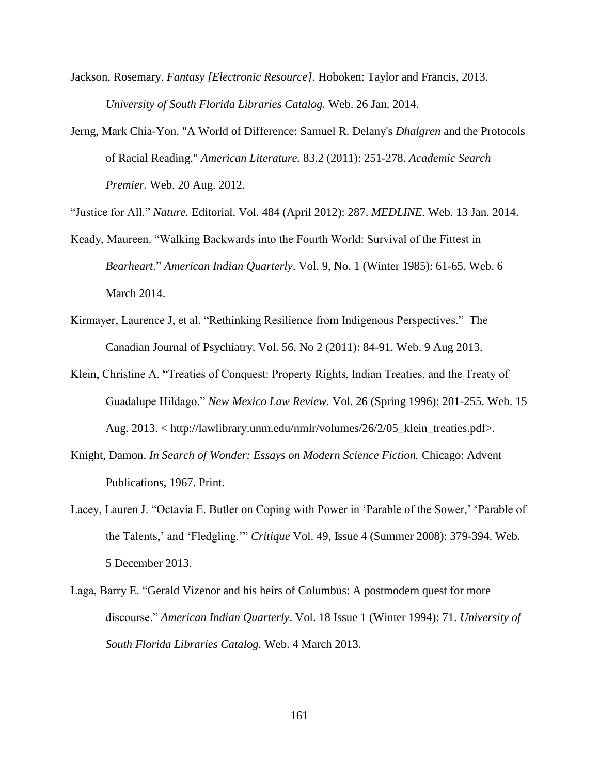- Jackson, Rosemary. *Fantasy [Electronic Resource].* Hoboken: Taylor and Francis, 2013. *University of South Florida Libraries Catalog.* Web. 26 Jan. 2014.
- Jerng, Mark Chia-Yon. "A World of Difference: Samuel R. Delany's *Dhalgren* and the Protocols of Racial Reading." *American Literature.* 83.2 (2011): 251-278. *Academic Search Premier*. Web. 20 Aug. 2012.

"Justice for All." *Nature.* Editorial. Vol. 484 (April 2012): 287. *MEDLINE.* Web. 13 Jan. 2014.

- Keady, Maureen. "Walking Backwards into the Fourth World: Survival of the Fittest in *Bearheart*." *American Indian Quarterly*. Vol. 9, No. 1 (Winter 1985): 61-65. Web. 6 March 2014.
- Kirmayer, Laurence J, et al. "Rethinking Resilience from Indigenous Perspectives." The Canadian Journal of Psychiatry. Vol. 56, No 2 (2011): 84-91. Web. 9 Aug 2013.
- Klein, Christine A. "Treaties of Conquest: Property Rights, Indian Treaties, and the Treaty of Guadalupe Hildago." *New Mexico Law Review.* Vol. 26 (Spring 1996): 201-255. Web. 15 Aug. 2013. < http://lawlibrary.unm.edu/nmlr/volumes/26/2/05\_klein\_treaties.pdf>.
- Knight, Damon. *In Search of Wonder: Essays on Modern Science Fiction.* Chicago: Advent Publications, 1967. Print.
- Lacey, Lauren J. "Octavia E. Butler on Coping with Power in 'Parable of the Sower,' 'Parable of the Talents,' and 'Fledgling.'" *Critique* Vol. 49, Issue 4 (Summer 2008): 379-394. Web. 5 December 2013.
- Laga, Barry E. "Gerald Vizenor and his heirs of Columbus: A postmodern quest for more discourse." *[American Indian Quarterly](javascript:__doLinkPostBack()*. Vol. 18 Issue 1 (Winter 1994): 71. *University of South Florida Libraries Catalog.* Web. 4 March 2013.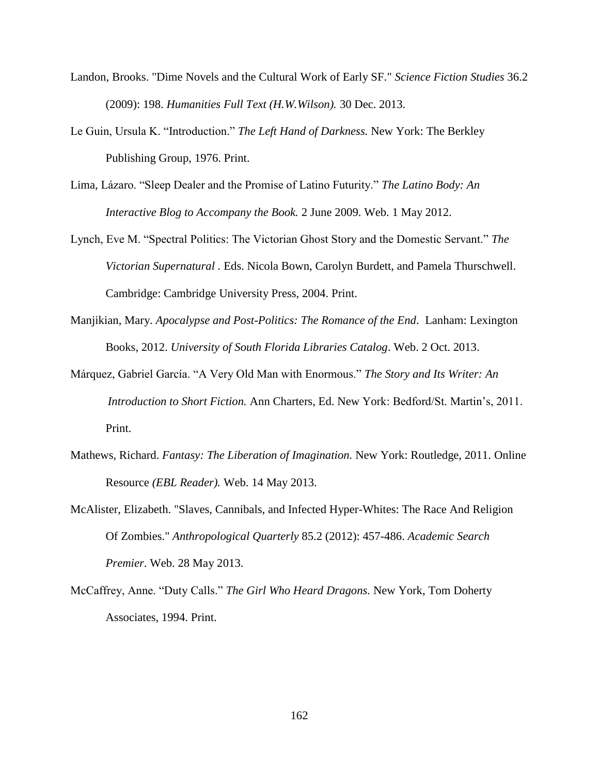- Landon, Brooks. "Dime Novels and the Cultural Work of Early SF." *Science Fiction Studies* 36.2 (2009): 198. *Humanities Full Text (H.W.Wilson).* 30 Dec. 2013.
- Le Guin, Ursula K. "Introduction." *The Left Hand of Darkness.* New York: The Berkley Publishing Group, 1976. Print.
- Lima, Lázaro. "Sleep Dealer and the Promise of Latino Futurity." *The Latino Body: An Interactive Blog to Accompany the Book.* 2 June 2009. Web. 1 May 2012.
- Lynch, Eve M. "Spectral Politics: The Victorian Ghost Story and the Domestic Servant." *The Victorian Supernatural .* Eds. Nicola Bown, Carolyn Burdett, and Pamela Thurschwell. Cambridge: Cambridge University Press, 2004. Print.
- Manjikian, Mary. *Apocalypse and Post-Politics: The Romance of the End*. Lanham: Lexington Books, 2012. *University of South Florida Libraries Catalog*. Web. 2 Oct. 2013.
- Márquez, Gabriel García. "A Very Old Man with Enormous." *The Story and Its Writer: An Introduction to Short Fiction.* Ann Charters, Ed. New York: Bedford/St. Martin's, 2011. Print.
- Mathews, Richard. *Fantasy: The Liberation of Imagination.* New York: Routledge, 2011. Online Resource *(EBL Reader).* Web. 14 May 2013.
- McAlister, Elizabeth. "Slaves, Cannibals, and Infected Hyper-Whites: The Race And Religion Of Zombies." *Anthropological Quarterly* 85.2 (2012): 457-486. *Academic Search Premier*. Web. 28 May 2013.
- McCaffrey, Anne. "Duty Calls." *The Girl Who Heard Dragons.* New York, Tom Doherty Associates, 1994. Print.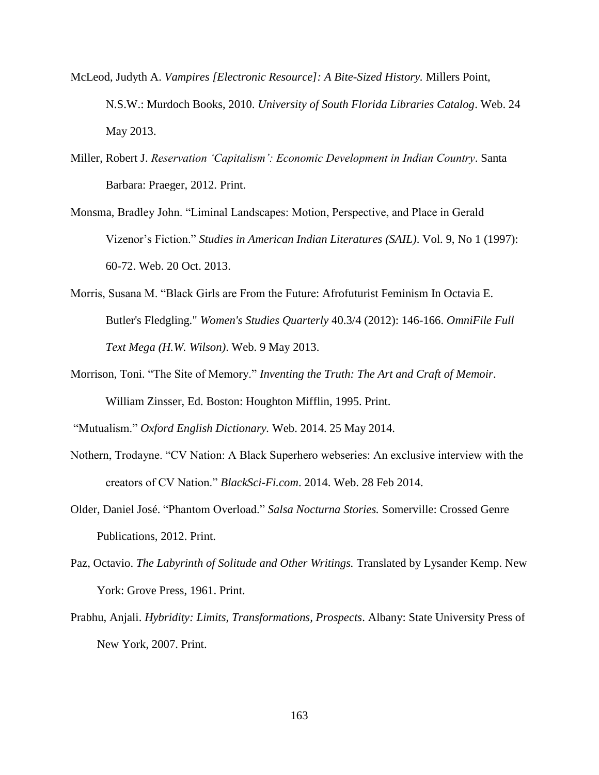- McLeod, Judyth A. *Vampires [Electronic Resource]: A Bite-Sized History.* Millers Point, N.S.W.: Murdoch Books, 2010. *University of South Florida Libraries Catalog*. Web. 24 May 2013.
- Miller, Robert J. *Reservation 'Capitalism': Economic Development in Indian Country*. Santa Barbara: Praeger, 2012. Print.
- Monsma, Bradley John. "Liminal Landscapes: Motion, Perspective, and Place in Gerald Vizenor's Fiction." *Studies in American Indian Literatures (SAIL)*. Vol. 9, No 1 (1997): 60-72. Web. 20 Oct. 2013.
- Morris, Susana M. "Black Girls are From the Future: Afrofuturist Feminism In Octavia E. Butler's Fledgling." *Women's Studies Quarterly* 40.3/4 (2012): 146-166. *OmniFile Full Text Mega (H.W. Wilson)*. Web. 9 May 2013.
- Morrison, Toni. "The Site of Memory." *Inventing the Truth: The Art and Craft of Memoir*. William Zinsser, Ed. Boston: Houghton Mifflin, 1995. Print.

"Mutualism." *Oxford English Dictionary.* Web. 2014. 25 May 2014.

- Nothern, Trodayne. "CV Nation: A Black Superhero webseries: An exclusive interview with the creators of CV Nation." *BlackSci-Fi.com*. 2014. Web. 28 Feb 2014.
- Older, Daniel José. "Phantom Overload." *Salsa Nocturna Stories.* Somerville: Crossed Genre Publications, 2012. Print.
- Paz, Octavio. *The Labyrinth of Solitude and Other Writings.* Translated by Lysander Kemp. New York: Grove Press, 1961. Print.
- Prabhu, Anjali. *Hybridity: Limits, Transformations, Prospects*. Albany: State University Press of New York, 2007. Print.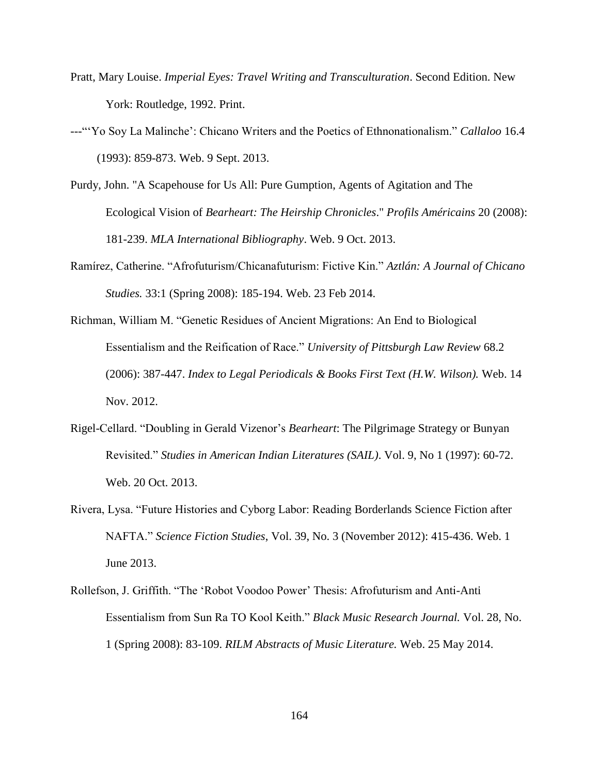- Pratt, Mary Louise. *Imperial Eyes: Travel Writing and Transculturation*. Second Edition. New York: Routledge, 1992. Print.
- ---"'Yo Soy La Malinche': Chicano Writers and the Poetics of Ethnonationalism." *Callaloo* 16.4 (1993): 859-873. Web. 9 Sept. 2013.
- Purdy, John. "A Scapehouse for Us All: Pure Gumption, Agents of Agitation and The Ecological Vision of *Bearheart: The Heirship Chronicles*." *Profils Américains* 20 (2008): 181-239. *MLA International Bibliography*. Web. 9 Oct. 2013.
- Ramírez, Catherine. "Afrofuturism/Chicanafuturism: Fictive Kin." *Aztlán: A Journal of Chicano Studies.* 33:1 (Spring 2008): 185-194. Web. 23 Feb 2014.
- Richman, William M. "Genetic Residues of Ancient Migrations: An End to Biological Essentialism and the Reification of Race." *University of Pittsburgh Law Review* 68.2 (2006): 387-447. *Index to Legal Periodicals & Books First Text (H.W. Wilson).* Web. 14 Nov. 2012.
- Rigel-Cellard. "Doubling in Gerald Vizenor's *Bearheart*: The Pilgrimage Strategy or Bunyan Revisited." *Studies in American Indian Literatures (SAIL)*. Vol. 9, No 1 (1997): 60-72. Web. 20 Oct. 2013.
- Rivera, Lysa. "Future Histories and Cyborg Labor: Reading Borderlands Science Fiction after NAFTA." *Science Fiction Studies*, Vol. 39, No. 3 (November 2012): 415-436. Web. 1 June 2013.
- Rollefson, J. Griffith. "The 'Robot Voodoo Power' Thesis: Afrofuturism and Anti-Anti Essentialism from Sun Ra TO Kool Keith." *Black Music Research Journal.* Vol. 28, No. 1 (Spring 2008): 83-109. *RILM Abstracts of Music Literature.* Web. 25 May 2014.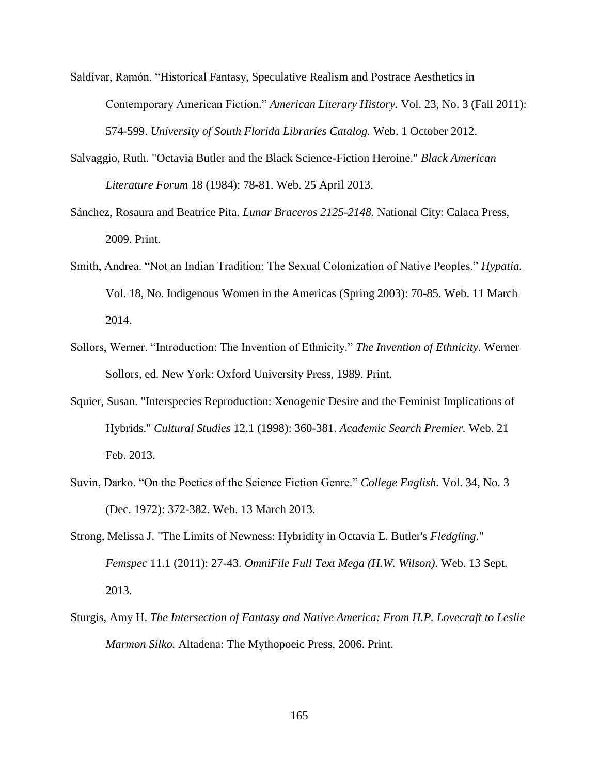Saldívar, Ramón. "Historical Fantasy, Speculative Realism and Postrace Aesthetics in Contemporary American Fiction." *American Literary History.* Vol. 23, No. 3 (Fall 2011): 574-599. *University of South Florida Libraries Catalog.* Web. 1 October 2012.

- Salvaggio, Ruth. "Octavia Butler and the Black Science-Fiction Heroine." *Black American Literature Forum* 18 (1984): 78-81. Web. 25 April 2013.
- Sánchez, Rosaura and Beatrice Pita. *Lunar Braceros 2125-2148.* National City: Calaca Press, 2009. Print.
- Smith, Andrea. "Not an Indian Tradition: The Sexual Colonization of Native Peoples." *Hypatia.* Vol. 18, No. Indigenous Women in the Americas (Spring 2003): 70-85. Web. 11 March 2014.
- Sollors, Werner. "Introduction: The Invention of Ethnicity." *The Invention of Ethnicity.* Werner Sollors, ed. New York: Oxford University Press, 1989. Print.
- Squier, Susan. "Interspecies Reproduction: Xenogenic Desire and the Feminist Implications of Hybrids." *Cultural Studies* 12.1 (1998): 360-381. *Academic Search Premier.* Web. 21 Feb. 2013.
- Suvin, Darko. "On the Poetics of the Science Fiction Genre." *College English.* Vol. 34, No. 3 (Dec. 1972): 372-382. Web. 13 March 2013.
- Strong, Melissa J. "The Limits of Newness: Hybridity in Octavia E. Butler's *Fledgling*." *Femspec* 11.1 (2011): 27-43. *OmniFile Full Text Mega (H.W. Wilson)*. Web. 13 Sept. 2013.
- Sturgis, Amy H. *The Intersection of Fantasy and Native America: From H.P. Lovecraft to Leslie Marmon Silko.* Altadena: The Mythopoeic Press, 2006. Print.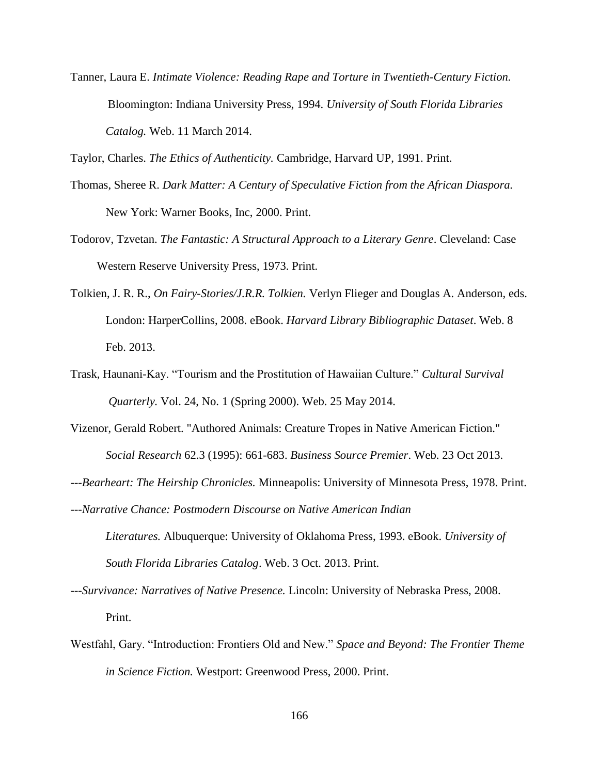Tanner, Laura E. *Intimate Violence: Reading Rape and Torture in Twentieth-Century Fiction.* Bloomington: Indiana University Press, 1994. *University of South Florida Libraries Catalog.* Web. 11 March 2014.

Taylor, Charles. *The Ethics of Authenticity.* Cambridge, Harvard UP, 1991. Print.

- Thomas, Sheree R. *Dark Matter: A Century of Speculative Fiction from the African Diaspora.* New York: Warner Books, Inc, 2000. Print.
- Todorov, Tzvetan. *The Fantastic: A Structural Approach to a Literary Genre*. Cleveland: Case Western Reserve University Press, 1973. Print.
- Tolkien, J. R. R., *On Fairy-Stories/J.R.R. Tolkien.* Verlyn Flieger and Douglas A. Anderson, eds. London: HarperCollins, 2008. eBook. *Harvard Library Bibliographic Dataset*. Web. 8 Feb. 2013.
- Trask, Haunani-Kay. "Tourism and the Prostitution of Hawaiian Culture." *Cultural Survival Quarterly.* Vol. 24, No. 1 (Spring 2000). Web. 25 May 2014.
- Vizenor, Gerald Robert. "Authored Animals: Creature Tropes in Native American Fiction." *Social Research* 62.3 (1995): 661-683. *Business Source Premier*. Web. 23 Oct 2013.
- ---*Bearheart: The Heirship Chronicles.* Minneapolis: University of Minnesota Press, 1978. Print.
- ---*Narrative Chance: Postmodern Discourse on Native American Indian Literatures.* Albuquerque: University of Oklahoma Press, 1993. eBook. *University of South Florida Libraries Catalog*. Web. 3 Oct. 2013. Print.
- *---Survivance: Narratives of Native Presence.* Lincoln: University of Nebraska Press, 2008. Print.
- Westfahl, Gary. "Introduction: Frontiers Old and New." *Space and Beyond: The Frontier Theme in Science Fiction.* Westport: Greenwood Press, 2000. Print.